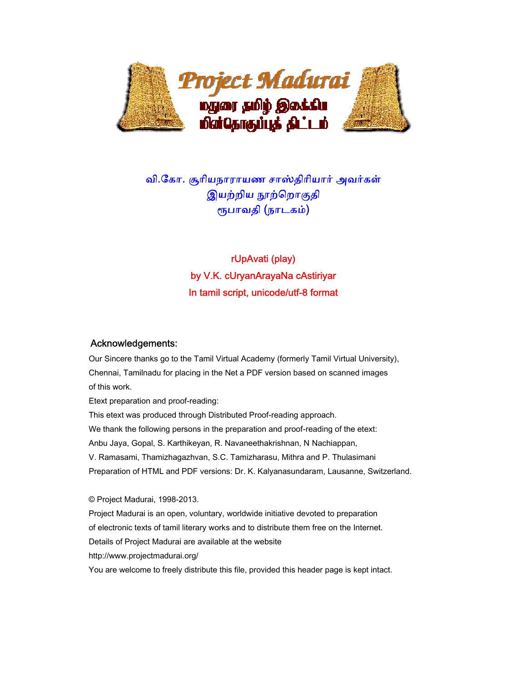

# வி.ேகா. சூாியநாராயண சாஸ்திாியார் அவர்கள் இயற்றிய நூற்றொகுதி ᾟபாவதி (நாடகம்)

rUpAvati (play) by V.K. cUryanArayaNa cAstiriyar In tamil script, unicode/utf-8 format

### Acknowledgements:

 Our Sincere thanks go to the Tamil Virtual Academy (formerly Tamil Virtual University), Chennai, Tamilnadu for placing in the Net a PDF version based on scanned images of this work.

Etext preparation and proof-reading:

 This etext was produced through Distributed Proof-reading approach. We thank the following persons in the preparation and proof-reading of the etext: Anbu Jaya, Gopal, S. Karthikeyan, R. Navaneethakrishnan, N Nachiappan, V. Ramasami, Thamizhagazhvan, S.C. Tamizharasu, Mithra and P. Thulasimani Preparation of HTML and PDF versions: Dr. K. Kalyanasundaram, Lausanne, Switzerland.

 © Project Madurai, 1998-2013. Project Madurai is an open, voluntary, worldwide initiative devoted to preparation of electronic texts of tamil literary works and to distribute them free on the Internet. Details of Project Madurai are available at the website http://www.projectmadurai.org/ You are welcome to freely distribute this file, provided this header page is kept intact.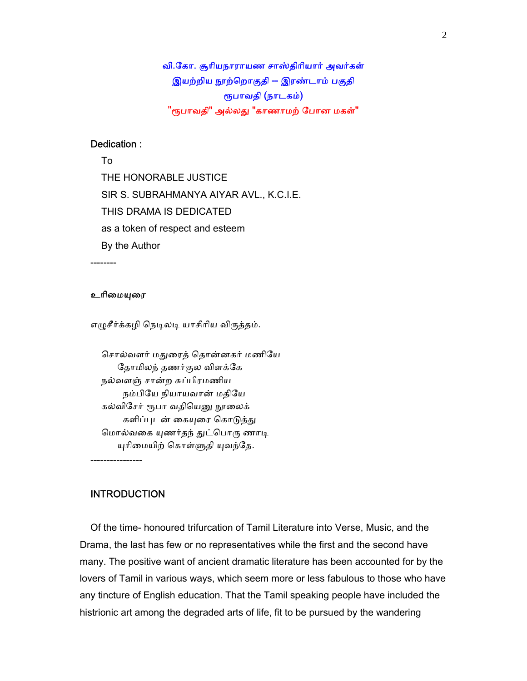வி.ேகா. சூாியநாராயண சாஸ்திாியார் அவர்கள் இயற்றிய நூற்றொகுதி -- இரண்டாம் பகுதி ᾟபாவதி (நாடகம்) "ரூபாவதி" அல்லது "காணாமற் போன மகள்"

### Dedication :

 To THE HONORABLE JUSTICE SIR S. SUBRAHMANYA AIYAR AVL., K.C.I.E. THIS DRAMA IS DEDICATED as a token of respect and esteem By the Author

--------

#### உரிமையுரை

எழுசீர்க்கழி நெடிலடி யாசிரிய விருத்தம்.

 ெசால்வளர் மᾐைரத் ெதான்னகர் மணிேய ேதாமிலந் தணர்குல விளக்ேக நல்வளஞ் சான்ற சுப்பிரமணிய நம்பிேய நியாயவான் மதிேய கல்விசேர் ரூபா வதியெனு நூலைக் களிப்புடன் கையுரை கொடுத்து மொல்வகை யுணர்தந் துட்பொரு ணாடி யுரிமையிற் கொள்ளுதி யுவந்தே.

----------------

### INTRODUCTION

 Of the time- honoured trifurcation of Tamil Literature into Verse, Music, and the Drama, the last has few or no representatives while the first and the second have many. The positive want of ancient dramatic literature has been accounted for by the lovers of Tamil in various ways, which seem more or less fabulous to those who have any tincture of English education. That the Tamil speaking people have included the histrionic art among the degraded arts of life, fit to be pursued by the wandering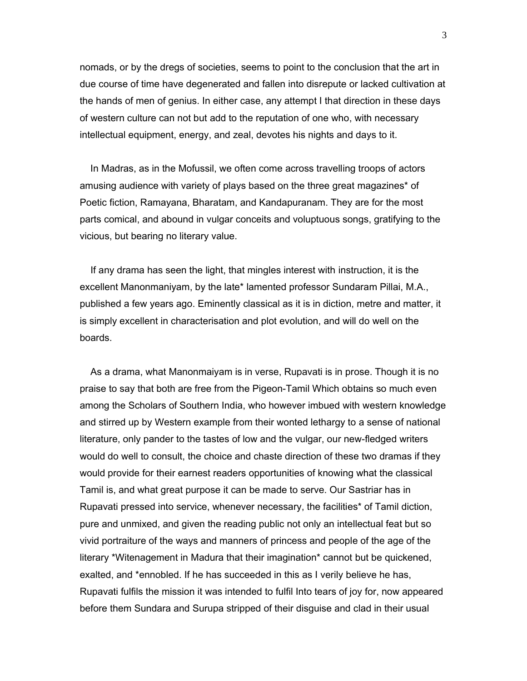nomads, or by the dregs of societies, seems to point to the conclusion that the art in due course of time have degenerated and fallen into disrepute or lacked cultivation at the hands of men of genius. In either case, any attempt I that direction in these days of western culture can not but add to the reputation of one who, with necessary intellectual equipment, energy, and zeal, devotes his nights and days to it.

 In Madras, as in the Mofussil, we often come across travelling troops of actors amusing audience with variety of plays based on the three great magazines\* of Poetic fiction, Ramayana, Bharatam, and Kandapuranam. They are for the most parts comical, and abound in vulgar conceits and voluptuous songs, gratifying to the vicious, but bearing no literary value.

 If any drama has seen the light, that mingles interest with instruction, it is the excellent Manonmaniyam, by the late\* lamented professor Sundaram Pillai, M.A., published a few years ago. Eminently classical as it is in diction, metre and matter, it is simply excellent in characterisation and plot evolution, and will do well on the boards.

 As a drama, what Manonmaiyam is in verse, Rupavati is in prose. Though it is no praise to say that both are free from the Pigeon-Tamil Which obtains so much even among the Scholars of Southern India, who however imbued with western knowledge and stirred up by Western example from their wonted lethargy to a sense of national literature, only pander to the tastes of low and the vulgar, our new-fledged writers would do well to consult, the choice and chaste direction of these two dramas if they would provide for their earnest readers opportunities of knowing what the classical Tamil is, and what great purpose it can be made to serve. Our Sastriar has in Rupavati pressed into service, whenever necessary, the facilities\* of Tamil diction, pure and unmixed, and given the reading public not only an intellectual feat but so vivid portraiture of the ways and manners of princess and people of the age of the literary \*Witenagement in Madura that their imagination\* cannot but be quickened, exalted, and \*ennobled. If he has succeeded in this as I verily believe he has, Rupavati fulfils the mission it was intended to fulfil Into tears of joy for, now appeared before them Sundara and Surupa stripped of their disguise and clad in their usual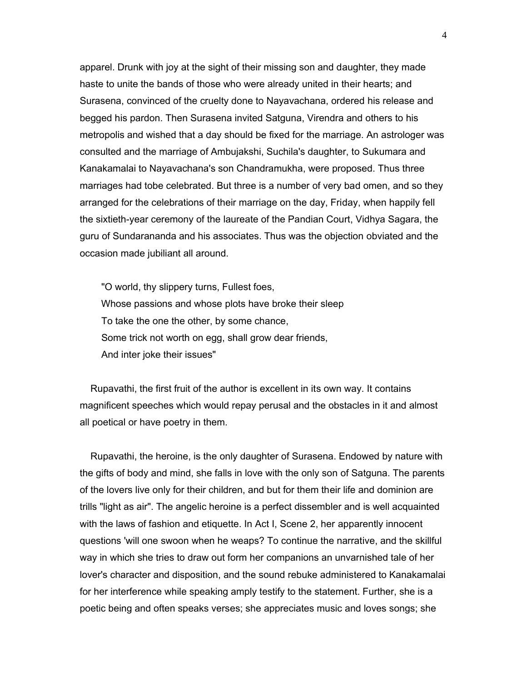apparel. Drunk with joy at the sight of their missing son and daughter, they made haste to unite the bands of those who were already united in their hearts; and Surasena, convinced of the cruelty done to Nayavachana, ordered his release and begged his pardon. Then Surasena invited Satguna, Virendra and others to his metropolis and wished that a day should be fixed for the marriage. An astrologer was consulted and the marriage of Ambujakshi, Suchila's daughter, to Sukumara and Kanakamalai to Nayavachana's son Chandramukha, were proposed. Thus three marriages had tobe celebrated. But three is a number of very bad omen, and so they arranged for the celebrations of their marriage on the day, Friday, when happily fell the sixtieth-year ceremony of the laureate of the Pandian Court, Vidhya Sagara, the guru of Sundarananda and his associates. Thus was the objection obviated and the occasion made jubiliant all around.

 "O world, thy slippery turns, Fullest foes, Whose passions and whose plots have broke their sleep To take the one the other, by some chance, Some trick not worth on egg, shall grow dear friends, And inter joke their issues"

 Rupavathi, the first fruit of the author is excellent in its own way. It contains magnificent speeches which would repay perusal and the obstacles in it and almost all poetical or have poetry in them.

 Rupavathi, the heroine, is the only daughter of Surasena. Endowed by nature with the gifts of body and mind, she falls in love with the only son of Satguna. The parents of the lovers live only for their children, and but for them their life and dominion are trills "light as air". The angelic heroine is a perfect dissembler and is well acquainted with the laws of fashion and etiquette. In Act I, Scene 2, her apparently innocent questions 'will one swoon when he weaps? To continue the narrative, and the skillful way in which she tries to draw out form her companions an unvarnished tale of her lover's character and disposition, and the sound rebuke administered to Kanakamalai for her interference while speaking amply testify to the statement. Further, she is a poetic being and often speaks verses; she appreciates music and loves songs; she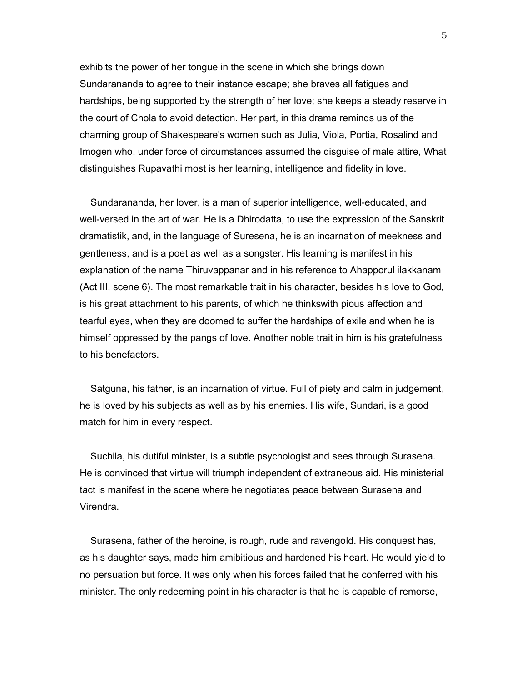exhibits the power of her tongue in the scene in which she brings down Sundarananda to agree to their instance escape; she braves all fatigues and hardships, being supported by the strength of her love; she keeps a steady reserve in the court of Chola to avoid detection. Her part, in this drama reminds us of the charming group of Shakespeare's women such as Julia, Viola, Portia, Rosalind and Imogen who, under force of circumstances assumed the disguise of male attire, What distinguishes Rupavathi most is her learning, intelligence and fidelity in love.

 Sundarananda, her lover, is a man of superior intelligence, well-educated, and well-versed in the art of war. He is a Dhirodatta, to use the expression of the Sanskrit dramatistik, and, in the language of Suresena, he is an incarnation of meekness and gentleness, and is a poet as well as a songster. His learning is manifest in his explanation of the name Thiruvappanar and in his reference to Ahapporul ilakkanam (Act III, scene 6). The most remarkable trait in his character, besides his love to God, is his great attachment to his parents, of which he thinkswith pious affection and tearful eyes, when they are doomed to suffer the hardships of exile and when he is himself oppressed by the pangs of love. Another noble trait in him is his gratefulness to his benefactors.

 Satguna, his father, is an incarnation of virtue. Full of piety and calm in judgement, he is loved by his subjects as well as by his enemies. His wife, Sundari, is a good match for him in every respect.

 Suchila, his dutiful minister, is a subtle psychologist and sees through Surasena. He is convinced that virtue will triumph independent of extraneous aid. His ministerial tact is manifest in the scene where he negotiates peace between Surasena and Virendra.

 Surasena, father of the heroine, is rough, rude and ravengold. His conquest has, as his daughter says, made him amibitious and hardened his heart. He would yield to no persuation but force. It was only when his forces failed that he conferred with his minister. The only redeeming point in his character is that he is capable of remorse,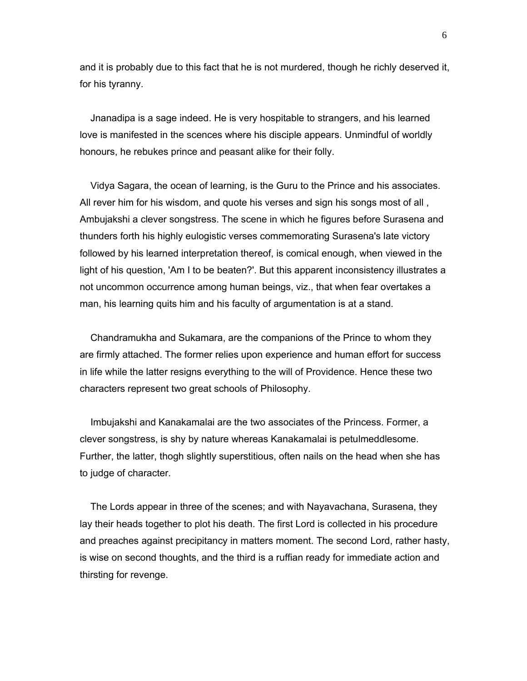and it is probably due to this fact that he is not murdered, though he richly deserved it, for his tyranny.

 Jnanadipa is a sage indeed. He is very hospitable to strangers, and his learned love is manifested in the scences where his disciple appears. Unmindful of worldly honours, he rebukes prince and peasant alike for their folly.

 Vidya Sagara, the ocean of learning, is the Guru to the Prince and his associates. All rever him for his wisdom, and quote his verses and sign his songs most of all , Ambujakshi a clever songstress. The scene in which he figures before Surasena and thunders forth his highly eulogistic verses commemorating Surasena's late victory followed by his learned interpretation thereof, is comical enough, when viewed in the light of his question, 'Am I to be beaten?'. But this apparent inconsistency illustrates a not uncommon occurrence among human beings, viz., that when fear overtakes a man, his learning quits him and his faculty of argumentation is at a stand.

 Chandramukha and Sukamara, are the companions of the Prince to whom they are firmly attached. The former relies upon experience and human effort for success in life while the latter resigns everything to the will of Providence. Hence these two characters represent two great schools of Philosophy.

 Imbujakshi and Kanakamalai are the two associates of the Princess. Former, a clever songstress, is shy by nature whereas Kanakamalai is petulmeddlesome. Further, the latter, thogh slightly superstitious, often nails on the head when she has to judge of character.

 The Lords appear in three of the scenes; and with Nayavachana, Surasena, they lay their heads together to plot his death. The first Lord is collected in his procedure and preaches against precipitancy in matters moment. The second Lord, rather hasty, is wise on second thoughts, and the third is a ruffian ready for immediate action and thirsting for revenge.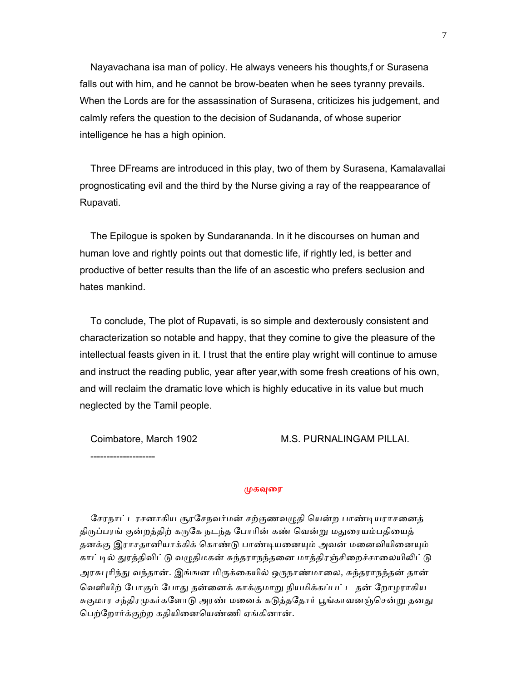Nayavachana isa man of policy. He always veneers his thoughts,f or Surasena falls out with him, and he cannot be brow-beaten when he sees tyranny prevails. When the Lords are for the assassination of Surasena, criticizes his judgement, and calmly refers the question to the decision of Sudananda, of whose superior intelligence he has a high opinion.

 Three DFreams are introduced in this play, two of them by Surasena, Kamalavallai prognosticating evil and the third by the Nurse giving a ray of the reappearance of Rupavati.

 The Epilogue is spoken by Sundarananda. In it he discourses on human and human love and rightly points out that domestic life, if rightly led, is better and productive of better results than the life of an ascestic who prefers seclusion and hates mankind.

 To conclude, The plot of Rupavati, is so simple and dexterously consistent and characterization so notable and happy, that they comine to give the pleasure of the intellectual feasts given in it. I trust that the entire play wright will continue to amuse and instruct the reading public, year after year,with some fresh creations of his own, and will reclaim the dramatic love which is highly educative in its value but much neglected by the Tamil people.

--------------------

Coimbatore, March 1902 M.S. PURNALINGAM PILLAI.

முகவுரை

சேரநாட்டரசனாகிய சூரசேநவர்மன் சற்குணவழுதி யென்ற பாண்டியராசனைத் திருப்பரங் குன்றத்திற் கருகே நடந்த போரின் கண் வென்று மதுரையம்பதியைத் தனக்கு இராசதானியாக்கிக் கொண்டு பாண்டியனையும் அவன் மனைவியினையும் காட்டில் துரத்திவிட்டு வழுதிமகன் சுந்தராநந்தனை மாத்திரஞ்சிறைச்சாலையிலிட்டு அரசுபுரிந்து வந்தான். இங்ஙன மிருக்கையில் ஒருநாண்மாலை, சுந்தராநந்தன் தான் வெளியிற் போகும் போகு தன்னைக் காக்குமாறு நியமிக்கப்பட்ட தன் றோமராகிய சுகுமார சந்திரமுகர்களோடு அரண் மனைக் கடுத்ததோர் பூங்காவனஞ்சென்று தனது ெபற்ேறார்க்குற்ற கதியிைனெயண்ணி ஏங்கினான்.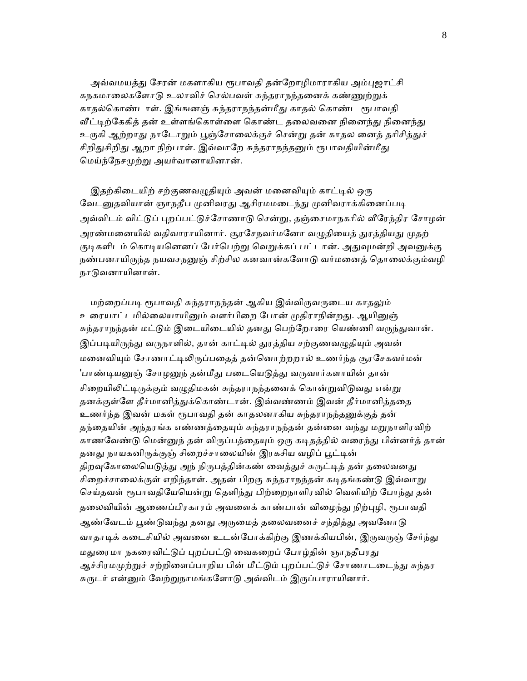அவ்வமயத்து சேரன் மகளாகிய ரூபாவதி தன்றோழிமாராகிய அம்புஜாட்சி கநகமாலைகளோடு உலாவிச் செல்பவள் சுந்தராநந்தனைக் கண்ணுற்றுக் காதல்கொண்டாள். இங்ஙனஞ் சுந்தராநந்தன்மீது காதல் கொண்ட ரூபாவதி வீட்டிற்கேகித் தன் உள்ளங்கொள்ளை கொண்ட தலைவனை நினைந்து நினைந்து உருகி ஆற்றாது நாடோறும் பூஞ்சோலைக்குச் சென்று தன் காதல னைத் தரிசித்துச் சிறிதுசிறிது ஆறா நிற்பாள். இவ்வாறே சுந்தராநந்தனும் ரூபாவதியின்மீது ெமய்ந்ேநசᾙற்ᾠ அயர்வானாயினான்.

இதற்கிடையிற் சற்குணவழுதியும் அவன் மனைவியும் காட்டில் ஒரு வேடனுதவியான் ஞாநதீப முனிவரது ஆசிரமமடைந்து முனிவராக்கினைப்படி அவ்விடம் விட்டுப் புறப்பட்டுச்சோணாடு சென்று, தஞ்சைமாநகரில் வீரேந்திர சோழன் அரண்மனையில் வதிவாராயினார். சூரசேநவர்மனோ வழுதியைத் துரத்தியது முதற் குடிகளிடம் கொடியனெனப் பேர்பெற்று வெறுக்கப் பட்டான். அதுவுமன்றி அவனுக்கு நண்பனாயிருந்த நயவசநனுஞ் சிற்சில கனவான்களோடு வர்மனைத் தொலைக்கும்வழி நாடுவனாயினான்.

மற்றைப்படி ரூபாவதி சுந்தராநந்தன் ஆகிய இவ்விருவருடைய காதலும் உரையாட்டமில்லையாயினும் வளர்பிறை போன் முதிராநின்றது. ஆயினுஞ் சுந்தராநந்தன் மட்டும் இடையிடையில் தனது பெற்றோரை யெண்ணி வருந்துவான். இப்படியிருந்து வருநாளில், தான் காட்டில் துரத்திய சற்குணவழுதியும் அவன் மனைவியும் சோணாட்டிலிருப்பதைத் தன்னொற்றறால் உணர்ந்த சூரசேகவர்மன் 'பாண்டியனுஞ் சோழனுந் தன்மீது படையெடுத்து வருவார்களாயின் தான் சிறையிலிட்டிருக்கும் வழுதிமகன் சுந்தராநந்தனைக் கொன்றுவிடுவது என்று தனக்குள்ளே தீர்மானித்துக்கொண்டான். இவ்வண்ணம் இவன் தீர்மானித்ததை உணர்ந்த இவன் மகள் ரூபாவதி தன் காதலனாகிய சுந்தராநந்தனுக்குத் தன் தந்தையின் அந்தரங்க எண்ணத்தையும் சுந்தராநந்தன் தன்னை வந்து மறுநாளிரவிற் காணவேண்டு மென்னுந் தன் விருப்பத்தையும் ஒரு கடிதத்தில் வரைந்து பின்னர்த் தான் தனது நாயகனிருக்குஞ் சிறைச்சாலையின் இரகசிய வழிப் பூட்டின் திறவுகோலையெடுத்து அந் நிருபத்தின்கண் வைத்துச் சுருட்டித் தன் தலைவனது சிறைச்சாலைக்குள் எறிந்தாள். அதன் பிறகு சுந்தராநந்தன் கடிதங்கண்டு இவ்வாறு செய்தவள் ரூபாவதியேயென்று தெளிந்து பிற்றைநாளிரவில் வெளியிற் போந்து தன் தலைவியின் ஆணைப்பிரகாரம் அவளைக் காண்பான் விழைந்து நிற்புழி, ரூபாவதி ஆண்வேடம் பூண்டுவந்து தனது அருமைத் தலைவனைச் சந்தித்து அவனோடு வாதாடிக் கடைசியில் அவனை உடன்போக்கிற்கு இணக்கியபின், இருவருஞ் சேர்ந்து மதுரைமா நகரைவிட்டுப் புறப்பட்டு வைகறைப் போழ்தின் ஞாநதீபரது ஆச்சிரமமுற்றுச் சற்றிளைப்பாறிய பின் மீட்டும் புறப்பட்டுச் சோணாடடைந்து சுந்தர சுருடர் என்னும் வேற்றுநாமங்களோடு அவ்விடம் இருப்பாராயினார்.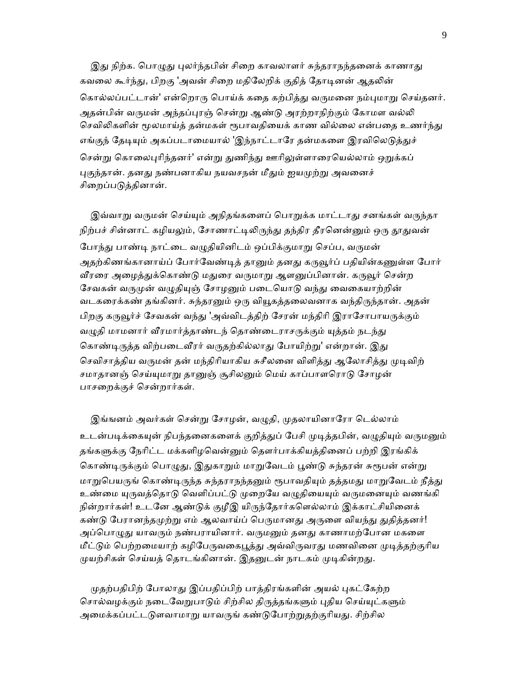இது நிற்க. பொழுது புலர்ந்தபின் சிறை காவலாளர் சுந்தராநந்தனைக் காணாது கவலை கூர்ந்து, பிறகு 'அவன் சிறை மதிலேறிக் குதித் தோடினன் ஆதலின் கொல்லப்பட்டான்' என்றொரு பொய்க் கதை கற்பித்து வருமனை நம்புமாறு செய்தனர். அதன்பின் வருமன் அந்தப்புரஞ் சென்று ஆண்டு அரற்றாநிற்கும் கோமள வல்லி செவிலிகளின் மூலமாய்த் தன்மகள் ரூபாவதியைக் காண வில்லை என்பதை உணர்ந்து எங்குந் தேடியும் அகப்படாமையால் 'இந்நாட்டாரே தன்மகளை இரவிலெடுத்துச் சென்று கொலைபுரிந்தனர்' என்று துணிந்து ஊரிலுள்ளாரையெல்லாம் ஒறுக்கப் புகுந்தான். தனது நண்பனாகிய நயவசநன் மீதும் ஐயமுற்று அவனைச் சிறைப்படுக்கினான்.

இவ்வாறு வருமன் செய்யும் அநிதங்களைப் பொறுக்க மாட்டாது சனங்கள் வருந்தா நிற்பச் சின்னாட் கழியலும், சோணாட்டிலிருந்து தந்திர தீரனென்னும் ஒரு தூதுவன் போந்து பாண்டி நாட்டை வழுதியினிடம் ஒப்பிக்குமாறு செப்ப, வருமன் அதற்கிணங்கானாய்ப் போர்வேண்டித் தானும் தனது கருவூர்ப் பதியின்கணுள்ள போர் வீரரை அழைத்துக்கொண்டு மதுரை வருமாறு ஆளனுப்பினான். கருவூர் சென்ற சேவகன் வருமுன் வழுதியுஞ் சோழனும் படையொடு வந்து வைகையாற்றின் வடகரைக்கண் தங்கினர். சுந்தரனும் ஒரு வியூகத்தலைவனாக வந்திருந்தான். அதன் பிறகு கருவூர்ச் சேவகன் வந்து 'அவ்விடத்திற் சேரன் மந்திரி இராசோபாயருக்கும் வழுதி மாமனார் வீரமார்த்தாண்டந் தொண்டைராசருக்கும் யுத்தம் நடந்து கொண்டிருத்த விற்படைவீரர் வருதற்கில்லாது போயிற்று' என்றான். இது செவிசாத்திய வருமன் தன் மந்திரியாகிய சுசீலனை விளித்து ஆலோசித்து முடிவிற் சமாதானஞ் செய்யுமாறு தானுஞ் சூசிலனும் மெய் காப்பாளரொடு சோழன் பாசைறக்குச் ெசன்றார்கள்.

இங்ஙனம் அவர்கள் சென்று சோழன், வழுதி, முதலாயினாரோ டெல்லாம் உடன்படிக்கையுன் நிபந்தனைகளைக் குறித்துப் பேசி முடித்தபின், வழுதியும் வருமனும் தங்களுக்கு நேரிட்ட மக்களிழவென்னும் தௌர்பாக்கியத்தினைப் பற்றி இரங்கிக் கொண்டிருக்கும் பொழுது, இதுகாறும் மாறுவேடம் பூண்டு சுந்தரன் சுரூபன் என்று மாறுபெயருங் கொண்டிருந்த சுந்தராநந்தனும் ரூபாவதியும் தத்தமது மாறுவேடம் நீத்து உண்மை யுருவத்தொடு வெளிப்பட்டு முறையே வழுதியையும் வருமனையும் வணங்கி நின்றார்கள்! உடனே ஆண்டுக் குழீஇ யிருந்தோர்களெல்லாம் இக்காட்சியினைக் கண்டு பேரானந்தமுற்று எம் ஆலவாய்ப் பெருமானது அருளை வியந்து துதித்தனர்! அப்பொழுது யாவரும் நண்பராயினார். வருமனும் தனது காணாமற்போன மகளை மீட்டும் பெற்றமையாற் கழிபேருவகைபூத்து அவ்விருவரது மணவினை முடித்தற்குரிய முயற்சிகள் செய்யத் தொடங்கினான். இதனுடன் நாடகம் முடிகின்றது.

முதற்பதிபிற் போலாது இப்பதிப்பிற் பாத்திரங்களின் அயல் புகட்கேற்ற சொல்வழக்கும் நடைவேறுபாடும் சிற்சில திருத்தங்களும் புதிய செய்யுட்களும் அமைக்கப்பட்டடுளவாமாறு யாவருங் கண்டுபோற்றுதற்குரியது. சிற்சில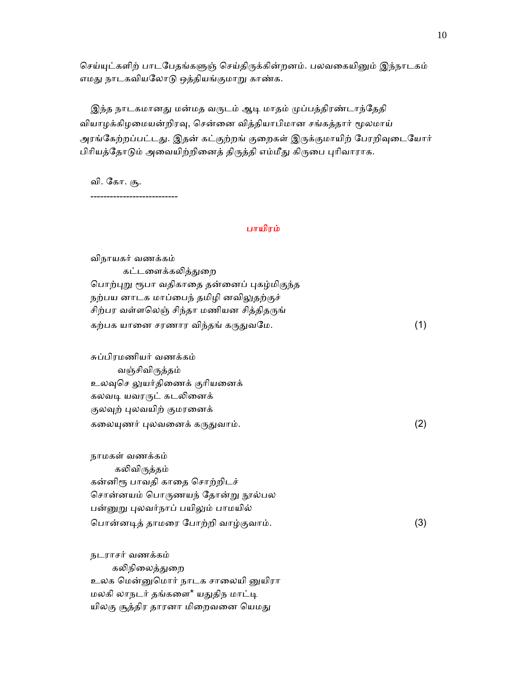செய்யுட்களிற் பாடபேதங்களுஞ் செய்திருக்கின்றனம். பலவகையினும் இந்நாடகம் எமது நாடகவியலோடு ஒத்தியங்குமாறு காண்க.

இந்த நாடகமானது மன்மத வருடம் ஆடி மாதம் முப்பத்திரண்டாந்தேதி வியாழக்கிழமையன்றிரவு, சென்னை வித்தியாபிமான சங்கத்தார் மூலமாய் அரங்கேற்றப்பட்டது. இதன் கட்குற்றங் குறைகள் இருக்குமாயிற் பேரறிவுடையோர் பிரியத்தோடும் அவையிற்றினைத் திருத்தி எம்மீது கிருபை புரிவாராக.

வி. ேகா. சூ.

---------------------------

### பாயிரம்

 விநாயகர் வணக்கம் கட்டளைக்கலித்துறை பொற்புறு ரூபா வதிகாதை தன்னைப் புகழ்மிகுந்த நற்பய னாடக மாப்பைந் தமிழி னவிலுதற்குச் சிற்பர வள்ளலெஞ் சிந்தா மணியன சித்திதருங் கற்பக யானை சரணார விந்தங் கருதுவமே.  $(1)$  சுப்பிரமணியர் வணக்கம் வஞ்சிவிᾞத்தம் உலவுசெ லுயர்திணைக் குரியனைக் கலவடி யவரருட் கடலினைக் குலவுற் புலவயிற் குமரனைக் கலையுணர் புலவனைக் கருதுவாம்.  $(2)$  நாமகள் வணக்கம் கலிவிருத்தம் கன்னிᾟ பாவதி காைத ெசாற்றிடச் சொன்னயம் பொருணயந் தோன்று நூல்பல பன்னுறு புலவர்நாப் பயிலும் பாமயில் ெபான்னᾊத் தாமைர ேபாற்றி வாழ்குவாம். (3) நடராசர் வணக்கம் கலிநிலைத்துறை

 உலக ெமன்ᾔெமார் நாடக சாைலயி ᾔயிரா மலகி லாநடர் தங்களை\* யதுதிந மாட்டி யிலகு சூத்திர தாரனா மிறைவனை யெமது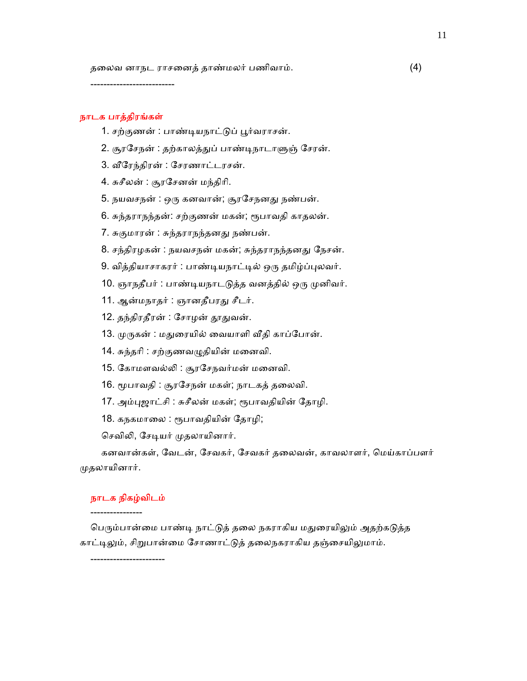தைலவ னாநட ராசைனத் தாண்மலர் பணிவாம். (4)

--------------------------

### நாடக பாத்திரங்கள்

- 1. சற்குணன் : பாண்டியநாட்டுப் பூர்வராசன்.
- 2. சூரசேநன் : தற்காலத்துப் பாண்டிநாடாளுஞ் சேரன்.
- 3. ᾪேரந்திரன் : ேசரணாட்டரசன்.
- 4. சுசீலன் : சூரேசனன் மந்திாி.
- 5. நயவசநன் : ஒரு கனவான்; சூரசேநனது நண்பன்.
- 6. சுந்தராநந்தன்: சற்குணன் மகன்; ᾟபாவதி காதலன்.
- 7. சுகுமாரன் : சுந்தராநந்தனᾐ நண்பன்.
- 8. சந்திரழகன் : நயவசநன் மகன்; சுந்தராநந்தனது நேசன்.
- 9. வித்தியாசாகரர் : பாண்ᾊயநாட்ᾊல் ஒᾞ தமிழ்ப்ᾗலவர்.
- 10. ஞாநதீபர் : பாண்டியநாடடுத்த வனத்தில் ஒரு முனிவர்.
- 11. ஆன்மநாதர் : ஞானதீபரது சீடர்.
- 12. தந்திரதீரன் : சோழன் தூதுவன்.
- 13. முருகன் : மதுரையில் வையாளி வீதி காப்போன்.
- 14. சுந்தாி : சற்குணவᾨதியின் மைனவி.
- 15. கோமளவல்லி : சூரசேநவர்மன் மனைவி.
- 16. மூபாவதி : சூரசேநன் மகள்; நாடகத் தலைவி.
- 17. அம்புஜாட்சி : சுசீலன் மகள்; ரூபாவதியின் தோழி.
- 18. கநகமாலை : ரூபாவதியின் தோழி;

செவிலி, சேடியர் முதலாயினார்.

 கனவான்கள், ேவடன், ேசவகர், ேசவகர் தைலவன், காவலாளர், ெமய்காப்பளர் ᾙதலாயினார்.

### நாடக நிகழ்விடம்

-----------------------

#### ----------------

பெரும்பான்மை பாண்டி நாட்டுத் தலை நகராகிய மதுரையிலும் அதற்கடுத்த காட்டிலும், சிறுபான்மை சோணாட்டுத் தலைநகராகிய தஞ்சையிலுமாம்.

11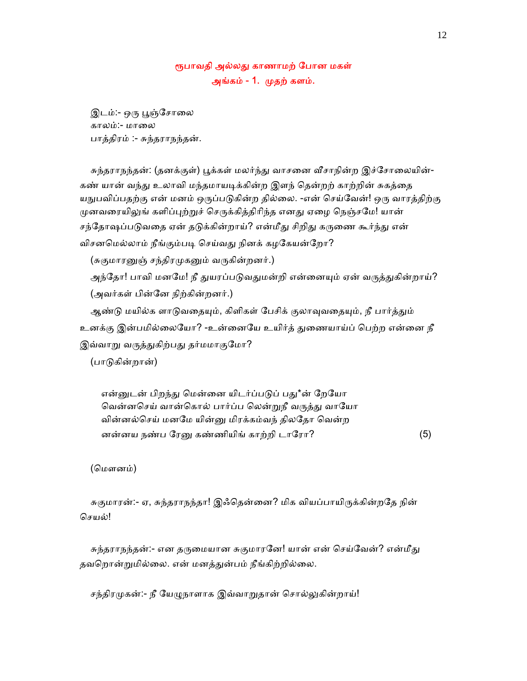# ரூபாவதி அல்லது காணாமற் போன மகள் அங்கம் - 1. முதற் களம்.

இடம்:- ஒரு பூஞ்சோலை காலம்:- மாலை பாத்திரம் :- சுந்தராநந்தன்.

சுந்தராநந்தன்: (தனக்குள்) பூக்கள் மலர்ந்து வாசனை வீசாநின்ற இச்சோலையின்-கண் யான் வந்து உலாவி மந்தமாயடிக்கின்ற இளந் கென்றற் காற்றின் சுகத்தை யநுபவிப்பதற்கு என் மனம் ஒருப்படுகின்ற தில்லை. -என் செய்வேன்! ஒரு வாரத்திற்கு முனவரையிலுங் களிப்புற்றுச் செருக்கித்திரிந்த எனது ஏழை நெஞ்சமே! யான் சந்தோஷப்படுவதை ஏன் தடுக்கின்றாய்? என்மீது சிறிது கருணை கூர்ந்து என் விசனமெல்லாம் நீங்கும்படி செய்வது நினக் கழகேயன்றோ?

(சுகுமாரனுஞ் சந்திரமுகனும் வருகின்றனர்.)

அந்தோ! பாவி மனமே! நீ துயரப்படுவதுமன்றி என்னையும் ஏன் வருத்துகின்றாய்? (அவர்கள் பின்ேன நிற்கின்றனர்.)

ஆண்டு மயில்க ளாடுவதையும், கிளிகள் பேசிக் குலாவுவதையும், நீ பார்த்தும் உனக்கு இன்பமில்லையோ? -உன்னையே உயிர்த் துணையாய்ப் பெற்ற என்னை நீ இவ்வாறு வருத்துகிற்பது தர்மமாகுமோ?

(பாᾌகின்றான்)

என்னுடன் பிறந்து மென்னை யிடர்ப்படுப் பது\*ன் றேயோ வென்னசெய் வான்கொல் பார்ப்ப லென்றுநீ வருத்து வாயோ வின்னல்செய் மனமே யின்னு மிரக்கம்வந் திலதோ வென்ற னன்னய நண்ப ரேனு கண்ணியிங் காற்றி டாரோ?  $(5)$ 

(மௌனம்)

சுகுமாரன்:- ஏ, சுந்தராநந்தா! இஃதென்னை? மிக வியப்பாயிருக்கின்றதே நின் ெசயல்!

சுந்தராநந்தன்:- என தருமையான சுகுமாரனே! யான் என் செய்வேன்? என்மீது தவறொன்றுமில்லை. என் மனத்துன்பம் நீங்கிற்றில்லை.

சந்திரமுகன்:- நீ யேழுநாளாக இவ்வாறுதான் சொல்லுகின்றாய்!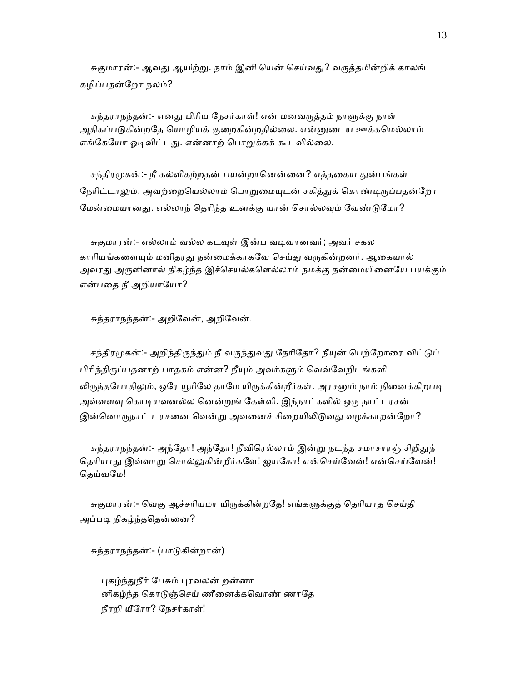சுகுமாரன்:- ஆவது ஆயிற்று. நாம் இனி யென் செய்வது? வருத்தமின்றிக் காலங் கழிப்பதன்ேறா நலம்?

சுந்தராநந்தன்:- எனது பிரிய நேசர்காள்! என் மனவருத்தம் நாளுக்கு நாள் அதிகப்படுகின்றதே யொழியக் குறைகின்றதில்லை. என்னுடைய ஊக்கமெல்லாம் எங்கேயோ ஓடிவிட்டது. என்னாற் பொறுக்கக் கூடவில்லை.

சந்திரமுகன்:- நீ கல்விகற்றதன் பயன்றானென்னை? எத்தகைய துன்பங்கள் நேரிட்டாலும், அவற்றையெல்லாம் பொறுமையுடன் சகித்துக் கொண்டிருப்பதன்றோ மேன்மையானது. எல்லாந் தெரிந்த உனக்கு யான் சொல்லவும் வேண்டுமோ?

சுகுமாரன்:- எல்லாம் வல்ல கடவுள் இன்ப வடிவானவர்; அவர் சகல காரியங்களையும் மனிதரது நன்மைக்காகவே செய்து வருகின்றனர். ஆகையால் அவரது அருளினால் நிகழ்ந்த இச்செயல்களெல்லாம் நமக்கு நன்மையினையே பயக்கும் என்பதை நீ அறியாயோ?

சுந்தராநந்தன்:- அறிேவன், அறிேவன்.

சந்திரமுகன்:- அறிந்திருந்தும் நீ வருந்துவது நேரிதோ? நீயுன் பெற்றோரை விட்டுப் பிரிந்திருப்பதனாற் பாதகம் என்ன? நீயும் அவர்களும் வெவ்வேறிடங்களி லிருந்தபோதிலும், ஒரே யூரிலே தாமே யிருக்கின்றீர்கள். அரசனும் நாம் நினைக்கிறபடி அவ்வளவு கொடியவனல்ல னென்றுங் கேள்வி. இந்நாட்களில் ஒரு நாட்டரசன் இன்னொருநாட் டரசனை வென்று அவனைச் சிறையிலிடுவது வழக்காறன்றோ?

சுந்தராநந்தன்:- அந்தோ! அந்தோ! நீவிரெல்லாம் இன்று நடந்த சமாசாரஞ் சிறிதுந் தெரியாது இவ்வாறு சொல்லுகின்றீர்களே! ஐயகோ! என்செய்வேன்! என்செய்வேன்! தெய்வமே!

சுகுமாரன்:- வெகு ஆச்சரியமா யிருக்கின்றதே! எங்களுக்குத் தெரியாத செய்தி அப்படி நிகழ்ந்ததென்னை?

சுந்தராநந்தன்:- (பாᾌகின்றான்)

புகழ்ந்துநீர் பேசும் புரவலன் றன்னா னிகழ்ந்த கொடுஞ்செய் ணீனைக்கவொண் ணாதே நீரறி யீேரா? ேநசர்காள்!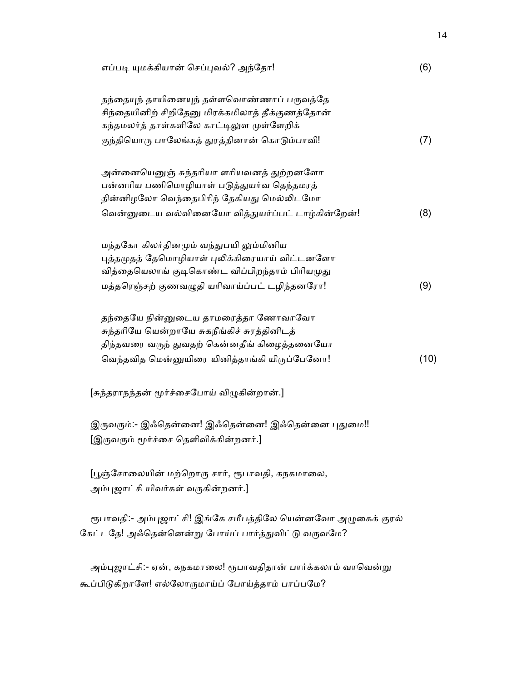| எப்படி யுமக்கியான் செப்புவல்? அந்தோ!                                                                                                                                                      | (6)  |
|-------------------------------------------------------------------------------------------------------------------------------------------------------------------------------------------|------|
| தந்தையுந் தாயினையுந் தள்ளவொண்ணாப் பருவத்தே<br>சிந்தையினிற் சிறிதேனு மிரக்கமிலாத் தீக்குணத்தோன்<br>கந்தமலர்த் தாள்களிலே காட்டிலுள முள்ளேறிக்                                               |      |
| குந்தியொரு பாலேங்கத் துரத்தினான் கொடும்பாவி!                                                                                                                                              | (7)  |
| அன்னையெனுஞ் சுந்தரியா ளரியவனத் துற்றனளோ<br>பன்னரிய பணிமொழியாள் படுத்துயர்வ தெந்தமரத்<br>தின்னிழலோ வெந்தைபிரிந் தேகியது மெல்லிடமோ                                                          |      |
| வென்னுடைய வல்வினையோ வித்துயர்ப்பட் டாழ்கின்றேன்!                                                                                                                                          | (8)  |
| மந்தகோ கிலர்தினமும் வந்துபயி லும்மினிய<br>புத்தமுதத் தேமொழியாள் புலிக்கிரையாய் விட்டனளோ<br>வித்தையெலாங் குடிகொண்ட விப்பிறந்தாம் பிரியமுது<br>மத்தரெஞ்சற் குணவழுதி யரிவாய்ப்பட் டழிந்தனரோ! | (9)  |
| தந்தையே நின்னுடைய தாமரைத்தா ணோவாவோ<br>சுந்தரியே யென்றாயே சுகநீங்கிச் சுரத்தினிடத்<br>திந்தவரை வருந் துவதற் கென்னதீங் கிழைத்தனையோ<br>வெந்தவித மென்னுயிரை யினித்தாங்கி யிருப்பேனோ!          | (10) |
| [சுந்தராநந்தன் மூர்ச்சைபோய் விழுகின்றான்.]                                                                                                                                                |      |
| இருவரும்:- இஃதென்னை! இஃதென்னை! இஃதென்னை புதுமை!!<br>[இருவரும் மூர்ச்சை தெளிவிக்கின்றனர்.]                                                                                                 |      |
| [பூஞ்சோலையின் மற்றொரு சார், ரூபாவதி, கநகமாலை,<br>அம்புஜாட்சி யிவர்கள் வருகின்றனர்.]                                                                                                       |      |
| ரூபாவதி:- அம்புஜாட்சி! இங்கே சமீபத்திலே யென்னவோ அழுகைக் குரல்<br>கேட்டதே! அஃதென்னென்று போய்ப் பார்த்துவிட்டு வருவமே?                                                                      |      |
| அம்புஜாட்சி:- ஏன், கநகமாலை! ரூபாவதிதான் பார்க்கலாம் வாவென்று<br>கூப்பிடுகிறாளே! எல்லோருமாய்ப் போய்த்தாம் பாப்பமே?                                                                         |      |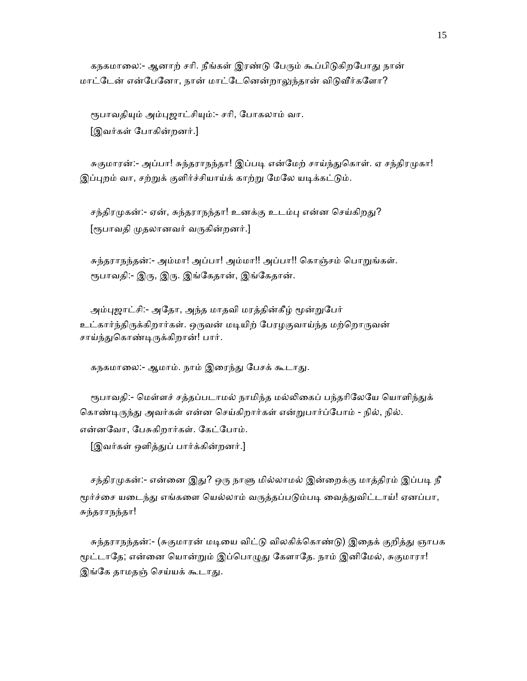கநகமாலை:- ஆனாற் சரி. நீங்கள் இரண்டு பேரும் கூப்பிடுகிறபோது நான் மாட்டேன் என்பேனோ, நான் மாட்டேனென்றாலுந்தான் விடுவீர்களோ?

ரூபாவதியும் அம்புஜாட்சியும்:- சரி, போகலாம் வா. [இவர்கள் ேபாகின்றனர்.]

சுகுமாரன்:- அப்பா! சுந்தராநந்தா! இப்படி என்மேற் சாய்ந்துகொள். ஏ சந்திரமுகா! இப்புறம் வா, சற்றுக் குளிர்ச்சியாய்க் காற்று மேலே யடிக்கட்டும்.

சந்திரமுகன்:- ஏன், சுந்தராநந்தா! உனக்கு உடம்பு என்ன செய்கிறது? [ரூபாவதி முதலானவர் வருகின்றனர்.]

 சுந்தராநந்தன்:- அம்மா! அப்பா! அம்மா!! அப்பா!! ெகாஞ்சம் ெபாᾠங்கள். ரூபாவதி:- இரு, இரு. இங்கேதான், இங்கேதான்.

அம்புஜாட்சி:- அதோ, அந்த மாதவி மரத்தின்கீழ் மூன்றுபேர் உட்கார்ந்திருக்கிறார்கள். ஒருவன் மடியிற் பேரழகுவாய்ந்த மற்றொருவன் சாய்ந்துகொண்டிருக்கிறான்! பார்.

கநகமாலை:- ஆமாம். நாம் இரைந்து பேசக் கூடாது.

ரூபாவதி:- மெள்ளச் சத்தப்படாமல் நாமிந்த மல்லிகைப் பந்தரிலேயே யொளிந்துக் கொண்டிருந்து அவர்கள் என்ன செய்கிறார்கள் என்றுபார்ப்போம் - நில், நில். என்னேவா, ேபசுகிறார்கள். ேகட்ேபாம்.

[இவர்கள் ஒளித்ᾐப் பார்க்கின்றனர்.]

சந்திரமுகன்:- என்னை இது? ஒரு நாளு மில்லாமல் இன்றைக்கு மாத்திரம் இப்படி நீ மூர்ச்சை யடைந்து எங்களை யெல்லாம் வருத்தப்படும்படி வைத்துவிட்டாய்! ஏனப்பா, சுந்தராநந்தா!

சுந்தராநந்தன்:- (சுகுமாரன் மடியை விட்டு விலகிக்கொண்டு) இதைக் குறித்து ஞாபக மூட்டாதே; என்னை யொன்றும் இப்பொழுது கேளாதே. நாம் இனிமேல், சுகுமாரா! இங்கே தாமதஞ் செய்யக் கூடாது.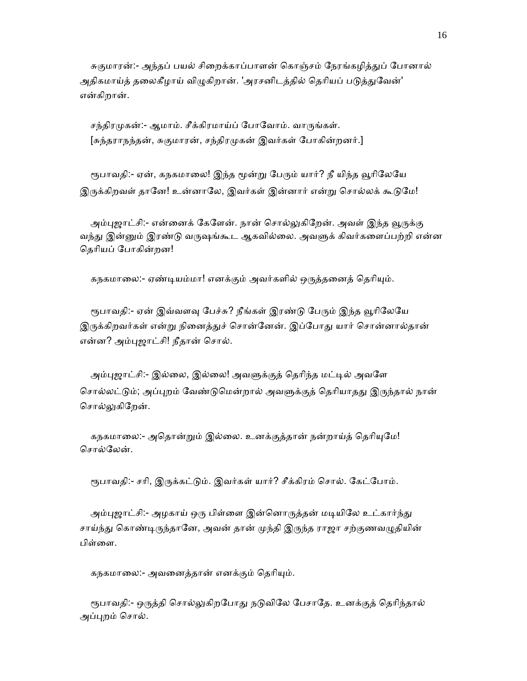சுகுமாரன்:- அந்தப் பயல் சிறைக்காப்பாளன் கொஞ்சம் நேரங்கழித்துப் போனால் அதிகமாய்த் தலைகீழாய் விழுகிறான். 'அரசனிடத்தில் தெரியப் படுத்துவேன்' என்கிறான்.

சந்திரமுகன்:- ஆமாம். சீக்கிரமாய்ப் போவோம். வாருங்கள். [சுந்தராநந்தன், சுகுமாரன், சந்திரமுகன் இவர்கள் போகின்றனர்.]

ரூபாவதி:- ஏன், கநகமாலை! இந்த மூன்று பேரும் யார்? நீ யிந்த வூரிலேயே இருக்கிறவள் தானே! உன்னாலே, இவர்கள் இன்னார் என்று சொல்லக் கூடுமே!

அம்புஜாட்சி:- என்னைக் கேளேன். நான் சொல்லுகிறேன். அவள் இந்த வூருக்கு வந்து இன்னும் இரண்டு வருஷங்கூட ஆகவில்லை. அவளுக் கிவர்களைப்பற்றி என்ன ெதாியப் ேபாகின்றன!

கநகமாலை:- ஏண்டியம்மா! எனக்கும் அவர்களில் ஒருத்தனைத் தெரியும்.

ரூபாவதி:- ஏன் இவ்வளவு பேச்சு? நீங்கள் இரண்டு பேரும் இந்த வூரிலேயே இருக்கிறவர்கள் என்று நினைத்துச் சொன்னேன். இப்போது யார் சொன்னால்தான் என்ன? அம்ᾗஜாட்சி! நீதான் ெசால்.

அம்புஜாட்சி:- இல்லை, இல்லை! அவளுக்குத் தெரிந்த மட்டில் அவளே சொல்லட்டும்; அப்புறம் வேண்டுமென்றால் அவளுக்குத் தெரியாதது இருந்தால் நான் சொல்லுகிறேன்.

கநகமாலை:- அதொன்றும் இல்லை. உனக்குத்தான் நன்றாய்த் தெரியுமே! சொல்லேன்.

ரூபாவதி:- சரி, இருக்கட்டும். இவர்கள் யார்? சீக்கிரம் சொல். கேட்போம்.

அம்புஜாட்சி:- அழகாய் ஒரு பிள்ளை இன்னொருத்தன் மடியிலே உட்கார்ந்து சாய்ந்து கொண்டிருந்தானே, அவன் தான் முந்தி இருந்த ராஜா சற்குணவழுதியின் பிள்ளை.

கநகமாலை:- அவனைத்தான் எனக்கும் தெரியும்.

ரூபாவதி:- ஒருத்தி சொல்லுகிறபோது நடுவிலே பேசாதே. உனக்குத் தெரிந்தால் அப்புறம் சொல்.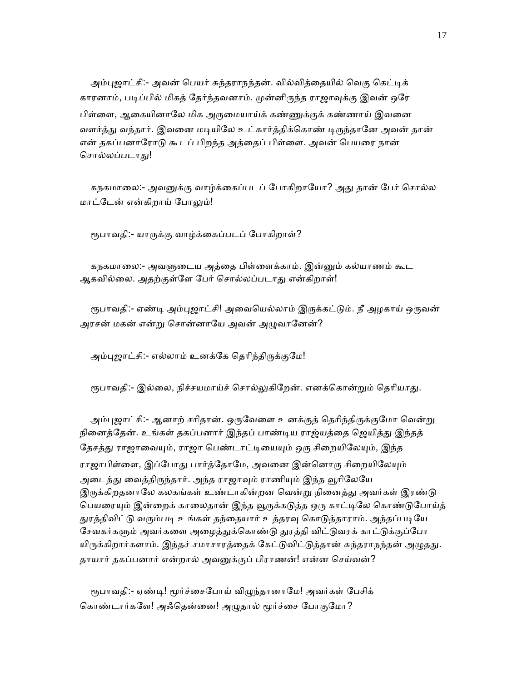அம்புஜாட்சி:- அவன் பெயர் சுந்தராநந்தன். வில்வித்தையில் வெகு கெட்டிக் காரனாம், படிப்பில் மிகத் தேர்ந்தவனாம். முன்னிருந்த ராஜாவுக்கு இவன் ஒரே பிள்ளை, ஆகையினாலே மிக அருமையாய்க் கண்ணுக்குக் கண்ணாய் இவனை வளர்த்து வந்தார். இவனை மடியிலே உட்கார்த்திக்கொண் டிருந்தானே அவன் தான் என் தகப்பனாரோடு கூடப் பிறந்த அத்தைப் பிள்ளை. அவன் பெயரை நான் சொல்லப்படாது!

கநகமாலை:- அவனுக்கு வாழ்க்கைப்படப் போகிறாயோ? அது தான் பேர் சொல்ல மாட்டேன் என்கிறாய் போலும்!

ரூபாவதி:- யாருக்கு வாழ்க்கைப்படப் போகிறாள்?

 கநகமாைல:- அவᾦைடய அத்ைத பிள்ைளக்காம். இன்ᾔம் கல்யாணம் கூட ஆகவில்லை. அதற்குள்ளே பேர் சொல்லப்படாது என்கிறாள்!

ரூபாவதி:- ஏண்டி அம்புஜாட்சி! அவையெல்லாம் இருக்கட்டும். நீ அழகாய் ஒருவன் அரசன் மகன் என்று சொன்னாயே அவன் அழுவானேன்?

அம்புஜாட்சி:- எல்லாம் உனக்கே தெரிந்திருக்குமே!

ரூபாவதி:- இல்லை, நிச்சயமாய்ச் சொல்லுகிறேன். எனக்கொன்றும் தெரியாது.

அம்புஜாட்சி:- ஆனாற் சரிதான். ஒருவேளை உனக்குத் தெரிந்திருக்குமோ வென்று நினைத்தேன். உங்கள் தகப்பனார் இந்தப் பாண்டிய ராஜ்யத்தை ஜெயித்து இந்தத் தேசத்து ராஜாவையும், ராஜா பெண்டாட்டியையும் ஒரு சிறையிலேயும், இந்த ராஜாபிள்ளை, இப்போது பார்த்தோமே, அவனை இன்னொரு சிறையிலேயும் அடைத்து வைத்திருந்தார். அந்த ராஜாவும் ராணியும் இந்த வூரிலேயே இருக்கிறதனாலே கலகங்கள் உண்டாகின்றன வென்று நினைத்து அவர்கள் இரண்டு பெயரையும் இன்றைக் காலைதான் இந்த வூருக்கடுத்த ஒரு காட்டிலே கொண்டுபோய்த் துரத்திவிட்டு வரும்படி உங்கள் தந்தையார் உத்தரவு கொடுத்தாராம். அந்தப்படியே சேவகர்களும் அவர்களை அழைத்துக்கொண்டு துரத்தி விட்டுவரக் காட்டுக்குப்போ யிருக்கிறார்களாம். இந்தச் சமாசாரத்தைக் கேட்டுவிட்டுத்தான் சுந்தராநந்தன் அழுதது. தாயார் தகப்பனார் என்றால் அவனுக்குப் பிராணன்! என்ன செய்வன்?

ரூபாவதி:- ஏண்டி! மூர்ச்சைபோய் விழுந்தானாமே! அவர்கள் பேசிக் கொண்டார்களே! அஃதென்னை! அழுதால் மூர்ச்சை போகுமோ?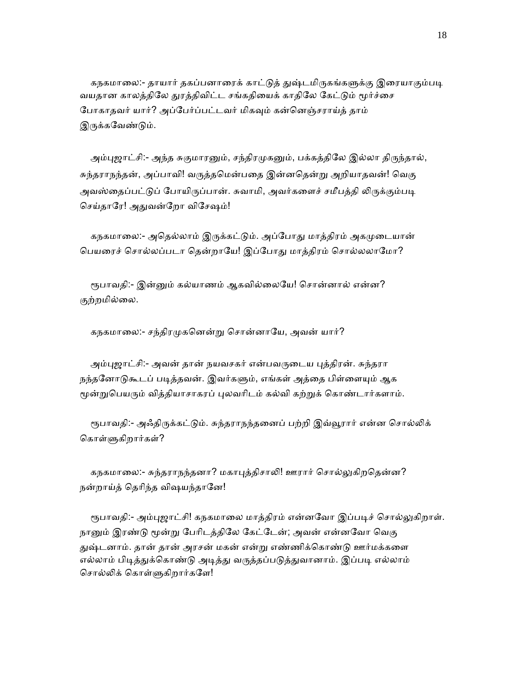கநகமாலை:- தாயார் தகப்பனாரைக் காட்டுத் துஷ்டமிருகங்களுக்கு இரையாகும்படி வயதான காலத்திலே துரத்திவிட்ட சங்கதியைக் காதிலே கேட்டும் மூர்ச்சை போகாதவர் யார்? அப்பேர்ப்பட்டவர் மிகவும் கன்னெஞ்சராய்த் தாம் இருக்கவேண்டும்.

அம்புஜாட்சி:- அந்த சுகுமாரனும், சந்திரமுகனும், பக்கத்திலே இல்லா திருந்தால், சுந்தராநந்தன், அப்பாவி! வருத்தமென்பதை இன்னதென்று அறியாதவன்! வெகு அவஸ்தைப்பட்டுப் போயிருப்பான். சுவாமி, அவர்களைச் சமீபத்தி லிருக்கும்படி செய்தாரே! அதுவன்றோ விசேஷம்!

கநகமாலை:- அதெல்லாம் இருக்கட்டும். அப்போது மாத்திரம் அகமுடையான் பெயரைச் சொல்லப்படா தென்றாயே! இப்போது மாத்திரம் சொல்லலாமோ?

ரூபாவதி:- இன்னும் கல்யாணம் ஆகவில்லையே! சொன்னால் என்ன? குற்றமில்ைல.

கநகமாலை:- சந்திரமுகனென்று சொன்னாயே, அவன் யார்?

அம்புஜாட்சி:- அவன் தான் நயவசகர் என்பவருடைய புத்திரன். சுந்தரா நந்தனோடுகூடப் படித்தவன். இவர்களும், எங்கள் அத்தை பிள்ளையும் ஆக மூன்றுபெயரும் வித்தியாசாகரப் புலவரிடம் கல்வி கற்றுக் கொண்டார்களாம்.

ரூபாவதி:- அஃதிருக்கட்டும். சுந்தராநந்தனைப் பற்றி இவ்வூரார் என்ன சொல்லிக் கொள்ளுகிறார்கள்?

கநகமாலை:- சுந்தராநந்தனா? மகாபுத்திசாலி! ஊரார் சொல்லுகிறதென்ன? நன்றாய்த் தெரிந்த விஷயந்தானே!

ரூபாவதி:- அம்புஜாட்சி! கநகமாலை மாத்திரம் என்னவோ இப்படிச் சொல்லுகிறாள். நானும் இரண்டு மூன்று பேரிடத்திலே கேட்டேன்; அவன் என்னவோ வெகு துஷ்டனாம். தான் தான் அரசன் மகன் என்று எண்ணிக்கொண்டு ஊர்மக்களை எல்லாம் பிடித்துக்கொண்டு அடித்து வருத்தப்படுத்துவானாம். இப்படி எல்லாம் சொல்லிக் கொள்ளுகிறார்களே!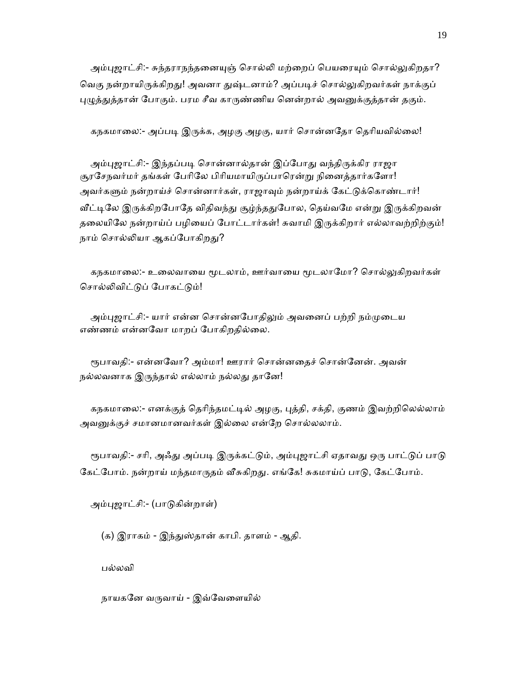அம்புஜாட்சி:- சுந்தராநந்தனையுஞ் சொல்லி மற்றைப் பெயரையும் சொல்லுகிறதா? வெகு நன்றாயிருக்கிறது! அவனா துஷ்டனாம்? அப்படிச் சொல்லுகிறவர்கள் நாக்குப் புழுத்துத்தான் போகும். பரம சீவ காருண்ணிய னென்றால் அவனுக்குத்தான் தகும்.

கநகமாலை:- அப்படி இருக்க, அழகு அழகு, யார் சொன்னதோ தெரியவில்லை!

அம்புஜாட்சி:- இந்தப்படி சொன்னால்தான் இப்போது வந்திருக்கிர ராஜா சூரசேநவர்மர் தங்கள் பேரிலே பிரியமாயிருப்பாரென்று நினைத்தார்களோ! அவர்களும் நன்றாய்ச் சொன்னார்கள், ராஜாவும் நன்றாய்க் கேட்டுக்கொண்டார்! வீட்டிலே இருக்கிறபோதே விதிவந்து சூழ்ந்ததுபோல, தெய்வமே என்று இருக்கிறவன் தலையிலே நன்றாய்ப் பழியைப் போட்டார்கள்! சுவாமி இருக்கிறார் எல்லாவற்றிற்கும்! நாம் சொல்லியா ஆகப்போகிறது?

கநகமாலை:- உலைவாயை மூடலாம், ஊர்வாயை மூடலாமோ? சொல்லுகிறவர்கள் சொல்லிவிட்டுப் போகட்டும்!

அம்புஜாட்சி:- யார் என்ன சொன்னபோதிலும் அவனைப் பற்றி நம்முடைய எண்ணம் என்னேவா மாறப் ேபாகிறதில்ைல.

ரூபாவதி:- என்னவோ? அம்மா! ஊரார் சொன்னதைச் சொன்னேன். அவன் நல்லவனாக இருந்தால் எல்லாம் நல்லது தானே!

கநகமாலை:- எனக்குத் தெரிந்தமட்டில் அழகு, புத்தி, சக்தி, குணம் இவற்றிலெல்லாம் அவனுக்குச் சமானமானவர்கள் இல்லை என்றே சொல்லலாம்.

ரூபாவதி:- சரி, அஃது அப்படி இருக்கட்டும், அம்புஜாட்சி ஏதாவது ஒரு பாட்டுப் பாடு கேட்போம். நன்றாய் மந்தமாருதம் வீசுகிறது. எங்கே! சுகமாய்ப் பாடு, கேட்போம்.

அம்ᾗஜாட்சி:- (பாᾌகின்றாள்)

(க) இராகம் - இந்துஸ்தான் காபி. தாளம் - ஆதி.

பல்லவி

நாயகனே வருவாய் - இவ்வேளையில்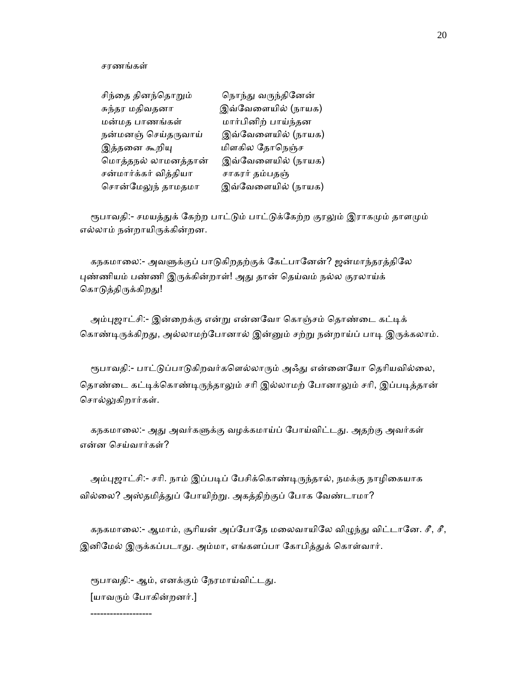சரணங்கள்

| சிந்தை தினந்தொறும்    | நொந்து வருந்தினேன்  |
|-----------------------|---------------------|
| சுந்தர மதிவதனா        | இவ்வேளையில் (நாயக)  |
| மன்மத பாணங்கள்        | மார்பினிற் பாய்ந்தன |
| நன்மனஞ் செய்தருவாய்   | இவ்வேளையில் (நாயக)  |
| இத்தனை கூறியு         | மிளகில தோநெஞ்ச      |
| மொத்தநல் லாமனத்தான்   | இவ்வேளையில் (நாயக)  |
| சன்மார்க்கர் வித்தியா | சாகரர் தம்பதஞ்      |
| சொன்மேலுந் தாமதமா     | இவ்வேளையில் (நாயக)  |

ரூபாவதி:- சமயத்துக் கேற்ற பாட்டும் பாட்டுக்கேற்ற குரலும் இராகமும் தாளமும் எல்லாம் நன்றாயிᾞக்கின்றன.

 கநகமாைல:- அவᾦக்குப் பாᾌகிறதற்குக் ேகட்பாேனன்? ஜன்மாந்தரத்திேல புண்ணியம் பண்ணி இருக்கின்றாள்! அது தான் தெய்வம் நல்ல குரலாய்க் கொடுத்திருக்கிறது!

அம்புஜாட்சி:- இன்றைக்கு என்று என்னவோ கொஞ்சம் தொண்டை கட்டிக் கொண்டிருக்கிறது, அல்லாமற்போனால் இன்னும் சற்று நன்றாய்ப் பாடி இருக்கலாம்.

ரூபாவதி:- பாட்டுப்பாடுகிறவர்களெல்லாரும் அஃது என்னையோ தெரியவில்லை, தொண்டை கட்டிக்கொண்டிருந்தாலும் சரி இல்லாமற் போனாலும் சரி, இப்படித்தான் சொல்லுகிறார்கள்.

கநகமாலை:- அது அவர்களுக்கு வழக்கமாய்ப் போய்விட்டது. அதற்கு அவர்கள் என்ன ெசய்வார்கள்?

அம்புஜாட்சி:- சரி. நாம் இப்படிப் பேசிக்கொண்டிருந்தால், நமக்கு நாழிகையாக வில்லை? அஸ்தமித்துப் போயிற்று. அகத்திற்குப் போக வேண்டாமா?

கநகமாலை:- ஆமாம், சூரியன் அப்போதே மலைவாயிலே விழுந்து விட்டானே. சீ, சீ, இனிமேல் இருக்கப்படாது. அம்மா, எங்களப்பா கோபித்துக் கொள்வார்.

ரூபாவதி:- ஆம், எனக்கும் நேரமாய்விட்டது. [யாவᾞம் ேபாகின்றனர்.]

-------------------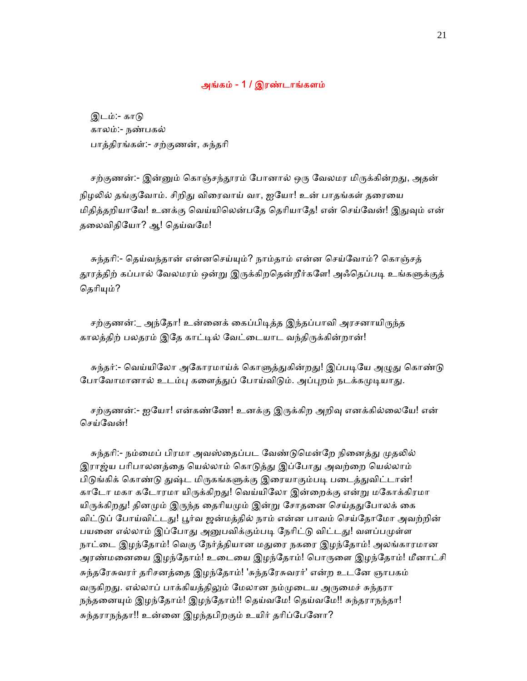### அங்கம் - 1 / இரண்டாங்களம்

 இடம்:- காᾌ காலம்:- நண்பகல் பாத்திரங்கள்:- சற்குணன், சுந்தாி

சற்குணன்:- இன்னும் கொஞ்சந்தூரம் போனால் ஒரு வேலமர மிருக்கின்றது, அதன் நிழலில் தங்குவோம். சிறிது விரைவாய் வா, ஐயோ! உன் பாதங்கள் தரையை மிதித்தறியாவே! உனக்கு வெய்யிலென்பதே தெரியாதே! என் செய்வேன்! இதுவும் என் தைலவிதிேயா? ஆ! ெதய்வேம!

 சுந்தாி:- ெதய்வந்தான் என்னெசய்ᾜம்? நாம்தாம் என்ன ெசய்ேவாம்? ெகாஞ்சத் தூரத்திற் கப்பால் வேலமரம் ஒன்று இருக்கிறதென்றீர்களே! அஃதெப்படி உங்களுக்குத் தெரியும்?

சற்குணன்:\_ அந்தோ! உன்னைக் கைப்பிடித்த இந்தப்பாவி அரசனாயிருந்த காலத்திற் பலதரம் இதே காட்டில் வேட்டையாட வந்திருக்கின்றான்!

சுந்தர்:- வெய்யிலோ அகோரமாய்க் கொளுத்துகின்றது! இப்படியே அழுது கொண்டு போவோமானால் உடம்பு களைத்துப் போய்விடும். அப்புறம் நடக்கமுடியாது.

சற்குணன்:- ஐயோ! என்கண்ணே! உனக்கு இருக்கிற அறிவு எனக்கில்லையே! என் ெசய்ேவன்!

சுந்தரி:- நம்மைப் பிரமா அவஸ்தைப்பட வேண்டுமென்றே நினைத்து முதலில் இராஜ்ய பரிபாலனத்தை யெல்லாம் கொடுத்து இப்போது அவற்றை யெல்லாம் பிடுங்கிக் கொண்டு துஷ்ட மிருகங்களுக்கு இரையாகும்படி படைத்துவிட்டான்! காடோ மகா கடோரமா யிருக்கிறது! வெய்யிலோ இன்றைக்கு என்று மகோக்கிரமா யிருக்கிறது! தினமும் இருந்த தைரியமும் இன்று சோதனை செய்ததுபோலக் கை விட்டுப் போய்விட்டது! பூர்வ ஜன்மத்தில் நாம் என்ன பாவம் செய்தோமோ அவற்றின் பயனை எல்லாம் இப்போது அனுபவிக்கும்படி நேரிட்டு விட்டது! வளப்பமுள்ள நாட்டை இழந்தோம்! வெகு நேர்த்தியான மதுரை நகரை இழந்தோம்! அலங்காரமான அரண்மனையை இழந்தோம்! உடையை இழந்தோம்! பொருளை இழந்தோம்! மீனாட்சி சுந்தேரசுவரர் தாிசனத்ைத இழந்ேதாம்! 'சுந்தேரசுவரர்' என்ற உடேன ஞாபகம் வருகிறது. எல்லாப் பாக்கியத்திலும் மேலான நம்முடைய அருமைச் சுந்தரா நந்தனையும் இழந்தோம்! இழந்தோம்!! தெய்வமே! தெய்வமே!! சுந்தராநந்தா! சுந்தராநந்தா!! உன்ைன இழந்தபிறகும் உயிர் தாிப்ேபேனா?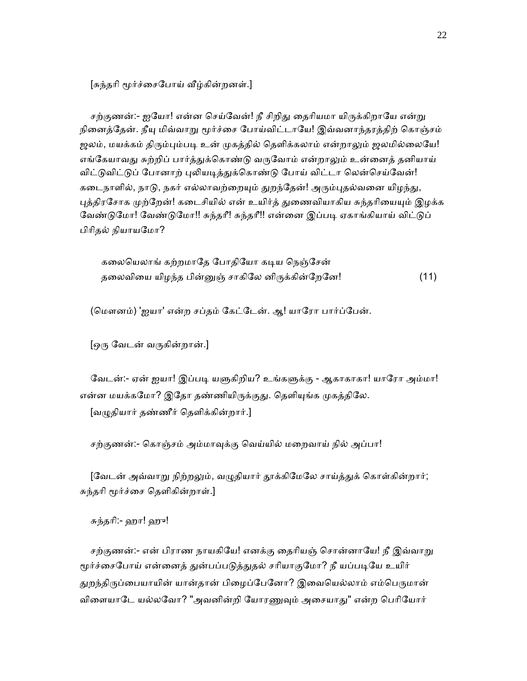[சுந்தரி மூர்ச்சைபோய் வீழ்கின்றனள்.]

சற்குணன்:- ஐயோ! என்ன செய்வேன்! நீ சிறிது தைரியமா யிருக்கிறாயே என்று நினைத்தேன். நீயு மிவ்வாறு மூர்ச்சை போய்விட்டாயே! இவ்வனாந்தரத்திற் கொஞ்சம் ஜலம், மயக்கம் திரும்பும்படி உன் முகத்தில் தெளிக்கலாம் என்றாலும் ஜலமில்லையே! எங்கேயாவது சுற்றிப் பார்த்துக்கொண்டு வருவோம் என்றாலும் உன்னைத் தனியாய் விட்டுவிட்டுப் போனாற் புலியடித்துக்கொண்டு போய் விட்டா லென்செய்வேன்! கடைநாளில், நாடு, நகர் எல்லாவற்றையும் துறந்தேன்! அரும்புதல்வனை யிழந்து, புத்திரசோக முற்றேன்! கடைசியில் என் உயிர்த் துணைவியாகிய சுந்தரியையும் இழக்க வேண்டுமோ! வேண்டுமோ!! சுந்தரீ! சுந்தரீ!! என்னை இப்படி ஏகாங்கியாய் விட்டுப் பிாிதல் நியாயேமா?

கலையெலாங் கற்றமாதே போதியோ கடிய நெஞ்சேன் தலைவியை யிழந்த பின்னுஞ் சாகிலே னிருக்கின்றேனே! (11)

(மௌனம்) 'ஐயா' என்ற சப்தம் கேட்டேன். ஆ! யாரோ பார்ப்பேன்.

[ஒᾞ ேவடன் வᾞகின்றான்.]

வேடன்:- ஏன் ஐயா! இப்படி யளுகிறிய? உங்களுக்கு - ஆகாகாகா! யாரோ அம்மா! என்ன மயக்கமோ? இதோ தண்ணியிருக்குது. தெளியுங்க முகத்திலே. [வᾨதியார் தண்ணீர் ெதளிக்கின்றார்.]

சற்குணன்:- ெகாஞ்சம் அம்மாᾫக்கு ெவய்யில் மைறவாய் நில் அப்பா!

[வேடன் அவ்வாறு நிற்றலும், வழுதியார் தூக்கிமேலே சாய்த்துக் கொள்கின்றார்; சுந்தரி மூர்ச்சை தெளிகின்றாள்.]

சுந்தாி:- ஹா! ஹு!

சற்குணன்:- என் பிராண நாயகியே! எனக்கு தைரியஞ் சொன்னாயே! நீ இவ்வாறு மூர்ச்சைபோய் என்னைத் துன்பப்படுத்துதல் சரியாகுமோ? நீ யப்படியே உயிர் துறந்திருப்பையாயின் யான்தான் பிழைப்பேனோ? இவையெல்லாம் எம்பெருமான் விளையாடே யல்லவோ? "அவனின்றி யோரணுவும் அசையாது" என்ற பெரியோர்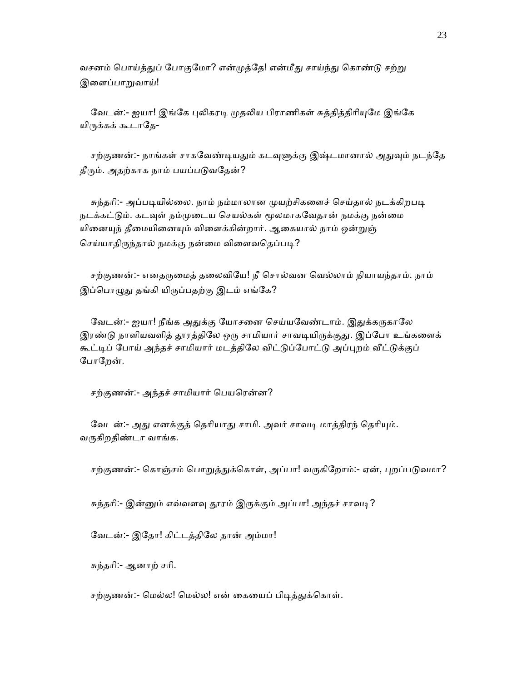வசனம் பொய்த்துப் போகுமோ? என்முத்தே! என்மீது சாய்ந்து கொண்டு சற்று இளைப்பாறுவாய்!

வேடன்:- ஐயா! இங்கே புலிகரடி முதலிய பிராணிகள் சுத்தித்திரியுமே இங்கே யிருக்கக் கூடாதே-

சற்குணன்:- நாங்கள் சாகவேண்டியதும் கடவுளுக்கு இஷ்டமானால் அதுவும் நடந்தே தீரும். அதற்காக நாம் பயப்படுவதேன்?

சுந்தரி:- அப்படியில்லை. நாம் நம்மாலான முயற்சிகளைச் செய்தால் நடக்கிறபடி நடக்கட்டும். கடவுள் நம்முடைய செயல்கள் மூலமாகவேதான் நமக்கு நன்மை யினையுந் தீமையினையும் விளைக்கின்றார். ஆகையால் நாம் ஒன்றுஞ் செய்யாதிருந்தால் நமக்கு நன்மை விளைவதெப்படி?

சற்குணன்:- எனதருமைத் தலைவியே! நீ சொல்வன வெல்லாம் நியாயந்தாம். நாம் இப்பொழுது தங்கி யிருப்பதற்கு இடம் எங்கே?

வேடன்:- ஐயா! நீங்க அதுக்கு யோசனை செய்யவேண்டாம். இதுக்கருகாலே இரண்டு நாளியவளித் தூரத்திலே ஒரு சாமியார் சாவடியிருக்குது. இப்போ உங்களைக் கூட்டிப் போய் அந்தச் சாமியார் மடத்திலே விட்டுப்போட்டு அப்புறம் வீட்டுக்குப் ேபாேறன்.

சற்குணன்:- அந்தச் சாமியார் பெயரென்ன?

வேடன்:- அது எனக்குத் தெரியாது சாமி. அவர் சாவடி மாத்திரந் தெரியும். வருகிறதிண்டா வாங்க.

சற்குணன்:- கொஞ்சம் பொறுத்துக்கொள், அப்பா! வருகிறோம்:- ஏன், புறப்படுவமா?

சுந்தரி:- இன்னும் எவ்வளவு தூரம் இருக்கும் அப்பா! அந்தச் சாவடி?

ேவடன்:- இேதா! கிட்டத்திேல தான் அம்மா!

சுந்தாி:- ஆனாற் சாி.

சற்குணன்:- மெல்ல! மெல்ல! என் கையைப் பிடித்துக்கொள்.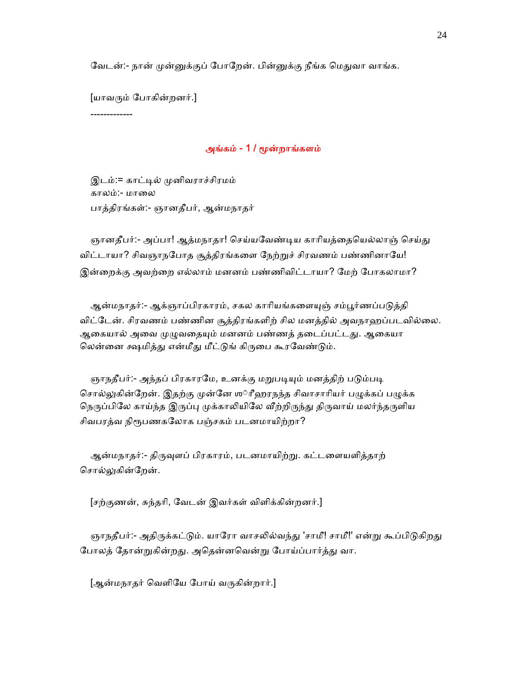வேடன்:- நான் முன்னுக்குப் போறேன். பின்னுக்கு நீங்க மெதுவா வாங்க.

[யாவᾞம் ேபாகின்றனர்.]

-------------

### அங்கம் - 1 / ᾚன்றாங்களம்

 இடம்:= காட்ᾊல் ᾙனிவராச்சிரமம் காலம்:- மாலை பாத்திரங்கள்:- ஞானதீபர், ஆன்மநாதர்

ஞானதீபர்:- அப்பா! ஆத்மநாதா! செய்யவேண்டிய காரியத்தையெல்லாஞ் செய்து விட்டாயா? சிவஞாநபோத சூத்திரங்களை நேற்றுச் சிரவணம் பண்ணினாயே! இன்றைக்கு அவற்றை எல்லாம் மனனம் பண்ணிவிட்டாயா? மேற் போகலாமா?

ஆன்மநாதர்:- ஆக்ஞாப்பிரகாரம், சகல காரியங்களையுஞ் சம்பூர்ணப்படுத்தி விட்ேடன். சிரவணம் பண்ணின சூத்திரங்களிற் சில மனத்தில் அவநாஹப்படவில்ைல. ஆகையால் அவை முழுவதையும் மனனம் பண்ணத் தடைப்பட்டது. ஆகையா லென்னை க்ஷமித்து என்மீது மீட்டுங் கிருபை கூரவேண்டும்.

ஞாநதீபர்:- அந்தப் பிரகாரமே, உனக்கு மறுபடியும் மனத்திற் படும்படி சொல்லுகின்றேன். இதற்கு முன்னே ஶ்ரீஹரநந்த சிவாசாரியர் பழுக்கப் பழுக்க நெருப்பிலே காய்ந்த இருப்பு முக்காலியிலே வீற்றிருந்து திருவாய் மலர்ந்தருளிய சிவபரத்வ நிரூபணகலோக பஞ்சகம் படனமாயிற்றா?

ஆன்மநாதர்:- திருவுளப் பிரகாரம், படனமாயிற்று. கட்டளையளித்தாற் சொல்லுகின்றேன்.

[சற்குணன், சுந்தாி, ேவடன் இவர்கள் விளிக்கின்றனர்.]

ஞாநதீபர்:- அதிருக்கட்டும். யாரோ வாசலில்வந்து 'சாமீ!' சாமீ!' என்று கூப்பிடுகிறது போலத் தோன்றுகின்றது. அதென்னவென்று போய்ப்பார்த்து வா.

[ஆன்மநாதர் வெளியே போய் வருகின்றார்.]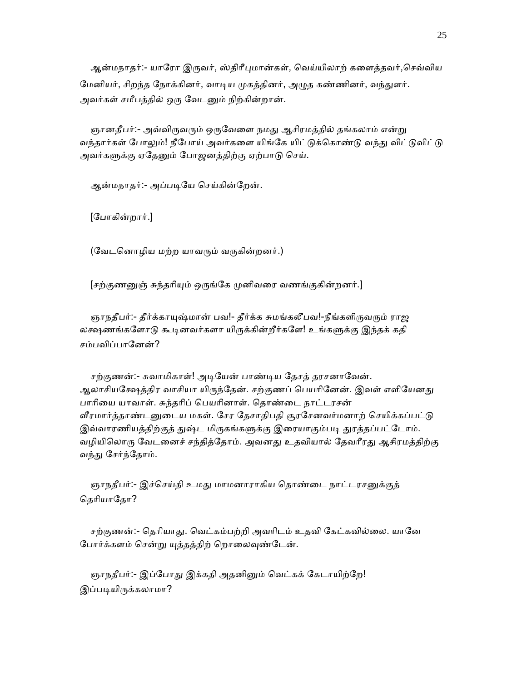ஆன்மநாதர்:- யாரோ இருவர், ஸ்திரீபுமான்கள், வெய்யிலாற் களைத்தவர்,செவ்விய மேனியர், சிறந்த நோக்கினர், வாடிய முகத்தினர், அழுத கண்ணினர், வந்துளர். அவர்கள் சமீபத்தில் ஒரு வேடனும் நிற்கின்றான்.

ஞானதீபர்:- அவ்விருவரும் ஒருவேளை நமது ஆசிரமத்தில் தங்கலாம் என்று வந்தார்கள் போலும்! நீபோய் அவர்களை யிங்கே யிட்டுக்கொண்டு வந்து விட்டுவிட்டு அவர்களுக்கு ஏதேனும் போஜனத்திற்கு ஏற்பாடு செய்.

ஆன்மநாதர்:- அப்பᾊேய ெசய்கின்ேறன்.

[ேபாகின்றார்.]

(வேடனொழிய மற்ற யாவரும் வருகின்றனர்.)

[சற்குணனுஞ் சுந்தரியும் ஒருங்கே முனிவரை வணங்குகின்றனர்.]

ஞாநதீபர்:- தீர்க்காயுஷ்மான் பவ!- தீர்க்க சுமங்கலீபவ!-நீங்களிருவரும் ராஜ லக்ஷணங்களோடு கூடினவர்களா யிருக்கின்றீர்களே! உங்களுக்கு இந்தக் கதி சம்பவிப்பாேனன்?

சற்குணன்:- சுவாமிகாள்! அடியேன் பாண்டிய தேசத் தரசனாவேன். ஆலாசியக்ஷேத்திர வாசியா யிருந்தேன். சற்குணப் பெயரினேன். இவள் எளியேனது பாாிைய யாவாள். சுந்தாிப் ெபயாினாள். ெதாண்ைட நாட்டரசன் வீரமார்த்தாண்டனுடைய மகள். சேர தேசாதிபதி சூரசேனவர்மனாற் செயிக்கப்பட்டு இவ்வாரணியத்திற்குத் துஷ்ட மிருகங்களுக்கு இரையாகும்படி துரத்தப்பட்டோம். வழியிலொரு வேடனைச் சந்தித்தோம். அவனது உதவியால் தேவரீரது ஆசிரமத்திற்கு வந்து சேர்ந்தோம்.

ஞாநதீபர்:- இச்செய்தி உமது மாமனாராகிய தொண்டை நாட்டரசனுக்குத் தெரியாதோ?

சற்குணன்:- தெரியாது. வெட்கம்பற்றி அவரிடம் உதவி கேட்கவில்லை. யானே போர்க்களம் சென்று யுத்தத்திற் றொலைவுண்டேன்.

ஞாநதீபர்:- இப்போது இக்கதி அதனினும் வெட்கக் கேடாயிற்றே! இப்படியிருக்கலாமா?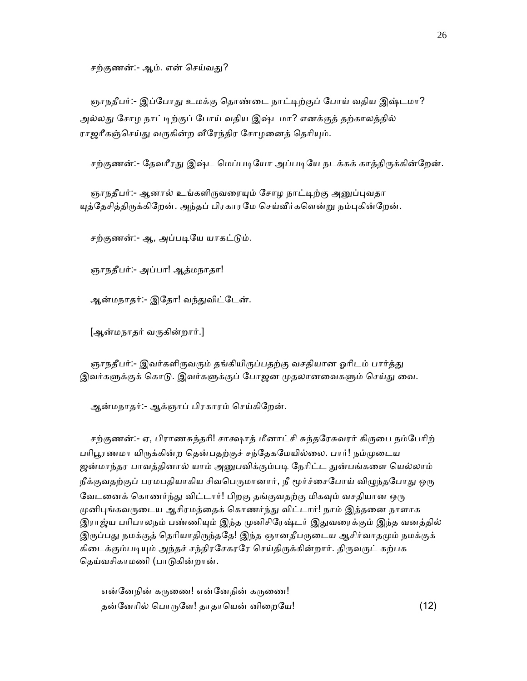சற்குணன்:- ஆம். என் செய்வது?

ஞாநதீபர்:- இப்போது உமக்கு தொண்டை நாட்டிற்குப் போய் வதிய இஷ்டமா? அல்லது சோழ நாட்டிற்குப் போய் வதிய இஷ்டமா? எனக்குத் தற்காலத்தில் ராஜரீகஞ்செய்து வருகின்ற வீரேந்திர சோழனைத் தெரியும்.

சற்குணன்:- தேவரீரது இஷ்ட மெப்படியோ அப்படியே நடக்கக் காத்திருக்கின்றேன்.

ஞாநதீபர்:- ஆனால் உங்களிருவரையும் சோழ நாட்டிற்கு அனுப்புவதா யுத்தேசித்திருக்கிறேன். அந்தப் பிரகாரமே செய்வீர்களென்று நம்புகின்றேன்.

சற்குணன்:- ஆ, அப்படியே யாகட்டும்.

ஞாநதீபர்:- அப்பா! ஆத்மநாதா!

ஆன்மநாதர்:- இேதா! வந்ᾐவிட்ேடன்.

[ஆன்மநாதர் வᾞகின்றார்.]

ஞாநதீபர்:- இவர்களிருவரும் தங்கியிருப்பதற்கு வசதியான ஓரிடம் பார்த்து இவர்களுக்குக் கொடு. இவர்களுக்குப் போஜன முதலானவைகளும் செய்து வை.

ஆன்மநாதர்:- ஆக்ஞாப் பிரகாரம் ெசய்கிேறன்.

சற்குணன்:- ஏ, பிராணசுந்தரி! சாக்ஷாத் மீனாட்சி சுந்தரேசுவரர் கிருபை நம்பேரிற் பரிபூரணமா யிருக்கின்ற தென்பதற்குச் சந்தேகமேயில்லை. பார்! நம்முடைய ஜன்மாந்தர பாவத்தினால் யாம் அனுபவிக்கும்படி நேரிட்ட துன்பங்களை யெல்லாம் நீக்குவதற்குப் பரமபதியாகிய சிவபெருமானார், நீ மூர்ச்சைபோய் விழுந்தபோது ஒரு வேடனைக் கொணர்ந்து விட்டார்! பிறகு தங்குவதற்கு மிகவும் வசதியான ஒரு முனிபுங்கவருடைய ஆசிரமத்தைக் கொணர்ந்து விட்டார்! நாம் இத்தனை நாளாக இராஜ்ய பரிபாலநம் பண்ணியும் இந்த முனிசிரேஷ்டர் இதுவரைக்கும் இந்த வனத்தில் இருப்பது நமக்குத் தெரியாதிருந்ததே! இந்த ஞானதீபருடைய ஆசிர்வாதமும் நமக்குக் கிடைக்கும்படியும் அந்தச் சந்திரசேகரரே செய்திருக்கின்றார். திருவருட் கற்பக தெய்வசிகாமணி (பாடுகின்றான்.

என்னேநின் கருணை! என்னேநின் கருணை! தன்ேனாில் ெபாᾞேள! தாதாெயன் னிைறேய! (12)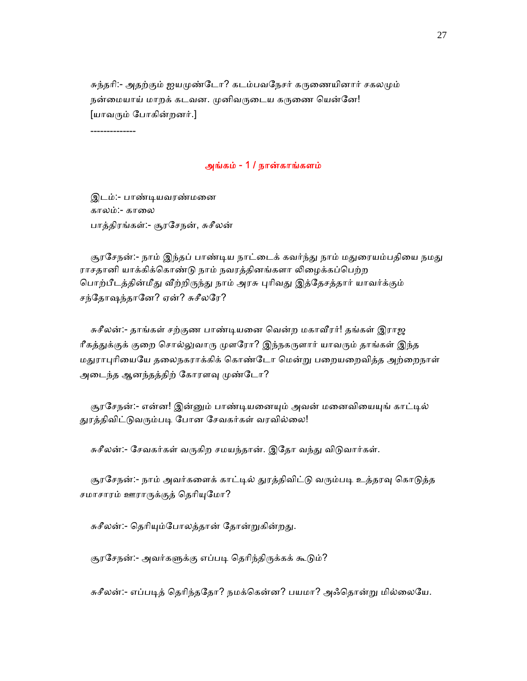சுந்தரி:- அதற்கும் ஐயமுண்டோ? கடம்பவநேசர் கருணையினார் சகலமும் நன்மையாய் மாறக் கடவன. முனிவருடைய கருணை யென்னே! [யாவᾞம் ேபாகின்றனர்.]

--------------

### அங்கம் - 1 / நான்காங்களம்

 இடம்:- பாண்ᾊயவரண்மைன காலம்:- காலை பாத்திரங்கள்:- சூரேசநன், சுசீலன்

சூரசேநன்:- நாம் இந்தப் பாண்டிய நாட்டைக் கவர்ந்து நாம் மதுரையம்பதியை நமது ராசதானி யாக்கிக்கொண்டு நாம் நவரத்தினங்களா லிழைக்கப்பெற்ற பொற்பீடத்தின்மீது வீற்றிருந்து நாம் அரசு புரிவது இத்தேசத்தார் யாவர்க்கும் சந்ேதாஷந்தாேன? ஏன்? சுசீலேர?

சுசீலன்:- தாங்கள் சற்குண பாண்டியனை வென்ற மகாவீரர்! தங்கள் இராஜ ரீகத்துக்குக் குறை சொல்லுவாரு முளரோ? இந்நகருளார் யாவரும் தாங்கள் இந்த மதுராபுரியையே தலைநகராக்கிக் கொண்டோ மென்று பறையறைவித்த அற்றைநாள் அடைந்த ஆனந்தத்திற் கோரளவு முண்டோ?

சூரசேநன்:- என்ன! இன்னும் பாண்டியனையும் அவன் மனைவியையுங் காட்டில் துரத்திவிட்டுவரும்படி போன சேவகர்கள் வரவில்லை!

சுசீலன்:- சேவகர்கள் வருகிற சமயந்தான். இதோ வந்து விடுவார்கள்.

சூரசேநன்:- நாம் அவர்களைக் காட்டில் துரத்திவிட்டு வரும்படி உத்தரவு கொடுத்த சமாசாரம் ஊராருக்குத் தெரியுமோ?

சுசீலன்:- தெரியும்போலத்தான் தோன்றுகின்றது.

சூரசேநன்:- அவர்களுக்கு எப்படி தெரிந்திருக்கக் கூடும்?

சுசீலன்:- எப்படித் தெரிந்ததோ? நமக்கென்ன? பயமா? அஃதொன்று மில்லையே.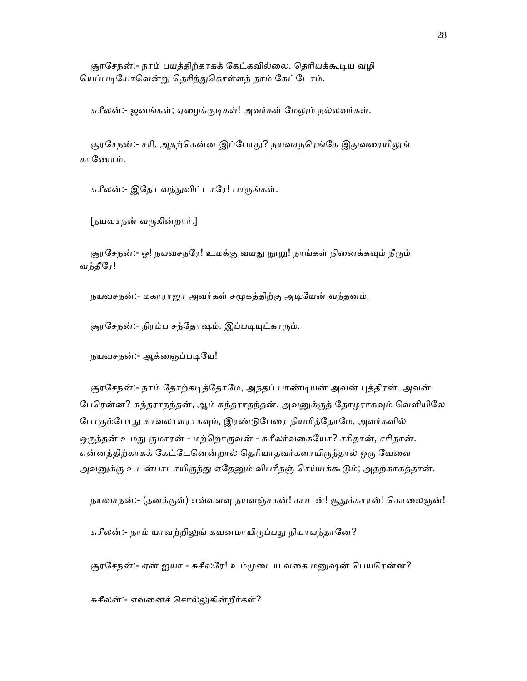சூரசேநன்:- நாம் பயத்திற்காகக் கேட்கவில்லை. தெரியக்கூடிய வழி யெப்படியோவென்று தெரிந்துகொள்ளத் தாம் கேட்டோம்.

சுசீலன்:- ஜனங்கள்; ஏழைக்குடிகள்! அவர்கள் மேலும் நல்லவர்கள்.

சூரசேநன்:- சரி, அதற்கென்ன இப்போது? நயவசநரெங்கே இதுவரையிலுங் காேணாம்.

சுசீலன்:- இதோ வந்துவிட்டாரே! பாருங்கள்.

[நயவசநன் வᾞகின்றார்.]

சூரசேநன்:- ஓ! நயவசநரே! உமக்கு வயது நூறு! நாங்கள் நினைக்கவும் நீரும் வந்தீேர!

நயவசநன்:- மகாராஜா அவர்கள் சமூகத்திற்கு அடியேன் வந்தனம்.

சூரசேநன்:- நிரம்ப சந்தோஷம். இப்படியுட்காரும்.

நயவசநன்:- ஆக்ஞைப்படியே!

சூரசேநன்:- நாம் தோற்கடித்தோமே, அந்தப் பாண்டியன் அவன் புத்திரன். அவன் பேரென்ன? சுந்தராநந்தன், ஆம் சுந்தராநந்தன். அவனுக்குத் தோழராகவும் வெளியிலே போகும்போது காவலாளராகவும், இரண்டுபேரை நியமித்தோமே, அவர்களில் ஒருத்தன் உமது குமாரன் - மற்றொருவன் - சுசீலர்வகையோ? சரிதான், சரிதான். என்னத்திற்காகக் கேட்டேனென்றால் தெரியாதவர்களாயிருந்தால் ஒரு வேளை அவனுக்கு உடன்பாடாயிருந்து ஏதேனும் விபரீதஞ் செய்யக்கூடும்; அதற்காகத்தான்.

நயவசநன்:- (தனக்குள்) எவ்வளவு நயவஞ்சகன்! கபடன்! சூதுக்காரன்! கொலைஞன்!

சுசீலன்:- நாம் யாவற்றிலுங் கவனமாயிருப்பது நியாயந்தானே?

சூரசேநன்:- ஏன் ஐயா - சுசீலரே! உம்முடைய வகை மனுஷன் பெயரென்ன?

சுசீலன்:- எவனைச் சொல்லுகின்றீர்கள்?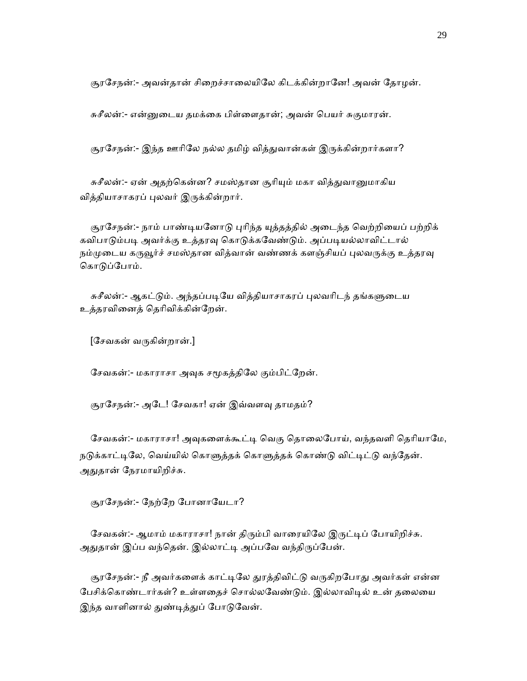சூரசேநன்:- அவன்தான் சிறைச்சாலையிலே கிடக்கின்றானே! அவன் தோழன்.

சுசீலன்:- என்ᾔைடய தமக்ைக பிள்ைளதான்; அவன் ெபயர் சுகுமாரன்.

சூரசேநன்:- இந்த ஊரிலே நல்ல தமிழ் வித்துவான்கள் இருக்கின்றார்களா?

சுசீலன்:- ஏன் அதற்கென்ன? சமஸ்தான சூரியும் மகா வித்துவானுமாகிய வித்தியாசாகரப் ᾗலவர் இᾞக்கின்றார்.

சூரசேநன்:- நாம் பாண்டியனோடு புரிந்த யுத்தத்தில் அடைந்த வெற்றியைப் பற்றிக் கவிபாடும்படி அவர்க்கு உத்தரவு கொடுக்கவேண்டும். அப்படியல்லாவிட்டால் நம்முடைய கருவூர்ச் சமஸ்தான வித்வான் வண்ணக் களஞ்சியப் புலவருக்கு உத்தரவு கொடுப்போம்.

சுசீலன்:- ஆகட்டும். அந்தப்படியே வித்தியாசாகரப் புலவரிடந் தங்களுடைய உத்தரவிைனத் ெதாிவிக்கின்ேறன்.

 $[$ சேவகன் வருகின்றான்.]

சேவகன்:- மகாராசா அவுக சமூகத்திலே கும்பிட்றேன்.

சூரசேநன்:- அடே! சேவகா! ஏன் இவ்வளவு தாமதம்?

சேவகன்:- மகாராசா! அவுகளைக்கூட்டி வெகு தொலைபோய், வந்தவளி தெரியாமே, நடுக்காட்டிலே, வெய்யில் கொளுத்தக் கொளுத்தக் கொண்டு விட்டிட்டு வந்தேன். அதுதான் நேரமாயிறிச்சு.

சூரசேநன்:- நேற்றே போனாயேடா?

சேவகன்:- ஆமாம் மகாராசா! நான் திரும்பி வாரையிலே இருட்டிப் போயிறிச்சு. அதுதான் இப்ப வந்தென். இல்லாட்டி அப்பவே வந்திருப்பேன்.

சூரசேநன்:- நீ அவர்களைக் காட்டிலே துரத்திவிட்டு வருகிறபோது அவர்கள் என்ன பேசிக்கொண்டார்கள்? உள்ளதைச் சொல்லவேண்டும். இல்லாவிடில் உன் தலையை இந்த வாளினால் துண்டித்துப் போடுவேன்.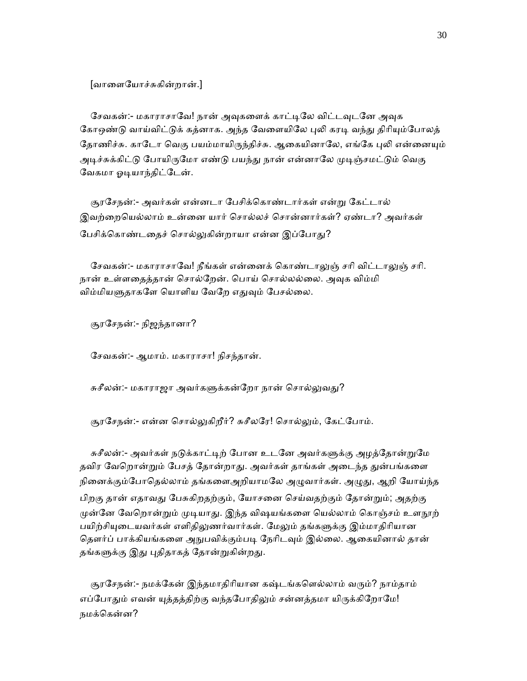[வாைளேயாச்சுகின்றான்.]

சேவகன்:- மகாராசாவே! நான் அவுகளைக் காட்டிலே விட்டவுடனே அவுக கோஒண்டு வாய்விட்டுக் கத்னாக. அந்த வேளையிலே புலி கரடி வந்து திரியும்போலத் தோணிச்சு. காடோ வெகு பயம்மாயிருந்திச்சு. ஆகையினாலே, எங்கே புலி என்னையும் அடிச்சுக்கிட்டு போயிருமோ எண்டு பயந்து நான் என்னாலே முடிஞ்சமட்டும் வெகு வேகமா ஓடியாந்திட்டேன்.

 சூரேசநன்:- அவர்கள் என்னடா ேபசிக்ெகாண்டார்கள் என்ᾠ ேகட்டால் இவற்றையெல்லாம் உன்னை யார் சொல்லச் சொன்னார்கள்? ஏண்டா? அவர்கள் பேசிக்கொண்டதைச் சொல்லுகின்றாயா என்ன இப்போது?

சேவகன்:- மகாராசாவே! நீங்கள் என்னைக் கொண்டாலுஞ் சரி விட்டாலுஞ் சரி. நான் உள்ளதைத்தான் சொல்றேன். பொய் சொல்லல்லை. அவுக விம்மி விம்மியளுதாகளே யொளிய வேறே எதுவும் பேசல்லை.

சூரேசநன்:- நிஜந்தானா?

ேசவகன்:- ஆமாம். மகாராசா! நிசந்தான்.

சுசீலன்:- மகாராஜா அவர்களுக்கன்றோ நான் சொல்லுவது?

சூரசேநன்:- என்ன சொல்லுகிறீர்? சுசீலரே! சொல்லும், கேட்போம்.

சுசீலன்:- அவர்கள் நடுக்காட்டிற் போன உடனே அவர்களுக்கு அழத்தோன்றுமே தவிர வேறொன்றும் பேசத் தோன்றாது. அவர்கள் தாங்கள் அடைந்த துன்பங்களை நினைக்கும்போதெல்லாம் தங்களைஅறியாமலே அழுவார்கள். அழுது, ஆறி யோய்ந்த பிறகு தான் எதாவᾐ ேபசுகிறதற்கும், ேயாசைன ெசய்வதற்கும் ேதான்ᾠம்; அதற்கு முன்னே வேறொன்றும் முடியாது. இந்த விஷயங்களை யெல்லாம் கொஞ்சம் உளநூற் பயிற்சியுடையவர்கள் எளிதிலுணர்வார்கள். மேலும் தங்களுக்கு இம்மாதிரியான தௌர்ப் பாக்கியங்களை அநுபவிக்கும்படி நேரிடவும் இல்லை. ஆகையினால் தான் தங்களுக்கு இது புதிதாகத் தோன்றுகின்றது.

சூரசேநன்:- நமக்கேன் இந்தமாதிரியான கஷ்டங்களெல்லாம் வரும்? நாம்தாம் எப்போதும் எவன் யுத்தத்திற்கு வந்தபோதிலும் சன்னத்தமா யிருக்கிறோமே! நமக்ெகன்ன?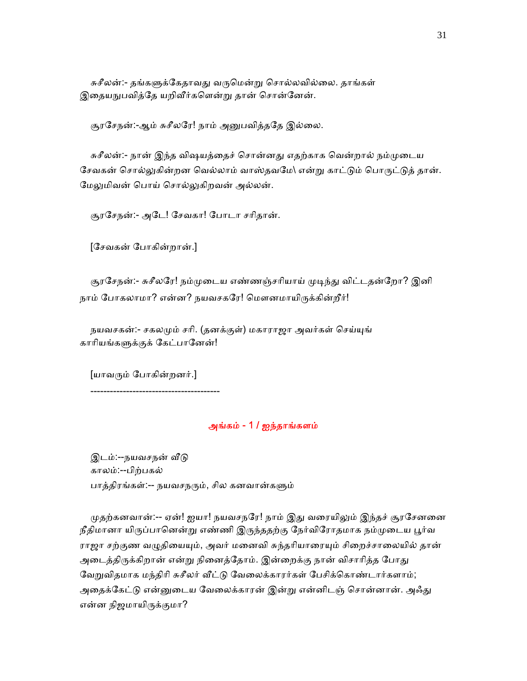சுசீலன்:- தங்களுக்கேதாவது வருமென்று சொல்லவில்லை. தாங்கள் இதையநுபவித்தே யறிவீர்களென்று தான் சொன்னேன்.

சூரசேநன்:-ஆம் சுசீலரே! நாம் அனுபவித்ததே இல்லை.

சுசீலன்:- நான் இந்த விஷயத்தைச் சொன்னது எதற்காக வென்றால் நம்முடைய சேவகன் சொல்லுகின்றன வெல்லாம் வாஸ்தவமே∖ என்று காட்டும் பொருட்டுத் தான். மேலுமிவன் பொய் சொல்லுகிறவன் அல்லன்.

சூரேசநன்:- அேட! ேசவகா! ேபாடா சாிதான்.

[ேசவகன் ேபாகின்றான்.]

சூரசேநன்:- சுசீலரே! நம்முடைய எண்ணஞ்சரியாய் முடிந்து விட்டதன்றோ? இனி நாம் போகலாமா? என்ன? நயவசகரே! மௌனமாயிருக்கின்றீர்!

நயவசகன்:- சகலமும் சரி. (தனக்குள்) மகாராஜா அவர்கள் செய்யுங் காரியங்களுக்குக் கேட்பானேன்!

[யாவᾞம் ேபாகின்றனர்.]

----------------------------------------

# அங்கம் - 1 / ஐந்தாங்களம்

இடம்:--நயவசநன் வீடு காலம்:--பிற்பகல் பாத்திரங்கள்:-- நயவசநரும், சில கனவான்களும்

முதற்கனவான்:-- ஏன்! ஐயா! நயவசநரே! நாம் இது வரையிலும் இந்தச் சூரசேனனை நீதிமானா யிருப்பானென்று எண்ணி இருந்ததற்கு நேர்விரோதமாக நம்முடைய பூர்வ ராஜா சற்குண வழுதியையும், அவர் மனைவி சுந்தரியாரையும் சிறைச்சாலையில் தான் அடைத்திருக்கிறான் என்று நினைத்தோம். இன்றைக்கு நான் விசாரித்த போது வேறுவிதமாக மந்திரி சுசீலர் வீட்டு வேலைக்காரர்கள் பேசிக்கொண்டார்களாம்; அதைக்கேட்டு என்னுடைய வேலைக்காரன் இன்று என்னிடஞ் சொன்னான். அஃது என்ன நிஜமாயிருக்குமா?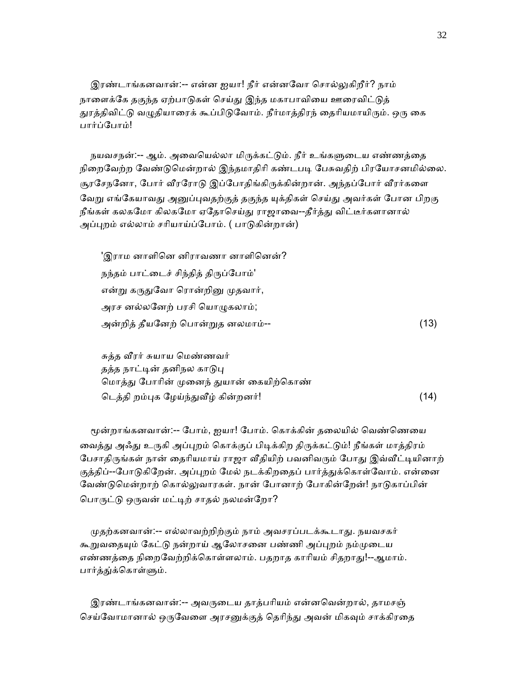இரண்டாங்கனவான்:-- என்ன ஐயா! நீர் என்னவோ சொல்லுகிறீர்? நாம் நாளைக்கே தகுந்த ஏற்பாடுகள் செய்து இந்த மகாபாவியை ஊரைவிட்டுத் துரத்திவிட்டு வழுதியாரைக் கூப்பிடுவோம். நீர்மாத்திரந் தைரியமாயிரும். ஒரு கை பார்ப்ேபாம்!

நயவசநன்:-- ஆம். அவையெல்லா மிருக்கட்டும். நீர் உங்களுடைய எண்ணத்தை நிறைவேற்ற வேண்டுமென்றால் இந்தமாதிரி கண்டபடி பேசுவதிற் பிரயோசனமில்லை. சூரசேநனோ, போர் வீரரோடு இப்போதிங்கிருக்கின்றான். அந்தப்போர் வீரர்களை வேறு எங்கேயாவது அனுப்புவதற்குத் தகுந்த யுக்திகள் செய்து அவர்கள் போன பிறகு நீங்கள் கலகமோ கிலகமோ ஏதோசெய்து ராஜாவை--தீர்த்து விட்டீர்களானால் அப்புறம் எல்லாம் சரியாய்ப்போம். ( பாடுகின்றான்)

'இராம னாளினெ னிராவணா னாளினென்? நந்தம் பாட்டைச் சிந்தித் திருப்போம்' என்று கருதுவோ ரொன்றினு முதவார், அரச னல்லனேற் பரசி யொழுகலாம்; அன்றித் தீயேனற் ெபான்ᾠத னலமாம்-- (13)

 சுத்த ᾪரர் சுயாய ெமண்ணவர் தத்த நாட்டின் தனிநல காடுபு மொத்து போரின் முனைந் துயான் கையிற்கொண் டெத்தி றம்புக ழேய்ந்துவீழ் கின்றனர்!  $(14)$ 

மூன்றாங்கனவான்:-- போம், ஐயா! போம். கொக்கின் தலையில் வெண்ணெயை வைத்து அஃது உருகி அப்புறம் கொக்குப் பிடிக்கிற திருக்கட்டும்! நீங்கள் மாத்திரம் பேசாதிருங்கள் நான் தைரியமாய் ராஜா வீதியிற் பவனிவரும் போது இவ்வீட்டியினாற் குத்திப்--போடுகிறேன். அப்புறம் மேல் நடக்கிறதைப் பார்த்துக்கொள்வோம். என்னை வேண்டுமென்றாற் கொல்லுவாரகள். நான் போனாற் போகின்றேன்! நாடுகாப்பின் பொருட்டு ஒருவன் மட்டிற் சாதல் நலமன்றோ?

முதற்கனவான்:-- எல்லாவற்றிற்கும் நாம் அவசரப்படக்கூடாது. நயவசகர் கூறுவதையும் கேட்டு நன்றாய் ஆலோசனை பண்ணி அப்புறம் நம்முடைய எண்ணத்தை நிறைவேற்றிக்கொள்ளலாம். பதறாத காரியம் சிதறாது!--ஆமாம். பார்த்து்க்கொள்ளும்.

இரண்டாங்கனவான்:-- அவருடைய தாத்பரியம் என்னவென்றால், தாமசஞ் செய்வோமானால் ஒருவேளை அரசனுக்குத் தெரிந்து அவன் மிகவும் சாக்கிரதை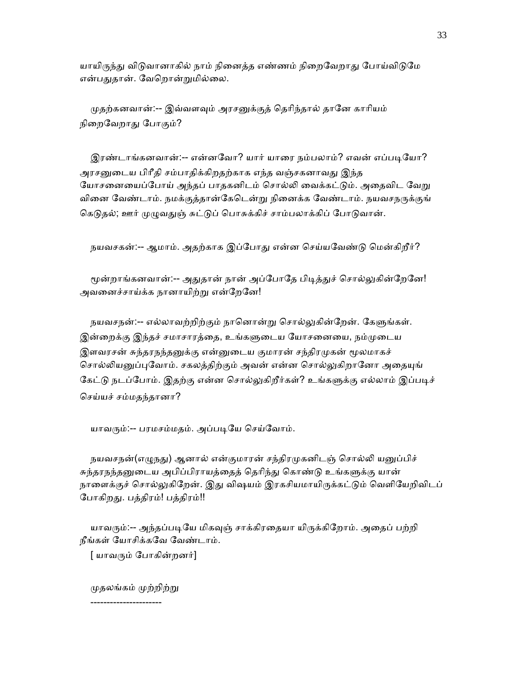யாயிருந்து விடுவானாகில் நாம் நினைத்த எண்ணம் நிறைவேறாது போய்விடுமே என்பதுதான். வேறொன்றுமில்லை.

முதற்கனவான்:-- இவ்வளவும் அரசனுக்குத் தெரிந்தால் தானே காரியம் நிறைவேறாது போகும்?

இரண்டாங்கனவான்:-- என்னவோ? யார் யாரை நம்பலாம்? எவன் எப்படியோ? அரசனுடைய பிரீதி சம்பாதிக்கிறதற்காக எந்த வஞ்சகனாவது இந்த யோசனையைப்போய் அந்தப் பாதகனிடம் சொல்லி வைக்கட்டும். அதைவிட வேறு வினை வேண்டாம். நமக்குத்தான்கேடென்று நினைக்க வேண்டாம். நயவசநருக்குங் கெடுதல்; ஊர் முழுவதுஞ் சுட்டுப் பொசுக்கிச் சாம்பலாக்கிப் போடுவான்.

நயவசகன்:-- ஆமாம். அதற்காக இப்போது என்ன செய்யவேண்டு மென்கிறீர்?

மூன்றாங்கனவான்:-- அதுதான் நான் அப்போதே பிடித்துச் சொல்லுகின்றேனே! அவனைச்சாய்க்க நானாயிற்று என்றேனே!

நயவசநன்:-- எல்லாவற்றிற்கும் நானொன்று சொல்லுகின்றேன். கேளுங்கள். இன்றைக்கு இந்தச் சமாசாரத்தை, உங்களுடைய யோசனையை, நம்முடைய இளவரசன் சுந்தரநந்தனுக்கு என்னுடைய குமாரன் சந்திரமுகன் மூலமாகச் சொல்லியனுப்புவோம். சகலத்திற்கும் அவன் என்ன சொல்லுகிறானோ அதையுங் கேட்டு நடப்போம். இதற்கு என்ன சொல்லுகிறீர்கள்? உங்களுக்கு எல்லாம் இப்படிச் ெசய்யச் சம்மதந்தானா?

யாவரும்:-- பரமசம்மதம். அப்படியே செய்வோம்.

நயவசநன்(எழுநது) ஆனால் என்குமாரன் சந்திரமுகனிடஞ் சொல்லி யனுப்பிச் சுந்தரநந்தனுடைய அபிப்பிராயத்தைத் தெரிந்து கொண்டு உங்களுக்கு யான் நாளைக்குச் சொல்லுகிறேன். இது விஷயம் இரகசியமாயிருக்கட்டும் வெளியேறிவிடப் போகிறது. பத்திரம்! பத்திரம்!!

யாவரும்:-- அந்தப்படியே மிகவுஞ் சாக்கிரதையா யிருக்கிறோம். அதைப் பற்றி நீங்கள் ேயாசிக்கேவ ேவண்டாம்.

[ யாவᾞம் ேபாகின்றனர்]

முதலங்கம் முற்றிற்று

----------------------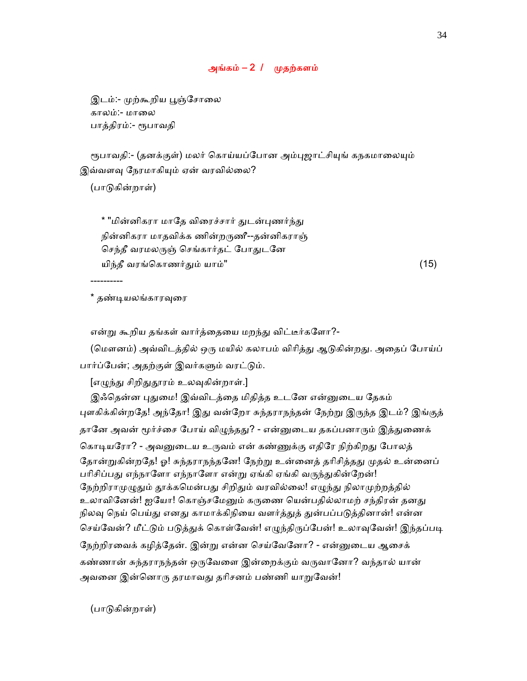## அங்கம் –  $2 / \omega$ முதற்களம்

இடம்:- முற்கூறிய பூஞ்சோலை காலம்:- மாலை பாத்திரம்:- ᾟபாவதி

ரூபாவதி:- (தனக்குள்) மலர் கொய்யப்போன அம்புஜாட்சியுங் கநகமாலையும் இவ்வளவு நேரமாகியும் ஏன் வரவில்லை?

(பாᾌகின்றாள்)

----------

\* "மின்னிகரா மாதே விரைச்சார் துடன்புணர்ந்து நின்னிகரா மாதவிக்க ணின்றᾞணீ--தன்னிகராஞ் செந்தீ வரமலருஞ் செங்கார்தட் போதுடனே யிந்தீ வரங்ெகாணர்ᾐம் யாம்" (15)

\* தண்ᾊயலங்காரᾫைர

என்று கூறிய தங்கள் வார்த்தையை மறந்து விட்டீர்களோ?-

(மௌனம்) அவ்விடத்தில் ஒரு மயில் கலாபம் விரித்து ஆடுகின்றது. அதைப் போய்ப் பார்ப்பேன்; அதற்குள் இவர்களும் வரட்டும்.

[எழுந்து சிறிதுதூரம் உலவுகின்றாள்.]

இஃதென்ன புதுமை! இவ்விடத்தை மிதித்த உடனே என்னுடைய தேகம் புளகிக்கின்றதே! அந்தோ! இது வன்றோ சுந்தராநந்தன் நேற்று இருந்த இடம்? இங்குத் தானே அவன் மூர்ச்சை போய் விழுந்தது? - என்னுடைய தகப்பனாரும் இத்துணைக் கொடியரோ? - அவனுடைய உருவம் என் கண்ணுக்கு எதிரே நிற்கிறது போலத் தோன்றுகின்றதே! ஓ! சுந்தராநந்தனே! நேற்று உன்னைத் தரிசித்தது முதல் உன்னைப் பரிசிப்பது எந்நாளோ எந்நாளோ என்று ஏங்கி ஏங்கி வருந்துகின்றேன்! நேற்றிராமுழுதும் தூக்கமென்பது சிறிதும் வரவில்லை! எழுந்து நிலாமுற்றத்தில் உலாவினேன்! ஐயோ! கொஞ்சமேனும் கருணை யென்பதில்லாமற் சந்திரன் தனது நிலவு நெய் பெய்து எனது காமாக்கிநியை வளர்த்துத் துன்பப்படுத்தினான்! என்ன செய்வேன்? மீட்டும் படுத்துக் கொள்வேன்! எழுந்திருப்பேன்! உலாவுவேன்! இந்தப்படி ேநற்றிரைவக் கழித்ேதன். இன்ᾠ என்ன ெசய்ேவேனா? - என்ᾔைடய ஆைசக் கண்ணான் சுந்தராநந்தன் ஒருவேளை இன்றைக்கும் வருவானோ? வந்தால் யான் அவனை இன்னொரு தரமாவது தரிசனம் பண்ணி யாறுவேன்!

(பாᾌகின்றாள்)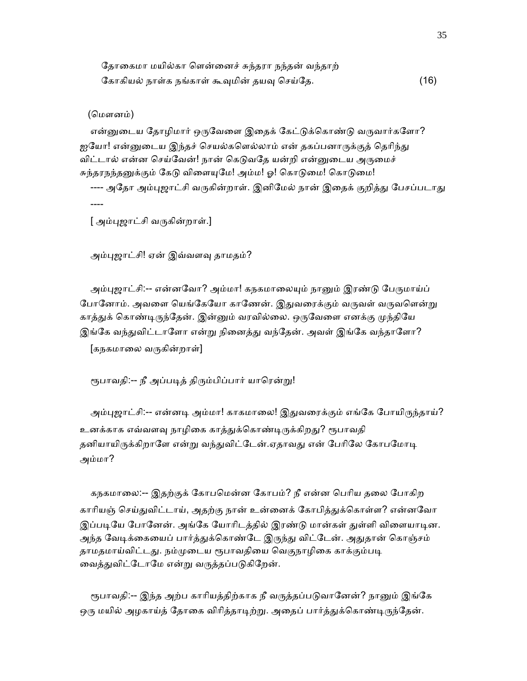| தோகைமா மயில்கா ளென்னைச் சுந்தரா நந்தன் வந்தாற் |      |
|------------------------------------------------|------|
| கோகியல் நாள்க நங்காள் கூவுமின் தயவு செய்தே.    | (16) |

(மௌனம்)

என்னுடைய தோழிமார் ஒருவேளை இதைக் கேட்டுக்கொண்டு வருவார்களோ? ஐயோ! என்னுடைய இந்தச் செயல்களெல்லாம் என் தகப்பனாருக்குத் தெரிந்து விட்டால் என்ன செய்வேன்! நான் கெடுவதே யன்றி என்னுடைய அருமைச் சுந்தரநந்தனுக்கும் கேடு விளையுமே! அம்ம! ஓ! கொடுமை! கொடுமை! ---- அதோ அம்புஜாட்சி வருகின்றாள். இனிமேல் நான் இதைக் குறித்து பேசப்படாது ----

[ அம்புஜாட்சி வருகின்றாள்.]

அம்புஜாட்சி! ஏன் இவ்வளவு தாமதம்?

அம்புஜாட்சி:-- என்னவோ? அம்மா! கநகமாலையும் நானும் இரண்டு பேருமாய்ப் போனோம். அவளை யெங்கேயோ காணேன். இதுவரைக்கும் வருவள் வருவளென்று காத்துக் கொண்டிருந்தேன். இன்னும் வரவில்லை. ஒருவேளை எனக்கு முந்தியே இங்கே வந்துவிட்டாளோ என்று நினைத்து வந்தேன். அவள் இங்கே வந்தாளோ? [கநகமாலை வருகின்றாள்]

ரூபாவதி:-- நீ அப்படித் திரும்பிப்பார் யாரென்று!

அம்புஜாட்சி:-- என்னடி அம்மா! காகமாலை! இதுவரைக்கும் எங்கே போயிருந்தாய்? உனக்காக எவ்வளவு நாழிகை காத்துக்கொண்டிருக்கிறது? ரூபாவதி தனியாயிருக்கிறாளே என்று வந்துவிட்டேன்.ஏதாவது என் பேரிலே கோபமோடி அம்மா?

கநகமாலை:-- இதற்குக் கோபமென்ன கோபம்? நீ என்ன பெரிய தலை போகிற காரியஞ் செய்துவிட்டாய், அதற்கு நான் உன்னைக் கோபித்துக்கொள்ள? என்னவோ இப்படியே போனேன். அங்கே யோரிடத்தில் இரண்டு மான்கள் துள்ளி விளையாடின. அந்த வேடிக்கையைப் பார்த்துக்கொண்டே இருந்து விட்டேன். அதுதான் கொஞ்சம் தாமதமாய்விட்டது. நம்முடைய ரூபாவதியை வெகுநாழிகை காக்கும்படி வைத்துவிட்டோமே என்று வருத்தப்படுகிறேன்.

ரூபாவதி:-- இந்த அற்ப காரியத்திற்காக நீ வருத்தப்படுவானேன்? நானும் இங்கே ஒரு மயில் அழகாய்த் தோகை விரித்தாடிற்று. அதைப் பார்த்துக்கொண்டிருந்தேன்.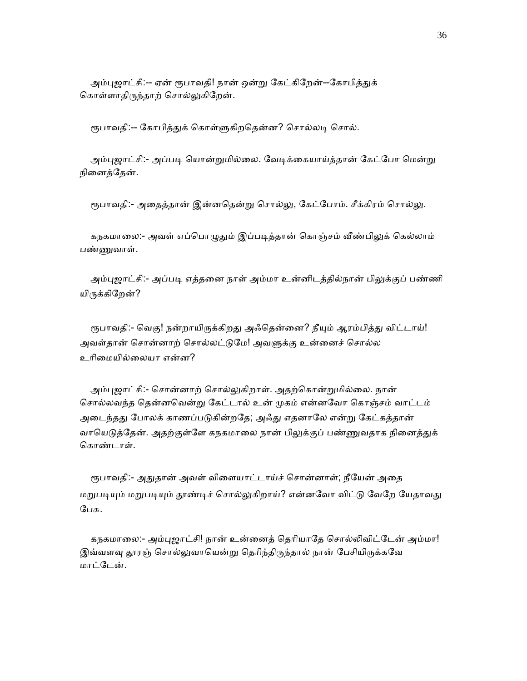அம்புஜாட்சி:-- ஏன் ரூபாவதி! நான் ஒன்று கேட்கிறேன்--கோபித்துக் கொள்ளாதிருந்தாற் சொல்லுகிறேன்.

ரூபாவதி:-- கோபித்துக் கொள்ளுகிறதென்ன? சொல்லடி சொல்.

அம்புஜாட்சி:- அப்படி யொன்றுமில்லை. வேடிக்கையாய்த்தான் கேட்போ மென்று நினைத்தேன்.

ரூபாவதி:- அதைத்தான் இன்னதென்று சொல்லு, கேட்போம். சீக்கிரம் சொல்லு.

கநகமாலை:- அவள் எப்பொழுதும் இப்படித்தான் கொஞ்சம் வீண்பிலுக் கெல்லாம் பண்ணுவாள்.

அம்புஜாட்சி:- அப்படி எத்தனை நாள் அம்மா உன்னிடத்தில்நான் பிலுக்குப் பண்ணி யிருக்கிறேன்?

ரூபாவதி:- வெகு! நன்றாயிருக்கிறது அஃதென்னை? நீயும் ஆரம்பித்து விட்டாய்! அவள்தான் சொன்னாற் சொல்லட்டுமே! அவளுக்கு உன்னைச் சொல்ல உாிைமயில்ைலயா என்ன?

அம்புஜாட்சி:- சொன்னாற் சொல்லுகிறாள். அதற்கொன்றுமில்லை. நான் ெசால்லவந்த ெதன்னெவன்ᾠ ேகட்டால் உன் ᾙகம் என்னேவா ெகாஞ்சம் வாட்டம் அடைந்தது போலக் காணப்படுகின்றதே; அஃது எதனாலே என்று கேட்கத்தான் வாயெடுத்தேன். அதற்குள்ளே கநகமாலை நான் பிலுக்குப் பண்ணுவதாக நினைத்துக் ெகாண்டாள்.

ரூபாவதி:- அதுதான் அவள் விளையாட்டாய்ச் சொன்னாள்; நீயேன் அதை மறுபடியும் மறுபடியும் தூண்டிச் சொல்லுகிறாய்? என்னவோ விட்டு வேறே யேதாவது ேபசு.

கநகமாலை:- அம்புஜாட்சி! நான் உன்னைத் தெரியாதே சொல்லிவிட்டேன் அம்மா! இவ்வளவு தூரஞ் சொல்லுவாயென்று தெரிந்திருந்தால் நான் பேசியிருக்கவே மாட்ேடன்.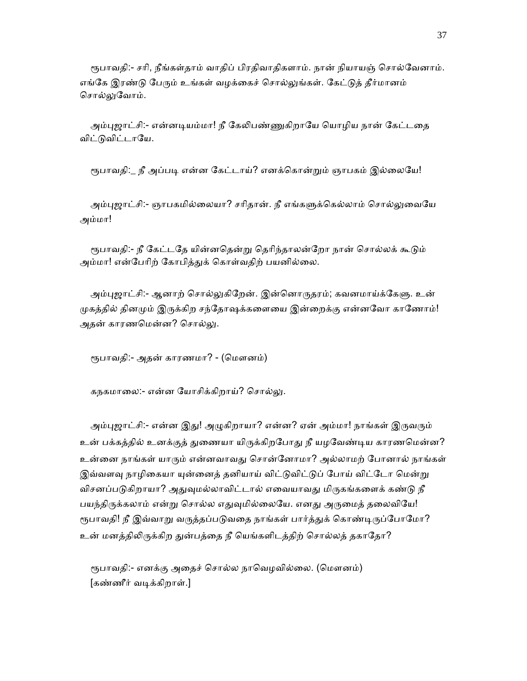ரூபாவதி:- சரி, நீங்கள்தாம் வாதிப் பிரதிவாதிகளாம். நான் நியாயஞ் சொல்வேனாம். எங்கே இரண்டு பேரும் உங்கள் வழக்கைச் சொல்லுங்கள். கேட்டுத் தீர்மானம் சொல்லுவோம்.

அம்புஜாட்சி:- என்னடியம்மா! நீ கேலிபண்ணுகிறாயே யொழிய நான் கேட்டதை விட்டுவிட்டாயே.

ரூபாவதி:\_ நீ அப்படி என்ன கேட்டாய்? எனக்கொன்றும் ஞாபகம் இல்லையே!

அம்புஜாட்சி:- ஞாபகமில்லையா? சரிதான். நீ எங்களுக்கெல்லாம் சொல்லுவையே அம்மா!

ரூபாவதி:- நீ கேட்டதே யின்னதென்று தெரிந்தாலன்றோ நான் சொல்லக் கூடும் அம்மா! என்பேரிற் கோபித்துக் கொள்வதிற் பயனில்லை.

அம்புஜாட்சி:- ஆனாற் சொல்லுகிறேன். இன்னொருதரம்; கவனமாய்க்கேளு. உன் முகத்தில் தினமும் இருக்கிற சந்தோஷக்களையை இன்றைக்கு என்னவோ காணோம்! அதன் காரணமென்ன? சொல்லு.

ரூபாவதி:- அதன் காரணமா? - (மௌனம்)

கநகமாலை:- என்ன யோசிக்கிறாய்? சொல்லு.

அம்புஜாட்சி:- என்ன இது! அழுகிறாயா? என்ன? ஏன் அம்மா! நாங்கள் இருவரும் உன் பக்கத்தில் உனக்குத் துணையா யிருக்கிறபோது நீ யழவேண்டிய காரணமென்ன? உன்ைன நாங்கள் யாᾞம் என்னவாவᾐ ெசான்ேனாமா? அல்லாமற் ேபானால் நாங்கள் இவ்வளவு நாழிகையா யுன்னைத் தனியாய் விட்டுவிட்டுப் போய் விட்டோ மென்று விசனப்படுகிறாயா? அதுவுமல்லாவிட்டால் எவையாவது மிருகங்களைக் கண்டு நீ பயந்திருக்கலாம் என்று சொல்ல எதுவுமில்லையே. எனது அருமைத் தலைவியே! ரூபாவதி! நீ இவ்வாறு வருத்தப்படுவதை நாங்கள் பார்த்துக் கொண்டிருப்போமோ? உன் மனத்திலிருக்கிற துன்பத்தை நீ யெங்களிடத்திற் சொல்லத் தகாதோ?

ரூபாவதி:- எனக்கு அதைச் சொல்ல நாவெழவில்லை. (மௌனம்) [கண்ணீர் வᾊக்கிறாள்.]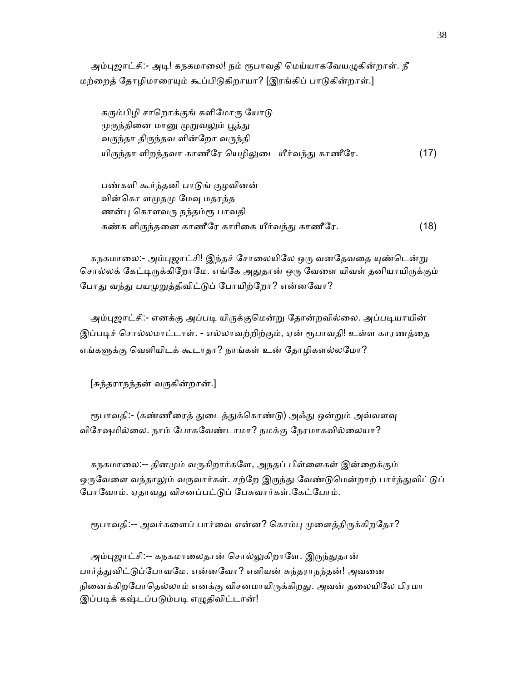அம்புஜாட்சி:- அடி! கநகமாலை! நம் ரூபாவதி மெய்யாகவேயழுகின்றாள். நீ மற்றைத் தோழிமாரையும் கூப்பிடுகிறாயா? [இரங்கிப் பாடுகின்றாள்.]

கரும்பிழி சாறொக்குங் களிமோரு யோடு முருந்தினை மானு முறுவலும் பூத்து வᾞந்தா திᾞந்தவ ளின்ேறா வᾞந்தி யிருந்தா ளிறந்தவா காணீரே யெழிலுடை யீர்வந்து காணீரே.  $\qquad \qquad \textbf{(17)}$ 

 பண்களி கூர்ந்தனி பாᾌங் குழவினன் வின்கொ ளமுதமு மேவு மதரத்த ணன்பு கொளவரு நந்தம்ரூ பாவதி கண்க ளிᾞந்தைன காணீேர காாிைக யீர்வந்ᾐ காணீேர. (18)

கநகமாலை:- அம்புஜாட்சி! இந்தச் சோலையிலே ஒரு வனதேவதை யுண்டென்று சொல்லக் கேட்டிருக்கிறோமே. எங்கே அதுதான் ஒரு வேளை யிவள் தனியாயிருக்கும் போது வந்து பயமுறுத்திவிட்டுப் போயிற்றோ? என்னவோ?

அம்புஜாட்சி:- எனக்கு அப்படி யிருக்குமென்று தோன்றவில்லை. அப்படியாயின் இப்படிச் சொல்லமாட்டாள். - எல்லாவற்றிற்கும், ஏன் ரூபாவதி! உள்ள காரணத்தை எங்களுக்கு வெளியிடக் கூடாதா? நாங்கள் உன் தோழிகளல்லமோ?

 $[s$ சுந்தராநந்தன் வருகின்றான்.]

ரூபாவதி:- (கண்ணீரைத் துடைத்துக்கொண்டு) அஃது ஒன்றும் அவ்வளவு விேசஷமில்ைல. நாம் ேபாகேவண்டாமா? நமக்கு ேநரமாகவில்ைலயா?

 கநகமாைல:-- தினᾙம் வᾞகிறார்கேள, அநதப் பிள்ைளகள் இன்ைறக்கும் ஒருவேளை வந்தாலும் வருவார்கள். சற்றே இருந்து வேண்டுமென்றாற் பார்த்துவிட்டுப் போவோம். ஏதாவது விசனப்பட்டுப் பேசுவார்கள்.கேட்போம்.

ரூபாவதி:-- அவர்களைப் பார்வை என்ன? கொம்பு முளைத்திருக்கிறதோ?

அம்புஜாட்சி:-- கநகமாலைதான் சொல்லுகிறாளே. இருந்துதான் பார்த்துவிட்டுப்போவமே. என்னவோ? எளியன் சுந்தராநந்தன்! அவனை நினைக்கிறபோதெல்லாம் எனக்கு விசனமாயிருக்கிறது. அவன் தலையிலே பிரமா இப்படிக் கஷ்டப்படும்படி எழுதிவிட்டான்!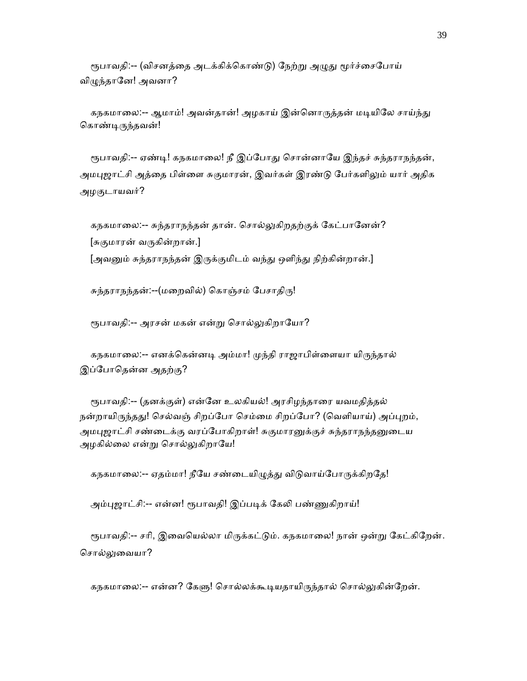ரூபாவதி:-- (விசனத்தை அடக்கிக்கொண்டு) நேற்று அழுது மூர்ச்சைபோய் விழுந்தானே! அவனா?

கநகமாலை:-- ஆமாம்! அவன்தான்! அழகாய் இன்னொருத்தன் மடியிலே சாய்ந்து கொண்டிருந்தவன்!

ரூபாவதி:-- ஏண்டி! கநகமாலை! நீ இப்போது சொன்னாயே இந்தச் சுந்தராநந்தன், அமபுஜாட்சி அத்தை பிள்ளை சுகுமாரன், இவர்கள் இரண்டு பேர்களிலும் யார் அதிக அழகுடாயவர்?

கநகமாலை:-- சுந்தராநந்தன் தான். சொல்லுகிறதற்குக் கேட்பானேன்? [சுகுமாரன் வᾞகின்றான்.] [அவனும் சுந்தராநந்தன் இருக்குமிடம் வந்து ஒளிந்து நிற்கின்றான்.]

சுந்தராநந்தன்:--(மறைவில்) கொஞ்சம் பேசாதிரு!

ரூபாவதி:-- அரசன் மகன் என்று சொல்லுகிறாயோ?

கநகமாலை:-- எனக்கென்னடி அம்மா! முந்தி ராஜாபிள்ளையா யிருந்தால் இப்ேபாெதன்ன அதற்கு?

ரூபாவதி:-- (தனக்குள்) என்னே உலகியல்! அரசிழந்தாரை யவமதித்தல் நன்றாயிருந்தது! செல்வஞ் சிறப்போ செம்மை சிறப்போ? (வெளியாய்) அப்புறம், அமபுஜாட்சி சண்டைக்கு வரப்போகிறாள்! சுகுமாரனுக்குச் சுந்தராநந்தனுடைய அழகில்லை என்று சொல்லுகிறாயே!

கநகமாலை:-- ஏதம்மா! நீயே சண்டையிழுத்து விடுவாய்போருக்கிறதே!

அம்புஜாட்சி:-- என்ன! ரூபாவதி! இப்படிக் கேலி பண்ணுகிறாய்!

ரூபாவதி:-- சரி, இவையெல்லா மிருக்கட்டும். கநகமாலை! நான் ஒன்று கேட்கிறேன். சொல்லுவையா?

கநகமாலை:-- என்ன? கேளு! சொல்லக்கூடியதாயிருந்தால் சொல்லுகின்றேன்.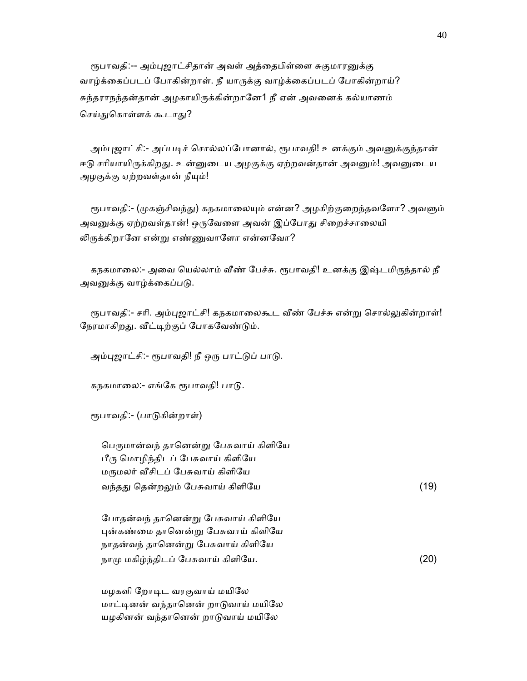ரூபாவதி:-- அம்புஜாட்சிதான் அவள் அத்தைபிள்ளை சுகுமாரனுக்கு வாழ்க்கைப்படப் போகின்றாள். நீ யாருக்கு வாழ்க்கைப்படப் போகின்றாய்? சுந்தராநந்தன்தான் அழகாயிருக்கின்றானே1 நீ ஏன் அவனைக் கல்யாணம் செய்துகொள்ளக் கூடாது?

அம்புஜாட்சி:- அப்படிச் சொல்லப்போனால், ரூபாவதி! உனக்கும் அவனுக்குந்தான் ஈடு சரியாயிருக்கிறது. உன்னுடைய அழகுக்கு ஏற்றவன்தான் அவனும்! அவனுடைய அழகுக்கு ஏற்றவள்தான் நீயும்!

ரூபாவதி:- (முகஞ்சிவந்து) கநகமாலையும் என்ன? அழகிற்குறைந்தவளோ? அவளும் அவனுக்கு ஏற்றவள்தான்! ஒருவேளை அவன் இப்போது சிறைச்சாலையி லிருக்கிறானே என்று எண்ணுவாளோ என்னவோ?

கநகமாலை:- அவை யெல்லாம் வீண் பேச்சு. ரூபாவதி! உனக்கு இஷ்டமிருந்தால் நீ அவனுக்கு வாழ்க்கைப்படு.

ரூபாவதி:- சரி. அம்புஜாட்சி! கநகமாலைகூட வீண் பேச்சு என்று சொல்லுகின்றாள்! நேரமாகிறது. வீட்டிற்குப் போகவேண்டும்.

அம்புஜாட்சி:- ரூபாவதி! நீ ஒரு பாட்டுப் பாடு.

கநகமாலை:- எங்கே ரூபாவதி! பாடு.

ரூபாவதி:- (பாடுகின்றாள்)

பெருமான்வந் தானென்று பேசுவாய் கிளியே பீᾞ ெமாழிந்திடப் ேபசுவாய் கிளிேய மருமலர் வீசிடப் பேசுவாய் கிளியே வந்தᾐ ெதன்றᾤம் ேபசுவாய் கிளிேய (19)

 ேபாதன்வந் தாெனன்ᾠ ேபசுவாய் கிளிேய ᾗன்கண்ைம தாெனன்ᾠ ேபசுவாய் கிளிேய நாதன்வந் தானென்று பேசுவாய் கிளியே நாமு மகிழ்ந்திடப் பேசுவாய் கிளியே.  $(20)$ 

 மழகளி ேறாᾊட வரகுவாய் மயிேல மாட்டினன் வந்தானென் றாடுவாய் மயிலே யழகினன் வந்தானென் றாடுவாய் மயிலே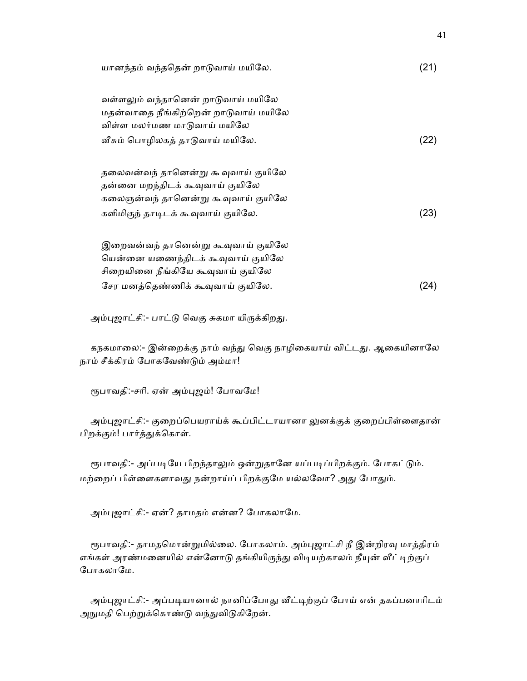| யானந்தம் வந்ததென் றாடுவாய் மயிலே.                                                                                                                 | (21) |
|---------------------------------------------------------------------------------------------------------------------------------------------------|------|
| வள்ளலும் வந்தானென் றாடுவாய் மயிலே<br>மதன்வாதை நீங்கிற்றென் றாடுவாய் மயிலே<br>விள்ள மலர்மண மாடுவாய் மயிலே                                          |      |
| வீசும் பொழிலகத் தாடுவாய் மயிலே.                                                                                                                   | (22) |
| தலைவன்வந் தானென்று கூவுவாய் குயிலே<br>தன்னை மறந்திடக் கூவுவாய் குயிலே<br>கலைஞன்வந் தானென்று கூவுவாய் குயிலே<br>களிமிகுந் தாடிடக் கூவுவாய் குயிலே. | (23) |
| இறைவன்வந் தானென்று கூவுவாய் குயிலே<br>யென்னை யணைந்திடக் கூவுவாய் குயிலே<br>சிறையினை நீங்கியே கூவுவாய் குயிலே                                      |      |
| சேர மனத்தெண்ணிக் கூவுவாய் குயிலே.                                                                                                                 | (24) |

அம்புஜாட்சி:- பாட்டு வெகு சுகமா யிருக்கிறது.

கநகமாலை:- இன்றைக்கு நாம் வந்து வெகு நாழிகையாய் விட்டது. ஆகையினாலே நாம் சீக்கிரம் ேபாகேவண்ᾌம் அம்மா!

ரூபாவதி:-சரி. ஏன் அம்புஜம்! போவமே!

அம்புஜாட்சி:- குறைப்பெயராய்க் கூப்பிட்டாயானா லுனக்குக் குறைப்பிள்ளைதான் பிறக்கும்! பார்த்ᾐக்ெகாள்.

ரூபாவதி:- அப்படியே பிறந்தாலும் ஒன்றுதானே யப்படிப்பிறக்கும். போகட்டும். மற்றைப் பிள்ளைகளாவது நன்றாய்ப் பிறக்குமே யல்லவோ? அது போதும்.

அம்புஜாட்சி:- ஏன்? தாமதம் என்ன? போகலாமே.

ரூபாவதி:- தாமதமொன்றுமில்லை. போகலாம். அம்புஜாட்சி நீ இன்றிரவு மாத்திரம் எங்கள் அரண்மனையில் என்னோடு தங்கியிருந்து விடியற்காலம் நீயுன் வீட்டிற்குப் போகலாமே.

அம்புஜாட்சி:- அப்படியானால் நானிப்போது வீட்டிற்குப் போய் என் தகப்பனாரிடம் அநுமதி பெற்றுக்கொண்டு வந்துவிடுகிறேன்.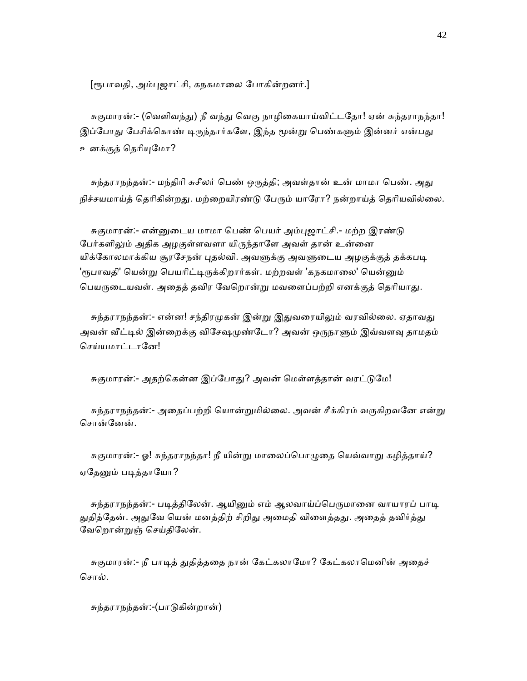[ரூபாவதி, அம்புஜாட்சி, கநகமாலை போகின்றனர்.]

சுகுமாரன்:- (வெளிவந்து) நீ வந்து வெகு நாழிகையாய்விட்டதோ! ஏன் சுந்தராநந்தா! இப்போது பேசிக்கொண் டிருந்தார்களே, இந்த மூன்று பெண்களும் இன்னர் என்பது உனக்குத் தெரியுமோ?

சுந்தராநந்தன்:- மந்திரி சுசீலர் பெண் ஒருத்தி; அவள்தான் உன் மாமா பெண். அது நிச்சயமாய்த் தெரிகின்றது. மற்றையிரண்டு பேரும் யாரோ? நன்றாய்த் தெரியவில்லை.

சுகுமாரன்:- என்னுடைய மாமா பெண் பெயர் அம்புஜாட்சி.- மற்ற இரண்டு பேர்களிலும் அதிக அழகுள்ளவளா யிருந்தாளே அவள் தான் உன்னை யிக்கோலமாக்கிய சூரசேநன் புதல்வி. அவளுக்கு அவளுடைய அழகுக்குத் தக்கபடி 'ரூபாவதி' யென்று பெயரிட்டிருக்கிறார்கள். மற்றவள் 'கநகமாலை' யென்னும் பெயருடையவள். அதைத் தவிர வேறொன்று மவளைப்பற்றி எனக்குத் தெரியாது.

சுந்தராநந்தன்:- என்ன! சந்திரமுகன் இன்று இதுவரையிலும் வரவில்லை. ஏதாவது அவன் வீட்டில் இன்றைக்கு விசேஷமுண்டோ? அவன் ஒருநாளும் இவ்வளவு தாமதம் செய்யமாட்டானே!

சுகுமாரன்:- அதற்கென்ன இப்போது? அவன் மெள்ளத்தான் வரட்டுமே!

சுந்தராநந்தன்:- அதைப்பற்றி யொன்றுமில்லை. அவன் சீக்கிரம் வருகிறவனே என்று சொன்னேன்.

சுகுமாரன்:- ஓ! சுந்தராநந்தா! நீ யின்று மாலைப்பொழுதை யெவ்வாறு கழித்தாய்? ஏதேனும் படித்தாயோ?

சுந்தராநந்தன்:- படித்திலேன். ஆயினும் எம் ஆலவாய்ப்பெருமானை வாயாரப் பாடி துதித்தேன். அதுவே யென் மனத்திற் சிறிது அமைதி விளைத்தது. அதைத் தவிர்த்து ேவெறான்ᾠஞ் ெசய்திேலன்.

சுகுமாரன்:- நீ பாடித் துதித்ததை நான் கேட்கலாமோ? கேட்கலாமெனின் அதைச் சொல்.

சுந்தராநந்தன்:-(பாᾌகின்றான்)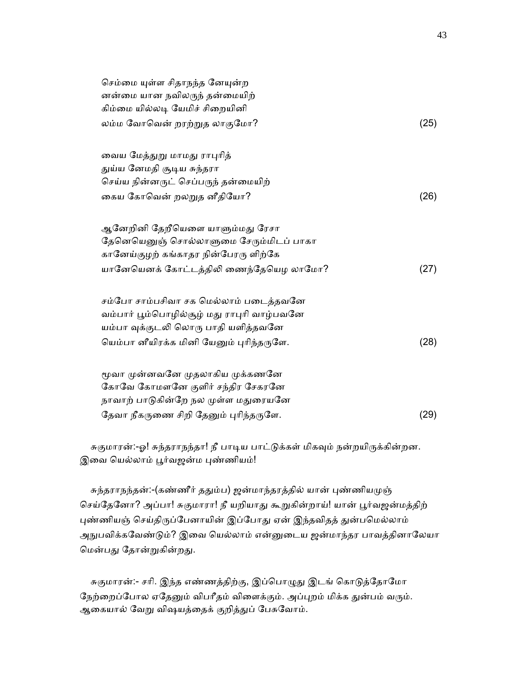| செம்மை யுள்ள சிதாநந்த னேயுன்ற<br>னன்மை யான நவிலருந் தன்மையிற் |      |
|---------------------------------------------------------------|------|
| கிம்மை யில்லடி யேமிச் சிறையினி                                |      |
| லம்ம வோவென் றரற்றுத லாகுமோ?                                   | (25) |
| வைய மேத்துறு மாமது ராபுரித்                                   |      |
| துய்ய னேமதி சூடிய சுந்தரா                                     |      |
| செய்ய நின்னருட் செப்பருந் தன்மையிற்                           |      |
| கைய கோவென் றலறுத னீதியோ?                                      | (26) |
| ஆனேறினி தேறீயெளை யாளும்மது ரேசா                               |      |
| தேனெயெனுஞ் சொல்லாளுமை சேரும்மிடப் பாகா                        |      |
| கானேய்குழற் கங்காதர நின்பேரரு ளிற்கே                          |      |
| யானேயெனக் கோட்டத்திலி ணைந்தேயெழ லாமோ?                         | (27) |
| சம்போ சாம்பசிவா சக மெல்லாம் படைத்தவனே                         |      |
| வம்பார் பூம்பொழில்சூழ் மது ராபுரி வாழ்பவனே                    |      |
| யம்பா வுக்குடலி லொரு பாதி யளித்தவனே                           |      |
| யெம்பா னீயிரக்க மினி யேனும் புரிந்தருளே.                      | (28) |
| மூவா முன்னவனே முதலாகிய முக்கணனே                               |      |
| கோவே கோமளனே குளிர் சந்திர சேகரனே                              |      |
| நாவாற் பாடுகின்றே நல முள்ள மதுரையனே                           |      |
| தேவா நீகருணை சிறி தேனும் புரிந்தருளே.                         | (29) |

சுகுமாரன்:-ஓ! சுந்தராநந்தா! நீ பாடிய பாட்டுக்கள் மிகவும் நன்றயிருக்கின்றன. இவை யெல்லாம் பூர்வஜன்ம புண்ணியம்!

சுந்தராநந்தன்:-(கண்ணீர் ததும்ப) ஜன்மாந்தரத்தில் யான் புண்ணியமுஞ் செய்தேனோ? அப்பா! சுகுமாரா! நீ யறியாது கூறுகின்றாய்! யான் பூர்வஜன்மத்திற் புண்ணியஞ் செய்திருப்பேனாயின் இப்போது ஏன் இந்தவிதத் துன்பமெல்லாம் அநுபவிக்கவேண்டும்? இவை யெல்லாம் என்னுடைய ஜன்மாந்தர பாவத்தினாலேயா மென்பது தோன்றுகின்றது.

சுகுமாரன்:- சரி. இந்த எண்ணத்திற்கு, இப்பொழுது இடங் கொடுத்தோமோ நேற்றைப்போல ஏதேனும் விபரீதம் விளைக்கும். அப்புறம் மிக்க துன்பம் வரும். ஆகையால் வேறு விஷயத்தைக் குறித்துப் பேசுவோம்.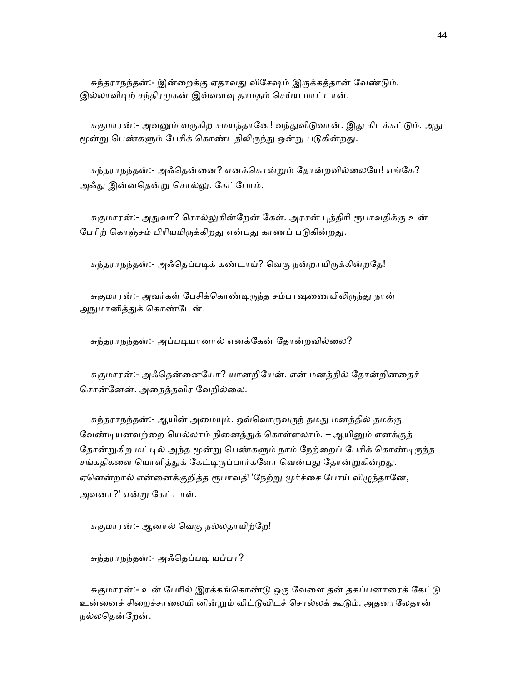சுந்தராநந்தன்:- இன்றைக்கு ஏதாவது விசேஷம் இருக்கத்தான் வேண்டும். இல்லாவிடிற் சந்திரமுகன் இவ்வளவு தாமதம் செய்ய மாட்டான்.

சுகுமாரன்:- அவனும் வருகிற சமயந்தானே! வந்துவிடுவான். இது கிடக்கட்டும். அது மூன்று பெண்களும் பேசிக் கொண்டதிலிருந்து ஒன்று படுகின்றது.

சுந்தராநந்தன்:- அஃதென்னை? எனக்கொன்றும் தோன்றவில்லையே! எங்கே? அஃᾐ இன்னெதன்ᾠ ெசால்ᾤ. ேகட்ேபாம்.

சுகுமாரன்:- அதுவா? சொல்லுகின்றேன் கேள். அரசன் புத்திரி ரூபாவதிக்கு உன் பேரிற் கொஞ்சம் பிரியமிருக்கிறது என்பது காணப் படுகின்றது.

சுந்தராநந்தன்:- அஃதெப்படிக் கண்டாய்? வெகு நன்றாயிருக்கின்றதே!

சுகுமாரன்:- அவர்கள் பேசிக்கொண்டிருந்த சம்பாஷணையிலிருந்து நான் அநுமானித்துக் கொண்டேன்.

சுந்தராநந்தன்:- அப்படியானால் எனக்கேன் தோன்றவில்லை?

 சுகுமாரன்:- அஃெதன்ைனேயா? யானறிேயன். என் மனத்தில் ேதான்றினைதச் ெசான்ேனன். அைதத்தவிர ேவறில்ைல.

சுந்தராநந்தன்:- ஆயின் அமையும். ஒவ்வொருவருந் தமது மனத்தில் தமக்கு வேண்டியனவற்றை யெல்லாம் நினைத்துக் கொள்ளலாம். – ஆயினும் எனக்குத் தோன்றுகிற மட்டில் அந்த மூன்று பெண்களும் நாம் நேற்றைப் பேசிக் கொண்டிருந்த சங்கதிகளை யொளித்துக் கேட்டிருப்பார்களோ வென்பது தோன்றுகின்றது. ஏனென்றால் என்னைக்குறித்த ரூபாவதி 'நேற்று மூர்ச்சை போய் விழுந்தானே, அவனா?' என்ᾠ ேகட்டாள்.

சுகுமாரன்:- ஆனால் வெகு நல்லதாயிற்றே!

சுந்தராநந்தன்:- அஃதெப்படி யப்பா?

சுகுமாரன்:- உன் பேரில் இரக்கங்கொண்டு ஒரு வேளை தன் தகப்பனாரைக் கேட்டு உன்னைச் சிறைச்சாலையி னின்றும் விட்டுவிடச் சொல்லக் கூடும். அதனாலேதான் நல்லதென்றேன்.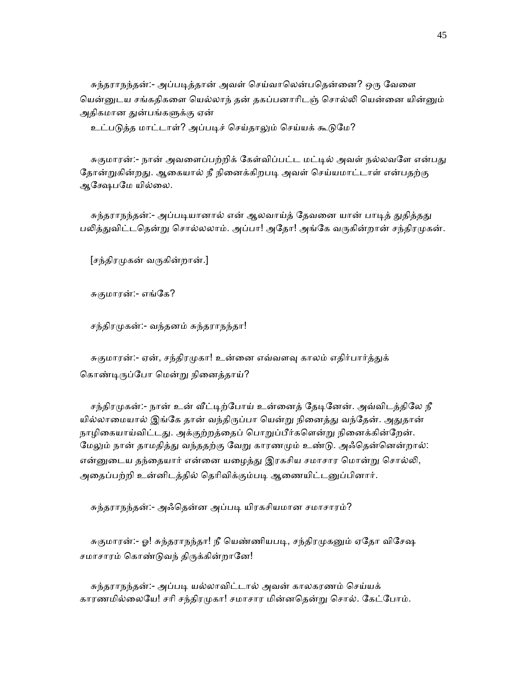சுந்தராநந்தன்:- அப்படித்தான் அவள் செய்வாலென்பதென்னை? ஒரு வேளை பென்னுடய சங்கதிகளை யெல்லாந் தன் தகப்பனாரிடஞ் சொல்லி யென்னை யின்னும் அதிகமான துன்பங்களுக்கு ஏன்

உட்படுத்த மாட்டாள்? அப்படிச் செய்தாலும் செய்யக் கூடுமே?

சுகுமாரன்:- நான் அவளைப்பற்றிக் கேள்விப்பட்ட மட்டில் அவள் நல்லவளே என்பது தோன்றுகின்றது. ஆகையால் நீ நினைக்கிறபடி அவள் செய்யமாட்டாள் என்பதற்கு ஆக்ஷேபமே யில்லை.

சுந்தராநந்தன்:- அப்படியானால் என் ஆலவாய்த் தேவனை யான் பாடித் துதித்தது பலித்துவிட்டதென்று சொல்லலாம். அப்பா! அதோ! அங்கே வருகின்றான் சந்திரமுகன்.

 $[s_5]$ திரமுகன் வருகின்றான்.]

சுகுமாரன்:- எங்கே?

சந்திரமுகன்:- வந்தனம் சுந்தராநந்தா!

சுகுமாரன்:- ஏன், சந்திரமுகா! உன்னை எவ்வளவு காலம் எதிர்பார்த்துக் கொண்டிருப்போ மென்று நினைத்தாய்?

சந்திரமுகன்:- நான் உன் வீட்டிற்போய் உன்னைத் தேடினேன். அவ்விடத்திலே நீ யில்லாமையால் இங்கே தான் வந்திருப்பா யென்று நினைத்து வந்தேன். அதுதான் நாழிகையாய்விட்டது. அக்குற்றத்தைப் பொறுப்பீர்களென்று நினைக்கின்றேன். மேலும் நான் தாமதித்து வந்ததற்கு வேறு காரணமும் உண்டு. அஃதென்னென்றால்: என்னுடைய தந்தையார் என்னை யழைத்து இரகசிய சமாசார மொன்று சொல்லி, அதைப்பற்றி உன்னிடத்தில் தெரிவிக்கும்படி ஆணையிட்டனுப்பினார்.

சுந்தராநந்தன்:- அஃெதன்ன அப்பᾊ யிரகசியமான சமாசாரம்?

சுகுமாரன்:- ஓ! சுந்தராநந்தா! நீ யெண்ணியபடி, சந்திரமுகனும் ஏதோ விசேஷ சமாசாரம் கொண்டுவந் திருக்கின்றானே!

 சுந்தராநந்தன்:- அப்பᾊ யல்லாவிட்டால் அவன் காலகரணம் ெசய்யக் காரணமில்லையே! சரி சந்திரமுகா! சமாசார மின்னதென்று சொல். கேட்போம்.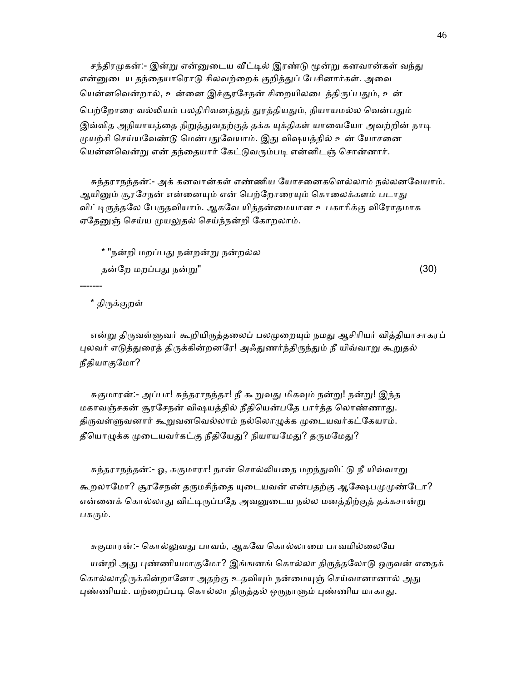சந்திரமுகன்:- இன்று என்னுடைய வீட்டில் இரண்டு மூன்று கனவான்கள் வந்து என்னுடைய தந்தையாரொடு சிலவற்றைக் குறித்துப் பேசினார்கள். அவை யென்னவென்றால், உன்னை இச்சூரசேநன் சிறையிலடைத்திருப்பதும், உன் பெற்றோரை வல்லியம் பலதிரிவனத்துத் துரத்தியதும், நியாயமல்ல வென்பதும் இவ்வித அநியாயத்தை நிறுத்துவதற்குத் தக்க யுக்திகள் யாவையோ அவற்றின் நாடி முயற்சி செய்யவேண்டு மென்பதுவேயாம். இது விஷயத்தில் உன் யோசனை யென்னவென்று என் தந்தையார் கேட்டுவரும்படி என்னிடஞ் சொன்னார்.

 சுந்தராநந்தன்:- அக் கனவான்கள் எண்ணிய ேயாசைனகெளல்லாம் நல்லனேவயாம். ஆயினும் சூரசேநன் என்னையும் என் பெற்றோரையும் கொலைக்களம் படாது விட்டிருத்தலே பேருதவியாம். ஆகவே யித்தன்மையான உபகாரிக்கு விரோதமாக ஏதேனுஞ் செய்ய முயலுதல் செய்ந்நன்றி கோறலாம்.

 \* "நன்றி மறப்பᾐ நன்றன்ᾠ நன்றல்ல தன்றே மறப்பது நன்று" காலை நிறைவாக குண்றே மறப்பது நன்று"

\* திᾞக்குறள்

-------

என்று திருவள்ளுவர் கூறியிருத்தலைப் பலமுறையும் நமது ஆசிரியர் வித்தியாசாகரப் புலவர் எடுத்துரைத் திருக்கின்றனரே! அஃதுணர்ந்திருந்தும் நீ யிவ்வாறு கூறுதல் நீதியாகுேமா?

சுகுமாரன்:- அப்பா! சுந்தராநந்தா! நீ கூறுவது மிகவும் நன்று! நன்று! இந்த மகாவஞ்சகன் சூரேசநன் விஷயத்தில் நீதிெயன்பேத பார்த்த ெலாண்ணாᾐ. திருவள்ளுவனார் கூறுவனவெல்லாம் நல்லொழுக்க முடையவர்கட்கேயாம். தீயொழுக்க முடையவர்கட்கு நீதியேது? நியாயமேது? தருமமேது?

சுந்தராநந்தன்:- ஓ, சுகுமாரா! நான் சொல்லியதை மறந்துவிட்டு நீ யிவ்வாறு கூறலாமோ? சூரசேநன் தருமசிந்தை யுடையவன் என்பதற்கு ஆக்ஷேபமுமுண்டோ? என்னைக் கொல்லாது விட்டிருப்பதே அவனுடைய நல்ல மனத்திற்குத் தக்கசான்று பகரும்.

சுகுமாரன்:- கொல்லுவது பாவம், ஆகவே கொல்லாமை பாவமில்லையே யன்றி அது புண்ணியமாகுமோ? இங்ஙனங் கொல்லா திருத்தலோடு ஒருவன் எதைக் கொல்லாதிருக்கின்றானோ அதற்கு உதவியும் நன்மையுஞ் செய்வானானால் அது புண்ணியம். மற்றைப்படி கொல்லா திருத்தல் ஒருநாளும் புண்ணிய மாகாது.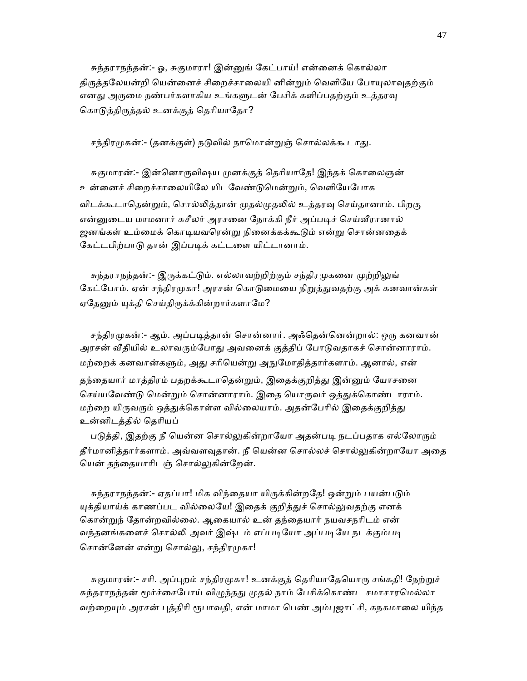சுந்தராநந்தன்:- ஓ, சுகுமாரா! இன்னுங் கேட்பாய்! என்னைக் கொல்லா திருத்தலேயன்றி யென்னைச் சிறைச்சாலையி னின்றும் வெளியே போயுலாவுதற்கும் எனது அருமை நண்பர்களாகிய உங்களுடன் பேசிக் களிப்பதற்கும் உத்தரவு கொடுத்திருத்தல் உனக்குத் தெரியாதோ?

சந்திரமுகன்:- (தனக்குள்) நடுவில் நாமொன்றுஞ் சொல்லக்கூடாது.

சுகுமாரன்:- இன்னொருவிஷய முனக்குத் தெரியாதே! இந்தக் கொலைஞன் உன்னைச் சிறைச்சாலையிலே யிடவேண்டுமென்றும், வெளியேபோக விடக்கூடாதென்றும், சொல்லித்தான் முதல்முதலில் உத்தரவு செய்தானாம். பிறகு என்னுடைய மாமனார் சுசீலர் அரசனை நோக்கி நீர் அப்படிச் செய்வீரானால் ஜனங்கள் உம்மைக் கொடியவரென்று நினைக்கக்கூடும் என்று சொன்னதைக் கேட்டபிற்பாடு தான் இப்படிக் கட்டளை யிட்டானாம்.

சுந்தராநந்தன்:- இருக்கட்டும். எல்லாவற்றிற்கும் சந்திரமுகனை முற்றிலுங் கேட்போம். ஏன் சந்திரமுகா! அரசன் கொடுமையை நிறுத்துவதற்கு அக் கனவான்கள் ஏதேனும் யுக்தி செய்திருக்க்கின்றார்களாமே?

சந்திரமுகன்:- ஆம். அப்படித்தான் சொன்னார். அஃதென்னென்றால்: ஒரு கனவான் அரசன் வீதியில் உலாவரும்போது அவனைக் குத்திப் போடுவதாகச் சொன்னாராம். மற்றைக் கனவான்களும், அது சரியென்று அநுமோதித்தார்களாம். ஆனால், என் தந்தையார் மாத்திரம் பதறக்கூடாதென்றும், இதைக்குறித்து இன்னும் யோசனை செய்யவேண்டு மென்றும் சொன்னாராம். இதை யொருவர் ஒத்துக்கொண்டாராம். மற்றை யிருவரும் ஒத்துக்கொள்ள வில்லையாம். அதன்பேரில் இதைக்குறித்து உன்னிடத்தில் ெதாியப்

படுத்தி, இதற்கு நீ யென்ன சொல்லுகின்றாயோ அதன்படி நடப்பதாக எல்லோரும் தீர்மானித்தார்களாம். அவ்வளவுதான். நீ யென்ன சொல்லச் சொல்லுகின்றாயோ அதை யென் தந்தையாரிடஞ் சொல்லுகின்றேன்.

சுந்தராநந்தன்:- ஏதப்பா! மிக விந்தையா யிருக்கின்றதே! ஒன்றும் பயன்படும் யுக்தியாய்க் காணப்பட வில்லையே! இதைக் குறித்துச் சொல்லுவதற்கு எனக் ெகான்ᾠந் ேதான்றவில்ைல. ஆைகயால் உன் தந்ைதயார் நயவசநாிடம் என் வந்தனங்களைச் சொல்லி அவர் இஷ்டம் எப்படியோ அப்படியே நடக்கும்படி சொன்னேன் என்று சொல்லு, சந்திரமுகா!

சுகுமாரன்:- சரி. அப்புறம் சந்திரமுகா! உனக்குத் தெரியாதேயொரு சங்கதி! நேற்றுச் சுந்தராநந்தன் மூர்ச்சைபோய் விழுந்தது முதல் நாம் பேசிக்கொண்ட சமாசாரமெல்லா வற்றையும் அரசன் புத்திரி ரூபாவதி, என் மாமா பெண் அம்புஜாட்சி, கநகமாலை யிந்த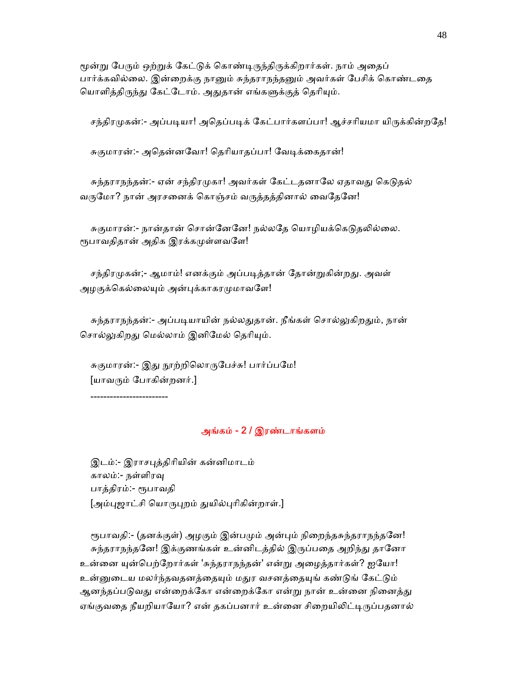மூன்று பேரும் ஒற்றுக் கேட்டுக் கொண்டிருந்திருக்கிறார்கள். நாம் அதைப் பார்க்கவில்லை. இன்றைக்கு நானும் சுந்தராநந்தனும் அவர்கள் பேசிக் கொண்டதை யொளித்திருந்து கேட்டோம். அதுதான் எங்களுக்குத் தெரியும்.

சந்திரமுகன்:- அப்படியா! அதெப்படிக் கேட்பார்களப்பா! ஆச்சரியமா யிருக்கின்றதே!

சுகுமாரன்:- அதென்னவோ! தெரியாதப்பா! வேடிக்கைதான்!

சுந்தராநந்தன்:- ஏன் சந்திரமுகா! அவர்கள் கேட்டதனாலே ஏதாவது கெடுதல் வருமோ? நான் அரசனைக் கொஞ்சம் வருத்தத்தினால் வைதேனே!

சுகுமாரன்:- நான்தான் சொன்னேனே! நல்லதே யொழியக்கெடுதலில்லை. ரூபாவதிதான் அதிக இரக்கமுள்ளவளே!

சந்திரமுகன்;- ஆமாம்! எனக்கும் அப்படித்தான் தோன்றுகின்றது. அவள் அழகுக்கெல்லையும் அன்புக்காகரமுமாவளே!

சுந்தராநந்தன்:- அப்படியாயின் நல்லதுதான். நீங்கள் சொல்லுகிறதும், நான் சொல்லுகிறது மெல்லாம் இனிமேல் தெரியும்.

சுகுமாரன்:- இது நூற்றிலொருபேச்சு! பார்ப்பமே! [யாவᾞம் ேபாகின்றனர்.]

------------------------

## அங்கம் - 2 / இரண்டாங்களம்

 இடம்:- இராசᾗத்திாியின் கன்னிமாடம் காலம்:- நள்ளிரᾫ பாத்திரம்:- ᾟபாவதி [அம்புஜாட்சி யொருபுறம் துயில்புரிகின்றாள்.]

ரூபாவதி:- (தனக்குள்) அழகும் இன்பமும் அன்பும் நிறைந்தசுந்தராநந்தனே! சுந்தராநந்தனே! இக்குணங்கள் உன்னிடத்தில் இருப்பதை அறிந்து தானோ உன்னை யுன்பெற்றோர்கள் 'சுந்தராநந்தன்' என்று அழைத்தார்கள்? ஐயோ! உன்னுடைய மலர்ந்தவதனத்தையும் மதுர வசனத்தையுங் கண்டுங் கேட்டும் ஆனந்தப்படுவது என்றைக்கோ என்றைக்கோ என்று நான் உன்னை நினைத்து ஏங்குவதை நீயறியாயோ? என் தகப்பனார் உன்னை சிறையிலிட்டிருப்பதனால்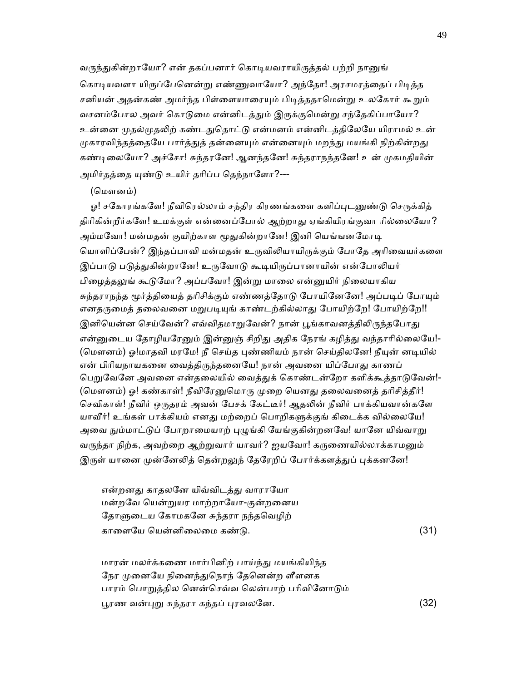வருந்துகின்றாயோ? என் தகப்பனார் கொடியவராயிருத்தல் பற்றி நானுங் கொடியவளா யிருப்பேனென்று எண்ணுவாயோ? அந்தோ! அரசமரத்தைப் பிடித்த சனியன் அதன்கண் அமர்ந்த பிள்ளையாரையும் பிடித்ததாமென்று உலகோர் கூறும் வசனம்போல அவர் கொடுமை என்னிடத்தும் இருக்குமென்று சந்தேகிப்பாயோ? உன்னை முகல்முகலிற் கண்டதுகொட்டு என்மனம் என்னிடக்கிலேயே யிராமல் உன் முகாரவிந்தத்தையே பார்த்துத் தன்னையும் என்னையும் மறந்து மயங்கி நிற்கின்றது கண்டிலையோ? அச்சோ! சுந்தரனே! ஆனந்தனே! சுந்தராநந்தனே! உன் முகமதியின் அமிர்தத்தை யுண்டு உயிர் தரிப்ப தெந்நாளோ?---

#### (ெமௗனம்)

ஓ! சகோரங்களே! நீவிரெல்லாம் சந்திர கிரணங்களை களிப்புடனுண்டு செருக்கித் திரிகின்றீர்களே! உமக்குள் என்னைப்போல் ஆற்றாது ஏங்கியிரங்குவா ரில்லையோ? அம்மவோ! மன்மதன் குயிற்காள மூதுகின்றானே! இனி யெங்ஙனமோடி யொளிப்பேன்? இந்தப்பாவி மன்மதன் உருவிலியாயிருக்கும் போதே அரிவையர்களை இப்பாடு படுத்துகின்றானே! உருவோடு கூடியிருப்பானாயின் என்போலியர் பிழைத்தலுங் கூடுமோ? அப்பவோ! இன்று மாலை என்னுயிர் நிலையாகிய சுந்தராநந்த மூர்த்தியைத் தரிசிக்கும் எண்ணத்தோடு போயினேனே! அப்படிப் போயும் எனதருமைத் தலைவனை மறுபடியுங் காண்டற்கில்லாது போயிற்றே! போயிற்றே!! இனியென்ன செய்வேன்? எவ்விதமாறுவேன்? நான் பூங்காவனத்திலிருந்தபோது என்னுடைய தோழியரேனும் இன்னுஞ் சிறிது அதிக நேரங் கழித்து வந்தாரில்லையே!-(மௌனம்) ஓ!மாதவி மரமே! நீ செய்த புண்ணியம் நான் செய்திலனே! நீயுன் னடியில் என் பிரியநாயகனை வைத்திருந்தனையே! நான் அவனை யிப்போது காணப் பெறுவேனே அவனை என்தலையில் வைத்துக் கொண்டன்றோ களிக்கூத்தாடுவேன்!-(மௌனம்) ஓ! கண்காள்! நீவிரேனுமொரு முறை யெனது தலைவனைத் தரிசித்தீர்! செவிகாள்! நீவிர் ஒருதரம் அவன் பேசக் கேட்டீர்! ஆதலின் நீவிர் பாக்கியவான்களே யாவீர்! உங்கள் பாக்கியம் எனது மற்றைப் பொறிகளுக்குங் கிடைக்க வில்லையே! அவை நும்மாட்டுப் போறாமையாற் புழுங்கி யேங்குகின்றனவே! யானே யிவ்வாறு வருந்தா நிற்க, அவற்றை ஆற்றுவார் யாவர்? ஐயவோ! கருணையில்லாக்காமனும் இருள் யானை முன்னேலித் தென்றலுந் தேரேறிப் போர்க்களத்துப் புக்கனனே!

என்றனது காதலனே யிவ்விடத்து வாராயோ மன்றவே யென்றுயர மாற்றாயோ-குன்றனைய தோளுடைய கோமகனே சுந்தரா நந்தவெழிற் காைளேய ெயன்னிைலைம கண்ᾌ. (31)

 மாரன் மலர்க்கைண மார்பினிற் பாய்ந்ᾐ மயங்கியிந்த நேர முனையே நினைந்துநொந் தேனென்ற ளீளனக பாரம் பொறுத்தில னென்செவ்வ லென்பாற் பரிவினோடும் ᾘரண வன்ᾗᾠ சுந்தரா கந்தப் ᾗரவலேன. (32)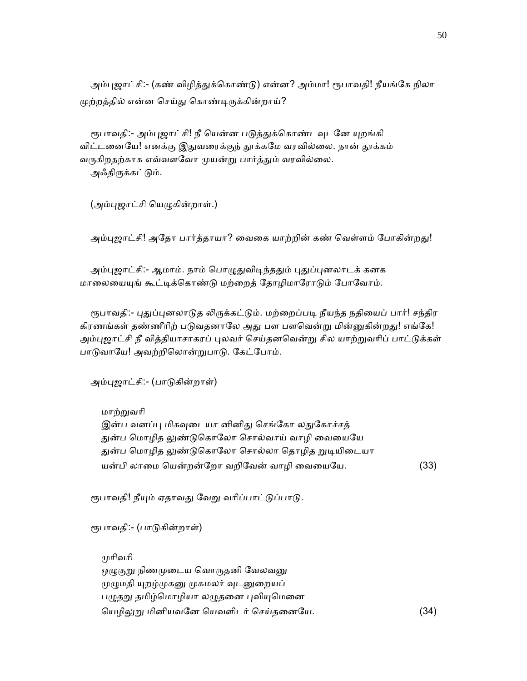அம்புஜாட்சி:- (கண் விழித்துக்கொண்டு) என்ன? அம்மா! ரூபாவதி! நீயங்கே நிலா முற்றத்தில் என்ன செய்து கொண்டிருக்கின்றாய்?

ரூபாவதி:- அம்புஜாட்சி! நீ யென்ன படுத்துக்கொண்டவுடனே யுறங்கி விட்டனையே! எனக்கு இதுவரைக்குந் தூக்கமே வரவில்லை. நான் தூக்கம் வருகிறதற்காக எவ்வளவோ முயன்று பார்த்தும் வரவில்லை. அஃதிருக்கட்டும்.

(அம்புஜாட்சி யெழுகின்றாள்.)

அம்புஜாட்சி! அதோ பார்த்தாயா? வைகை யாற்றின் கண் வெள்ளம் போகின்றது!

அம்புஜாட்சி:- ஆமாம். நாம் பொழுதுவிடிந்ததும் புதுப்புனலாடக் கனக மாலையையுங் கூட்டிக்கொண்டு மற்றைத் தோழிமாரோடும் போவோம்.

ரூபாவதி:- புதுப்புனலாடுத லிருக்கட்டும். மற்றைப்படி நீயந்த நதியைப் பார்! சந்திர கிரணங்கள் தண்ணீரிற் படுவதனாலே அது பள பளவென்று மின்னுகின்றது! எங்கே! அம்புஜாட்சி நீ வித்தியாசாகரப் புலவர் செய்தனவென்று சில யாற்றுவரிப் பாட்டுக்கள் பாடுவாயே! அவற்றிலொன்றுபாடு. கேட்போம்.

அம்ᾗஜாட்சி:- (பாᾌகின்றாள்)

 மாற்ᾠவாி இன்ப வனப்பு மிகவுடையா னினிது செங்கோ லதுகோச்சத் துன்ப மொழித லுண்டுகொலோ சொல்வாய் வாழி வையையே துன்ப மொழித லுண்டுகொலோ சொல்லா தொழித றுடியிடையா யன்பி லாைம ெயன்றன்ேறா வறிேவன் வாழி ைவையேய. (33)

ரூபாவதி! நீயும் ஏதாவது வேறு வரிப்பாட்டுப்பாடு.

ரூபாவதி:- (பாடுகின்றாள்)

முரிவரி ஒழுகுறு நிணமுடைய வொருதனி வேலவனு முழுமதி யுறழ்முகனு முகமலர் வுடனுறையப் பழுதறு தமிழ்மொழியா லழுதனை புவியுமெனை ் பெழிலுறு மினியவனே யெவளிடர் செய்தனையே. (34)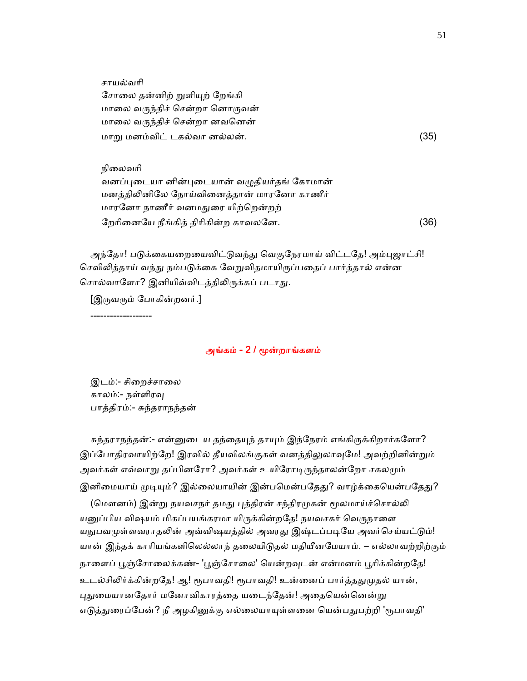சாயல்வாி சோலை தன்னிற் றுளியுற் றேங்கி மாலை வருந்திச் சென்றா னொருவன் மாலை வருந்திச் சென்றா னவனென் மாᾠ மனம்விட் டகல்வா னல்லன். (35)

 நிைலவாி வனப்புடையா னின்புடையான் வழுதியர்தங் கோமான் மனத்திᾢனிேல ேநாய்விைனத்தான் மாரேனா காணீர் மாரேனா நாணீர் வனமᾐைர யிற்ெறன்றற் ேறாிைனேய நீங்கித் திாிகின்ற காவலேன. (36)

அந்தோ! படுக்கையறையைவிட்டுவந்து வெகுநேரமாய் விட்டதே! அம்புஜாட்சி! செவிலித்தாய் வந்து நம்படுக்கை வேறுவிதமாயிருப்பதைப் பார்த்தால் என்ன சொல்வாளோ? இனியிவ்விடத்திலிருக்கப் படாது.

[இᾞவᾞம் ேபாகின்றனர்.]

-------------------

### அங்கம் - 2 / ᾚன்றாங்களம்

இடம்:- சிறைச்சாலை காலம்:- நள்ளிரᾫ பாத்திரம்:- சுந்தராநந்தன்

சுந்தராநந்தன்:- என்னுடைய தந்தையுந் தாயும் இந்நேரம் எங்கிருக்கிறார்களோ? இப்போதிரவாயிற்றே! இரவில் தீயவிலங்குகள் வனத்திலுலாவுமே! அவற்றினின்றும் அவர்கள் எவ்வாறு தப்பினரோ? அவர்கள் உயிரோடிருந்தாலன்றோ சகலமும் இனிமையாய் முடியும்? இல்லையாயின் இன்பமென்பதேது? வாழ்க்கையென்பதேது?

(மௌனம்) இன்று நயவசநர் தமது புத்திரன் சந்திரமுகன் மூலமாய்ச்சொல்லி யனுப்பிய விஷயம் மிகப்பயங்கரமா யிருக்கின்றதே! நயவசகர் வெருநாளை யநுபவமுள்ளவராதலின் அவ்விஷயத்தில் அவரது இஷ்டப்படியே அவர்செய்யட்டும்! யான் இந்தக் காரியங்களிலெல்லாந் தலையிடுதல் மதியீனமேயாம். – எல்லாவற்றிற்கும் நாளைப் பூஞ்சோலைக்கண்- 'பூஞ்சோலை' யென்றவுடன் என்மனம் பூரிக்கின்றதே! உடல்சிலிர்க்கின்றதே! ஆ! ரூபாவதி! ரூபாவதி! உன்னைப் பார்த்ததுமுதல் யான், புதுமையானதோர் மனோவிகாரத்தை யடைந்தேன்! அதையென்னென்று எடுத்துரைப்பேன்? நீ அழகினுக்கு எல்லையாயுள்ளனை யென்பதுபற்றி 'ரூபாவதி'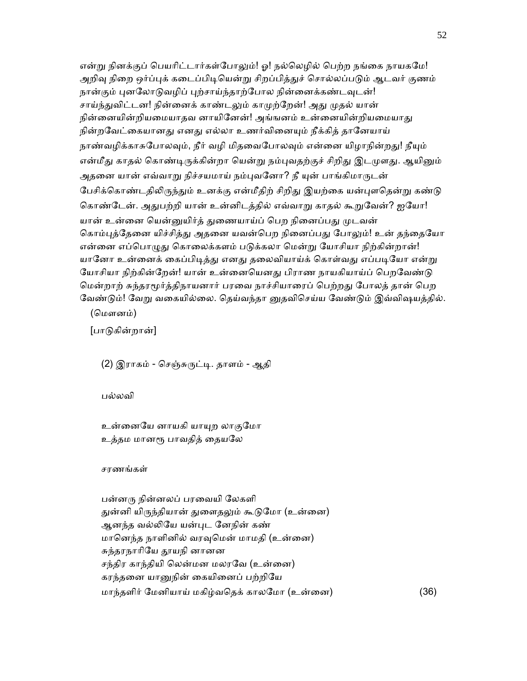என்று நினக்குப் பெயரிட்டார்கள்போலும்! ஓ! நல்லெழில் பெற்ற நங்கை நாயகமே! அறிவு நிறை ஒர்ப்புக் கடைப்பிடியென்று சிறப்பித்துச் சொல்லப்படும் ஆடவர் குணம் நான்கும் புனலோடுவழிப் புற்சாய்ந்தாற்போல நின்னைக்கண்டவுடன்! சாய்ந்துவிட்டன! நின்னைக் காண்டலும் காமுற்றேன்! அது முதல் யான் நின்னையின்றியமையாதவ னாயினேன்! அங்ஙனம் உன்னையின்றியமையாது நின்றவேட்கையானது எனது எல்லா உணர்வினையும் நீக்கித் தானேயாய் நாண்வழிக்காசுபோலவும், நீர் வழி மிதவைபோலவும் என்னை யிழாநின்றது! நீயும் என்மீது காதல் கொண்டிருக்கின்றா யென்று நம்புவதற்குச் சிறிது இடமுளது. ஆயினும் அதனை யான் எவ்வாறு நிச்சயமாய் நம்புவனோ? நீ யுன் பாங்கிமாருடன் பேசிக்கொண்டதிலிருந்தும் உனக்கு என்மீதிற் சிறிது இயற்கை யன்புளதென்று கண்டு கொண்டேன். அதுபற்றி யான் உன்னிடத்தில் எவ்வாறு காதல் கூறுவேன்? ஐயோ! யான் உன்னை யென்னுயிர்த் துணையாய்ப் பெற நினைப்பது முடவன் கொம்புத்தேனை யிச்சித்து அதனை யவன்பெற நினைப்பது போலும்! உன் தந்தையோ என்னை எப்பொழுது கொலைக்களம் படுக்கலா மென்று யோசியா நிற்கின்றான்! யானோ உன்னைக் கைப்பிடித்து எனது தலைவியாய்க் கொள்வது எப்படியோ என்று யோசியா நிற்கின்றேன்! யான் உன்னையெனது பிராண நாயகியாய்ப் பெறவேண்டு மென்றாற் சுந்தரமூர்த்திநாயனார் பரவை நாச்சியாரைப் பெற்றது போலத் தான் பெற வேண்டும்! வேறு வகையில்லை. தெய்வந்தா னுதவிசெய்ய வேண்டும் இவ்விஷயத்தில்.

(ெமௗனம்)

[பாᾌகின்றான்]

(2) இராகம் - செஞ்சுருட்டி. தாளம் - ஆதி

பல்லவி

உன்னையே னாயகி யாயுற லாகுமோ உத்தம மானரூ பாவதித் தையலே

சரணங்கள்

 பன்னᾞ நின்னலப் பரைவயி ேலகளி துன்னி யிருந்தியான் துளைதலும் கூடுமோ (உன்னை) ஆனந்த வல்ᾢேய யன்ᾗட ேனநின் கண் மானெந்த நாளினில் வரவுமென் மாமதி (உன்னை) சுந்தரநாரியே தூயநி னானன சந்திர காந்தியி லென்மன மலரவே (உன்னை) கரந்தைன யாᾔநின் ைகயிைனப் பற்றிேய மாந்தளிர் ேமனியாய் மகிழ்வெதக் காலேமா (உன்ைன) (36)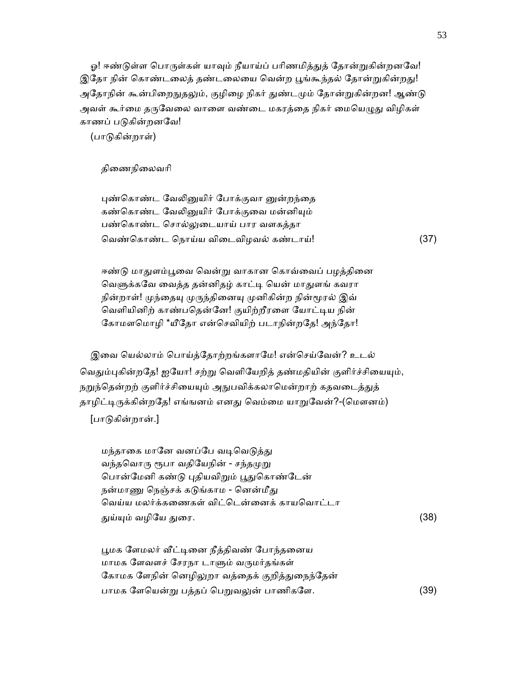ஓ! ஈண்டுள்ள பொருள்கள் யாவும் நீயாய்ப் பரிணமித்துத் தோன்றுகின்றனவே! இதோ நின் கொண்டலைத் தண்டலையை வென்ற பூங்கூந்தல் தோன்றுகின்றது! அதோநின் கூன்பிறைநுதலும், குழிழை நிகர் துண்டமும் தோன்றுகின்றன! ஆண்டு அவள் கூர்மை தருவேலை வாளை வண்டை மகரத்தை நிகர் மையெழுது விழிகள் காணப் படுகின்றனவே!

(பாᾌகின்றாள்)

திைணநிைலவாி

புண்கொண்ட வேலினுயிர் போக்குவா னுன்றந்தை கண்கொண்ட வேலினுயிர் போக்குவை மன்னியும் பண்கொண்ட சொல்லுடையாய் பார வளகத்த<mark>ா</mark> ெவண்ெகாண்ட ெநாய்ய விைடவிழவல் கண்டாய்! (37)

ஈண்டு மாதுளம்பூவை வென்று வாகான கொவ்வைப் பழத்தினை வெளுக்கவே வைத்த தன்னிதழ் காட்டி யென் மாதுளங் கவரா நின்றாள்! முந்தையு முருந்தினையு முனிகின்ற நின்மூரல் இவ் வெளியினிற் காண்பதென்னே! குயிற்றீரளை யோட்டிய நின் கோமளமொழி \*யீதோ என்செவியிற் படாநின்றதே! அந்தோ!

இவை யெல்லாம் பொய்த்தோற்றங்களாமே! என்செய்வேன்? உடல் வெதும்புகின்றதே! ஐயோ! சற்று வெளியேறித் தண்மதியின் குளிர்ச்சியையும், நறுந்தென்றற் குளிர்ச்சியையும் அநுபவிக்கலாமென்றாற் கதவடைத்துத் தாழிட்டிருக்கின்றதே! எங்ஙனம் எனது வெம்மை யாறுவேன்?-(மௌனம்) [பாᾌகின்றான்.]

மந்தாகை மானே வனப்பே வடிவெடுத்து வந்தவொரு ரூபா வதியேநின் - சந்தமுறு பொன்மேனி கண்டு புதியவிறும் பூதுகொண்டேன் நன்மாணு நெஞ்சக் கடுங்காம - னென்மீது வெய்ய மலர்க்கணைகள் விட்டென்னைக் காயவொட்டா ᾐய்ᾜம் வழிேய ᾐைர. (38)

பூமக ளேமலர் வீட்டினை நீத்திவண் போந்தனைய மாமக ேளவளச் ேசரநா டாᾦம் வᾞமர்தங்கள் கோமக ளேநின் னெழிலுறா வத்தைக் குறித்துநைந்தேன் பாமக ளேயென்று பத்தப் பெறுவலுன் பாணிகளே. (39)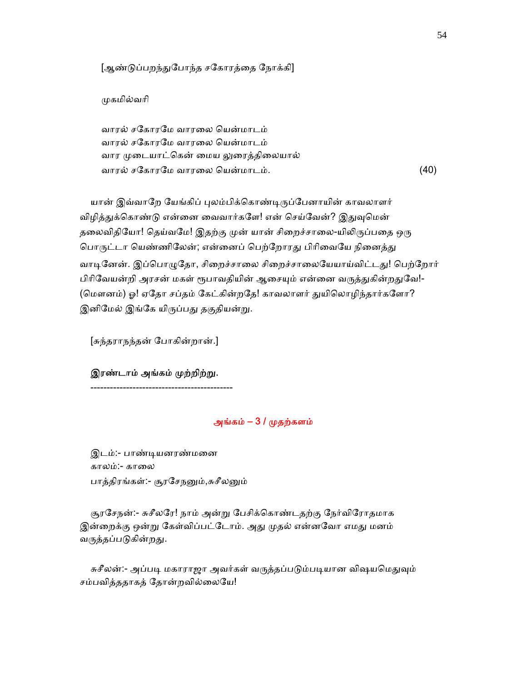[ஆண்டுப்பறந்துபோந்த சகோரத்தை நோக்கி]

முகமில்வரி

 வாரல் சேகாரேம வாரைல ெயன்மாடம் வாரல் சேகாரேம வாரைல ெயன்மாடம் வார முடையாட்கென் மைய லுரைத்திலையால் வாரல் சகோரமே வாரலை யென்மாடம்.  $(40)$ 

யான் இவ்வாறே யேங்கிப் புலம்பிக்கொண்டிருப்பேனாயின் காவலாளர் விழித்துக்கொண்டு என்னை வைவார்களே! என் செய்வேன்? இதுவுமென் தலைவிதியோ! தெய்வமே! இதற்கு முன் யான் சிறைச்சாலை-யிலிருப்பதை ஒரு பொருட்டா யெண்ணிலேன்; என்னைப் பெற்றோரது பிரிவையே நினைத்து வாடினேன். இப்பொழுதோ, சிறைச்சாலை சிறைச்சாலையேயாய்விட்டது! பெற்றோர் பிரிவேயன்றி அரசன் மகள் ரூபாவதியின் ஆசையும் என்னை வருத்துகின்றதுவே!-(மௌனம்) ஓ! ஏதோ சப்தம் கேட்கின்றதே! காவலாளர் துயிலொழிந்தார்களோ? இனிமேல் இங்கே யிருப்பது தகுதியன்று.

[சுந்தராநந்தன் ேபாகின்றான்.]

இரண்டாம் அங்கம் முற்றிற்று.

--------------------------------------------

# அங்கம் –  $3/$  முதற்களம்

 இடம்:- பாண்ᾊயனரண்மைன காலம்:- காலை பாத்திரங்கள்:- சூரசேநனும்,சுசீலனும்

சூரசேநன்:- சுசீலரே! நாம் அன்று பேசிக்கொண்டதற்கு நேர்விரோதமாக இன்றைக்கு ஒன்று கேள்விப்பட்டோம். அது முதல் என்னவோ எமது மனம் வருத்தப்படுகின்றது.

சுசீலன்:- அப்படி மகாராஜா அவர்கள் வருத்தப்படும்படியான விஷயமெதுவும் சம்பவித்ததாகத் ேதான்றவில்ைலேய!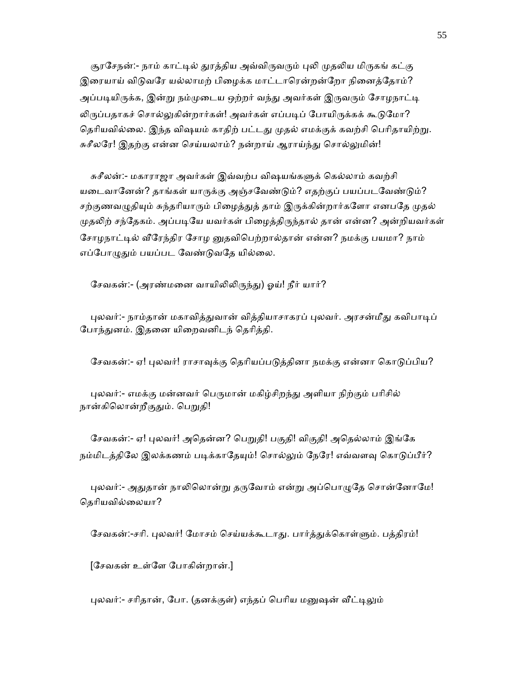சூரசேநன்:- நாம் காட்டில் துரத்திய அவ்விருவரும் புலி முதலிய மிருகங் கட்கு இரையாய் விடுவரே யல்லாமற் பிழைக்க மாட்டாரென்றன்றோ நினைத்தோம்? அப்படியிருக்க, இன்று நம்முடைய ஒற்றர் வந்து அவர்கள் இருவரும் சோழநாட்டி லிருப்பதாகச் சொல்லுகின்றார்கள்! அவர்கள் எப்படிப் போயிருக்கக் கூடுமோ? தெரியவில்லை. இந்த விஷயம் காதிற் பட்டது முதல் எமக்குக் கவற்சி பெரிதாயிற்று. சுசீலரே! இதற்கு என்ன செய்யலாம்? நன்றாய் ஆராய்ந்து சொல்லுமின்!

சுசீலன்:- மகாராஜா அவர்கள் இவ்வற்ப விஷயங்களுக் கெல்லாம் கவற்சி யடைவானேன்? தாங்கள் யாருக்கு அஞ்சவேண்டும்? எதற்குப் பயப்படவேண்டும்? சற்குணவழுதியும் சுந்தரியாரும் பிழைத்துத் தாம் இருக்கின்றார்களோ எனபதே முதல் முதலிற் சந்தேகம். அப்படியே யவர்கள் பிழைத்திருந்தால் தான் என்ன? அன்றியவர்கள் சோழநாட்டில் வீரேந்திர சோழ னுதவிபெற்றால்தான் என்ன? நமக்கு பயமா? நாம் எப்போழுதும் பயப்பட வேண்டுவதே யில்லை.

சேவகன்:- (அரண்மனை வாயிலிலிருந்து) ஓய்! நீர் யார்?

புலவர்:- நாம்தான் மகாவித்துவான் வித்தியாசாகரப் புலவர். அரசன்மீது கவிபாடிப் போந்துனம். இதனை யிறைவனிடந் தெரித்தி.

சேவகன்:- ஏ! புலவர்! ராசாவுக்கு தெரியப்படுத்தினா நமக்கு என்னா கொடுப்பிய?

புலவர்:- எமக்கு மன்னவர் பெருமான் மகிழ்சிறந்து அளியா நிற்கும் பரிசில் நான்கிலொன்றீகுதும். பெறுதி!

சேவகன்:- ஏ! புலவர்! அதென்ன? பெறுதி! பகுதி! விகுதி! அதெல்லாம் இங்கே நம்மிடத்திலே இலக்கணம் படிக்காதேயும்! சொல்லும் நேரே! எவ்வளவு கொடுப்பீர்?

புலவர்:- அதுதான் நாலிலொன்று தருவோம் என்று அப்பொழுதே சொன்னோமே! ெதாியவில்ைலயா?

சேவகன்:-சரி. புலவர்! மோசம் செய்யக்கூடாது. பார்த்துக்கொள்ளும். பத்திரம்!

[ேசவகன் உள்ேள ேபாகின்றான்.]

புலவர்:- சரிதான், போ. (தனக்குள்) எந்தப் பெரிய மனுஷன் வீட்டிலும்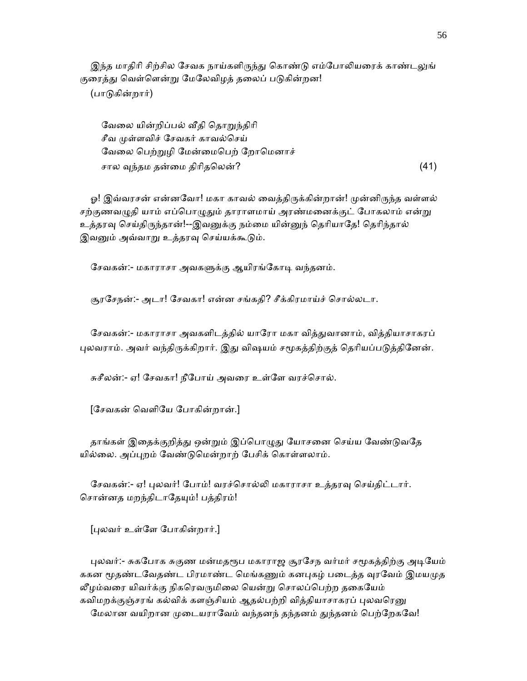இந்த மாதிரி சிற்சில சேவக நாய்களிருந்து கொண்டு எம்போலியரைக் காண்டலுங் குரைத்து வெள்ளென்று மேலேவிழத் தலைப் படுகின்றன! (பாᾌகின்றார்)

வேலை யின்றிப்பல் வீதி தொறுந்திரி சீவ முள்ளவிச் சேவகர் காவல்செய் வேலை பெற்றுழி மேன்மைபெற் றோமெனாச் சால ᾫந்தம தன்ைம திாிதெலன்? (41)

ஓ! இவ்வரசன் என்னவோ! மகா காவல் வைத்திருக்கின்றான்! முன்னிருந்த வள்ளல் சற்குணவழுதி யாம் எப்பொழுதும் தாராளமாய் அரண்மனைக்குட் போகலாம் என்று உத்தரவு செய்திருந்தான்!--இவனுக்கு நம்மை யின்னுந் தெரியாதே! தெரிந்தால் இவனும் அவ்வாறு உத்தரவு செய்யக்கூடும்.

சேவகன்:- மகாராசா அவகளுக்கு ஆயிரங்கோடி வந்தனம்.

சூரேசநன்:- அடா! ேசவகா! என்ன சங்கதி? சீக்கிரமாய்ச் ெசால்லடா.

சேவகன்:- மகாராசா அவகளிடத்தில் யாரோ மகா வித்துவானாம், வித்தியாசாகரப் புலவராம். அவர் வந்திருக்கிறார். இது விஷயம் சமூகத்திற்குத் தெரியப்படுத்தினேன்.

சுசீலன்:- ஏ! ேசவகா! நீேபாய் அவைர உள்ேள வரச்ெசால்.

[ேசவகன் ெவளிேய ேபாகின்றான்.]

தாங்கள் இதைக்குறித்து ஒன்றும் இப்பொழுது யோசனை செய்ய வேண்டுவதே யில்லை. அப்புறம் வேண்டுமென்றாற் பேசிக் கொள்ளலாம்.

சேவகன்:- ஏ! புலவர்! போம்! வரச்சொல்லி மகாராசா உத்தரவு செய்திட்டார். சொன்னத மறந்திடாதேயும்! பத்திரம்!

[ᾗலவர் உள்ேள ேபாகின்றார்.]

புலவர்:- சுகபோக சுகுண மன்மதரூப மகாராஜ சூரசேந வர்மர் சமூகத்திற்கு அடியேம் ககன மூதண்டவேதண்ட பிரமாண்ட மெங்கணும் கனபுகழ் படைத்த வுரவேம் இமயமுத லீழம்வரை யிவர்க்கு நிகரெவருமிலை யென்று சொலப்பெற்ற தகையேம் கவிமறக்குஞ்சரங் கல்விக் களஞ்சியம் ஆதல்பற்றி வித்தியாசாகரப் புலவரெனு மேலான வயிறான முடையராவேம் வந்தனந் தந்தனம் துந்தனம் பெற்றேகவே!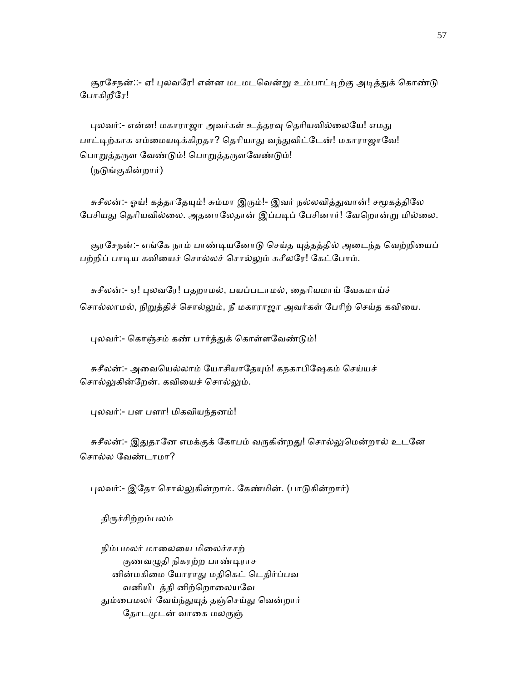சூரசேநன்::- ஏ! புலவரே! என்ன மடமடவென்று உம்பாட்டிற்கு அடித்துக் கொண்டு ேபாகிறீேர!

புலவர்:- என்ன! மகாராஜா அவர்கள் உத்தரவு தெரியவில்லையே! எமது பாட்டிற்காக எம்மையடிக்கிறதா? தெரியாது வந்துவிட்டேன்! மகாராஜாவே! பொறுத்தருள வேண்டும்! பொறுத்தருளவேண்டும்! (நடுங்குகின்றார்)

சுசீலன்:- ஓய்! கத்தாதேயும்! சும்மா இரும்!- இவர் நல்லவித்துவான்! சமூகத்திலே பேசியது தெரியவில்லை. அதனாலேதான் இப்படிப் பேசினார்! வேறொன்று மில்லை.

சூரசேநன்:- எங்கே நாம் பாண்டியனோடு செய்த யுத்தத்தில் அடைந்த வெற்றியைப் பற்றிப் பாடிய கவியைச் சொல்லச் சொல்லும் சுசீலரே! கேட்போம்.

 சுசீலன்:- ஏ! ᾗலவேர! பதறாமல், பயப்படாமல், ைதாியமாய் ேவகமாய்ச் சொல்லாமல், நிறுத்திச் சொல்லும், நீ மகாராஜா அவர்கள் பேரிற் செய்த கவியை.

புலவர்:- கொஞ்சம் கண் பார்த்துக் கொள்ளவேண்டும்!

சுசீலன்:- அவையெல்லாம் யோசியாதேயும்! கநகாபிஷேகம் செய்யச் சொல்லுகின்றேன். கவியைச் சொல்லும்.

ᾗலவர்:- பள பளா! மிகவியந்தனம்!

சுசீலன்:- இதுதானே எமக்குக் கோபம் வருகின்றது! சொல்லுமென்றால் உடனே ெசால்ல ேவண்டாமா?

புலவர்:- இதோ சொல்லுகின்றாம். கேண்மின். (பாடுகின்றார்)

திருச்சிற்றம்பலம்

நிம்பமலர் மாலையை மிலைச்சசற் குணவழுதி நிகரற்ற பாண்டிராச னின்மகிைம ேயாராᾐ மதிெகட் ெடதிர்ப்பவ வனியிடத்தி னிற்றொலையவே தும்பைமலர் வேய்ந்துயுத் தஞ்செய்து வென்றார் தோடமுடன் வாகை மலருஞ்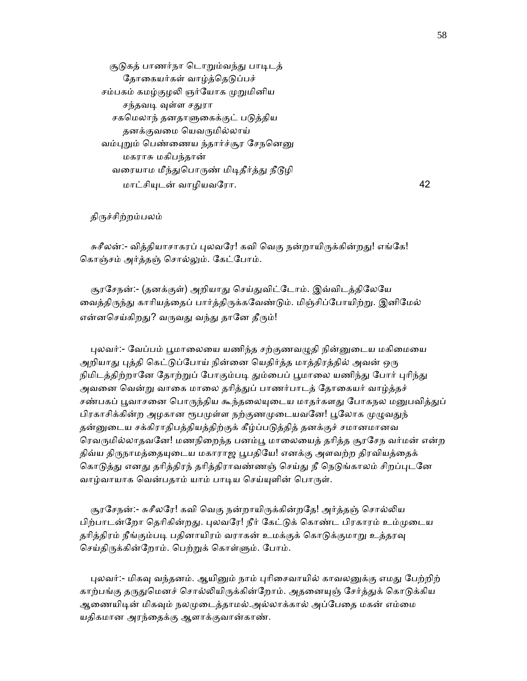சூடுகத் பாணர்நா டொறும்வந்து பாடிடத் தோகையர்கள் வாழ்த்தெடுப்பச் சம்பகம் கமழ்குழலி ஞர்யோக முறுமினிய சந்தவடி வுள்ள சதுரா சகமெலாந் தனதாளுகைக்குட் படுத்திய தனக்குவமை யெவருமில்லாய் வம்புறும் பெண்ணைய ந்தார்ச்சூர சேநனெனு மகராசு மகிபந்தான் வரையாம மீந்துபொருண் மிடிதீர்த்து நீடூழி மாட்சிᾜடன் வாழியவேரா. 42

திருச்சிற்றம்பலம்

சுசீலன்:- வித்தியாசாகரப் புலவரே! கவி வெகு நன்றாயிருக்கின்றது! எங்கே! ெகாஞ்சம் அர்த்தஞ் ெசால்ᾤம். ேகட்ேபாம்.

சூரசேநன்:- (தனக்குள்) அறியாது செய்துவிட்டோம். இவ்விடத்திலேயே வைத்திருந்து காரியத்தைப் பார்த்திருக்கவேண்டும். மிஞ்சிப்போயிற்று. இனிமேல் என்னசெய்கிறது? வருவது வந்து தானே தீரும்!

புலவர்:- வேப்பம் பூமாலையை யணிந்த சற்குணவழுதி நின்னுடைய மகிமையை அறியாது புத்தி கெட்டுப்போய் நின்னை யெதிர்த்த மாத்திரத்தில் அவன் ஒரு நிமிடத்திற்றானே தோற்றுப் போகும்படி தும்பைப் பூமாலை யணிந்து போர் புரிந்து அவனை வென்று வாகை மாலை தரித்துப் பாணர்பாடத் தோகையர் வாழ்த்தச் சண்பகப் பூவாசனை பொருந்திய கூந்தலையுடைய மாதர்களது போகநல மனுபவித்துப் பிரகாசிக்கின்ற அழகான ரூபமுள்ள நற்குணமுடையவனே! பூலோக முழுவதுந் தன்னுடைய சக்கிராதிபத்தியத்திற்குக் கீழ்ப்படுத்தித் தனக்குச் சமானமானவ ரெவருமில்லாதவனே! மணநிறைந்த பனம்பூ மாலையைத் தரித்த சூரசேந வர்மன் என்ற திவ்ய திருநாமத்தையுடைய மகாராஜ பூபதியே! எனக்கு அளவற்ற திரவியத்தைக் கொடுத்து எனது தரித்திரந் தரித்திராவண்ணஞ் செய்து நீ நெடுங்காலம் சிறப்புடனே வாழ்வாயாக வென்பதாம் யாம் பாடிய செய்யுளின் பொருள்.

சூரசேநன்:- சுசீலரே! கவி வெகு நன்றாயிருக்கின்றதே! அர்த்தஞ் சொல்லிய பிற்பாடன்றோ தெரிகின்றது. புலவரே! நீர் கேட்டுக் கொண்ட பிரகாரம் உம்முடைய தரித்திரம் நீங்கும்படி பதினாயிரம் வராகன் உமக்குக் கொடுக்குமாறு உத்தரவு செய்திருக்கின்றோம். பெற்றுக் கொள்ளும். போம்.

புலவர்:- மிகவு வந்தனம். ஆயினும் நாம் புரிசைவாயில் காவலனுக்கு எமது பேற்றிற் காற்பங்கு தருதுமெனச் சொல்லியிருக்கின்றோம். அதனையுஞ் சேர்த்துக் கொடுக்கிய ஆணையிடின் மிகவும் நலமுடைத்தாமல்.அல்லாக்கால் அப்பேதை மகன் எம்மை யதிகமான அரந்ைதக்கு ஆளாக்குவான்காண்.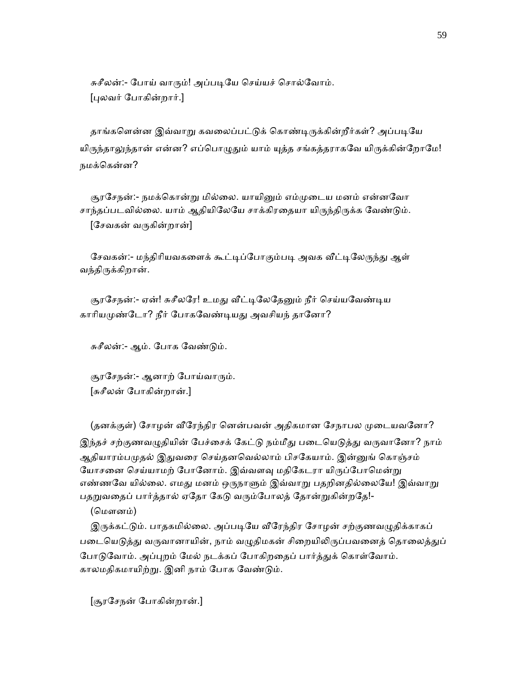சுசீலன்:- போய் வாரும்! அப்படியே செய்யச் சொல்வோம். [ᾗலவர் ேபாகின்றார்.]

தாங்களென்ன இவ்வாறு கவலைப்பட்டுக் கொண்டிருக்கின்றீர்கள்? அப்படியே யிருந்தாலுந்தான் என்ன? எப்பொழுதும் யாம் யுத்த சங்கத்தராகவே யிருக்கின்றோமே! நமக்ெகன்ன?

சூரசேநன்:- நமக்கொன்று மில்லை. யாயினும் எம்முடைய மனம் என்னவோ சாந்தப்படவில்லை. யாம் ஆதியிலேயே சாக்கிரதையா யிருந்திருக்க வேண்டும்.  $[$ சேவகன் வருகின்றான்]

சேவகன்:- மந்திரியவகளைக் கூட்டிப்போகும்படி அவக வீட்டிலேருந்து ஆள் வந்திᾞக்கிறான்.

சூரசேநன்:- ஏன்! சுசீலரே! உமது வீட்டிலேதேனும் நீர் செய்யவேண்டிய காரியமுண்டோ? நீர் போகவேண்டியது அவசியந் தானோ?

சுசீலன்:- ஆம். ேபாக ேவண்ᾌம்.

சூரசேநன்:- ஆனாற் போய்வாரும். [சுசீலன் ேபாகின்றான்.]

(தனக்குள்) சோழன் வீரேந்திர னென்பவன் அதிகமான சேநாபல முடையவனோ? இந்தச் சற்குணவழுதியின் பேச்சைக் கேட்டு நம்மீது படையெடுத்து வருவானோ? நாம் ஆதியாரம்பமுதல் இதுவரை செய்தனவெல்லாம் பிசகேயாம். இன்னுங் கொஞ்சம் யோசனை செய்யாமற் போனோம். இவ்வளவு மதிகேடரா யிருப்போமென்று எண்ணவே யில்லை. எமது மனம் ஒருநாளும் இவ்வாறு பதறினதில்லையே! இவ்வாறு பதறுவதைப் பார்த்தால் ஏதோ கேடு வரும்போலத் தோன்றுகின்றதே!-

(ெமௗனம்)

இருக்கட்டும். பாதகமில்லை. அப்படியே வீரேந்திர சோழன் சற்குணவழுதிக்காகப் படையெடுத்து வருவானாயின், நாம் வழுதிமகன் சிறையிலிருப்பவனைத் தொலைத்துப் போடுவோம். அப்புறம் மேல் நடக்கப் போகிறதைப் பார்த்துக் கொள்வோம். காலமதிகமாயிற்ᾠ. இனி நாம் ேபாக ேவண்ᾌம்.

[சூரேசநன் ேபாகின்றான்.]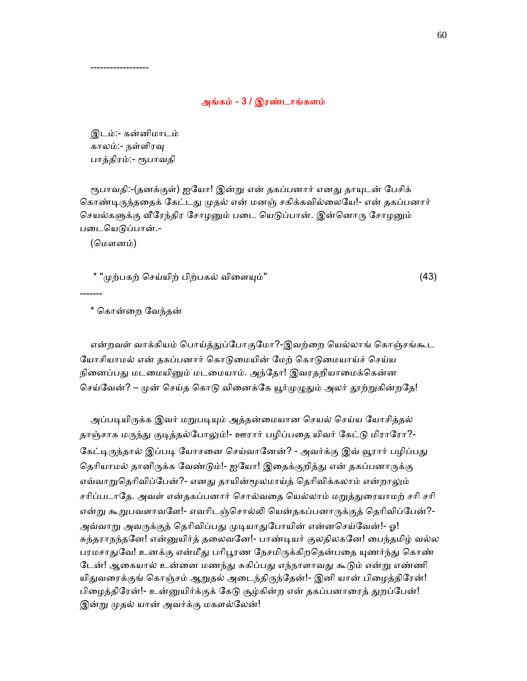### அங்கம் - 3 / இரண்டாங்களம்

 இடம்:- கன்னிமாடம் காலம்:- நள்ளிரᾫ பாத்திரம்:- ᾟபாவதி

------------------

ரூபாவதி:-(தனக்குள்) ஐயோ! இன்று என் தகப்பனார் எனது தாயுடன் பேசிக் கொண்டிருந்ததைக் கேட்டது முதல் என் மனஞ் சகிக்கவில்லையே!- என் தகப்பனார் செயல்களுக்கு வீரேந்திர சோழனும் படை யெடுப்பான். இன்னொரு சோழனும் படையெடுப்பான்.-

(மௌனம்)

-------

 $*$  "முற்பகற் செய்யிற் பிற்பகல் விளையும்"  $(43)$ 

\* ெகான்ைற ேவந்தன்

என்றவள் வாக்கியம் பொய்த்துப்போகுமோ?-இவற்றை யெல்லாங் கொஞ்சங்கூட யோசியாமல் என் தகப்பனார் கொடுமையின் மேற் கொடுமையாய்ச் செய்ய நினைப்பது மடமையினும் மடமையாம். அந்தோ! இவரதறியாமைக்கென்ன செய்வேன்? – முன் செய்த கொடு வினைக்கே யூர்முழுதும் அலர் தூற்றுகின்றதே!

அப்படியிருக்க இவர் மறுபடியும் அத்தன்மையான செயல் செய்ய யோசித்தல் தாஞ்சாக மருந்து குடித்தல்போலும்!- ஊரார் பழிப்பதை யிவர் கேட்டு மிராரோ?-கேட்டிருந்தால் இப்படி யோசனை செய்வானேன்? - அவர்க்கு இவ் வூரார் பழிப்பது தெரியாமல் தானிருக்க வேண்டும்!- ஐயோ! இதைக்குறித்து என் தகப்பனாருக்கு எவ்வாறுதெரிவிப்பேன்?- எனது தாயின்மூலமாய்த் தெரிவிக்கலாம் என்றாலும் சரிப்படாதே. அவள் என்தகப்பனார் சொல்வதை யெல்லாம் மறுத்துரையாமற் சரி சரி என்று கூறுபவளாவளே!- எவரிடஞ்சொல்லி யென்தகப்பனாருக்குத் தெரிவிப்பேன்?-அவ்வாறு அவருக்குத் தெரிவிப்பது முடியாதுபோயின் என்னசெய்வேன்!- ஓ! சுந்தராநந்தனே! என்னுயிர்த் தலைவனே!- பாண்டியர் குலதிலகனே! பைந்தமிழ் வல்ல பரமசாதுவே! உனக்கு என்மீது பரிபூரண நேசமிருக்கிறதென்பதை யுணர்ந்து கொண் டேன்! ஆகையால் உன்னை மணந்து சுகிப்பது எந்நாளாவது கூடும் என்று எண்ணி யிதுவரைக்குங் கொஞ்சம் ஆறுதல் அடைந்திருந்தேன்!- இனி யான் பிழைத்திரேன்! பிழைத்திரேன்!- உன்னுயிர்க்குக் கேடு சூழ்கின்ற என் தகப்பனாரைத் துறப்பேன்! இன்று முதல் யான் அவர்க்கு மகளல்லேன்!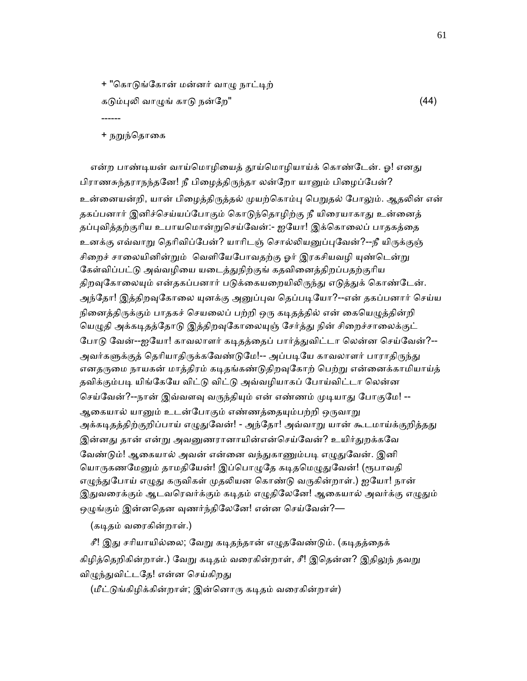+ "கொடுங்கோன் மன்னர் வாழு நாட்டிற் கடும்புலி வாழுங் காடு நன்றே" குறைப்படை குறைப்படை (44) ------

+ நறுந்தொகை

என்ற பாண்டியன் வாய்மொழியைத் தூய்மொழியாய்க் கொண்டேன். ஓ! எனது பிராணசுந்தராநந்தனே! நீ பிழைத்திருந்தா லன்றோ யானும் பிழைப்பேன்? உன்னையன்றி, யான் பிழைத்திருத்தல் முயற்கொம்பு பெறுதல் போலும். ஆதலின் என் தகப்பனார் இனிச்செய்யப்போகும் கொடுந்தொழிற்கு நீ யிரையாகாது உன்னைத் தப்புவித்தற்குரிய உபாயமொன்றுசெய்வேன்:- ஐயோ! இக்கொலைப் பாதகத்தை உனக்கு எவ்வாறு தெரிவிப்பேன்? யாரிடஞ் சொல்லியனுப்புவேன்?--நீ யிருக்குஞ் சிறைச் சாலையினின்றும் வெளியேபோவதற்கு ஓர் இரகசியவழி யுண்டென்று கேள்விப்பட்டு அவ்வழியை யடைத்துநிற்குங் கதவினைத்திறப்பதற்குரிய திறவுகோலையும் என்தகப்பனார் படுக்கையறையிலிருந்து எடுத்துக் கொண்டேன். அந்தோ! இத்திறவுகோலை யுனக்கு அனுப்புவ தெப்படியோ?--என் தகப்பனார் செய்ய நினைத்திருக்கும் பாதகச் செயலைப் பற்றி ஒரு கடிதத்தில் என் கையெழுத்தின்றி யெழுதி அக்கடிதத்தோடு இத்திறவுகோலையுஞ் சேர்த்து நின் சிறைச்சாலைக்குட் போடு வேன்--ஐயோ! காவலாளர் கடிதத்தைப் பார்த்துவிட்டா லென்ன செய்வேன்?--அவர்களுக்குத் தெரியாதிருக்கவேண்டுமே!-- அப்படியே காவலாளர் பாராதிருந்து எனதருமை நாயகன் மாத்திரம் கடிதங்கண்டுதிறவுகோற் பெற்று என்னைக்காமியாய்த் தவிக்கும்படி யிங்கேயே விட்டு விட்டு அவ்வழியாகப் போய்விட்டா லென்ன செய்வேன்?--நான் இவ்வளவு வருந்தியும் என் எண்ணம் முடியாது போகுமே! --ஆகையால் யானும் உடன்போகும் எண்ணத்தையும்பற்றி ஒருவாறு அக்கடிதத்திற்குறிப்பாய் எழுதுவேன்! - அந்தோ! அவ்வாறு யான் கூடமாய்க்குறித்தது இன்னது தான் என்று அவனுணரானாயின்என்செய்வேன்? உயிர்<u>க</u>ுறக்கவே வேண்டும்! ஆகையால் அவன் என்னை வந்துகாணும்படி எழுதுவேன். இனி யொருகணமேனும் தாமதியேன்! இப்பொழுதே கடிதமெழுதுவேன்! (ரூபாவதி எழுந்துபோய் எழுது கருவிகள் முதலியன கொண்டு வருகின்றாள்.) ஐயோ! நான் இதுவரைக்கும் ஆடவரெவர்க்கும் கடிதம் எழுதிலேனே! ஆகையால் அவர்க்கு எழுதும் ஒழுங்கும் இன்னதென வுணர்ந்திலேனே! என்ன செய்வேன்?—

(கடிதம் வரைகின்றாள்.)

சீ! இது சரியாயில்லை; வேறு கடிதந்தான் எழுதவேண்டும். (கடிதத்தைக் கிழித்தெறிகின்றாள்.) வேறு கடிதம் வரைகின்றாள், சீ! இதென்ன? இதிலுந் தவறு விழுந்துவிட்டதே! என்ன செய்கிறது

 $($ மீட்டுங்கிழிக்கின்றாள்; இன்னொரு கடிதம் வரைகின்றாள்)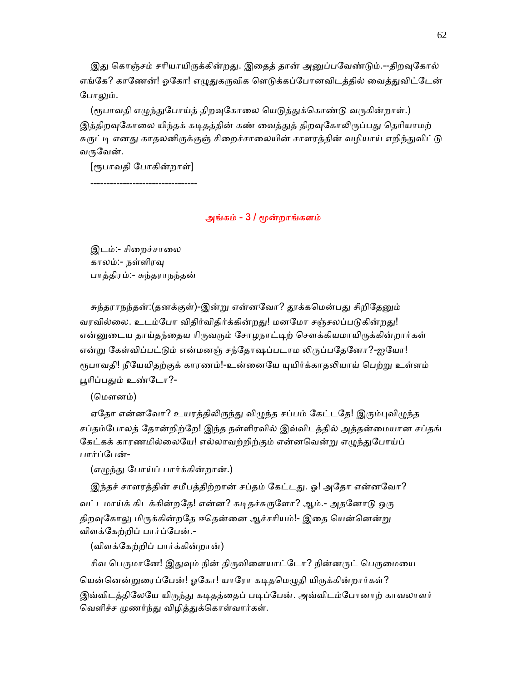இது கொஞ்சம் சரியாயிருக்கின்றது. இதைத் தான் அனுப்பவேண்டும்.--திறவுகோல் எங்கே? காணேன்! ஓகோ! எழுதுகருவிக ளெடுக்கப்போனவிடத்தில் வைத்துவிட்டேன் போலும்.

(ரூபாவதி எழுந்துபோய்த் திறவுகோலை யெடுத்துக்கொண்டு வருகின்றாள்.) இத்திறவுகோலை யிந்தக் கடிதத்தின் கண் வைத்துத் திறவுகோலிருப்பது தெரியாமற் சுருட்டி எனது காதலனிருக்குஞ் சிறைச்சாலையின் சாளரத்தின் வழியாய் எறிந்துவிட்டு வருவேன்.

 [ᾟபாவதி ேபாகின்றாள்] ---------------------------------

## அங்கம் - 3 / ᾚன்றாங்களம்

இடம்:- சிறைச்சாலை காலம்:- நள்ளிரᾫ பாத்திரம்:- சுந்தராநந்தன்

சுந்தராநந்தன்:(தனக்குள்)-இன்று என்னவோ? தூக்கமென்பது சிறிதேனும் வரவில்லை. உடம்போ விதிர்விதிர்க்கின்றது! மனமோ சஞ்சலப்படுகின்றது! என்னுடைய தாய்தந்தைய ரிருவரும் சோழநாட்டிற் சௌக்கியமாயிருக்கின்றார்கள் என்று கேள்விப்பட்டும் என்மனஞ் சந்தோஷப்படாம லிருப்பதேனோ?-ஐயோ! ரூபாவதி! நீயேயிதற்குக் காரணம்!-உன்னையே யுயிர்க்காதலியாய் பெற்று உள்ளம் பூரிப்பதும் உண்டோ?-

(மௌனம்)

ஏதோ என்னவோ? உயரத்திலிருந்து விழுந்த சப்பம் கேட்டதே! இரும்புவிழுந்த சப்தம்ேபாலத் ேதான்றிற்ேற! இந்த நள்ளிரவில் இவ்விடத்தில் அத்தன்ைமயான சப்தங் கேட்கக் காரணமில்லையே! எல்லாவற்றிற்கும் என்னவென்று எழுந்துபோய்ப் பார்ப்ேபன்-

(எழுந்து போய்ப் பார்க்கின்றான்.)

இந்தச் சாளரத்தின் சமீபத்திற்றான் சப்தம் கேட்டது. ஓ! அதோ என்னவோ? வட்டமாய்க் கிடக்கின்றதே! என்ன? கடிதச்சுருளோ? ஆம்.- அதனோடு ஒரு திறவுகோலு மிருக்கின்றதே ஈதென்னை ஆச்சரியம்!- இதை யென்னென்று விளக்ேகற்றிப் பார்ப்ேபன்.-

(விளக்ேகற்றிப் பார்க்கின்றான்)

சிவ பெருமானே! இதுவும் நின் திருவிளையாட்டோ? நின்னருட் பெருமையை யென்னென்றுரைப்பேன்! ஓகோ! யாரோ கடிதமெழுதி யிருக்கின்றார்கள்? இவ்விடத்திலேயே யிருந்து கடிதத்தைப் படிப்பேன். அவ்விடம்போனாற் காவலாளர் வெளிச்ச முணர்ந்து விழித்துக்கொள்வார்கள்.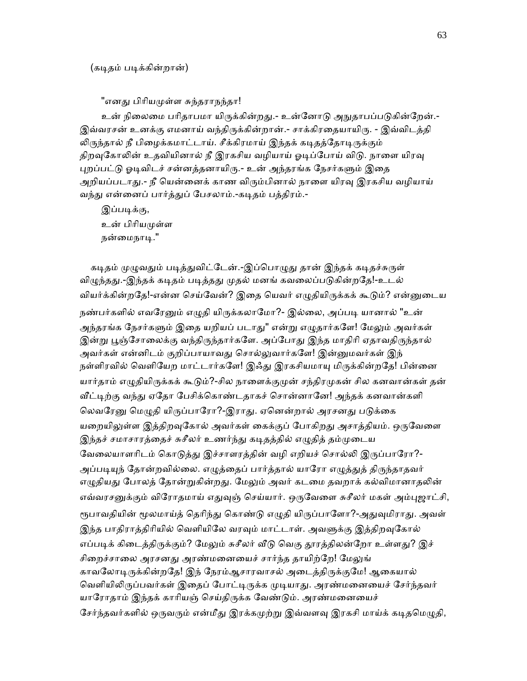"எனது பிரியமுள்ள சுந்தராநந்தா!

உன் நிலைமை பரிதாபமா யிருக்கின்றது.- உன்னோடு அநுதாபப்படுகின்றேன்.-இவ்வரசன் உனக்கு எமனாய் வந்திருக்கின்றான்.- சாக்கிரதையாயிரு. - இவ்விடத்தி லிருந்தால் நீ பிழைக்கமாட்டாய். சீக்கிரமாய் இந்தக் கடிதத்தோடிருக்கும் திறவுகோலின் உதவியினால் நீ இரகசிய வழியாய் ஓடிப்போய் விடு. நாளை யிரவு புறப்பட்டு ஓடிவிடச் சன்னத்தனாயிரு.- உன் அந்தரங்க நேசர்களும் இதை அறியப்படாது.- நீ யென்னைக் காண விரும்பினால் நாளை யிரவு இரகசிய வழியாய் வந்து என்னைப் பார்த்துப் பேசலாம்.-கடிதம் பத்திரம்.-

இப்படிக்கு, உன் பிரியமுள்ள நன்மைநாடி."

கடிதம் முழுவதும் படித்துவிட்டேன்.-இப்பொழுது தான் இந்தக் கடிதச்சுருள் விழுந்தது.-இந்தக் கடிதம் படித்தது முதல் மனங் கவலைப்படுகின்றதே!-உடல் வியர்க்கின்றதே!-என்ன செய்வேன்? இதை யெவர் எழுதியிருக்கக் கூடும்? என்னுடைய நண்பர்களில் எவரேனும் எழுதி யிருக்கலாமோ?- இல்லை, அப்படி யானால் "உன் அந்தரங்க நேசர்களும் இதை யறியப் படாது" என்று எழுதார்களே! மேலும் அவர்கள் இன்று பூஞ்சோலைக்கு வந்திருந்தார்களே. அப்போது இந்த மாதிரி ஏதாவதிருந்தால் அவர்கள் என்னிடம் குறிப்பாயாவது சொல்லுவார்களே! இன்னுமவர்கள் இந் நள்ளிரவில் வெளியேற மாட்டார்களே! இஃது இரகசியமாயு மிருக்கின்றதே! பின்னை யார்தாம் எழுதியிருக்கக் கூடும்?-சில நாளைக்குமுன் சந்திரமுகன் சில கனவான்கள் தன் வீட்டிற்கு வந்து ஏதோ பேசிக்கொண்டதாகச் சொன்னானே! அந்தக் கனவான்களி லெவரேனு மெழுதி யிருப்பாரோ?-இராது. ஏனென்றால் அரசனது படுக்கை யறையிலுள்ள இத்திறவுகோல் அவர்கள் கைக்குப் போகிறது அசாத்தியம். ஒருவேளை இந்தச் சமாசாரத்தைச் சுசீலர் உணர்ந்து கடிதத்தில் எழுதித் தம்முடைய வேலையாளரிடம் கொடுத்து இச்சாளரத்தின் வழி எறியச் சொல்லி இருப்பாரோ?-அப்படியுந் தோன்றவில்லை. எழுத்தைப் பார்த்தால் யாரோ எழுத்துத் திருந்தாதவர் எழுதியது போலத் தோன்றுகின்றது. மேலும் அவர் கடமை தவறாக் கல்விமானாதலின் எவ்வரசனுக்கும் விரோதமாய் எதுவுஞ் செய்யார். ஒருவேளை சுசீலர் மகள் அம்புஜாட்சி, ரூபாவதியின் மூலமாய்த் தெரிந்து கொண்டு எழுதி யிருப்பாளோ?-அதுவுமிராது. அவள் இந்த பாதிராத்திரியில் வெளியிலே வரவும் மாட்டாள். அவளுக்கு இத்திறவுகோல் எப்படிக் கிடைத்திருக்கும்? மேலும் சுசீலர் வீடு வெகு தூரத்திலன்றோ உள்ளது? இச் சிறைச்சாலை அரசனது அரண்மனையைச் சார்ந்த தாயிற்றே! மேலுங் காவலோடிருக்கின்றதே! இந் நேரம்ஆசாரவாசல் அடைத்திருக்குமே! ஆகையால் வெளியிலிருப்பவர்கள் இதைப் போட்டிருக்க முடியாது. அரண்மனையைச் சேர்ந்தவர் யாரோதாம் இந்தக் காரியஞ் செய்திருக்க வேண்டும். அரண்மனையைச் சேர்ந்தவர்களில் ஒருவரும் என்மீது இரக்கமுற்று இவ்வளவு இரகசி மாய்க் கடிதமெழுதி,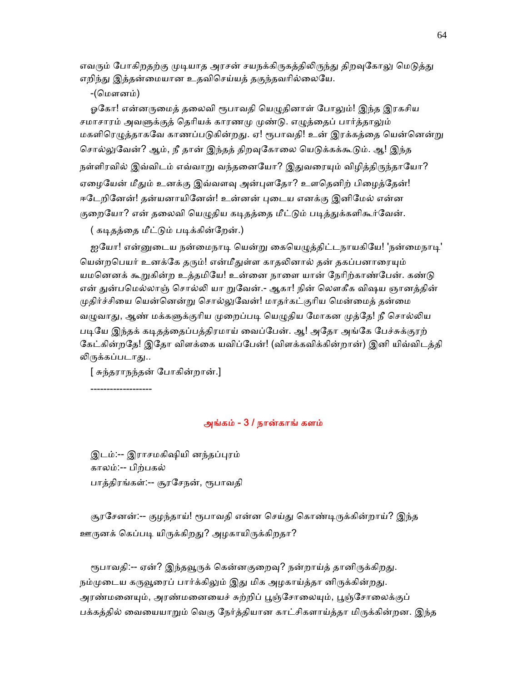எவரும் போகிறதற்கு முடியாத அரசன் சயநக்கிருகத்திலிருந்து திறவுகோலு மெடுத்து எறிந்து இத்தன்மையான உதவிசெய்யத் தகுந்தவரில்லையே.

-(ெமௗனம்)

ஓகோ! என்னருமைத் தலைவி ரூபாவதி யெழுதினாள் போலும்! இந்த இரகசிய சமாசாரம் அவளுக்குத் தெரியக் காரணமு முண்டு. எழுத்தைப் பார்த்தாலும் மகளிரெழுத்தாகவே காணப்படுகின்றது. ஏ! ரூபாவதி! உன் இரக்கத்தை யென்னென்று சொல்லுவேன்? ஆம், நீ தான் இந்தத் திறவுகோலை யெடுக்கக்கூடும். ஆ! இந்த நள்ளிரவில் இவ்விடம் எவ்வாறு வந்தனையோ? இதுவரையும் விழித்திருந்தாயோ? ஏழையேன் மீதும் உனக்கு இவ்வளவு அன்புளதோ? உளதெனிற் பிழைத்தேன்! ஈடேறினேன்! தன்யனாயினேன்! உன்னன் புடைய எனக்கு இனிமேல் என்ன குறையோ? என் தலைவி யெழுதிய கடிதத்தை மீட்டும் படித்துக்களிகூர்வேன்.

( கடிதத்தை மீட்டும் படிக்கின்றேன்.)

ஐயோ! என்னுடைய நன்மைநாடி யென்று கையெழுத்திட்டநாயகியே! 'நன்மைநாடி' யென்றபெயர் உனக்கே தரும்! என்மீதுள்ள காதலினால் தன் தகப்பனாரையும் யமனெனக் கூறுகின்ற உத்தமியே! உன்னை நாளை யான் நேரிற்காண்பேன். கண்டு என் துன்பமெல்லாஞ் சொல்லி யா றுவேன்.- ஆகா! நின் லௌகீக விஷய ஞானத்தின் முதிர்ச்சியை யென்னென்று சொல்லுவேன்! மாதர்கட்குரிய மென்மைத் தன்மை வழுவாது, ஆண் மக்களுக்குரிய முறைப்படி யெழுதிய மோகன முத்தே! நீ சொல்லிய படியே இந்தக் கடிதத்தைப்பத்திரமாய் வைப்பேன். ஆ! அதோ அங்கே பேச்சுக்குரற் கேட்கின்றதே! இதோ விளக்கை யவிப்பேன்! (விளக்கவிக்கின்றான்) இனி யிவ்விடத்தி லிருக்கப்படாது..

[ சுந்தராநந்தன் ேபாகின்றான்.]

-------------------

#### அங்கம் - 3 / நான்காங் களம்

இடம்:-- இராசமகிஷியி னந்தப்புரம் காலம்:-- பிற்பகல் பாத்திரங்கள்:-- சூரேசநன், ᾟபாவதி

சூரசேனன்:-- குழந்தாய்! ரூபாவதி என்ன செய்து கொண்டிருக்கின்றாய்? இந்த ஊருனக் கெப்படி யிருக்கிறது? அழகாயிருக்கிறதா?

ரூபாவதி:-- ஏன்? இந்தவூருக் கென்னகுறைவு? நன்றாய்த் தானிருக்கிறது. நம்முடைய கருவூரைப் பார்க்கிலும் இது மிக அழகாய்த்தா னிருக்கின்றது. அரண்மனையும், அரண்மனையைச் சுற்றிப் பூஞ்சோலையும், பூஞ்சோலைக்குப் பக்கத்தில் வையையாறும் வெகு நேர்த்தியான காட்சிகளாய்த்தா மிருக்கின்றன. இந்த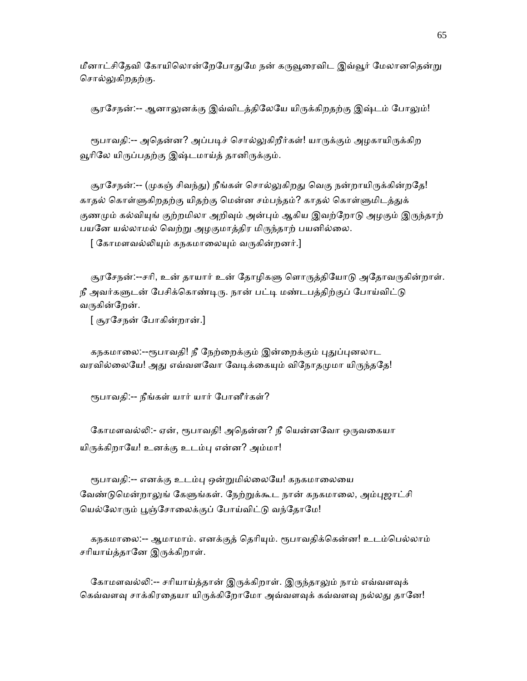மீனாட்சிதேவி கோயிலொன்றேபோதுமே நன் கருவூரைவிட இவ்வூர் மேலானதென்று சொல்லுகிறதற்கு.

சூரசேநன்:-- ஆனாலுனக்கு இவ்விடத்திலேயே யிருக்கிறதற்கு இஷ்டம் போலும்!

ரூபாவதி:-- அதென்ன? அப்படிச் சொல்லுகிறீர்கள்! யாருக்கும் அழகாயிருக்கிற வூரிலே யிருப்பதற்கு இஷ்டமாய்த் தானிருக்கும்.

சூரசேநன்:-- (முகஞ் சிவந்து) நீங்கள் சொல்லுகிறது வெகு நன்றாயிருக்கின்றதே! காதல் கொள்ளுகிறதற்கு யிதற்கு மென்ன சம்பந்தம்? காதல் கொள்ளுமிடத்துக் குணமும் கல்வியுங் குற்றமிலா அறிவும் அன்பும் ஆகிய இவற்றோடு அழகும் இருந்தாற் பயனே யல்லாமல் வெற்று அழகுமாத்திர மிருந்தாற் பயனில்லை.

[ கோமளவல்லியும் கநகமாலையும் வருகின்றனர்.]

சூரசேநன்:--சரி, உன் தாயார் உன் தோழிகளு ளொருத்தியோடு அதோவருகின்றாள். நீ அவர்களுடன் பேசிக்கொண்டிரு. நான் பட்டி மண்டபத்திற்குப் போய்விட்டு வருகின்றேன்.

[ சூரேசநன் ேபாகின்றான்.]

கநகமாலை:--ரூபாவதி! நீ நேற்றைக்கும் இன்றைக்கும் புதுப்புனலாட வரவில்லையே! அது எவ்வளவோ வேடிக்கையும் விநோதமுமா யிருந்ததே!

ᾟபாவதி:-- நீங்கள் யார் யார் ேபானீர்கள்?

கோமளவல்லி:- ஏன், ரூபாவதி! அதென்ன? நீ யென்னவோ ஒருவகையா யிருக்கிறாயே! உனக்கு உடம்பு என்ன? அம்மா!

ரூபாவதி:-- எனக்கு உடம்பு ஒன்றுமில்லையே! கநகமாலையை வேண்டுமென்றாலுங் கேளுங்கள். நேற்றுக்கூட நான் கநகமாலை, அம்புஜாட்சி யெல்லோரும் பூஞ்சோலைக்குப் போய்விட்டு வந்தோமே!

கநகமாலை:-- ஆமாமாம். எனக்குத் தெரியும். ரூபாவதிக்கென்ன! உடம்பெல்லாம் சரியாய்த்தானே இருக்கிறாள்.

கோமளவல்லி:-- சரியாய்த்தான் இருக்கிறாள். இருந்தாலும் நாம் எவ்வளவுக் கெவ்வளவு சாக்கிரதையா யிருக்கிறோமோ அவ்வளவுக் கவ்வளவு நல்லது தானே!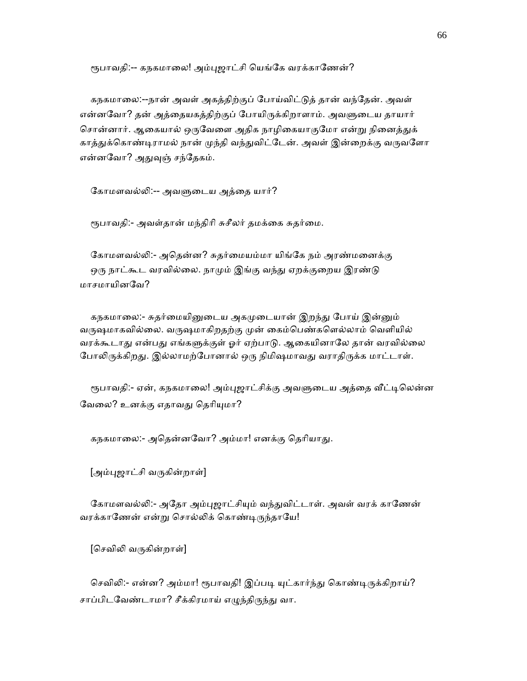ரூபாவதி:-- கநகமாலை! அம்புஜாட்சி யெங்கே வரக்காணேன்?

 கநகமாைல:--நான் அவள் அகத்திற்குப் ேபாய்விட்ᾌத் தான் வந்ேதன். அவள் என்னவோ? தன் அத்தையகத்திற்குப் போயிருக்கிறாளாம். அவளுடைய தாயார் சொன்னார். ஆகையால் ஒருவேளை அதிக நாழிகையாகுமோ என்று நினைத்துக் காத்துக்கொண்டிராமல் நான் முந்தி வந்துவிட்டேன். அவள் இன்றைக்கு வருவளோ என்னவோ? அதுவுஞ் சந்தேகம்.

கோமளவல்லி:-- அவளுடைய அத்தை யார்?

ரூபாவதி:- அவள்தான் மந்திரி சுசீலர் தமக்கை சுதர்மை.

கோமளவல்லி:- அதென்ன? சுதர்மையம்மா யிங்கே நம் அரண்மனைக்கு ஒரு நாட்கூட வரவில்லை. நாமும் இங்கு வந்து ஏறக்குறைய இரண்டு மாசமாயினேவ?

கநகமாலை:- சுதர்மையினுடைய அகமுடையான் இறந்து போய் இன்னும் வருஷமாகவில்லை. வருஷமாகிறதற்கு முன் கைம்பெண்களெல்லாம் வெளியில் வரக்கூடாது என்பது எங்களுக்குள் ஓர் ஏற்பாடு. ஆகையினாலே தான் வரவில்லை போலிருக்கிறது. இல்லாமற்போனால் ஒரு நிமிஷமாவது வராதிருக்க மாட்டாள்.

ரூபாவதி:- ஏன், கநகமாலை! அம்புஜாட்சிக்கு அவளுடைய அத்தை வீட்டிலென்ன வேலை? உனக்கு எதாவது தெரியுமா?

கநகமாலை:- அதென்னவோ? அம்மா! எனக்கு தெரியாது.

[அம்புஜாட்சி வருகின்றாள்]

கோமளவல்லி:- அதோ அம்புஜாட்சியும் வந்துவிட்டாள். அவள் வரக் காணேன் வரக்காணேன் என்று சொல்லிக் கொண்டிருந்தாயே!

[செவிலி வருகின்றாள்]

செவிலி:- என்ன? அம்மா! ரூபாவதி! இப்படி யுட்கார்ந்து கொண்டிருக்கிறாய்? சாப்பிடவேண்டாமா? சீக்கிரமாய் எழுந்திருந்து வா.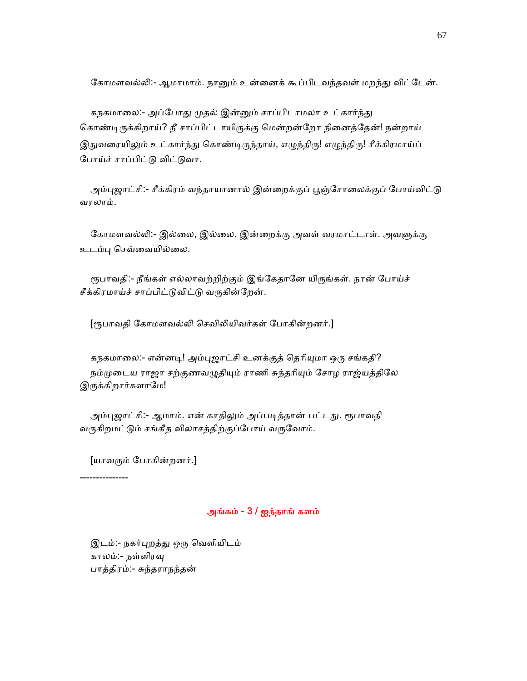கோமளவல்லி:- ஆமாமாம். நானும் உன்னைக் கூப்பிடவந்தவள் மறந்து விட்டேன்.

கநகமாலை:- அப்போது முதல் இன்னும் சாப்பிடாமலா உட்கார்ந்து கொண்டிருக்கிறாய்? நீ சாப்பிட்டாயிருக்கு மென்றன்றோ நினைத்தேன்! நன்றாய் இதுவரையிலும் உட்கார்ந்து கொண்டிருந்தாய், எழுந்திரு! எழுந்திரு! சீக்கிரமாய்ப் போய்ச் சாப்பிட்டு விட்டுவா.

அம்புஜாட்சி:- சீக்கிரம் வந்தாயானால் இன்றைக்குப் பூஞ்சோலைக்குப் போய்விட்டு வரலாம்.

கோமளவல்லி:- இல்லை, இல்லை. இன்றைக்கு அவள் வரமாட்டாள். அவளுக்கு உடம்ᾗ ெசவ்ைவயில்ைல.

ரூபாவதி:- நீங்கள் எல்லாவற்றிற்கும் இங்கேதானே யிருங்கள். நான் போய்ச் சீக்கிரமாய்ச் சாப்பிட்டுவிட்டு வருகின்றேன்.

[ரூபாவதி கோமளவல்லி செவிலியிவர்கள் போகின்றனர்.]

கநகமாலை:- என்னடி! அம்புஜாட்சி உனக்குத் தெரியுமா ஒரு சங்கதி? நம்முடைய ராஜா சற்குணவழுதியும் ராணி சுந்தரியும் சோழ ராஜ்யத்திலே இருக்கிறார்களாமே!

அம்புஜாட்சி:- ஆமாம். என் காதிலும் அப்படித்தான் பட்டது. ரூபாவதி வருகிறமட்டும் சங்கீத விலாசத்திற்குப்போய் வருவோம்.

[யாவᾞம் ேபாகின்றனர்.]

---------------

### அங்கம் - 3 / ஐந்தாங் களம்

 இடம்:- நகர்ᾗறத்ᾐ ஒᾞ ெவளியிடம் காலம்:- நள்ளிரᾫ பாத்திரம்:- சுந்தராநந்தன்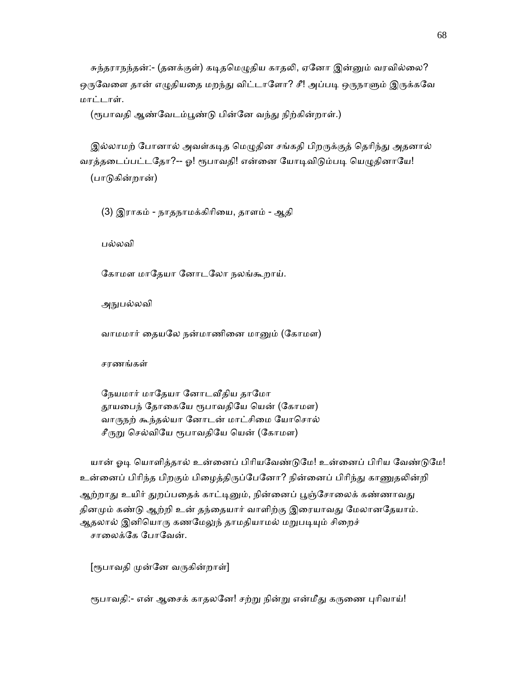சுந்தராநந்தன்:- (தனக்குள்) கடிதமெழுதிய காதலி, ஏனோ இன்னும் வரவில்லை? ஒருவேளை தான் எழுதியதை மறந்து விட்டாளோ? சீ! அப்படி ஒருநாளும் இருக்கவே மாட்டாள்.

(ரூபாவதி ஆண்வேடம்பூண்டு பின்னே வந்து நிற்கின்றாள்.)

இல்லாமற் போனால் அவள்கடித மெழுதின சங்கதி பிறருக்குத் தெரிந்து அதனால் வரத்தடைப்பட்டதோ?-- ஓ! ரூபாவதி! என்னை யோடிவிடும்படி யெழுதினாயே! (பாᾌகின்றான்)

(3) இராகம் - நாதநாமக்கிரியை, தாளம் - ஆதி

பல்லவி

கோமள மாதேயா னோடலோ நலங்கூறாய்.

அநுபல்லவி

வாமமார் தையலே நன்மாணினை மானும் (கோமள)

சரணங்கள்

நேயமார் மாதேயா னோடவீதிய தாமோ தூயபைந் தோகையே ரூபாவதியே யென் (கோமள) வாருநற் கூந்தல்யா னோடன் மாட்சிமை யோசொல் சீருறு செல்வியே ரூபாவதியே யென் (கோமள)

யான் ஓடி யொளித்தால் உன்னைப் பிரியவேண்டுமே! உன்னைப் பிரிய வேண்டுமே! உன்னைப் பிரிந்த பிறகும் பிழைத்திருப்பேனோ? நின்னைப் பிரிந்து காணுதலின்றி ஆற்றாது உயிர் துறப்பதைக் காட்டினும், நின்னைப் பூஞ்சோலைக் கண்ணாவது தினமும் கண்டு ஆற்றி உன் தந்தையார் வாளிற்கு இரையாவது மேலானதேயாம். ஆதலால் இனியொரு கணமேலுந் தாமதியாமல் மறுபடியும் சிறைச் சாலைக்கே போவேன்.

[ரூபாவதி முன்னே வருகின்றாள்]

ரூபாவதி:- என் ஆசைக் காதலனே! சற்று நின்று என்மீது கருணை புரிவாய்!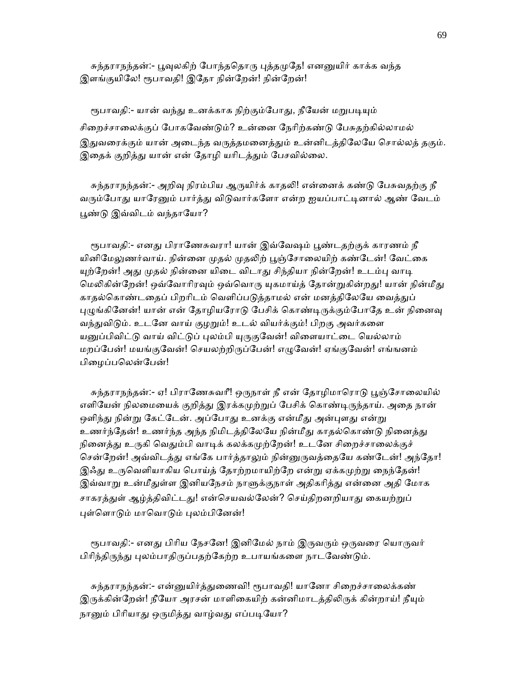சுந்தராநந்தன்:- பூவுலகிற் போந்ததொரு புத்தமுதே! எனனுயிர் காக்க வந்த இளங்குயிலே! ரூபாவதி! இதோ நின்றேன்! நின்றேன்!

ரூபாவதி:- யான் வந்து உனக்காக நிற்கும்போது, நீயேன் மறுபடியும் சிறைச்சாலைக்குப் போகவேண்டும்? உன்னை நேரிற்கண்டு பேசுதற்கில்லாமல் இதுவரைக்கும் யான் அடைந்த வருத்தமனைத்தும் உன்னிடத்திலேயே சொல்லத் தகும். இதைக் குறித்து யான் என் தோழி யரிடத்தும் பேசவில்லை.

சுந்தராநந்தன்:- அறிவு நிரம்பிய ஆருயிர்க் காதலி! என்னைக் கண்டு பேசுவதற்கு நீ வரும்போது யாரேனும் பார்த்து விடுவார்களோ என்ற ஐயப்பாட்டினால் ஆண் வேடம் ᾘண்ᾌ இவ்விடம் வந்தாேயா?

ரூபாவதி:- எனது பிராணேசுவரா! யான் இவ்வேஷம் பூண்டதற்குக் காரணம் நீ யினிமேலுணர்வாய். நின்னை முதல் முதலிற் பூஞ்சோலையிற் கண்டேன்! வேட்கை யுற்றேன்! அது முதல் நின்னை யிடை விடாது சிந்தியா நின்றேன்! உடம்பு வாடி மெலிகின்றேன்! ஒவ்வோரிரவும் ஒவ்வொரு யுகமாய்த் தோன்றுகின்றது! யான் நின்மீது காதல்கொண்டதைப் பிறரிடம் வெளிப்படுத்தாமல் என் மனத்திலேயே வைத்துப் புழுங்கினேன்! யான் என் தோழியரோடு பேசிக் கொண்டிருக்கும்போதே உன் நினைவு வந்துவிடும். உடனே வாய் குழறும்! உடல் வியர்க்கும்! பிறகு அவர்களை யனுப்பிவிட்டு வாய் விட்டுப் புலம்பி யுருகுவேன்! விளையாட்டை யெல்லாம் மறப்பேன்! மயங்குவேன்! செயலற்றிருப்பேன்! எழுவேன்! ஏங்குவேன்! எங்ஙனம் பிழைப்பலென்பேன்!

சுந்தராநந்தன்:- ஏ! பிராணேசுவரீ! ஒருநாள் நீ என் தோழிமாரொடு பூஞ்சோலையில் எளியேன் நிலமையைக் குறித்து இரக்கமுற்றுப் பேசிக் கொண்டிருந்தாய். அதை நான் ஒளிந்து நின்று கேட்டேன். அப்போது உனக்கு என்மீது அன்புளது என்று உணர்ந்தேன்! உணர்ந்த அந்த நிமிடத்திலேயே நின்மீது காதல்கொண்டு நினைத்து நினைத்து உருகி வெதும்பி வாடிக் கலக்கமுற்றேன்! உடனே சிறைச்சாலைக்குச் சென்றேன்! அவ்விடத்து எங்கே பார்த்தாலும் நின்னுருவத்தையே கண்டேன்! அந்தோ! இஃது உருவெளியாகிய பொய்த் தோற்றமாயிற்றே என்று ஏக்கமுற்று நைந்தேன்! இவ்வாறு உன்மீதுள்ள இனியநேசம் நாளுக்குநாள் அதிகரித்து என்னை அதி மோக சாகரத்துள் ஆழ்த்திவிட்டது! என்செயவல்லேன்? செய்திறனறியாது கையற்றுப் புள்ளொடும் மாவொடும் புலம்பினேன்!

ரூபாவதி:- எனது பிரிய நேசனே! இனிமேல் நாம் இருவரும் ஒருவரை யொருவர் பிரிந்திருந்து புலம்பாதிருப்பதற்கேற்ற உபாயங்களை நாடவேண்டும்.

சுந்தராநந்தன்:- என்னுயிர்த்துணைவி! ரூபாவதி! யானோ சிறைச்சாலைக்கண் இருக்கின்றேன்! நீயோ அரசன் மாளிகையிற் கன்னிமாடத்திலிருக் கின்றாய்! நீயும் நானும் பிரியாது ஒருமித்து வாழ்வது எப்படியோ?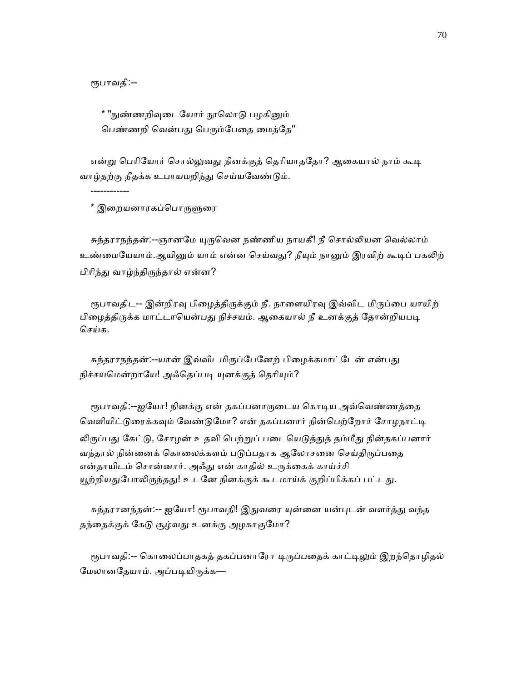ᾟபாவதி:--

------------

\* "நுண்ணறிவுடையோர் நூலொடு பழகினும் பெண்ணறி வென்பது பெரும்பேதை மைத்தே"

என்று பெரியோர் சொல்லுவது நினக்குத் தெரியாததோ? ஆகையால் நாம் கூடி வாழ்தற்கு நீதக்க உபாயமறிந்து செய்யவேண்டும்.

\* இறையனாரகப்பொருளுரை

சுந்தராநந்தன்:--ஞானமே யுருவென நண்ணிய நாயகீ! நீ சொல்லியன வெல்லாம் உண்மையேயாம்.ஆயினும் யாம் என்ன செய்வது? நீயும் நானும் இரவிற் கூடிப் பகலிற் பிரிந்து வாழ்ந்திருந்தால் என்ன?

ரூபாவதிட-- இன்றிரவு பிழைத்திருக்கும் நீ. நாளையிரவு இவ்விட மிருப்பை யாயிற் பிழைத்திருக்க மாட்டாயென்பது நிச்சயம். ஆகையால் நீ உனக்குத் தோன்றியபடி ெசய்க.

சுந்தராநந்தன்:--யான் இவ்விடமிருப்பேனேற் பிழைக்கமாட்டேன் என்பது நிச்சயமென்றாயே! அஃதெப்படி யுனக்குத் தெரியும்?

ரூபாவதி:--ஐயோ! நினக்கு என் தகப்பனாருடைய கொடிய அவ்வெண்ணத்தை வெளியிட்டுரைக்கவும் வேண்டுமோ? என் தகப்பனார் நின்பெற்றோர் சோழநாட்டி லிருப்பது கேட்டு, சோழன் உதவி பெற்றுப் படையெடுத்துத் தம்மீது நின்தகப்பனார் வந்தால் நின்னைக் கொலைக்களம் படுப்பதாக ஆலோசனை செய்திருப்பதை என்தாயிடம் சொன்னார். அஃது என் காதில் உருக்கைக் காய்ச்சி யூற்றியதுபோலிருந்தது! உடனே நினக்குக் கூடமாய்க் குறிப்பிக்கப் பட்டது.

சுந்தரானந்தன்:-- ஐயோ! ரூபாவதி! இதுவரை யுன்னை யன்புடன் வளர்த்து வந்த தந்தைக்குக் கேடு சூழ்வது உனக்கு அழகாகுமோ?

ரூபாவதி:-- கொலைப்பாதகத் தகப்பனாரோ டிருப்பதைக் காட்டிலும் இறந்தொழிதல் மேலானதேயாம். அப்படியிருக்க—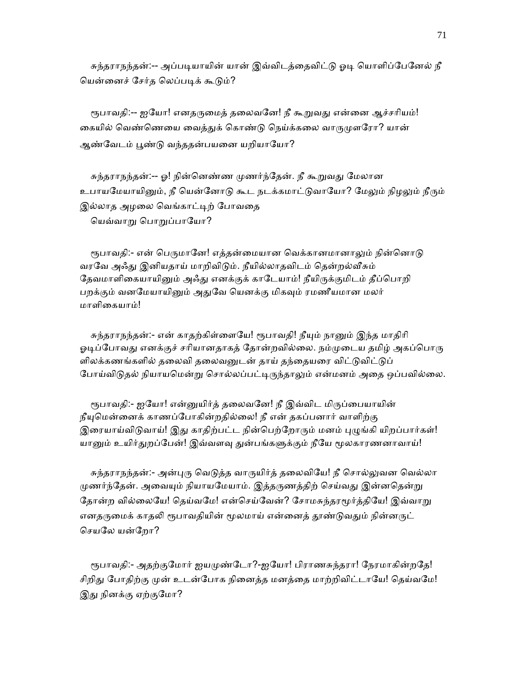சுந்தராநந்தன்:-- அப்படியாயின் யான் இவ்விடத்தைவிட்டு ஓடி யொளிப்பேனேல் நீ ெயன்ைனச் ேசர்த ெலப்பᾊக் கூᾌம்?

ரூபாவதி:-- ஐயோ! எனதருமைத் தலைவனே! நீ கூறுவது என்னை ஆச்சரியம்! கையில் வெண்ணெயை வைத்துக் கொண்டு நெய்க்கலை வாருமுளரோ? யான் ஆண்வேடம் பூண்டு வந்ததன்பயனை யறியாயோ?

சுந்தராநந்தன்:-- ஓ! நின்னெண்ண முணர்ந்தேன். நீ கூறுவது மேலான உபாயமேயாயினும், நீ யென்னோடு கூட நடக்கமாட்டுவாயோ? மேலும் நிழலும் நீரும் இல்லாத அழலை வெங்காட்டிற் போவதை ெயவ்வாᾠ ெபாᾠப்பாேயா?

ரூபாவதி:- என் பெருமானே! எத்தன்மையான வெக்கானமானாலும் நின்னொடு வரவே அஃது இனியதாய் மாறிவிடும். நீயில்லாதவிடம் தென்றல்வீசும் தேவமாளிகையாயினும் அஃது எனக்குக் காடேயாம்! நீயிருக்குமிடம் தீப்பொறி பறக்கும் வனமேயாயினும் அதுவே யெனக்கு மிகவும் ரமணீயமான மலர் மாளிைகயாம்!

சுந்தராநந்தன்:- என் காதற்கிள்ளையே! ரூபாவதி! நீயும் நானும் இந்த மாதிரி ஓடிப்போவது எனக்குச் சரியானதாகத் தோன்றவில்லை. நம்முடைய தமிழ் அகப்பொரு ளிலக்கணங்களில் தலைவி தலைவனுடன் தாய் தந்தையரை விட்டுவிட்டுப் போய்விடுதல் நியாயமென்று சொல்லப்பட்டிருந்தாலும் என்மனம் அதை ஒப்பவில்லை.

ரூபாவதி:- ஐயோ! என்னுயிர்த் தலைவனே! நீ இவ்விட மிருப்பையாயின் நீயுமென்னைக் காணப்போகின்றதில்லை! நீ என் தகப்பனார் வாளிற்கு இரையாய்விடுவாய்! இது காதிற்பட்ட நின்பெற்றோரும் மனம் புழுங்கி யிறப்பார்கள்! யானும் உயிர்துறப்பேன்! இவ்வளவு துன்பங்களுக்கும் நீயே மூலகாரணனாவாய்!

சுந்தராநந்தன்:- அன்புரு வெடுத்த வாருயிர்த் தலைவியே! நீ சொல்லுவன வெல்லா முணர்ந்தேன். அவையும் நியாயமேயாம். இத்தருணத்திற் செய்வது இன்னதென்று தோன்ற வில்லையே! தெய்வமே! என்செய்வேன்? சோமசுந்தரமூர்த்தியே! இவ்வாறு எனதருமைக் காதலி ரூபாவதியின் மூலமாய் என்னைத் தூண்டுவதும் நின்னருட் ெசயேல யன்ேறா?

ரூபாவதி:- அதற்குமோர் ஐயமுண்டோ?-ஐயோ! பிராணசுந்தரா! நேரமாகின்றதே! சிறிது போதிற்கு முன் உடன்போக நினைத்த மனத்தை மாற்றிவிட்டாயே! தெய்வமே! இது நினக்கு ஏற்குமோ?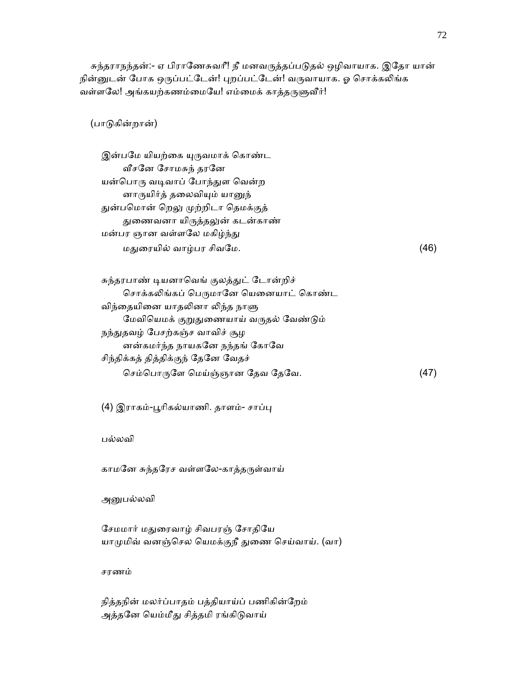சுந்தராநந்தன்:- ஏ பிராணேசுவரீ! நீ மனவருத்தப்படுதல் ஒழிவாயாக. இதோ யான் நின்னுடன் போக ஒருப்பட்டேன்! புறப்பட்டேன்! வருவாயாக. ஓ சொக்கலிங்க வள்ளலே! அங்கயற்கணம்மையே! எம்மைக் காத்தருளுவீர்!

(பாᾌகின்றான்)

இன்பமே யியற்கை யுருவமாக் கொண்ட ᾪசேன ேசாமசுந் தரேன யன்பொரு வடிவாப் போந்துள வென்ற னாருயிர்த் தலைவியும் யானுந் துன்பமொன் றெலு முற்றிடா தெமக்குத் துணைவனா யிருத்தலுன் கடன்காண் மன்பர ஞான வள்ளலே மகிழ்ந்து மᾐைரயில் வாழ்பர சிவேம. (46)

சுந்தரபாண் டியனாவெங் குலத்துட் டோன்றிச் சொக்கலிங்கப் பெருமானே யெனையாட் கொண்ட விந்தையினை யாதலினா லிந்த நாளு மேவியெமக் குறுதுணையாய் வருதல் வேண்டும் நந்துதவழ் பேசற்கஞ்ச வாவிச் சூழ னன்கமர்ந்த நாயகேன நந்தங் ேகாேவ சிந்திக்கத் தித்திக்குந் ேதேன ேவதச் செம்பொருளே மெய்ஞ்ஞான தேவ தேவே.  $(47)$ 

(4) இராகம்-பூரிகல்யாணி. தாளம்- சாப்பு

பல்லவி

காமனே சுந்தரேச வள்ளலே-காத்தருள்வாய்

அனுபல்லவி

சேமமார் மதுரைவாழ் சிவபரஞ் சோதியே யாமுமிவ் வனஞ்செல யெமக்குநீ துணை செய்வாய். (வா)

சரணம்

 நித்தநின் மலர்ப்பாதம் பத்தியாய்ப் பணிகின்ேறம் அத்தனே யெம்மீது சித்தமி ரங்கிடுவாய்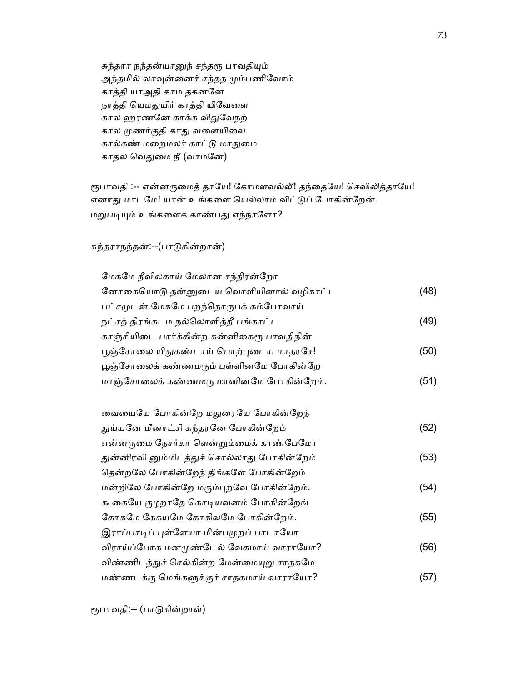சுந்தரா நந்தன்யானுந் சந்தரூ பாவதியும் அந்தமில் லாவுன்னைச் சந்தத மும்பணிவோம் காத்தி யாஅதி காம தகனேன நாத்தி யெமதுயிர் காத்தி யிவேளை கால ஹரணனே காக்க விதுவேநற் கால முணர்குதி காது வளையிலை கால்கண் மைறமலர் காட்ᾌ மாᾐைம காதல வெதுமை நீ (வாமனே)

ரூபாவதி :-- என்னருமைத் தாயே! கோமளவல்லீ! தந்தையே! செவிலித்தாயே! எனாது மாடமே! யான் உங்களை யெல்லாம் விட்டுப் போகின்றேன். மறுபடியும் உங்களைக் காண்பது எந்நாளோ?

## சுந்தராநந்தன்:--(பாᾌகின்றான்)

| மேகமே நீவிலகாய் மேலான சந்திரன்றோ            |      |
|---------------------------------------------|------|
| னோகையொடு தன்னுடைய வொளியினால் வழிகாட்ட       | (48) |
| பட்சமுடன் மேகமே பறந்தொருபக் கம்போவாய்       |      |
| நட்சத் திரங்கடம நல்லொளித்தீ பங்காட்ட        | (49) |
| காஞ்சியிடை பார்க்கின்ற கன்னிகைரூ பாவதிநின்  |      |
| பூஞ்சோலை யிதுகண்டாய் பொற்புடைய மாதரசே!      | (50) |
| பூஞ்சோலைக் கண்ணமரும் புள்ளினமே போகின்றே     |      |
| மாஞ்சோலைக் கண்ணமரு மானினமே போகின்றேம்.      | (51) |
|                                             |      |
| வையையே போகின்றே மதுரையே போகின்றேந்          |      |
| துய்யனே மீனாட்சி சுந்தரனே போகின்றேம்        | (52) |
| என்னருமை நேசர்கா ளென்றும்மைக் காண்பேமோ      |      |
| துன்னிரவி னும்மிடத்துச் சொல்லாது போகின்றேம் | (53) |
| தென்றலே போகின்றேந் திங்களே போகின்றேம்       |      |
| மன்றிலே போகின்றே மரும்புறவே போகின்றேம்.     | (54) |
| கூகையே குழறாதே கொடியவனம் போகின்றேங்         |      |
| கோகமே கேகயமே கோகிலமே போகின்றேம்.            | (55) |
| இராப்பாடிப் புள்ளேயா மின்பமுறப் பாடாயோ      |      |
| விராய்ப்போக மனமுண்டேல் வேகமாய் வாராயோ?      | (56) |
| விண்ணிடத்துச் செல்கின்ற மேன்மையுறு சாதகமே   |      |
| மண்ணடக்கு மெங்களுக்குச் சாதகமாய் வாராயோ?    | (57) |
|                                             |      |

ᾟபாவதி:-- (பாᾌகின்றாள்)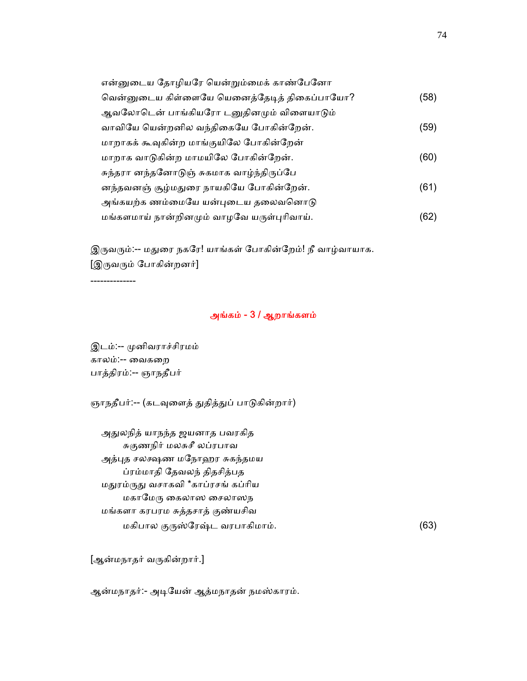| என்னுடைய தோழியரே யென்றும்மைக் காண்பேனோ      |      |
|---------------------------------------------|------|
| வென்னுடைய கிள்ளையே யெனைத்தேடித் திகைப்பாயோ? | (58) |
| ஆவலோடென் பாங்கியரோ டனுதினமும் விளையாடும்    |      |
| வாவியே யென்றனில வந்திகையே போகின்றேன்.       | (59) |
| மாறாகக் கூவுகின்ற மாங்குயிலே போகின்றேன்     |      |
| மாறாக வாடுகின்ற மாமயிலே போகின்றேன்.         | (60) |
| சுந்தரா னந்தனோடுஞ் சுகமாக வாழ்ந்திருப்பே    |      |
| னந்தவனஞ் சூழ்மதுரை நாயகியே போகின்றேன்.      | (61) |
| அங்கயற்க ணம்மையே யன்புடைய தலைவனொடு          |      |
| மங்களமாய் நான்றினமும் வாழவே யருள்புரிவாய்.  | (62) |

இருவரும்:-- மதுரை நகரே! யாங்கள் போகின்றேம்! நீ வாழ்வாயாக. [இᾞவᾞம் ேபாகின்றனர்]

--------------

# அங்கம் - 3 / ஆறாங்களம்

இடம்:-- முனிவராச்சிரமம் காலம்:-- ைவகைற பாத்திரம்:-- ஞாநதீபர்

ஞாநதீபர்:-- (கடவுளைத் துதித்துப் பாடுகின்றார்)

அதுலநித் யாநந்த ஜயனாத பவரகித சுகுணநிர் மலசுசீ லப்ரபாவ அத்புத சலக்ஷண மநோஹர சுகந்தமய ப்ரம்மாதி ேதவலந் திதசித்பத மᾐரம்ᾞᾐ வசாகவி \*காப்ரசங் கப்ாிய மகாமேரு கைலாஸ சைலாஸந மங்களா கரபரம சுத்தசாத் குண்யசிவ மகிபால குருஸ்ரேஷ்ட வரபாகிமாம். (63)

[ஆன்மநாதர் வᾞகின்றார்.]

ஆன்மநாதர்:- அடியேன் ஆத்மநாதன் நமஸ்காரம்.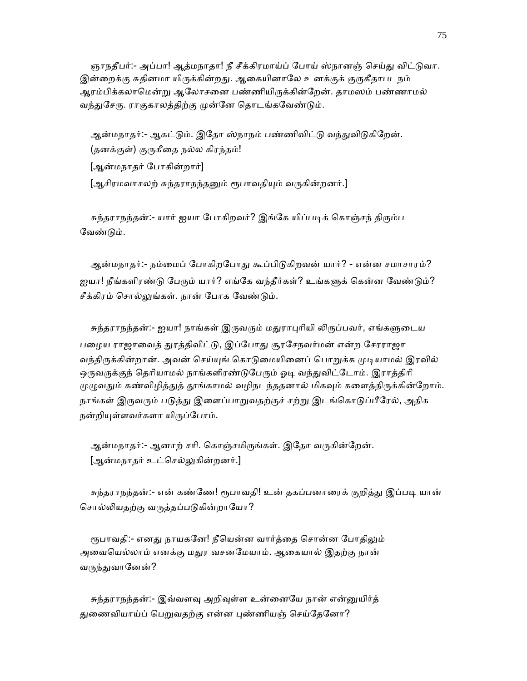ஞாநதீபர்:- அப்பா! ஆத்மநாதா! நீ சீக்கிரமாய்ப் போய் ஸ்நானஞ் செய்து விட்டுவா. இன்றைக்கு சுதினமா யிருக்கின்றது. ஆகையினாலே உனக்குக் குருகீதாபடநம் ஆரம்பிக்கலாமென்று ஆலோசனை பண்ணியிருக்கின்றேன். தாமஸம் பண்ணாமல் வந்துசேரு. ராகுகாலத்திற்கு முன்னே தொடங்கவேண்டும்.

ஆன்மநாதர்:- ஆகட்டும். இதோ ஸ்நாநம் பண்ணிவிட்டு வந்துவிடுகிறேன். (தனக்குள்) குருகீதை நல்ல கிரந்தம்! [ஆன்மநாதர் ேபாகின்றார்]

[ஆசிரமவாசலற் சுந்தராநந்தனும் ரூபாவதியும் வருகின்றனர்.]

சுந்தராநந்தன்:- யார் ஐயா போகிறவர்? இங்கே யிப்படிக் கொஞ்சந் திரும்ப ேவண்ᾌம்.

ஆன்மநாதர்:- நம்மைப் போகிறபோது கூப்பிடுகிறவன் யார்? - என்ன சமாசாரம்? ஐயா! நீங்களிரண்டு பேரும் யார்? எங்கே வந்தீர்கள்? உங்களுக் கென்ன வேண்டும்? சீக்கிரம் சொல்லுங்கள். நான் போக வேண்டும்.

சுந்தராநந்தன்:- ஐயா! நாங்கள் இருவரும் மதுராபுரியி லிருப்பவர், எங்களுடைய பழைய ராஜாவைத் துரத்திவிட்டு, இப்போது சூரசேநவர்மன் என்ற சேரராஜா வந்திருக்கின்றான். அவன் செய்யுங் கொடுமையினைப் பொறுக்க முடியாமல் இரவில் ஒருவருக்குந் தெரியாமல் நாங்களிரண்டுபேரும் ஓடி வந்துவிட்டோம். இராத்திரி முழுவதும் கண்விழித்துத் தூங்காமல் வழிநடந்ததனால் மிகவும் களைத்திருக்கின்றோம். நாங்கள் இருவரும் படுத்து இளைப்பாறுவதற்குச் சற்று இடங்கொடுப்பீரேல், அதிக நன்றியுள்ளவர்களா யிருப்போம்.

```
ஆன்மநாதர்:- ஆனாற் சரி. கொஞ்சமிருங்கள். இதோ வருகின்றேன்.
[ஆன்மநாதர் உட்செல்லுகின்றனர்.]
```
சுந்தராநந்தன்:- என் கண்ணே! ரூபாவதி! உன் தகப்பனாரைக் குறித்து இப்படி யான் சொல்லியதற்கு வருத்தப்படுகின்றாயோ?

ரூபாவதி:- எனது நாயகனே! நீயென்ன வார்த்தை சொன்ன போதிலும் அவையெல்லாம் எனக்கு மதுர வசனமேயாம். ஆகையால் இதற்கு நான் வருந்துவானேன்?

சுந்தராநந்தன்:- இவ்வளவு அறிவுள்ள உன்னையே நான் என்னுயிர்த் துணைவியாய்ப் பெறுவதற்கு என்ன புண்ணியஞ் செய்தேனோ?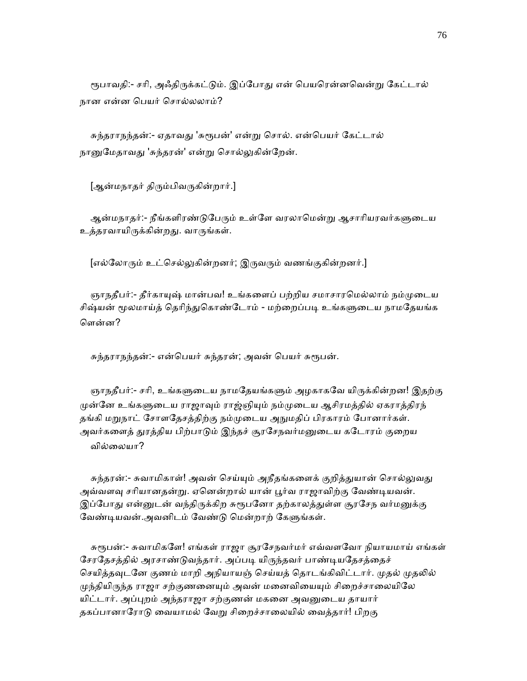ரூபாவதி:- சரி, அஃதிருக்கட்டும். இப்போது என் பெயரென்னவென்று கேட்டால் நான என்ன பெயர் சொல்லலாம்?

சுந்தராநந்தன்:- ஏதாவது 'சுரூபன்' என்று சொல். என்பெயர் கேட்டால் நானுமேதாவது 'சுந்தரன்' என்று சொல்லுகின்றேன்.

[ஆன்மநாதர் திரும்பிவருகின்றார்.]

ஆன்மநாதர்:- நீங்களிரண்டுபேரும் உள்ளே வரலாமென்று ஆசாரியரவர்களுடைய உத்தரவாயிᾞக்கின்றᾐ. வாᾞங்கள்.

[எல்லோரும் உட்செல்லுகின்றனர்; இருவரும் வணங்குகின்றனர்.]

ஞாநதீபர்:- தீர்காயுஷ் மான்பவ! உங்களைப் பற்றிய சமாசாரமெல்லாம் நம்முடைய சிஷ்யன் மூலமாய்த் தெரிந்துகொண்டோம் - மற்றைப்படி உங்களுடைய நாமதேயங்க ெளன்ன?

சுந்தராநந்தன்:- என்பெயர் சுந்தரன்; அவன் பெயர் சுரூபன்.

ஞாநதீபர்:- சரி, உங்களுடைய நாமதேயங்களும் அழகாகவே யிருக்கின்றன! இதற்கு முன்னே உங்களுடைய ராஜாவும் ராஜ்ஞியும் நம்முடைய ஆசிரமத்தில் ஏகராத்திரந் தங்கி மறுநாட் சோளதேசத்திற்கு நம்முடைய அநுமதிப் பிரகாரம் போனார்கள். அவர்களைத் துரத்திய பிற்பாடும் இந்தச் சூரசேநவர்மனுடைய கடோரம் குறைய வில்ைலயா?

சுந்தரன்:- சுவாமிகாள்! அவன் செய்யும் அநீதங்களைக் குறித்துயான் சொல்லுவது அவ்வளவு சரியானதன்று. ஏனென்றால் யான் பூர்வ ராஜாவிற்கு வேண்டியவன். இப்போது என்னுடன் வந்திருக்கிற சுரூபனோ தற்காலத்துள்ள சூரசேந வர்மனுக்கு வேண்டியவன்.அவனிடம் வேண்டு மென்றாற் கேளுங்கள்.

சுரூபன்:- சுவாமிகளே! எங்கள் ராஜா சூரசேநவர்மர் எவ்வளவோ நியாயமாய் எங்கள் சேரதேசத்தில் அரசாண்டுவந்தார். அப்படி யிருந்தவர் பாண்டியதேசத்தைச் செயித்தவுடனே குணம் மாறி அநியாயஞ் செய்யத் தொடங்கிவிட்டார். முதல் முதலில் முந்தியிருந்த ராஜா சற்குணனையும் அவன் மனைவியையும் சிறைச்சாலையிலே யிட்டார். அப்புறம் அந்தராஜா சற்குணன் மகனை அவனுடைய தாயார் தகப்பானாரோடு வையாமல் வேறு சிறைச்சாலையில் வைத்தார்! பிறகு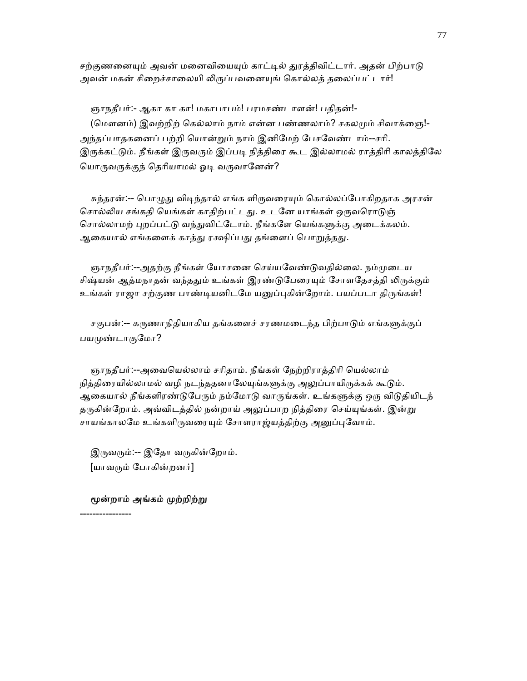சற்குணனையும் அவன் மனைவியையும் காட்டில் துரத்திவிட்டார். அதன் பிற்பாடு அவன் மகன் சிறைச்சாலையி லிருப்பவனையுங் கொல்லத் தலைப்பட்டார்!

 ஞாநதீபர்:- ஆகா கா கா! மகாபாபம்! பரமசண்டாளன்! பதிதன்!- (மௌனம்) இவற்றிற் கெல்லாம் நாம் என்ன பண்ணலாம்? சகலமும் சிவாக்ஞை!-அந்தப்பாதகைனப் பற்றி ெயான்ᾠம் நாம் இனிேமற் ேபசேவண்டாம்--சாி. இருக்கட்டும். நீங்கள் இருவரும் இப்படி நித்திரை கூட இல்லாமல் ராத்திரி காலத்திலே யொருவருக்குந் தெரியாமல் ஓடி வருவானேன்?

சுந்தரன்:-- பொழுது விடிந்தால் எங்க ளிருவரையும் கொல்லப்போகிறதாக அரசன் சொல்லிய சங்கதி யெங்கள் காதிற்பட்டது. உடனே யாங்கள் ஒருவரொடுஞ் சொல்லாமற் புறப்பட்டு வந்துவிட்டோம். நீங்களே யெங்களுக்கு அடைக்கலம். ஆகையால் எங்களைக் காத்து ரக்ஷிப்பது தங்ளைப் பொறுத்தது.

ஞாநதீபர்:--அதற்கு நீங்கள் யோசனை செய்யவேண்டுவதில்லை. நம்முடைய சிஷ்யன் ஆத்மநாதன் வந்ததும் உங்கள் இரண்டுபேரையும் சோளதேசத்தி லிருக்கும் உங்கள் ராஜா சற்குண பாண்டியனிடமே யனுப்புகின்றோம். பயப்படா திருங்கள்!

சகுபன்:-- கருணாநிதியாகிய தங்களைச் சரணமடைந்த பிற்பாடும் எங்களுக்குப் பயமுண்டாகுமோ?

 ஞாநதீபர்:--அைவெயல்லாம் சாிதாம். நீங்கள் ேநற்றிராத்திாி ெயல்லாம் நித்திரையில்லாமல் வழி நடந்ததனாலேயுங்களுக்கு அலுப்பாயிருக்கக் கூடும். ஆகையால் நீங்களிரண்டுபேரும் நம்மோடு வாருங்கள். உங்களுக்கு ஒரு விடுதியிடந் தருகின்றோம். அவ்விடத்தில் நன்றாய் அலுப்பாற நித்திரை செய்யுங்கள். இன்று சாயங்காலமே உங்களிருவரையும் சோளராஜ்யத்திற்கு அனுப்புவோம்.

இருவரும்:-- இதோ வருகின்றோம். [யாவᾞம் ேபாகின்றனர்]

மூன்றாம் அங்கம் முற்றிற்று

----------------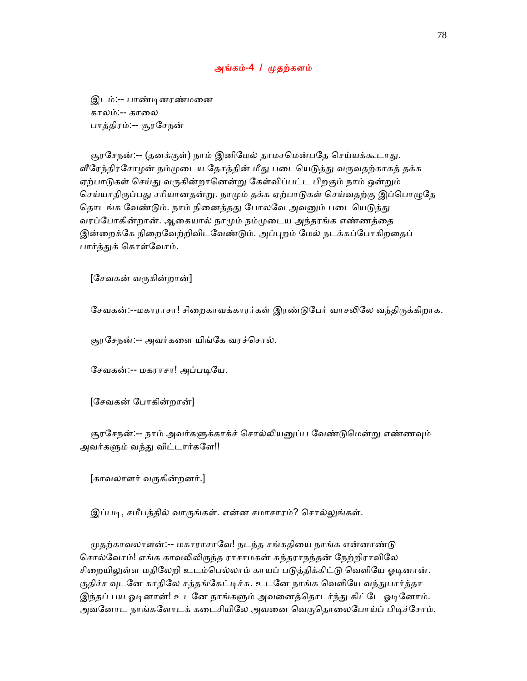### அங்கம்-4 / ᾙதற்களம்

 இடம்:-- பாண்ᾊனரண்மைன காலம்:-- காலை பாத்திரம்:-- சூரேசநன்

சூரசேநன்:-- (தனக்குள்) நாம் இனிமேல் தாமசமென்பதே செய்யக்கூடாது. வீரேந்திரசோழன் நம்முடைய தேசத்தின் மீது படையெடுத்து வருவதற்காகத் தக்க ஏற்பாடுகள் செய்து வருகின்றானென்று கேள்விப்பட்ட பிறகும் நாம் ஒன்றும் செய்யாதிருப்பது சரியானதன்று. நாமும் தக்க ஏற்பாடுகள் செய்வதற்கு இப்பொழுதே தொடங்க வேண்டும். நாம் நினைத்தது போலவே அவனும் படையெடுத்து வரப்போகின்றான். ஆகையால் நாமும் நம்முடைய அந்தரங்க எண்ணத்தை இன்றைக்கே நிறைவேற்றிவிடவேண்டும். அப்புறம் மேல் நடக்கப்போகிறதைப் பார்த்துக் கொள்வோம்.

 $[$ சேவகன் வருகின்றான்]

சேவகன்:--மகாராசா! சிறைகாவக்காரர்கள் இரண்டுபேர் வாசலிலே வந்திருக்கிறாக.

சூரேசநன்:-- அவர்கைள யிங்ேக வரச்ெசால்.

சேவகன்:-- மகராசா! அப்படியே.

[ேசவகன் ேபாகின்றான்]

சூரசேநன்:-- நாம் அவர்களுக்காக்ச் சொல்லியனுப்ப வேண்டுமென்று எண்ணவும் அவர்களும் வந்து விட்டார்களே!!

[காவலாளர் வᾞகின்றனர்.]

இப்படி, சமீபத்தில் வாருங்கள். என்ன சமாசாரம்? சொல்லுங்கள்.

முதற்காவலாளன்:-- மகாராசாவே! நடந்த சங்கதியை நாங்க என்னாண்டு சொல்வோம்! எங்க காவலிலிருந்த ராசாமகன் சுந்தராநந்தன் நேற்றிராவிலே சிறையிலுள்ள மதிலேறி உடம்பெல்லாம் காயப் படுத்திக்கிட்டு வெளியே ஓடினான். குதிச்ச வுடனே காதிலே சத்தங்கேட்டிச்சு. உடனே நாங்க வெளியே வந்துபார்த்தா இந்தப் பய ஓடினான்! உடனே நாங்களும் அவனைத்தொடர்ந்து கிட்டே ஓடினோம். அவனோட நாங்களோடக் கடைசியிலே அவனை வெகுதொலைபோய்ப் பிடிச்சோம்.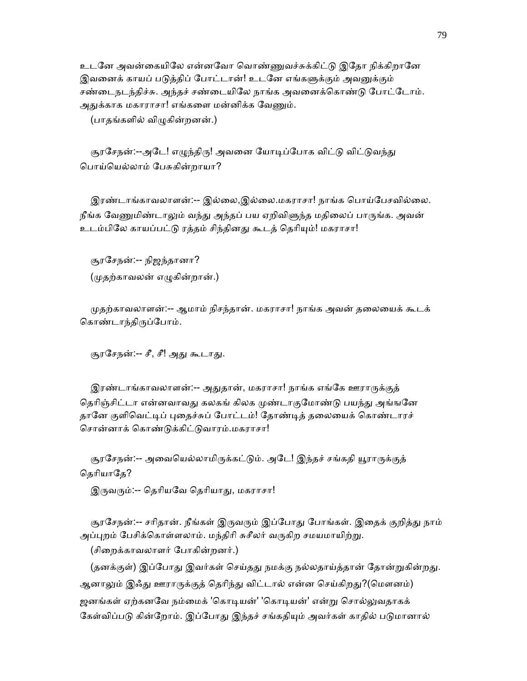உடனே அவன்கையிலே என்னவோ வொண்ணுவச்சுக்கிட்டு இதோ நிக்கிறானே இவனைக் காயப் படுத்திப் போட்டான்! உடனே எங்களுக்கும் அவனுக்கும் சண்டைநடந்திச்சு. அந்தச் சண்டையிலே நாங்க அவனைக்கொண்டு போட்டோம். அதுக்காக மகாராசா! எங்களை மன்னிக்க வேணும்.

(பாதங்களில் விᾨகின்றனன்.)

சூரசேநன்:--அடே! எழுந்திரு! அவனை யோடிப்போக விட்டு விட்டுவந்து ெபாய்ெயல்லாம் ேபசுகின்றாயா?

 இரண்டாங்காவலாளன்:-- இல்ைல,இல்ைல.மகராசா! நாங்க ெபாய்ேபசவில்ைல. நீங்க வேணுமிண்டாலும் வந்து அந்தப் பய ஏறிவிளுந்த மதிலைப் பாருங்க. அவன் உடம்பிலே காயப்பட்டு ரத்தம் சிந்தினது கூடத் தெரியும்! மகராசா!

 சூரேசநன்:-- நிஜந்தானா? (ᾙதற்காவலன் எᾨகின்றான்.)

 ᾙதற்காவலாளன்:-- ஆமாம் நிசந்தான். மகராசா! நாங்க அவன் தைலையக் கூடக் கொண்டாந்திருப்போம்.

சூரசேநன்:-- சீ, சீ! அது கூடாது.

இரண்டாங்காவலாளன்:-- அதுதான், மகராசா! நாங்க எங்கே ஊராருக்குத் தெரிஞ்சிட்டா என்னவாவது கலகங் கிலக முண்டாகுமோண்டு பயந்து அங்ஙனே தானே குளிவெட்டிப் புதைச்சுப் போட்டம்! தோண்டித் தலையைக் கொண்டாரச் சொன்னாக் கொண்டுக்கிட்டுவாரம்.மகராசா!

சூரசேநன்:-- அவையெல்லாமிருக்கட்டும். அடே! இந்தச் சங்கதி யூராருக்குத் தெரியாதே?

இருவரும்:-- தெரியவே தெரியாது, மகராசா!

சூரசேநன்:-- சரிதான். நீங்கள் இருவரும் இப்போது போங்கள். இதைக் குறித்து நாம் அப்புறம் பேசிக்கொள்ளலாம். மந்திரி சுசீலர் வருகிற சமயமாயிற்று.

(சிைறக்காவலாளர் ேபாகின்றனர்.)

(தனக்குள்) இப்போது இவர்கள் செய்தது நமக்கு நல்லதாய்த்தான் தோன்றுகின்றது. ஆனாலும் இஃது ஊராருக்குத் தெரிந்து விட்டால் என்ன செய்கிறது?(மௌனம்) ஜனங்கள் ஏற்கனவே நம்மைக் 'கொடியன்' 'கொடியன்' என்று சொல்லுவதாகக் கேள்விப்படு கின்றோம். இப்போது இந்தச் சங்கதியும் அவர்கள் காதில் படுமானால்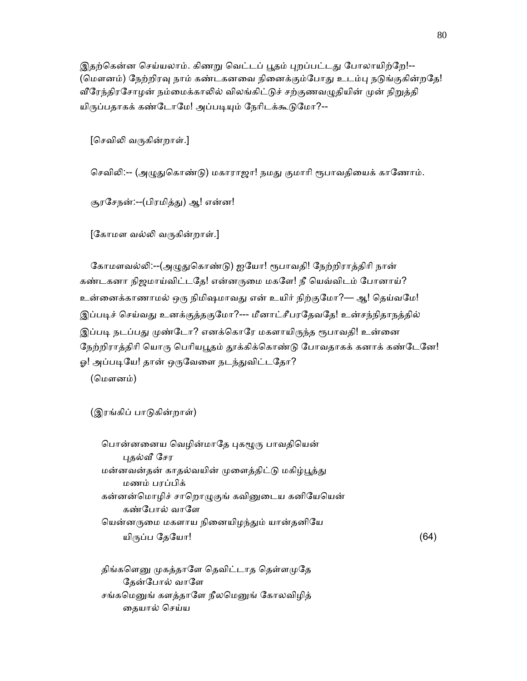இதற்கென்ன செய்யலாம். கிணறு வெட்டப் பூதம் புறப்பட்டது போலாயிற்றே!--(மௌனம்) நேற்றிரவு நாம் கண்டகனவை நினைக்கும்போது உடம்பு நடுங்குகின்றதே! வீரேந்திரசோழன் நம்மைக்காலில் விலங்கிட்டுச் சற்குணவழுதியின் முன் நிறுத்தி யிருப்பதாகக் கண்டோமே! அப்படியும் நேரிடக்கூடுமோ?--

[செவிலி வருகின்றாள்.]

செவிலி:-- (அழுதுகொண்டு) மகாராஜா! நமது குமாரி ரூபாவதியைக் காணோம்.

சூரசேநன்:--(பிரமித்து) ஆ! என்ன!

 $[$ கோமள வல்லி வருகின்றாள்.]

கோமளவல்லி:--(அழுதுகொண்டு) ஐயோ! ரூபாவதி! நேற்றிராத்திரி நான் கண்டகனா நிஜமாய்விட்டதே! என்னருமை மகளே! நீ யெவ்விடம் போனாய்? உன்னைக்காணாமல் ஒரு நிமிஷமாவது என் உயிர் நிற்குமோ?— ஆ! தெய்வமே! இப்படிச் செய்வது உனக்குத்தகுமோ?--- மீனாட்சீபரதேவதே! உன்சந்நிதாநத்தில் இப்படி நடப்பது முண்டோ? எனக்கொரே மகளாயிருந்த ரூபாவதி! உன்னை நேற்றிராத்திரி யொரு பெரியபூதம் தூக்கிக்கொண்டு போவதாகக் கனாக் கண்டேனே! ஓ! அப்படியே! தான் ஒருவேளை நடந்துவிட்டதோ?

(மௌனம்)

(இரங்கிப் பாᾌகின்றாள்)

பொன்னனைய வெழின்மாதே புகழூரு பாவதியென் ᾗதல்ᾪ ேசர மன்னவன்தன் காதல்வயின் முளைத்திட்டு மகிழ்பூத்து மணம் பரப்பிக் கன்னன்மொழிச் சாறொழுகுங் கவினுடைய கனியேயென் கண்போல் வாளே யென்னருமை மகளாய நினையிழந்தும் யான்தனியே யிருப்ப தேயோ!  $(64)$ 

திங்களெனு முகத்தாளே தெவிட்டாத தெள்ளமுதே தேன்போல் வாளே சங்கமெனுங் களத்தாளே நீலமெனுங் கோலவிழித் தையால் செய்ய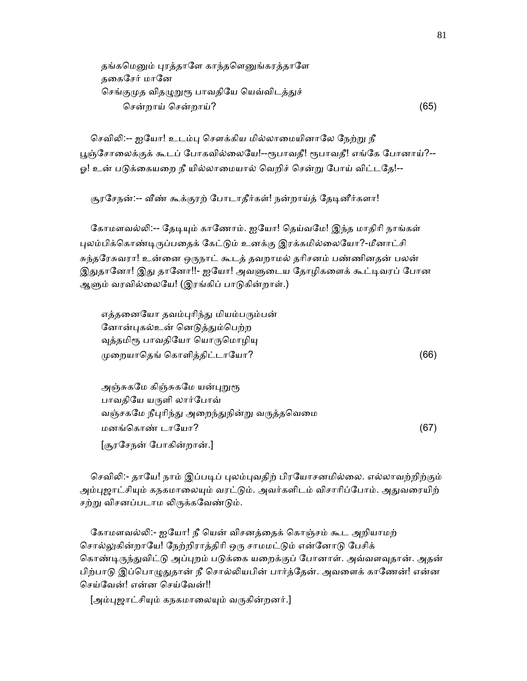| தங்கமெனும் புரத்தாளே காந்தளெனுங்கரத்தாளே  |      |
|-------------------------------------------|------|
| தகைசேர் மானே                              |      |
| செங்குமுத விதழுறுரூ பாவதியே யெவ்விடத்துச் |      |
| சென்றாய் சென்றாய்?                        | (65) |

செவிலி:-- ஐயோ! உடம்பு சௌக்கிய மில்லாமையினாலே நேற்று நீ பூஞ்சோலைக்குக் கூடப் போகவில்லையே!--ரூபாவதீ! ரூபாவதீ! எங்கே போனாய்?--ஓ! உன் படுக்கையறை நீ யில்லாமையால் வெறிச் சென்று போய் விட்டதே!--

சூரசேநன்:-- வீண் கூக்குரற் போடாதீர்கள்! நன்றாய்த் தேடினீர்களா!

கோமளவல்லி:-- தேடியும் காணோம். ஐயோ! தெய்வமே! இந்த மாதிரி நாங்கள் புலம்பிக்கொண்டிருப்பதைக் கேட்டும் உனக்கு இரக்கமில்லையோ?-மீனாட்சி சுந்தேரசுவரா! உன்ைன ஒᾞநாட் கூடத் தவறாமல் தாிசனம் பண்ணினதன் பலன் இதுதானோ! இது தானோ!!- ஐயோ! அவளுடைய தோழிகளைக் கூட்டிவரப் போன ஆளும் வரவில்லையே! (இரங்கிப் பாடுகின்றாள்.)

எத்தனையோ தவம்புரிந்து மியம்பரும்பன் னோன்புகல்உன் னெடுத்தும்பெற்ற வுத்தமிரூ பாவதியோ யொருமொழியு  $\mu$ றையாதெங் கொளித்திட்டாயோ?  $(66)$ 

அஞ்சுகமே கிஞ்சுகமே யன்புறுரூ பாவதியே யருளி லார்போவ் வஞ்சகமே நீபுரிந்து அறைந்துநின்று வருத்தவெமை மனங்ெகாண் டாேயா? (67) [சூரேசநன் ேபாகின்றான்.]

செவிலி:- தாயே! நாம் இப்படிப் புலம்புவதிற் பிரயோசனமில்லை. எல்லாவற்றிற்கும் அம்புஜாட்சியும் கநகமாலையும் வரட்டும். அவர்களிடம் விசாரிப்போம். அதுவரையிற் சற்று விசனப்படாம லிருக்கவேண்டும்.

கோமளவல்லி:- ஐயோ! நீ யென் விசனத்தைக் கொஞ்சம் கூட அறியாமற் சொல்லுகின்றாயே! நேற்றிராத்திரி ஒரு சாமமட்டும் என்னோடு பேசிக் கொண்டிருந்துவிட்டு அப்புறம் படுக்கை யறைக்குப் போனாள். அவ்வளவுதான். அதன் பிற்பாடு இப்பொழுதுதான் நீ சொல்லியபின் பார்த்தேன். அவளைக் காணேன்! என்ன ெசய்ேவன்! என்ன ெசய்ேவன்!!

[அம்புஜாட்சியும் கநகமாலையும் வருகின்றனர்.]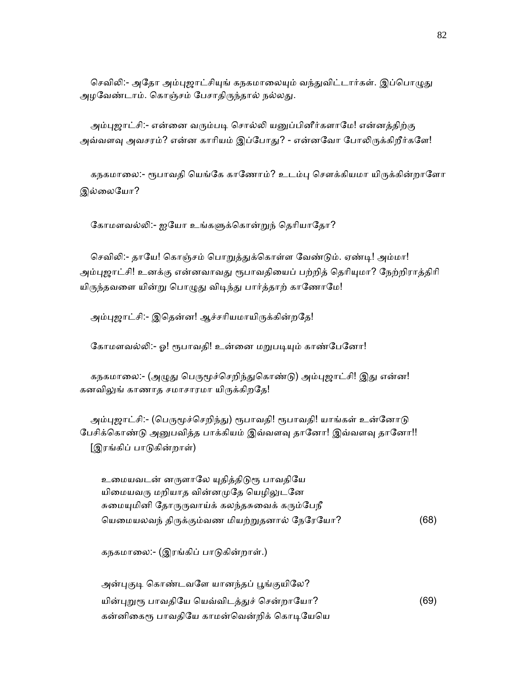செவிலி:- அதோ அம்புஜாட்சியுங் கநகமாலையும் வந்துவிட்டார்கள். இப்பொழுது அழவேண்டாம். கொஞ்சம் பேசாதிருந்தால் நல்லது.

அம்புஜாட்சி:- என்னை வரும்படி சொல்லி யனுப்பினீர்களாமே! என்னத்திற்கு அவ்வளவு அவசரம்? என்ன காரியம் இப்போது? - என்னவோ போலிருக்கிறீர்களே!

கநகமாலை:- ரூபாவதி யெங்கே காணோம்? உடம்பு சௌக்கியமா யிருக்கின்றாளோ இல்லையோ?

கோமளவல்லி:- ஐயோ உங்களுக்கொன்றுந் தெரியாதோ?

செவிலி:- தாயே! கொஞ்சம் பொறுத்துக்கொள்ள வேண்டும். ஏண்டி! அம்மா! அம்புஜாட்சி! உனக்கு என்னவாவது ரூபாவதியைப் பற்றித் தெரியுமா? நேற்றிராத்திரி யிருந்தவளை யின்று பொழுது விடிந்து பார்த்தாற் காணோமே!

அம்புஜாட்சி:- இதென்ன! ஆச்சரியமாயிருக்கின்றதே!

கோமளவல்லி:- ஓ! ரூபாவதி! உன்னை மறுபடியும் காண்பேனோ!

கநகமாலை:- (அழுது பெருமூச்செறிந்துகொண்டு) அம்புஜாட்சி! இது என்ன! கனவிலுங் காணாத சமாசாரமா யிருக்கிறதே!

அம்புஜாட்சி:- (பெருமூச்செறிந்து) ரூபாவதி! ரூபாவதி! யாங்கள் உன்னோடு பேசிக்கொண்டு அனுபவித்த பாக்கியம் இவ்வளவு தானோ! இவ்வளவு தானோ!! [இரங்கிப் பாᾌகின்றாள்)

உமையவடன் னருளாலே யுதித்திடுரூ பாவதியே யிமையவரு மறியாத வின்னமுதே யெழிலுடனே சுமையுமினி தோருருவாய்க் கலந்தசுவைக் கரும்பேநீ ெயைமயலவந் திᾞக்கும்வண மியற்ᾠதனால் ேநேரேயா? (68)

கநகமாைல:- (இரங்கிப் பாᾌகின்றாள்.)

அன்புகுடி கொண்டவளே யானந்தப் பூங்குயிலே? யின்புறுரூ பாவதியே யெவ்விடத்துச் சென்றாயோ? (69) கன்னிகைரூ பாவதியே காமன்வென்றிக் கொடியேயெ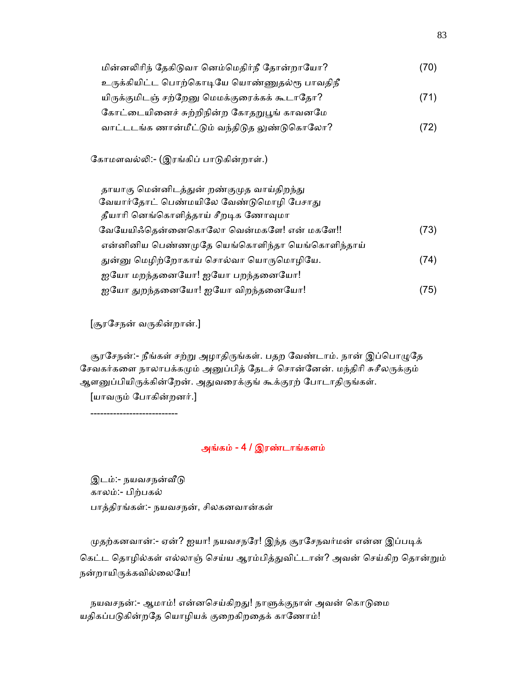| மின்னலிரிந் தேகிடுவா னெம்மெதிர்நீ தோன்றாயோ?  | (70) |
|----------------------------------------------|------|
| உருக்கியிட்ட பொற்கொடியே யொண்ணுதல்ரூ பாவதிநீ  |      |
| யிருக்குமிடஞ் சற்றேனு மெமக்குரைக்கக் கூடாதோ? | (71) |
| கோட்டையினைச் சுற்றிநின்ற கோதறுபூங் காவனமே    |      |
| வாட்டடங்க ணான்மீட்டும் வந்திடுத லுண்டுகொலோ?  | (72) |

கோமளவல்லி:- (இரங்கிப் பாடுகின்றாள்.)

| தாயாகு மென்னிடத்துன் றண்குமுத வாய்திறந்து      |      |
|------------------------------------------------|------|
| வேயார்தோட் பெண்மயிலே வேண்டுமொழி பேசாது         |      |
| தீயாரி னெங்கொளித்தாய் சீறடிக ணோவுமா            |      |
| வேயேயிஃதென்னைகொலோ வென்மகளே! என் மகளே!!         | (73) |
| என்னினிய பெண்ணமுதே யெங்கொளிந்தா யெங்கொளிந்தாய் |      |
| துன்னு மெழிற்றோகாய் சொல்வா யொருமொழியே.         | (74) |
| ஐயோ மறந்தனையோ! ஐயோ பறந்தனையோ!                  |      |
| ஐயோ துறந்தனையோ! ஐயோ விறந்தனையோ!                | (75) |

[சூரேசநன் வᾞகின்றான்.]

சூரசேநன்:- நீங்கள் சற்று அழாதிருங்கள். பதற வேண்டாம். நான் இப்பொழுதே சேவகர்களை நாலாபக்கமும் அனுப்பித் தேடச் சொன்னேன். மந்திரி சுசீலருக்கும் ஆளனுப்பியிருக்கின்றேன். அதுவரைக்குங் கூக்குரற் போடாதிருங்கள்.

 $[$ யாவரும் போகின்றனர். $]$ 

---------------------------

## அங்கம் - 4 / இரண்டாங்களம்

இடம்:- நயவசநன்வீடு காலம்:- பிற்பகல் பாத்திரங்கள்:- நயவசநன், சிலகனவான்கள்

முதற்கனவான்:- ஏன்? ஐயா! நயவசநரே! இந்த சூரசேநவர்மன் என்ன இப்படிக் கெட்ட தொழில்கள் எல்லாஞ் செய்ய ஆரம்பித்துவிட்டான்? அவன் செய்கிற தொன்றும் நன்றாயிருக்கவில்லையே!

நயவசநன்:- ஆமாம்! என்னசெய்கிறது! நாளுக்குநாள் அவன் கொடுமை யதிகப்படுகின்றதே யொழியக் குறைகிறதைக் காணோம்!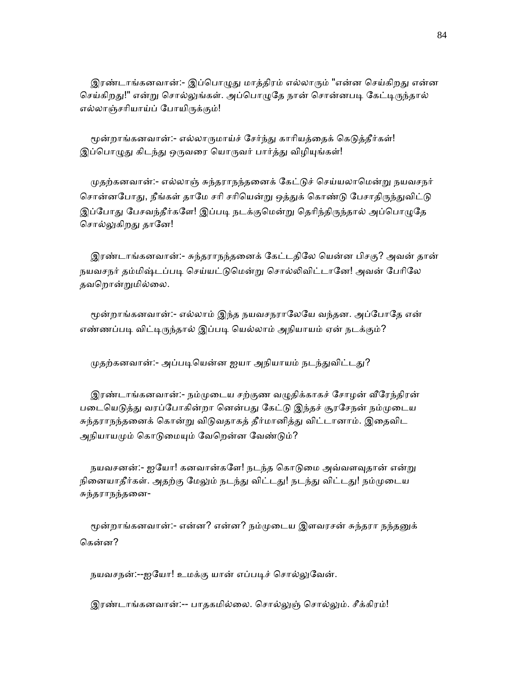இரண்டாங்கனவான்:- இப்பொழுது மாத்திரம் எல்லாரும் "என்ன செய்கிறது என்ன செய்கிறது!" என்று சொல்லுங்கள். அப்பொழுதே நான் சொன்னபடி கேட்டிருந்தால் எல்லாஞ்சரியாய்ப் போயிருக்கும்!

மூன்றாங்கனவான்:- எல்லாருமாய்ச் சேர்ந்து காரியத்தைக் கெடுத்தீர்கள்! இப்பொழுது கிடந்து ஒருவரை யொருவர் பார்த்து விழியுங்கள்!

முதற்கனவான்:- எல்லாஞ் சுந்தராநந்தனைக் கேட்டுச் செய்யலாமென்று நயவசநர் சொன்னபோது, நீங்கள் தாமே சரி சரியென்று ஒத்துக் கொண்டு பேசாதிருந்துவிட்டு இப்போது பேசவந்தீர்களே! இப்படி நடக்குமென்று தெரிந்திருந்தால் அப்பொழுதே சொல்லுகிறது தானே!

 இரண்டாங்கனவான்:- சுந்தராநந்தைனக் ேகட்டதிேல ெயன்ன பிசகு? அவன் தான் நயவசநர் தம்மிஷ்டப்படி செய்யட்டுமென்று சொல்லிவிட்டானே! அவன் பேரிலே தவெறான்ᾠமில்ைல.

மூன்றாங்கனவான்:- எல்லாம் இந்த நயவசநராலேயே வந்தன. அப்போதே என் எண்ணப்படி விட்டிருந்தால் இப்படி யெல்லாம் அநியாயம் ஏன் நடக்கும்?

முதற்கனவான்:- அப்படியென்ன ஐயா அநியாயம் நடந்துவிட்டது?

இரண்டாங்கனவான்:- நம்முடைய சற்குண வழுதிக்காகச் சோழன் வீரேந்திரன் படையெடுத்து வரப்போகின்றா னென்பது கேட்டு இந்தச் சூரசேநன் நம்முடைய சுந்தராநந்தனைக் கொன்று விடுவதாகத் தீர்மானித்து விட்டானாம். இதைவிட அநியாயமும் கொடுமையும் வேறென்ன வேண்டும்?

நயவசனன்:- ஐயோ! கனவான்களே! நடந்த கொடுமை அவ்வளவுதான் என்று நினையாதீர்கள். அதற்கு மேலும் நடந்து விட்டது! நடந்து விட்டது! நம்முடைய சுந்தராநந்தைன-

மூன்றாங்கனவான்:- என்ன? என்ன? நம்முடைய இளவரசன் சுந்தரா நந்தனுக் ெகன்ன?

நயவசநன்:--ஐயோ! உமக்கு யான் எப்படிச் சொல்லுவேன்.

இரண்டாங்கனவான்:-- பாதகமில்லை. சொல்லுஞ் சொல்லும். சீக்கிரம்!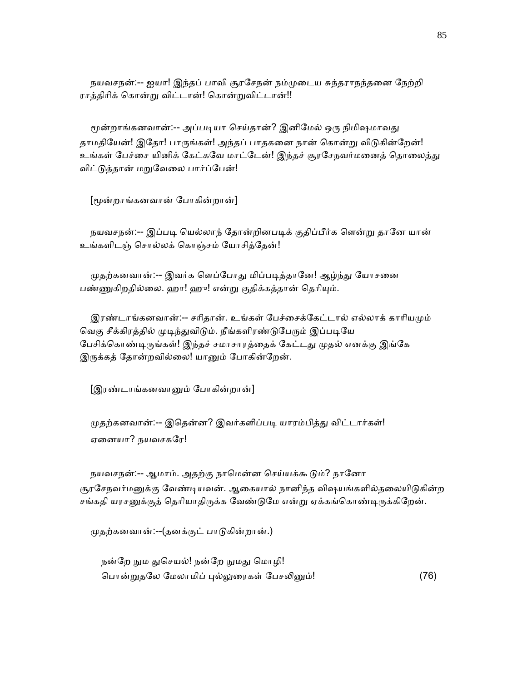நயவசநன்:-- ஐயா! இந்தப் பாவி சூரேசநன் நம்ᾙைடய சுந்தராநந்தைன ேநற்றி ராத்திரிக் கொன்று விட்டான்! கொன்றுவிட்டான்!!

மூன்றாங்கனவான்:-- அப்படியா செய்தான்? இனிமேல் ஒரு நிமிஷமாவது தாமதியேன்! இதோ! பாருங்கள்! அந்தப் பாதகனை நான் கொன்று விடுகின்றேன்! உங்கள் பேச்சை யினிக் கேட்கவே மாட்டேன்! இந்தச் சூரசேநவர்மனைத் தொலைத்து விட்ᾌத்தான் மᾠேவைல பார்ப்ேபன்!

[ᾚன்றாங்கனவான் ேபாகின்றான்]

நயவசநன்:-- இப்படி யெல்லாந் தோன்றினபடிக் குதிப்பீர்க ளென்று தானே யான் உங்களிடஞ் ெசால்லக் ெகாஞ்சம் ேயாசித்ேதன்!

முதற்கனவான்:-- இவர்க ளெப்போது மிப்படித்தானே! ஆழ்ந்து யோசனை பண்ணுகிறதில்லை. ஹா! ஹு! என்று குதிக்கத்தான் தெரியும்.

இரண்டாங்கனவான்:-- சரிதான். உங்கள் பேச்சைக்கேட்டால் எல்லாக் காரியமும் வெகு சீக்கிரத்தில் முடிந்துவிடும். நீங்களிரண்டுபேரும் இப்படியே பேசிக்கொண்டிருங்கள்! இந்தச் சமாசாரத்தைக் கேட்டது முதல் எனக்கு இங்கே இருக்கத் தோன்றவில்லை! யானும் போகின்றேன்.

[இரண்டாங்கனவாᾔம் ேபாகின்றான்]

முதற்கனவான்:-- இதென்ன? இவர்களிப்படி யாரம்பித்து விட்டார்கள்! ஏைனயா? நயவசகேர!

நயவசநன்:-- ஆமாம். அதற்கு நாமென்ன செய்யக்கூடும்? நானோ சூரசேநவர்மனுக்கு வேண்டியவன். ஆகையால் நானிந்த விஷயங்களில்தலையிடுகின்ற சங்கதி யரசனுக்குத் தெரியாதிருக்க வேண்டுமே என்று ஏக்கங்கொண்டிருக்கிறேன்.

ᾙதற்கனவான்:--(தனக்குட் பாᾌகின்றான்.)

நன்றே நும துசெயல்! நன்றே நுமது மொழி! பொன்றுதலே மேலாமிப் புல்லுரைகள் பேசலினும்! (76)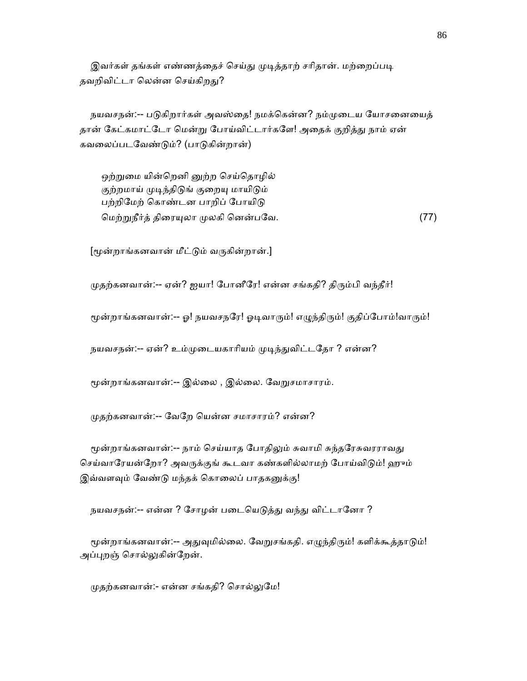இவர்கள் தங்கள் எண்ணத்தைச் செய்து முடித்தாற் சரிதான். மற்றைப்படி தவறிவிட்டா லென்ன செய்கிறது?

நயவசநன்:-- படுகிறார்கள் அவஸ்தை! நமக்கென்ன? நம்முடைய யோசனையைத் தான் கேட்கமாட்டோ மென்று போய்விட்டார்களே! அதைக் குறித்து நாம் ஏன் கவைலப்படேவண்ᾌம்? (பாᾌகின்றான்)

ஒற்றுமை யின்றெனி னுற்ற செய்தொழில் குற்றமாய் முடிந்திடுங் குறையு மாயிடும் பற்றிமேற் கொண்டன பாறிப் போயிடு ெமற்ᾠநீர்த் திைரᾜலா ᾙலகி ெனன்பேவ. (77)

[ᾚன்றாங்கனவான் மீட்ᾌம் வᾞகின்றான்.]

முதற்கனவான்:-- ஏன்? ஐயா! போனீரே! என்ன சங்கதி? திரும்பி வந்தீர்!

மூன்றாங்கனவான்:-- ஓ! நயவசநரே! ஓடிவாரும்! எழுந்திரும்! குதிப்போம்!வாரும்!

நயவசநன்:-- ஏன்? உம்முடையகாரியம் முடிந்துவிட்டதோ ? என்ன?

மூன்றாங்கனவான்:-- இல்லை , இல்லை. வேறுசமாசாரம்.

ᾙதற்கனவான்:-- ேவேற ெயன்ன சமாசாரம்? என்ன?

மூன்றாங்கனவான்:-- நாம் செய்யாத போதிலும் சுவாமி சுந்தரேசுவரராவது செய்வாரேயன்றோ? அவருக்குங் கூடவா கண்களில்லாமற் போய்விடும்! ஹும் இவ்வளவும் வேண்டு மந்தக் கொலைப் பாதகனுக்கு!

நயவசநன்:-- என்ன ? சோழன் படையெடுத்து வந்து விட்டானோ ?

மூன்றாங்கனவான்:-- அதுவுமில்லை. வேறுசங்கதி. எழுந்திரும்! களிக்கூத்தாடும்! அப்புறஞ் சொல்லுகின்றேன்.

முதற்கனவான்:- என்ன சங்கதி? சொல்லுமே!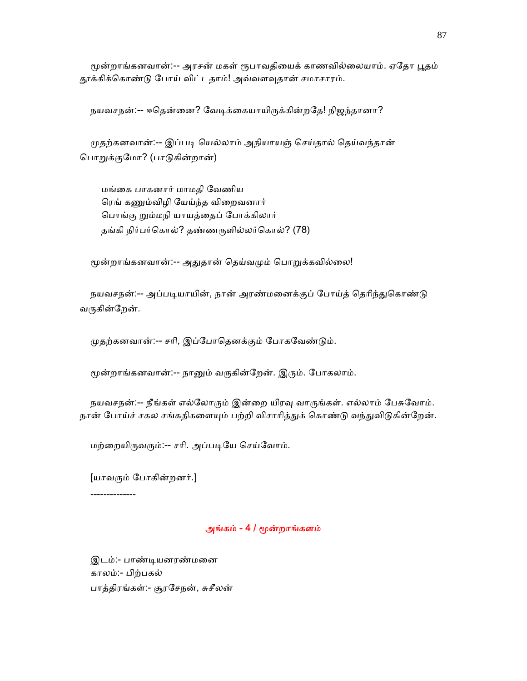மூன்றாங்கனவான்:-- அரசன் மகள் ரூபாவதியைக் காணவில்லையாம். ஏதோ பூதம் தூக்கிக்கொண்டு போய் விட்டதாம்! அவ்வளவுதான் சமாசாரம்.

நயவசநன்:-- ஈதென்னை? வேடிக்கையாயிருக்கின்றதே! நிஜந்தானா?

முதற்கனவான்:-- இப்படி யெல்லாம் அநியாயஞ் செய்தால் தெய்வந்தான் ெபாᾠக்குேமா? (பாᾌகின்றான்)

 மங்ைக பாகனார் மாமதி ேவணிய ரெங் கணும்விழி யேய்ந்த விறைவனார் பொங்கு றும்மநி யாயத்தைப் போக்கிலார் தங்கி நிர்பர்ெகால்? தண்ணᾞளில்லர்ெகால்? (78)

மூன்றாங்கனவான்:-- அதுதான் தெய்வமும் பொறுக்கவில்லை!

நயவசநன்:-- அப்படியாயின், நான் அரண்மனைக்குப் போய்த் தெரிந்துகொண்டு வருகின்றேன்.

முதற்கனவான்:-- சரி, இப்போதெனக்கும் போகவேண்டும்.

மூன்றாங்கனவான்:-- நானும் வருகின்றேன். இரும். போகலாம்.

நயவசநன்:-- நீங்கள் எல்லோரும் இன்றை யிரவு வாருங்கள். எல்லாம் பேசுவோம். நான் போய்ச் சகல சங்கதிகளையும் பற்றி விசாரித்துக் கொண்டு வந்துவிடுகின்றேன்.

மற்றையிருவரும்:-- சரி. அப்படியே செய்வோம்.

[யாவᾞம் ேபாகின்றனர்.]

--------------

#### அங்கம் - 4 / மூன்றாங்களம்

 இடம்:- பாண்ᾊயனரண்மைன காலம்:- பிற்பகல் பாத்திரங்கள்:- சூரேசநன், சுசீலன்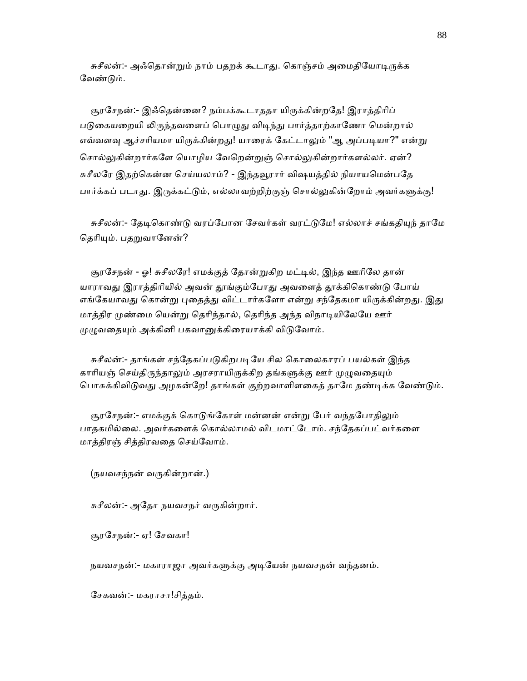சுசீலன்:- அஃதொன்றும் நாம் பதறக் கூடாது. கொஞ்சம் அமைதியோடிருக்க வேண்டும்.

சூரசேநன்:- இஃதென்னை? நம்பக்கூடாததா யிருக்கின்றதே! இராத்திரிப் படுகையறையி லிருந்தவளைப் பொழுது விடிந்து பார்த்தாற்காணோ மென்றால் எவ்வளவு ஆச்சரியமா யிருக்கின்றது! யாரைக் கேட்டாலும் "ஆ அப்படியா?" என்று சொல்லுகின்றார்களே யொழிய வேறென்றுஞ் சொல்லுகின்றார்களல்லர். ஏன்? சுசீலரே இதற்கென்ன செய்யலாம்? - இந்தவூரார் விஷயத்தில் நியாயமென்பதே பார்க்கப் படாது. இருக்கட்டும், எல்லாவற்றிற்குஞ் சொல்லுகின்றோம் அவர்களுக்கு!

சுசீலன்:- தேடிகொண்டு வரப்போன சேவர்கள் வரட்டுமே! எல்லாச் சங்கதியுந் தாமே தெரியும். பதறுவானேன்?

சூரசேநன் - ஓ! சுசீலரே! எமக்குத் தோன்றுகிற மட்டில், இந்த ஊரிலே தான் யாராவது இராத்திரியில் அவன் தூங்கும்போது அவளைத் தூக்கிகொண்டு போய் எங்கேயாவது கொன்று புதைத்து விட்டார்களோ என்று சந்தேகமா யிருக்கின்றது. இது மாத்திர முண்மை யென்று தெரிந்தால், தெரிந்த அந்த விநாடியிலேயே ஊர் முழுவதையும் அக்கினி பகவானுக்கிரையாக்கி விடுவோம்.

சுசீலன்:- தாங்கள் சந்தேகப்படுகிறபடியே சில கொலைகாரப் பயல்கள் இந்த காரியஞ் செய்திருந்தாலும் அரசராயிருக்கிற தங்களுக்கு ஊர் முழுவதையும் பொசுக்கிவிடுவது அழகன்றே! தாங்கள் குற்றவாளிளகைத் தாமே தண்டிக்க வேண்டும்.

சூரசேநன்:- எமக்குக் கொடுங்கோள் மன்னன் என்று பேர் வந்தபோதிலும் பாதகமில்ைல. அவர்கைளக் ெகால்லாமல் விடமாட்ேடாம். சந்ேதகப்பட்வர்கைள மாத்திரஞ் சித்திரவைத ெசய்ேவாம்.

(நயவசந்நன் வᾞகின்றான்.)

சுசீலன்:- அதோ நயவசநர் வருகின்றார்.

சூரேசநன்:- ஏ! ேசவகா!

நயவசநன்:- மகாராஜா அவர்களுக்கு அடியேன் நயவசநன் வந்தனம்.

ேசகவன்:- மகராசா!சித்தம்.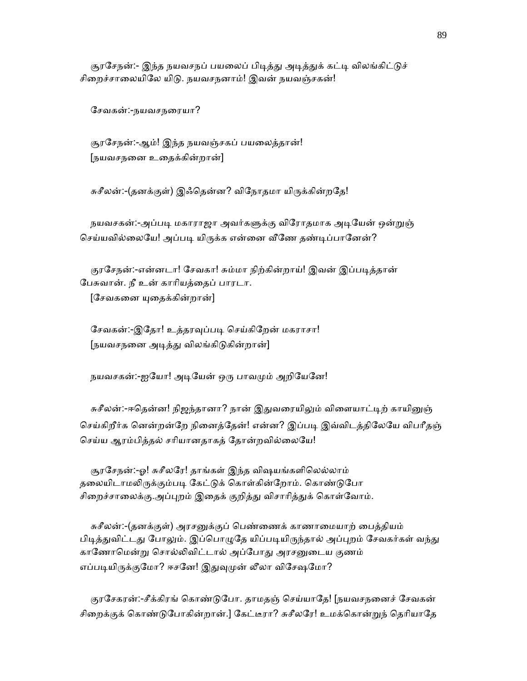சூரசேநன்:- இந்த நயவசநப் பயலைப் பிடித்து அடித்துக் கட்டி விலங்கிட்டுச் சிறைச்சாலையிலே யிடு. நயவசநனாம்! இவன் நயவஞ்சகன்!

ேசவகன்:-நயவசநைரயா?

 சூரேசநன்:-ஆம்! இந்த நயவஞ்சகப் பயைலத்தான்! [நயவசநைன உைதக்கின்றான்]

சுசீலன்:-(தனக்குள்) இஃதென்ன? விநோதமா யிருக்கின்றதே!

நயவசகன்:-அப்படி மகாராஜா அவர்களுக்கு விரோதமாக அடியேன் ஒன்றுஞ் செய்யவில்லையே! அப்படி யிருக்க என்னை வீணே தண்டிப்பானேன்?

குரசேநன்:-என்னடா! சேவகா! சும்மா நிற்கின்றாய்! இவன் இப்படித்தான் ேபசுவான். நீ உன் காாியத்ைதப் பாரடா.

 $[$ சேவகனை யுதைக்கின்றான்]

சேவகன்:-இதோ! உத்தரவுப்படி செய்கிறேன் மகராசா! [நயவசநனை அடித்து விலங்கிடுகின்றான்]

நயவசகன்:-ஐயோ! அடியேன் ஒரு பாவமும் அறியேனே!

சுசீலன்:-ஈதென்ன! நிஜந்தானா? நான் இதுவரையிலும் விளையாட்டிற் காயினுஞ் செய்கிறீர்க னென்றன்றே நினைத்தேன்! என்ன? இப்படி இவ்விடத்திலேயே விபரீதஞ் ெசய்ய ஆரம்பித்தல் சாியானதாகத் ேதான்றவில்ைலேய!

 சூரேசநன்:-ஓ! சுசீலேர! தாங்கள் இந்த விஷயங்களிெலல்லாம் தலையிடாமலிருக்கும்படி கேட்டுக் கொள்கின்றோம். கொண்டுபோ சிறைச்சாலைக்கு.அப்புறம் இதைக் குறித்து விசாரித்துக் கொள்வோம்.

சுசீலன்:-(தனக்குள்) அரசனுக்குப் பெண்ணைக் காணாமையாற் பைத்தியம் பிடித்துவிட்டது போலும். இப்பொழுதே யிப்படியிருந்தால் அப்புறம் சேவகர்கள் வந்து காணோமென்று சொல்லிவிட்டால் அப்போது அரசனுடைய குணம் எப்படியிருக்குமோ? ஈசனே! இதுவுமுன் லீலா விசேஷமோ?

குரசேகரன்:-சீக்கிரங் கொண்டுபோ. தாமதஞ் செய்யாதே! [நயவசநனைச் சேவகன் சிறைக்குக் கொண்டுபோகின்றான்.] கேட்டீரா? சுசீலரே! உமக்கொன்றுந் தெரியாதே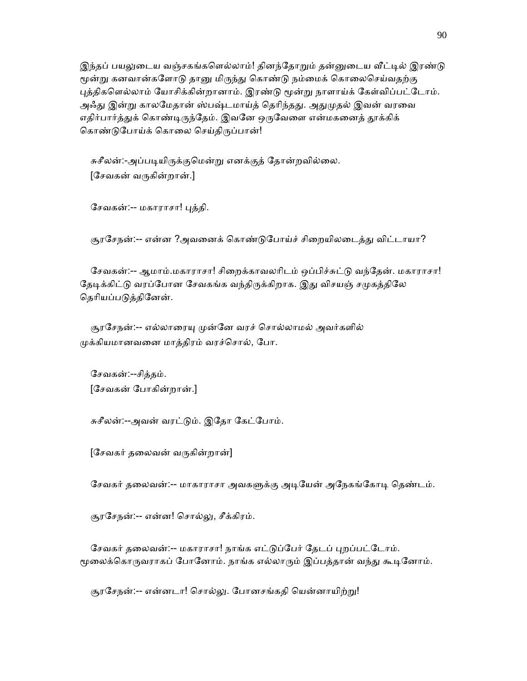இந்தப் பயலுடைய வஞ்சகங்களெல்லாம்! தினந்தோறும் தன்னுடைய வீட்டில் இரண்டு மூன்று கனவான்களோடு தானு மிருந்து கொண்டு நம்மைக் கொலைசெய்வதற்கு புத்திகளெல்லாம் யோசிக்கின்றானாம். இரண்டு மூன்று நாளாய்க் கேள்விப்பட்டோம். அஃது இன்று காலமேதான் ஸ்பஷ்டமாய்த் தெரிந்தது. அதுமுதல் இவன் வரவை எதிர்பார்த்துக் கொண்டிருந்தேம். இவனே ஒருவேளை என்மகனைத் தூக்கிக் கொண்டுபோய்க் கொலை செய்திருப்பான்!

சுசீலன்:-அப்படியிருக்குமென்று எனக்குத் தோன்றவில்லை. [ேசவகன் வᾞகின்றான்.]

ேசவகன்:-- மகாராசா! ᾗத்தி.

சூரசேநன்:-- என்ன ?அவனைக் கொண்டுபோய்ச் சிறையிலடைத்து விட்டாயா?

சேவகன்:-- ஆமாம்.மகாராசா! சிறைக்காவலரிடம் ஒப்பிச்சுட்டு வந்தேன். மகாராசா! தேடிக்கிட்டு வரப்போன சேவகங்க வந்திருக்கிறாக. இது விசயஞ் சமுகத்திலே தெரியப்படுத்தினேன்.

சூரசேநன்:-- எல்லாரையு முன்னே வரச் சொல்லாமல் அவர்களில் ᾙக்கியமானவைன மாத்திரம் வரச்ெசால், ேபா.

 ேசவகன்:--சித்தம். [ேசவகன் ேபாகின்றான்.]

சுசீலன்:--அவன் வரட்ᾌம். இேதா ேகட்ேபாம்.

 $[$ சேவகர் தலைவன் வருகின்றான்]

சேவகர் தலைவன்:-- மாகாராசா அவகளுக்கு அடியேன் அநேகங்கோடி தெண்டம்.

சூரேசநன்:-- என்ன! ெசால்ᾤ, சீக்கிரம்.

சேவகர் தலைவன்:-- மகாராசா! நாங்க எட்டுப்பேர் தேடப் புறப்பட்டோம். மூலைக்கொருவராகப் போனோம். நாங்க எல்லாரும் இப்பத்தான் வந்து கூடினோம்.

சூரசேநன்:-- என்னடா! சொல்லு. போனசங்கதி யென்னாயிற்று!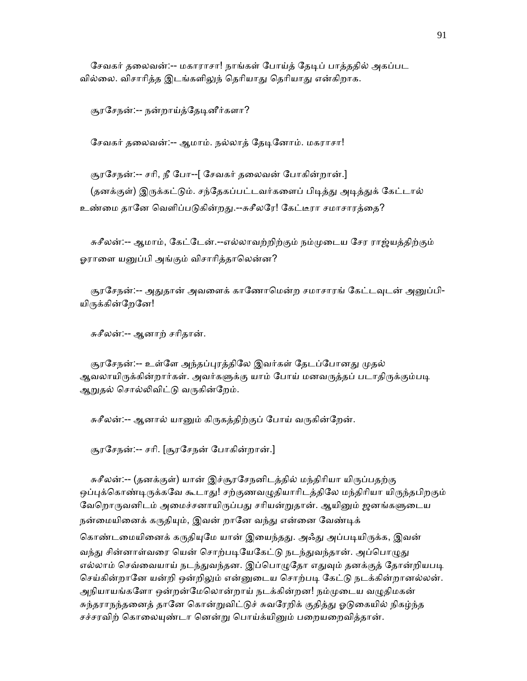சேவகர் தலைவன்:-- மகாராசா! நாங்கள் போய்த் தேடிப் பாத்ததில் அகப்பட வில்லை. விசாரித்த இடங்களிலுந் தெரியாது தெரியாது என்கிறாக.

சூரசேநன்:-- நன்றாய்த்தேடினீர்களா?

சேவகர் தலைவன்:-- ஆமாம். நல்லாத் தேடினோம். மகராசா!

சூரசேநன்:-- சரி, நீ போ--[ சேவகர் தலைவன் போகின்றான்.] (தனக்குள்) இருக்கட்டும். சந்தேகப்பட்டவர்களைப் பிடித்து அடித்துக் கேட்டால் உண்மை தானே வெளிப்படுகின்றது.--சுசீலரே! கேட்டீரா சமாசாரத்தை?

 சுசீலன்:-- ஆமாம், ேகட்ேடன்.--எல்லாவற்றிற்கும் நம்ᾙைடய ேசர ராஜ்யத்திற்கும் ஓராளை யனுப்பி அங்கும் விசாரித்தாலென்ன?

சூரசேநன்:-- அதுதான் அவளைக் காணோமென்ற சமாசாரங் கேட்டவுடன் அனுப்பி-யிருக்கின்றேனே!

சுசீலன்:-- ஆனாற் சாிதான்.

சூரசேநன்:-- உள்ளே அந்தப்புரத்திலே இவர்கள் தேடப்போனது முதல் ஆவலாயிருக்கின்றார்கள். அவர்களுக்கு யாம் போய் மனவருத்தப் படாதிருக்கும்படி ஆறுதல் சொல்லிவிட்டு வருகின்றேம்.

சுசீலன்:-- ஆனால் யானும் கிருகத்திற்குப் போய் வருகின்றேன்.

சூரேசநன்:-- சாி. [சூரேசநன் ேபாகின்றான்.]

சுசீலன்:-- (தனக்குள்) யான் இச்சூரசேநனிடத்தில் மந்திரியா யிருப்பதற்கு ஒப்புக்கொண்டிருக்கவே கூடாது! சற்குணவழுதியாரிடத்திலே மந்திரியா யிருந்தபிறகும் வேறொருவனிடம் அமைச்சனாயிருப்பது சரியன்றுதான். ஆயினும் ஜனங்களுடைய நன்மையினைக் கருதியும், இவன் றானே வந்து என்னை வேண்டிக்

கொண்டமையினைக் கருதியுமே யான் இயைந்தது. அஃது அப்படியிருக்க, இவன் வந்து சின்னாள்வரை யென் சொற்படியேகேட்டு நடந்துவந்தான். அப்பொழுது எல்லாம் செவ்வையாய் நடந்துவந்தன. இப்பொழுதோ எதுவும் தனக்குத் தோன்றியபடி செய்கின்றானே யன்றி ஒன்றிலும் என்னுடைய சொற்படி கேட்டு நடக்கின்றானல்லன். அநியாயங்களோ ஒன்றன்மேலொன்றாய் நடக்கின்றன! நம்முடைய வழுதிமகன் சுந்தராநந்தனைத் தானே கொன்றுவிட்டுச் சுவரேறிக் குதித்து ஓடுகையில் நிகழ்ந்த சச்சரவிற் கொலையுண்டா னென்று பொய்க்யினும் பறையறைவித்தான்.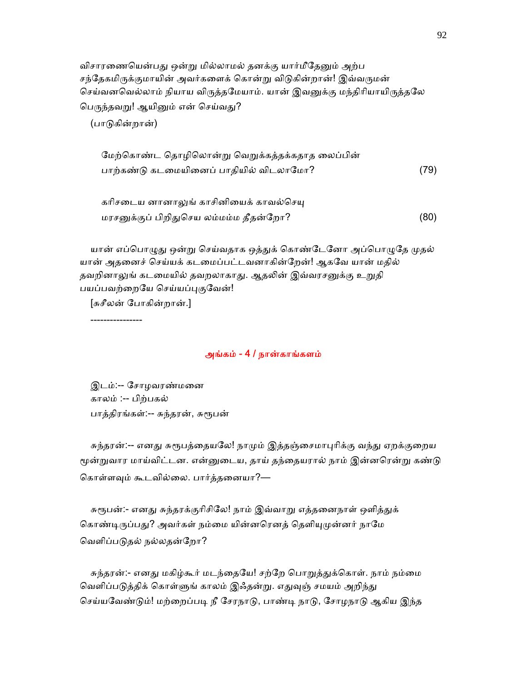விசாரணையென்பது ஒன்று மில்லாமல் தனக்கு யார்மீதேனும் அற்ப சந்தேகமிருக்குமாயின் அவர்களைக் கொன்று விடுகின்றான்! இவ்வருமன் செய்வனவெல்லாம் நியாய விருத்தமேயாம். யான் இவனுக்கு மந்திரியாயிருத்தலே பெருந்தவறு! ஆயினும் என் செய்வது?

(பாᾌகின்றான்)

| மேற்கொண்ட தொழிலொன்று வெறுக்கத்தக்கதாத லைப்பின் |      |
|------------------------------------------------|------|
| பாற்கண்டு கடமையினைப் பாதியில் விடலாமோ?         | (79) |

| கரிசடைய னானாலுங் காசினியைக் காவல்செயு  |      |
|----------------------------------------|------|
| மரசனுக்குப் பிறிதுசெய லம்மம்ம தீதன்றோ? | (80) |

யான் எப்பொழுது ஒன்று செய்வதாக ஒத்துக் கொண்டேனோ அப்பொழுதே முதல் யான் அதைனச் ெசய்யக் கடைமப்பட்டவனாகின்ேறன்! ஆகேவ யான் மதில் தவறினாலுங் கடமையில் தவறலாகாது. ஆதலின் இவ்வரசனுக்கு உறுதி பயப்பவற்றையே செய்யப்புகுவேன்!

[சுசீலன் ேபாகின்றான்.]

----------------

#### அங்கம் - 4 / நான்காங்களம்

 இடம்:-- ேசாழவரண்மைன காலம் :-- பிற்பகல் பாத்திரங்கள்:-- சுந்தரன், சுரூபன்

சுந்தரன்:-- எனது சுரூபத்தையலே! நாமும் இத்தஞ்சைமாபுரிக்கு வந்து ஏறக்குறைய மூன்றுவார மாய்விட்டன. என்னுடைய, தாய் தந்தையரால் நாம் இன்னரென்று கண்டு கொள்ளவும் கூடவில்லை. பார்த்தனையா?—

சுரூபன்:- எனது சுந்தரக்குரிசிலே! நாம் இவ்வாறு எத்தனைநாள் ஒளித்துக் கொண்டிருப்பது? அவர்கள் நம்மை யின்னரெனத் தெளியுமுன்னர் நாமே வெளிப்படுதல் நல்லதன்றோ?

சுந்தரன்:- எனது மகிழ்கூர் மடந்தையே! சற்றே பொறுத்துக்கொள். நாம் நம்மை வெளிப்படுத்திக் கொள்ளுங் காலம் இஃதன்று. எதுவுஞ் சமயம் அறிந்து செய்யவேண்டும்! மற்றைப்படி நீ சேரநாடு, பாண்டி நாடு, சோழநாடு ஆகிய இந்த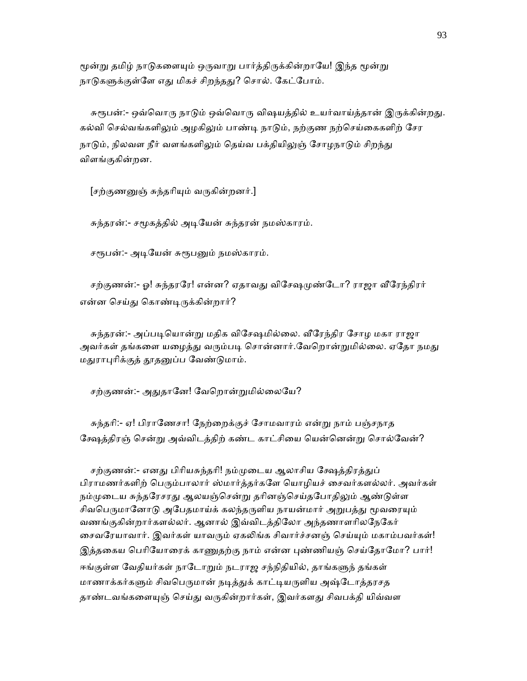மூன்று தமிழ் நாடுகளையும் ஒருவாறு பார்த்திருக்கின்றாயே! இந்த மூன்று நாடுகளுக்குள்ளே எது மிகச் சிறந்தது? சொல். கேட்போம்.

சுரூபன்:- ஒவ்வொரு நாடும் ஒவ்வொரு விஷயத்தில் உயர்வாய்த்தான் இருக்கின்றது. கல்வி செல்வங்களிலும் அழகிலும் பாண்டி நாடும், நற்குண நற்செய்கைகளிற் சேர நாடும், நிலவள நீர் வளங்களிலும் தெய்வ பக்தியிலுஞ் சோழநாடும் சிறந்து விளங்குகின்றன.

[சற்குணனுஞ் சுந்தரியும் வருகின்றனர்.]

சுந்தரன்:- சமூகத்தில் அடியேன் சுந்தரன் நமஸ்காரம்.

சரூபன்:- அடியேன் சுரூபனும் நமஸ்காரம்.

சற்குணன்:- ஓ! சுந்தரரே! என்ன? ஏதாவது விசேஷமுண்டோ? ராஜா வீரேந்திரர் என்ன செய்து கொண்டிருக்கின்றார்?

சுந்தரன்:- அப்படியொன்று மதிக விசேஷமில்லை. வீரேந்திர சோழ மகா ராஜா அவர்கள் தங்களை யழைத்து வரும்படி சொன்னார்.வேறொன்றுமில்லை. ஏதோ நமது மதுராபுரிக்குத் தூதனுப்ப வேண்டுமாம்.

சற்குணன்:- அதுதானே! வேறொன்றுமில்லையே?

 சுந்தாி:- ஏ! பிராேணசா! ேநற்ைறக்குச் ேசாமவாரம் என்ᾠ நாம் பஞ்சநாத ேக்ஷத்திரஞ் ெசன்ᾠ அவ்விடத்திற் கண்ட காட்சிைய ெயன்ெனன்ᾠ ெசால்ேவன்?

சற்குணன்:- எனது பிரியசுந்தரி! நம்முடைய ஆலாசிய க்ஷேத்திரத்துப் பிராமணர்களிற் பெரும்பாலார் ஸ்மார்த்தர்களே யொழியச் சைவர்களல்லர். அவர்கள் நம்முடைய சுந்தரேசரது ஆலயஞ்சென்று தரினஞ்செய்தபோதிலும் ஆண்டுள்ள சிவபெருமானோடு அபேதமாய்க் கலந்தருளிய நாயன்மார் அறுபத்து மூவரையும் வணங்குகின்றார்களல்லர். ஆனால் இவ்விடத்திேலா அந்தணாளாிலேநேகர் சைவரேயாவார். இவர்கள் யாவரும் ஏகலிங்க சிவார்ச்சனஞ் செய்யும் மகாம்பவர்கள்! இத்தகைய பெரியோரைக் காணுதற்கு நாம் என்ன புண்ணியஞ் செய்தோமோ? பார்! ஈங்குள்ள வேதியர்கள் நாடோறும் நடராஜ சந்நிதியில், தாங்களுந் தங்கள் மாணாக்கர்களும் சிவபெருமான் நடித்துக் காட்டியருளிய அஷ்டோத்தரசத தாண்டவங்களையுஞ் செய்து வருகின்றார்கள், இவர்களது சிவபக்தி யிவ்வள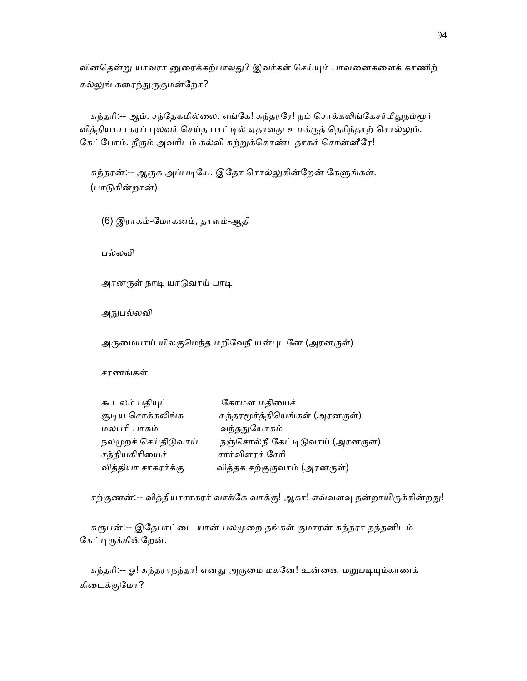வினதென்று யாவரா னுரைக்கற்பாலது? இவர்கள் செய்யும் பாவனைகளைக் காணிற் கல்லுங் கரைந்துருகுமன்றோ?

சுந்தரி:-- ஆம். சந்தேகமில்லை. எங்கே! சுந்தரரே! நம் சொக்கலிங்கேசர்மீதுநம்மூர் வித்தியாசாகரப் புலவர் செய்த பாட்டில் ஏதாவது உமக்குத் தெரிந்தாற் சொல்லும். கேட்போம். நீரும் அவரிடம் கல்வி கற்றுக்கொண்டதாகச் சொன்னீரே!

சுந்தரன்:-- ஆகுக அப்படியே. இதோ சொல்லுகின்றேன் கேளுங்கள். (பாᾌகின்றான்)

(6) இராகம்-ேமாகனம், தாளம்-ஆதி

பல்லவி

அரனருள் நாடி யாடுவாய் பாடி

அநுபல்லவி

அருமையாய் யிலகுமெந்த மறிவேநீ யன்புடனே (அரனருள்)

சரணங்கள்

| கூடலம் பதியுட்       | கோமள மதியைச்                     |
|----------------------|----------------------------------|
| சூடிய சொக்கலிங்க     | சுந்தரமூர்த்தியெங்கள் (அரனருள்)  |
| மலபரி பாகம்          | வந்ததுயோகம்                      |
| நலமுறச் செய்திடுவாய் | நஞ்சொல்நீ கேட்டிடுவாய் (அரனருள்) |
| சத்தியகிரியைச்       | சார்விளரச் சேரி                  |
| வித்தியா சாகரர்க்கு  | வித்தக சற்குருவாம் (அரனருள்)     |

சற்குணன்:-- வித்தியாசாகரர் வாக்கே வாக்கு! ஆகா! எவ்வளவு நன்றாயிருக்கின்றது!

சுரூபன்:-- இதேபாட்டை யான் பலமுறை தங்கள் குமாரன் சுந்தரா நந்தனிடம் கேட்டிருக்கின்றேன்.

சுந்தரி:-- ஓ! சுந்தராநந்தா! எனது அருமை மகனே! உன்னை மறுபடியும்காணக் கிைடக்குேமா?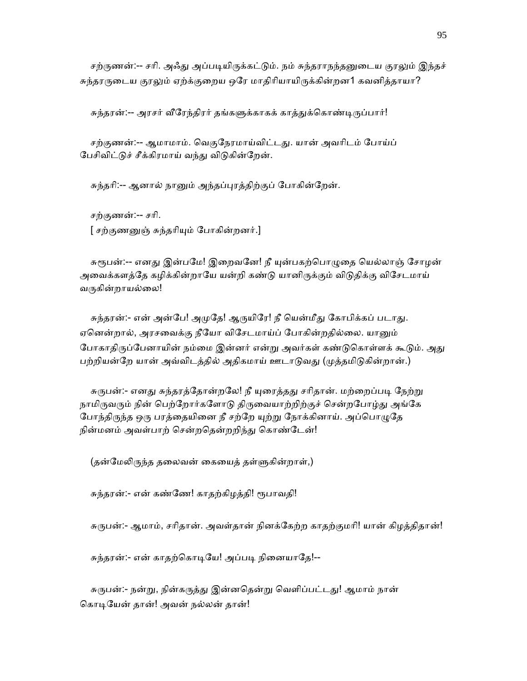சற்ருணன்:-- சரி. அஃது அப்படியிருக்கட்டும். நம் சுந்தராநந்தனுடைய குரலும் இந்தச் சுந்தரருடைய குரலும் ஏற்க்குறைய ஒரே மாதிரியாயிருக்கின்றன1 கவனித்தாயா?

சுந்தரன்:-- அரசர் வீரேந்திரர் தங்களுக்காகக் காத்துக்கொண்டிருப்பார்!

சற்குணன்:-- ஆமாமாம். வெகுநேரமாய்விட்டது. யான் அவரிடம் போய்ப் பேசிவிட்டுச் சீக்கிரமாய் வந்து விடுகின்றேன்.

சுந்தாி:-- ஆனால் நாᾔம் அந்தப்ᾗரத்திற்குப் ேபாகின்ேறன்.

 சற்குணன்:-- சாி. [ சற்குணᾔஞ் சுந்தாிᾜம் ேபாகின்றனர்.]

சுரூபன்:-- எனது இன்பமே! இறைவனே! நீ யுன்பகற்பொழுதை யெல்லாஞ் சோழன் அவைக்களத்தே கழிக்கின்றாயே யன்றி கண்டு யானிருக்கும் விடுதிக்கு விசேடமாய் வருகின்றாயல்லை!

சுந்தரன்:- என் அன்பே! அமுதே! ஆருயிரே! நீ யென்மீது கோபிக்கப் படாது. ஏனென்றால், அரசவைக்கு நீயோ விசேடமாய்ப் போகின்றதில்லை. யானும் போகாதிருப்பேனாயின் நம்மை இன்னர் என்று அவர்கள் கண்டுகொள்ளக் கூடும். அது பற்றியன்றே யான் அவ்விடத்தில் அதிகமாய் ஊடாடுவது (முத்தமிடுகின்றான்.)

சுருபன்:- எனது சுந்தரத்தோன்றலே! நீ யுரைத்தது சரிதான். மற்றைப்படி நேற்று நாமிருவரும் நின் பெற்றோர்களோடு திருவையாற்றிற்குச் சென்றபோழ்து அங்கே போந்திருந்த ஒரு பரத்தையினை நீ சற்றே யுற்று நோக்கினாய். அப்பொழுதே நின்மனம் அவள்பாற் சென்றதென்றறிந்து கொண்டேன்!

(தன்மேலிருந்த தலைவன் கையைத் தள்ளுகின்றாள்,)

சுந்தரன்:- என் கண்ணே! காதற்கிழத்தி! ரூபாவதி!

சுருபன்:- ஆமாம், சரிதான். அவள்தான் நினக்கேற்ற காதற்குமரி! யான் கிழத்திதான்!

சுந்தரன்:- என் காதற்கொடியே! அப்படி நினையாதே!--

சுருபன்:- நன்று, நின்கருத்து இன்னதென்று வெளிப்பட்டது! ஆமாம் நான் கொடியேன் தான்! அவன் நல்லன் தான்!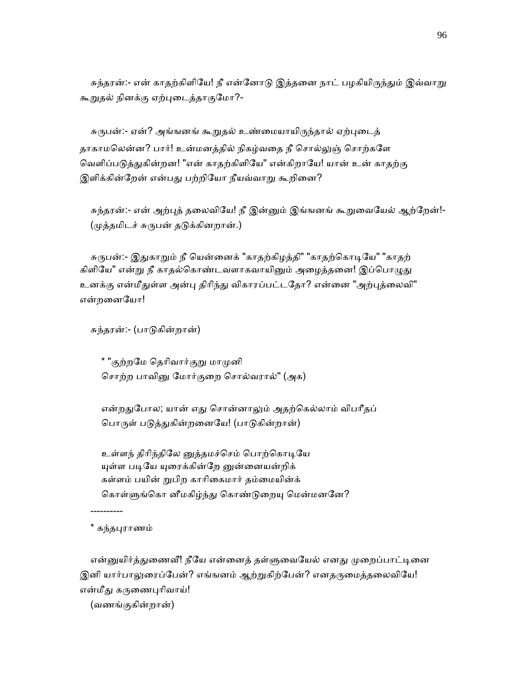சுந்தரன்:- என் காதற்கிளியே! நீ என்னோடு இத்தனை நாட் பழகியிருந்தும் இவ்வாறு கூறுதல் நினக்கு ஏற்புடைத்தாகுமோ?-

சுருபன்:- ஏன்? அங்ஙனங் கூறுதல் உண்மையாயிருந்தால் ஏற்புடைத் தாகாமலென்ன? பார்! உன்மனத்தில் நிகழ்வதை நீ சொல்லுஞ் சொற்களே வெளிப்படுத்துகின்றன! "என் காதற்கிளியே" என்கிறாயே! யான் உன் காதற்கு இளிக்கின்றேன் என்பது பற்றியோ நீயவ்வாறு கூறினை?

சுந்தரன்:- என் அற்புத் தலைவியே! நீ இன்னும் இங்ஙனங் கூறுவையேல் ஆற்றேன்!-(முத்தமிடச் சுருபன் தடுக்கினறான்.)

சுருபன்:- இதுகாறும் நீ யென்னைக் "காதற்கிழத்தி" "காதற்கொடியே" "காதற் கிளியே" என்று நீ காதல்கொண்டவளாகவாயினும் அழைத்தனை! இப்பொழுது உனக்கு என்மீதுள்ள அன்பு திரிந்து விகாரப்பட்டதோ? என்னை "அற்புத்லைவி" என்றைனேயா!

சுந்தரன்:- (பாᾌகின்றான்)

\* "குற்றமே தெரிவார்குறு மாமுனி சொற்ற பாவினு மோர்குறை சொல்வரால்" (அக)

என்றதுபோல; யான் எது சொன்னாலும் அதற்கெல்லாம் விபரீதப் பொருள் படுத்துகின்றனையே! (பாடுகின்றான்)

உள்ளந் திரிந்திலே னுத்தமச்செம் பொற்கொடியே யுள்ள படியே யுரைக்கின்றே னுன்னையன்றிக் கள்ளம் பயின் றுபிற காரிகைமார் தம்மையின்க் கொள்ளுங்கொ னீமகிழ்ந்து கொண்டுறையு மென்மனனே?

\* கந்தபுராணம்

----------

என்னுயிர்த்துணைவீ! நீயே என்னைத் தள்ளுவையேல் எனது முறைப்பாட்டினை இனி யார்பாலுரைப்பேன்? எங்ஙனம் ஆற்றுகிற்பேன்? எனதருமைத்தலைவியே! என்மீது கருணைபுரிவாய்!

(வணங்குகின்றான்)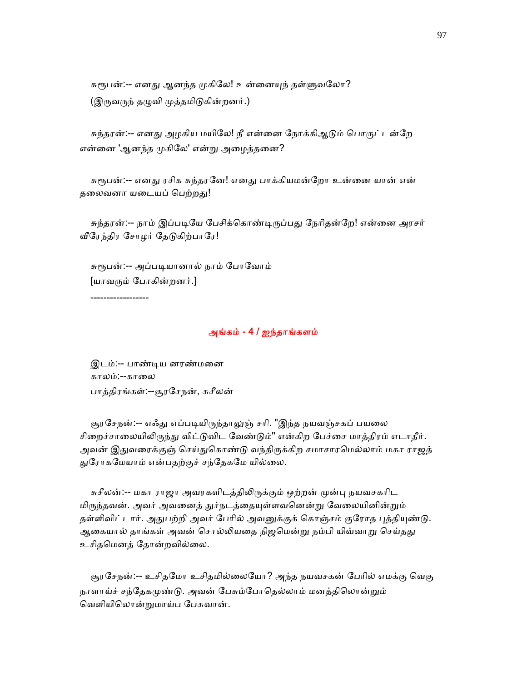சுரூபன்:-- எனது ஆனந்த முகிலே! உன்னையுந் தள்ளுவலோ? (இருவருந் தழுவி முத்தமிடுகின்றனர்.)

சுந்தரன்:-- எனது அழகிய மயிலே! நீ என்னை நோக்கிஆடும் பொருட்டன்றே என்னை 'ஆனந்த முகிலே' என்று அழைத்தனை?

சுரூபன்:-- எனது ரசிக சுந்தரனே! எனது பாக்கியமன்றோ உன்னை யான் என் தலைவனா யடையப் பெற்றது!

சுந்தரன்:-- நாம் இப்படியே பேசிக்கொண்டிருப்பது நேரிதன்றே! என்னை அரசர் வீரேந்திர சோழர் தேடுகிற்பாரே!

சுரூபன்:-- அப்படியானால் நாம் போவோம் [யாவᾞம் ேபாகின்றனர்.]

------------------

# அங்கம் - 4 / ஐந்தாங்களம்

 இடம்:-- பாண்ᾊய னரண்மைன காலம்:--காைல பாத்திரங்கள்:--சூரேசநன், சுசீலன்

சூரசேநன்:-- எஃது எப்படியிருந்தாலுஞ் சரி. "இந்த நயவஞ்சகப் பயலை சிறைச்சாலையிலிருந்து விட்டுவிட வேண்டும்" என்கிற பேச்சை மாத்திரம் எடாதீர். அவன் இதுவரைக்குஞ் செய்துகொண்டு வந்திருக்கிற சமாசாரமெல்லாம் மகா ராஜத் துரோகமேயாம் என்பதற்குச் சந்தேகமே யில்லை.

சுசீலன்:-- மகா ராஜா அவரகளிடத்திலிருக்கும் ஒற்றன் முன்பு நயவசகரிட மிருந்தவன். அவர் அவனைத் துர்நடத்தையுள்ளவனென்று வேலையினின்றும் தள்ளிவிட்டார். அதுபற்றி அவர் பேரில் அவனுக்குக் கொஞ்சம் குரோத புத்தியுண்டு. ஆகையால் தாங்கள் அவன் சொல்லியதை நிஜமென்று நம்பி யிவ்வாறு செய்தது உசிதெமனத் ேதான்றவில்ைல.

சூரசேநன்:-- உசிதமோ உசிதமில்லையோ? அந்த நயவசகன் பேரில் எமக்கு வெகு நாளாய்ச் சந்தேகமுண்டு. அவன் பேசும்போதெல்லாம் மனத்திலொன்றும் ெவளியிெலான்ᾠமாய்ப ேபசுவான்.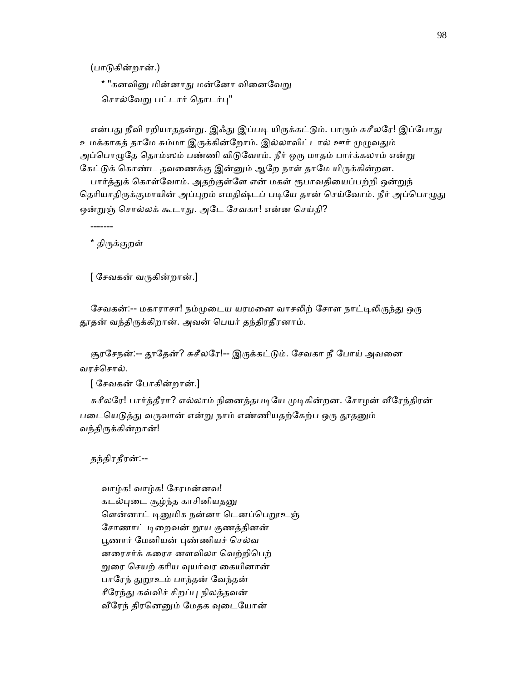(பாᾌகின்றான்.)

\* "கனவினு மின்னாது மன்னோ வினைவேறு சொல்வேறு பட்டார் தொடர்பு"

என்பது நீவி ரறியாததன்று. இஃது இப்படி யிருக்கட்டும். பாரும் சுசீலரே! இப்போது உமக்காகத் தாமே சும்மா இருக்கின்றோம். இல்லாவிட்டால் ஊர் முழுவதும் அப்பொழுதே தொம்ஸம் பண்ணி விடுவோம். நீர் ஒரு மாதம் பார்க்கலாம் என்று கேட்டுக் கொண்ட தவணைக்கு இன்னும் ஆறே நாள் தாமே யிருக்கின்றன. பார்த்துக் கொள்வோம். அதற்குள்ளே என் மகள் ரூபாவதியைப்பற்றி ஒன்றுந் தெரியாதிருக்குமாயின் அப்புறம் எமதிஷ்டப் படியே தான் செய்வோம். நீர் அப்பொழுது ஒன்றுஞ் சொல்லக் கூடாது. அடே சேவகா! என்ன செய்தி?

\* கிருக்குறள்

-------

[ ேசவகன் வᾞகின்றான்.]

சேவகன்:-- மகாராசா! நம்முடைய யரமனை வாசலிற் சோள நாட்டிலிருந்து ஒரு தூதன் வந்திருக்கிறான். அவன் பெயர் தந்திரதீரனாம்.

சூரசேநன்:-- தூதேன்? சுசீலரே!-- இருக்கட்டும். சேவகா நீ போய் அவனை வரச்ெசால்.

[ ேசவகன் ேபாகின்றான்.]

சுசீலரே! பார்த்தீரா? எல்லாம் நினைத்தபடியே முடிகின்றன. சோழன் வீரேந்திரன் படையெடுத்து வருவான் என்று நாம் எண்ணியதற்கேற்ப ஒரு தூதனும் வந்திருக்கின்றான்!

தந்திரதீரன்:--

 வாழ்க! வாழ்க! ேசரமன்னவ! கடல்புடை சூழ்ந்த காசினியதனு ளென்னாட் டினுமிக நன்னா டெனப்பெறூஉஞ் சோணாட் டிறைவன் றூய குணத்தினன் பூணார் மேனியன் புண்ணியச் செல்வ னைரசர்க் கைரச னளவிலா ெவற்றிெபற் ᾠைர ெசயற் காிய ᾫயர்வர ைகயினான் பாரேந் துறூஉம் பாந்தன் வேந்தன் சீரேந்து கவ்விச் சிறப்பு நிலத்தவன் வீரேந் திரனெனும் மேதக வுடையோன்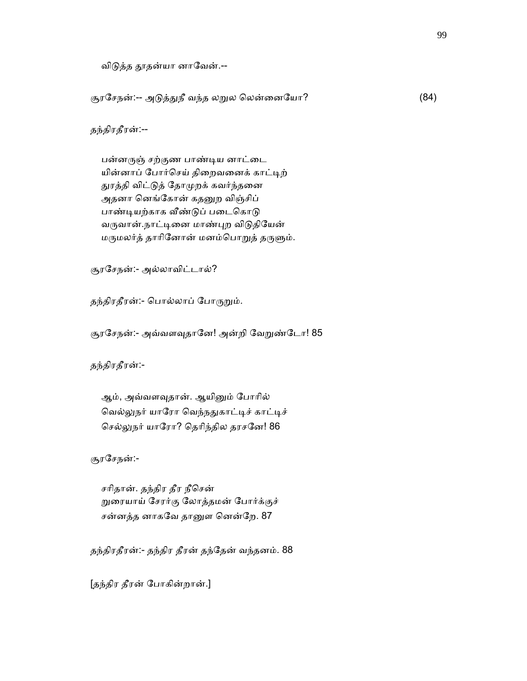விடுத்த தூதன்யா னாவேன்.--

சூரசேநன்:-- அடுத்துநீ வந்த லறுல லென்னையோ? (84)

தந்திரதீரன்:--

பன்னருஞ் சற்குண பாண்டிய னாட்டை யின்னாப் போர்செய் திறைவனைக் காட்டிற் துரத்தி விட்டுத் தோமுறக் கவர்ந்தனை அதனா னெங்கோன் கதனுற விஞ்சிப் பாண்டியற்காக வீண்டுப் படைகொடு வருவான்.நாட்டினை மாண்புற விடுதியேன் மருமலர்த் தாரினோன் மனம்பொறுத் தருளும்.

சூரேசநன்:- அல்லாவிட்டால்?

தந்திரதீரன்:- பொல்லாப் போருறும்.

சூரசேநன்:- அவ்வளவுதானே! அன்றி வேறுண்டோ! 85

தந்திரதீரன்:-

ஆம், அவ்வளவுதான். ஆயினும் போரில் வெல்லுநர் யாரோ வெந்நதுகாட்டிச் காட்டிச் செல்லுநர் யாரோ? தெரிந்தில தரசனே! 86

சூரேசநன்:-

 சாிதான். தந்திர தீர நீெசன் ᾠைரயாய் ேசரர்கு ேலாத்தமன் ேபார்க்குச் சன்னத்த னாகவே தானுள னென்றே. 87

தந்திரதீரன்:- தந்திர தீரன் தந்ேதன் வந்தனம். 88

[தந்திர தீரன் ேபாகின்றான்.]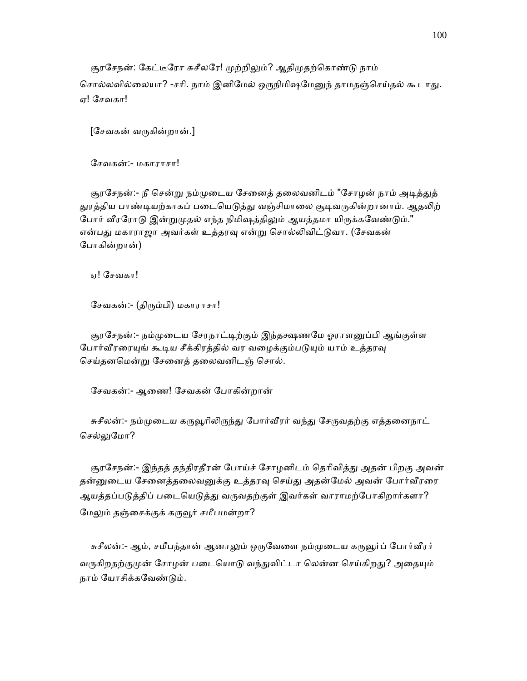சூரசேநன்: கேட்டீரோ சுசீலரே! முற்றிலும்? ஆதிமுதற்கொண்டு நாம் சொல்லவில்லையா? -சரி. நாம் இனிமேல் ஒருநிமிஷமேனுந் தாமதஞ்செய்தல் கூடாது. ஏ! ேசவகா!

 $[$ சேவகன் வருகின்றான்.]

ேசவகன்:- மகாராசா!

சூரசேநன்:- நீ சென்று நம்முடைய சேனைத் தலைவனிடம் "சோழன் நாம் அடித்துத் துரத்திய பாண்டியற்காகப் படையெடுத்து வஞ்சிமாலை சூடிவருகின்றானாம். ஆதலிற் போர் வீரரோடு இன்றுமுதல் எந்த நிமிஷத்திலும் ஆயத்தமா யிருக்கவேண்டும்." என்பது மகாராஜா அவர்கள் உத்தரவு என்று சொல்லிவிட்டுவா. (சேவகன் ேபாகின்றான்)

ஏ! ேசவகா!

ேசவகன்:- (திᾞம்பி) மகாராசா!

சூரசேநன்:- நம்முடைய சேரநாட்டிற்கும் இந்தக்ஷணமே ஓராளனுப்பி ஆங்குள்ள போர்வீரரையுங் கூடிய சீக்கிரத்தில் வர வழைக்கும்படுயும் யாம் உத்தரவு செய்தனமென்று சேனைத் தலைவனிடஞ் சொல்.

ேசவகன்:- ஆைண! ேசவகன் ேபாகின்றான்

சுசீலன்:- நம்முடைய கருவூரிலிருந்து போர்வீரர் வந்து சேருவதற்கு எத்தனைநாட் செல்லுமோ?

சூரசேநன்:- இந்தத் தந்திரதீரன் போய்ச் சோழனிடம் தெரிவித்து அதன் பிறகு அவன் தன்னுடைய சேனைத்தலைவனுக்கு உத்தரவு செய்து அதன்மேல் அவன் போர்வீரரை ஆயத்தப்படுத்திப் படையெடுத்து வருவதற்குள் இவர்கள் வாராமற்போகிறார்களா? மேலும் தஞ்சைக்குக் கருவூர் சமீபமன்றா?

சுசீலன்:- ஆம், சமீபந்தான் ஆனாலும் ஒருவேளை நம்முடைய கருவூர்ப் போர்வீரர் வருகிறதற்குமுன் சோழன் படையொடு வந்துவிட்டா லென்ன செய்கிறது? அதையும் நாம் ேயாசிக்கேவண்ᾌம்.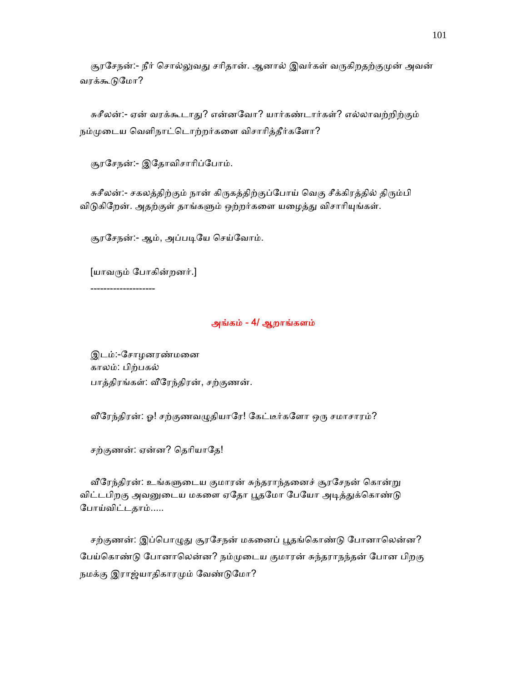சூரசேநன்:- நீர் சொல்லுவது சரிதான். ஆனால் இவர்கள் வருகிறதற்குமுன் அவன் வரக்கூடுமோ?

சுசீலன்:- ஏன் வரக்கூடாது? என்னவோ? யார்கண்டார்கள்? எல்லாவற்றிற்கும் நம்முடைய வெளிநாட்டொற்றர்களை விசாரித்தீர்களோ?

சூரேசநன்:- இேதாவிசாாிப்ேபாம்.

சுசீலன்:- சகலத்திற்கும் நான் கிருகத்திற்குப்போய் வெகு சீக்கிரத்தில் திரும்பி விடுகிறேன். அதற்குள் தாங்களும் ஒற்றர்களை யழைத்து விசாரியுங்கள்.

சூரசேநன்:- ஆம், அப்படியே செய்வோம்.

[யாவᾞம் ேபாகின்றனர்.]

--------------------

### அங்கம் - 4/ ஆறாங்களம்

 இடம்:-ேசாழனரண்மைன காலம்: பிற்பகல் பாத்திரங்கள்: ᾪேரந்திரன், சற்குணன்.

வீரேந்திரன்: ஓ! சற்குணவழுதியாரே! கேட்டீர்களோ ஒரு சமாசாரம்?

சற்குணன்: ஏன்ன? தெரியாதே!

வீரேந்திரன்: உங்களுடைய குமாரன் சுந்தராந்தனைச் சூரசேநன் கொன்று விட்டபிறகு அவனுடைய மகளை ஏதோ பூதமோ பேயோ அடித்துக்கொண்டு ேபாய்விட்டதாம்.....

சற்குணன்: இப்பொழுது சூரசேநன் மகனைப் பூதங்கொண்டு போனாலென்ன? பேய்கொண்டு போனாலென்ன? நம்முடைய குமாரன் சுந்தராநந்தன் போன பிறகு நமக்கு இராஜ்யாதிகாரமும் வேண்டுமோ?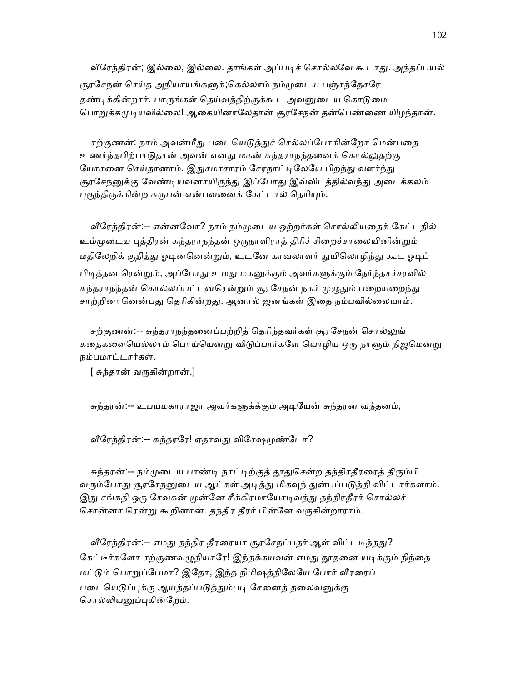வீரேந்திரன்; இல்லை, இல்லை. தாங்கள் அப்படிச் சொல்லவே கூடாது. அந்தப்பயல் சூரசேநன் செய்த அநியாயங்களுக்;கெல்லாம் நம்முடைய பஞ்சந்தேசரே தண்டிக்கின்றார். பாருங்கள் தெய்வத்திற்குக்கூட அவனுடைய கொடுமை பொறுக்கமுடியவில்லை! ஆகையினாலேதான் சூரசேநன் தன்பெண்ணை யிழந்தான்.

சற்குணன்: நாம் அவன்மீது படையெடுத்துச் செல்லப்போகின்றோ மென்பதை உணர்ந்தபிற்பாடுதான் அவன் எனது மகன் சுந்தராநந்தனைக் கொல்லுதற்கு யோசனை செய்தானாம். இதுசமாசாரம் சேரநாட்டிலேயே பிறந்து வளர்ந்து சூரசேநனுக்கு வேண்டியவனாயிருந்து இப்போது இவ்விடத்தில்வந்து அடைக்கலம் புகுந்திருக்கின்ற சுருபன் என்பவனைக் கேட்டால் தெரியும்.

வீரேந்திரன்:-- என்னவோ? நாம் நம்முடைய ஒற்றர்கள் சொல்லியதைக் கேட்டதில் உம்முடைய புத்திரன் சுந்தராநந்தன் ஒருநாளிராத் திரிச் சிறைச்சாலையினின்றும் மதிலேறிக் குதித்து ஓடினனென்றும், உடனே காவலாளர் துயிலொழிந்து கூட ஓடிப் பிடித்தன ரென்றும், அப்போது உமது மகனுக்கும் அவர்களுக்கும் நேர்ந்தசச்சரவில் சுந்தராநந்தன் கொல்லப்பட்டனரென்றும் சூரசேநன் நகர் முழுதும் பறையறைந்து சாற்றினானென்பது தெரிகின்றது. ஆனால் ஜனங்கள் இதை நம்பவில்லையாம்.

சற்குணன்:-- சுந்தராநந்தனைப்பற்றித் தெரிந்தவர்கள் சூரசேநன் சொல்லுங் கதைகளையெல்லாம் பொய்யென்று விடுப்பார்களே யொழிய ஒரு நாளும் நிஜமென்று நம்பமாட்டார்கள்.

[ சுந்தரன் வᾞகின்றான்.]

சுந்தரன்:-- உபயமகாராஜா அவர்களுக்க்கும் அடியேன் சுந்தரன் வந்தனம்,

வீரேந்திரன்:-- சுந்தரரே! ஏதாவது விசேஷமுண்டோ?

சுந்தரன்:-- நம்முடைய பாண்டி நாட்டிற்குத் தூதுசென்ற தந்திரதீரரைத் திரும்பி வரும்போது சூரசேநனுடைய ஆட்கள் அடித்து மிகவுந் துன்பப்படுத்தி விட்டார்களாம். இது சங்கதி ஒரு சேவகன் முன்னே சீக்கிரமாயோடிவந்து தந்திரதீரர் சொல்லச் சொன்னா ரென்று கூறினான். தந்திர தீரர் பின்னே வருகின்றாராம்.

வீரேந்திரன்:-- எமது தந்திர தீரரையா சூரசேநப்பதர் ஆள் விட்டடித்தது? கேட்டீர்களோ சற்குணவழுதியாரே! இந்தக்கயவன் எமது தூதனை யடிக்கும் நிந்தை மட்ᾌம் ெபாᾠப்ேபமா? இேதா, இந்த நிமிஷத்திேலேய ேபார் ᾪரைரப் படையெடுப்புக்கு ஆயத்தப்படுத்தும்படி சேனைத் தலைவனுக்கு சொல்லியனுப்புகின்றேம்.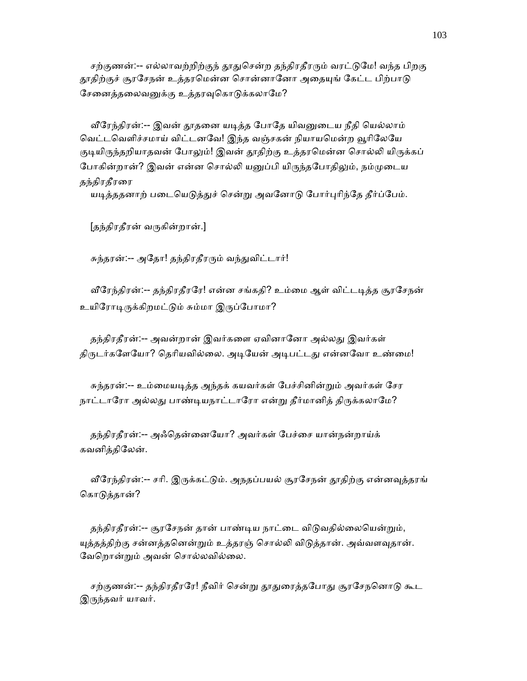சற்குணன்:-- எல்லாவற்றிற்குந் தூதுசென்ற தந்திரதீரரும் வரட்டுமே! வந்த பிறகு தூதிற்குச் சூரசேநன் உத்தரமென்ன சொன்னானோ அதையுங் கேட்ட பிற்பாடு சேனைத்தலைவனுக்கு உத்தரவுகொடுக்கலாமே?

வீரேந்திரன்:-- இவன் தூதனை யடித்த போதே யிவனுடைய நீதி யெல்லாம் வெட்டவெளிச்சமாய் விட்டனவே! இந்த வஞ்சகன் நியாயமென்ற வூரிலேயே குடியிருந்தறியாதவன் போலும்! இவன் தூதிற்கு உத்தரமென்ன சொல்லி யிருக்கப் போகின்றான்? இவன் என்ன சொல்லி யனுப்பி யிருந்தபோதிலும், நம்முடைய தந்திரதீரரை

யடித்ததனாற் படையெடுத்துச் சென்று அவனோடு போர்புரிந்தே தீர்ப்பேம்.

[தந்திரதீரன் வᾞகின்றான்.]

சுந்தரன்:-- அதோ! தந்திரதீரரும் வந்துவிட்டார்!

வீரேந்திரன்:-- தந்திரதீரரே! என்ன சங்கதி? உம்மை ஆள் விட்டடித்த சூரசேநன் உயிரோடிருக்கிறமட்டும் சும்மா இருப்போமா?

தந்திரதீரன்:-- அவன்றான் இவர்களை ஏவினானோ அல்லது இவர்கள் திருடர்களேயோ? தெரியவில்லை. அடியேன் அடிபட்டது என்னவோ உண்மை!

சுந்தரன்:-- உம்மையடித்த அந்தக் கயவர்கள் பேச்சினின்றும் அவர்கள் சேர நாட்டாரோ அல்லது பாண்டியநாட்டாரோ என்று தீர்மானித் திருக்கலாமே?

 தந்திரதீரன்:-- அஃெதன்ைனேயா? அவர்கள் ேபச்ைச யான்நன்றாய்க் கவனித்திேலன்.

வீரேந்திரன்:-- சரி. இருக்கட்டும். அநதப்பயல் சூரசேநன் தூதிற்கு என்னவுத்தரங் கொடுத்தான்?

தந்திரதீரன்:-- சூரசேநன் தான் பாண்டிய நாட்டை விடுவதில்லையென்றும், யுத்தத்திற்கு சன்னத்தனென்றும் உத்தரஞ் சொல்லி விடுத்தான். அவ்வளவுதான். ேவெறான்ᾠம் அவன் ெசால்லவில்ைல.

சற்குணன்:-- தந்திரதீரரே! நீவிர் சென்று தூதுரைத்தபோது சூரசேநனொடு கூட இருந்தவர் யாவர்.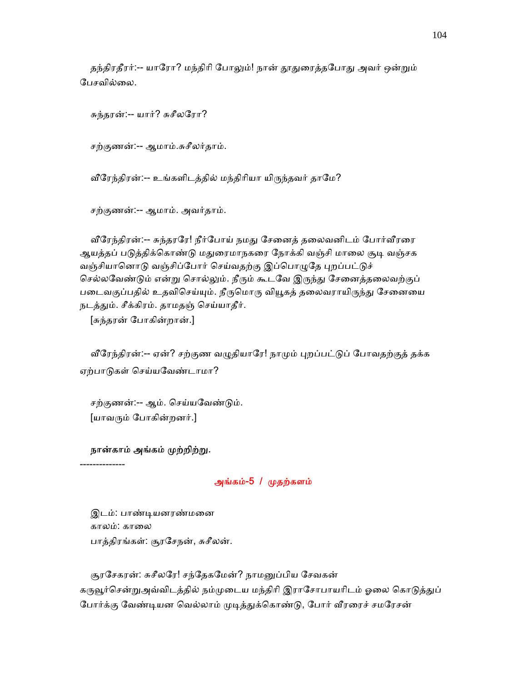தந்திரதீரர்:-- யாரோ? மந்திரி போலும்! நான் தூதுரைத்தபோது அவர் ஒன்றும் பேசவில்லை.

சுந்தரன்:-- யார்? சுசீலேரா?

சற்குணன்:-- ஆமாம்.சுசீலர்தாம்.

வீரேந்திரன்:-- உங்களிடத்தில் மந்திரியா யிருந்தவர் தாமே?

சற்குணன்:-- ஆமாம். அவர்தாம்.

வீரேந்திரன்:-- சுந்தரரே! நீர்போய் நமது சேனைத் தலைவனிடம் போர்வீரரை ஆயத்தப் படுத்திக்கொண்டு மதுரைமாநகரை நோக்கி வஞ்சி மாலை சூடி வஞ்சக வஞ்சியானொடு வஞ்சிப்போர் செய்வதற்கு இப்பொழுதே புறப்பட்டுச் செல்லவேண்டும் என்று சொல்லும். நீரும் கூடவே இருந்து சேனைத்தலைவற்குப் படைவகுப்பதில் உதவிசெய்யும். நீருமொரு வியூகத் தலைவராயிருந்து சேனையை நடத்தும். சீக்கிரம். தாமதஞ் செய்யாதீர்.

[சுந்தரன் ேபாகின்றான்.]

வீரேந்திரன்:-- ஏன்? சற்குண வழுதியாரே! நாமும் புறப்பட்டுப் போவதற்குத் தக்க ஏற்பாᾌகள் ெசய்யேவண்டாமா?

 சற்குணன்:-- ஆம். ெசய்யேவண்ᾌம். [யாவᾞம் ேபாகின்றனர்.]

#### நான்காம் அங்கம் முற்றிற்று.

--------------

அங்கம்-5 / ᾙதற்களம்

 இடம்: பாண்ᾊயனரண்மைன காலம்: காலை பாத்திரங்கள்: சூரேசநன், சுசீலன்.

சூரசேகரன்: சுசீலரே! சந்தேகமேன்? நாமனுப்பிய சேவகன் கருவூர்சென்றுஅவ்விடத்தில் நம்முடைய மந்திரி இராசோபாயரிடம் ஓலை கொடுத்துப் போர்க்கு வேண்டியன வெல்லாம் முடித்துக்கொண்டு, போர் வீரரைச் சமரேசன்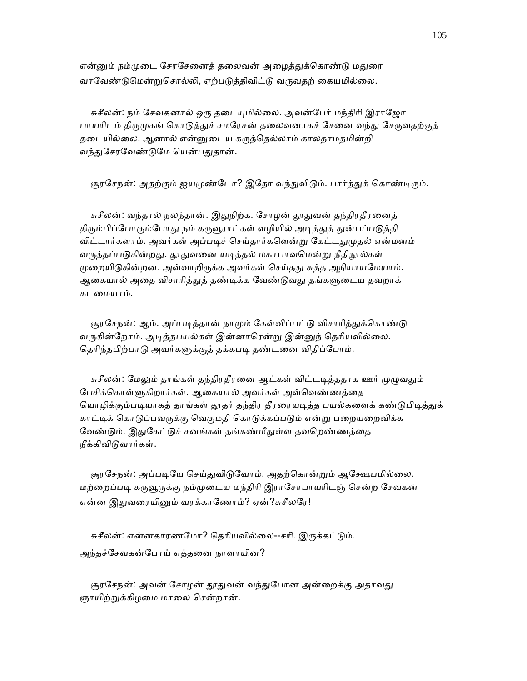என்னும் நம்முடை சேரசேனைத் தலைவன் அழைத்துக்கொண்டு மதுரை வரவேண்டுமென்றுசொல்லி, ஏற்படுத்திவிட்டு வருவதற் கையமில்லை.

சுசீலன்: நம் சேவகனால் ஒரு தடையுமில்லை. அவன்பேர் மந்திரி இராஜோ பாயரிடம் திருமுகங் கொடுத்துச் சமரேசன் தலைவனாகச் சேனை வந்து சேருவதற்குத் தடையில்லை. ஆனால் என்னுடைய கருத்தெல்லாம் காலதாமதமின்றி வந்துசேரவேண்டுமே யென்பதுதான்.

சூரசேநன்: அதற்கும் ஐயமுண்டோ? இதோ வந்துவிடும். பார்த்துக் கொண்டிரும்.

சுசீலன்: வந்தால் நலந்தான். இதுநிற்க. சோழன் தூதுவன் தந்திரதீரனைத் திரும்பிப்போகும்போது நம் கருவூராட்கள் வழியில் அடித்துத் துன்பப்படுத்தி விட்டார்களாம். அவர்கள் அப்படிச் செய்தார்களென்று கேட்டதுமுதல் என்மனம் வருத்தப்படுகின்றது. தூதுவனை யடித்தல் மகாபாவமென்று நீதிநூல்கள் முறையிடுகின்றன. அவ்வாறிருக்க அவர்கள் செய்தது சுத்த அநியாயமேயாம். ஆகையால் அதை விசாரித்துத் தண்டிக்க வேண்டுவது தங்களுடைய தவறாக் கடைமயாம்.

சூரசேநன்: ஆம். அப்படித்தான் நாமும் கேள்விப்பட்டு விசாரித்துக்கொண்டு வருகின்றோம். அடித்தபயல்கள் இன்னாரென்று இன்னுந் தெரியவில்லை. தெரிந்தபிற்பாடு அவர்களுக்குத் தக்கபடி தண்டனை விதிப்போம்.

சுசீலன்: மேலும் தாங்கள் தந்திரதீரனை ஆட்கள் விட்டடித்ததாக ஊர் முழுவதும் பேசிக்கொள்ளுகிறார்கள். ஆகையால் அவர்கள் அவ்வெண்ணத்தை யொழிக்கும்படியாகத் தாங்கள் தூதர் தந்திர தீரரையடித்த பயல்களைக் கண்டுபிடித்துக் காட்டிக் கொடுப்பவருக்கு வெகுமதி கொடுக்கப்படும் என்று பறையறைவிக்க வேண்டும். இதுகேட்டுச் சனங்கள் தங்கண்மீதுள்ள தவறெண்ணத்தை நீக்கிவிᾌவார்கள்.

சூரசேநன்: அப்படியே செய்துவிடுவோம். அதற்கொன்றும் ஆக்ஷேபமில்லை. மற்றைப்படி கருவூருக்கு நம்முடைய மந்திரி இராசோபாயரிடஞ் சென்ற சேவகன் என்ன இதுவரையினும் வரக்காணோம்? ஏன்?சுசீலரே!

சுசீலன்: என்னகாரணமோ? தெரியவில்லை--சரி. இருக்கட்டும். அந்தச்ேசவகன்ேபாய் எத்தைன நாளாயின?

சூரசேநன்: அவன் சோழன் தூதுவன் வந்துபோன அன்றைக்கு அதாவது ஞாயிற்றுக்கிழமை மாலை சென்றான்.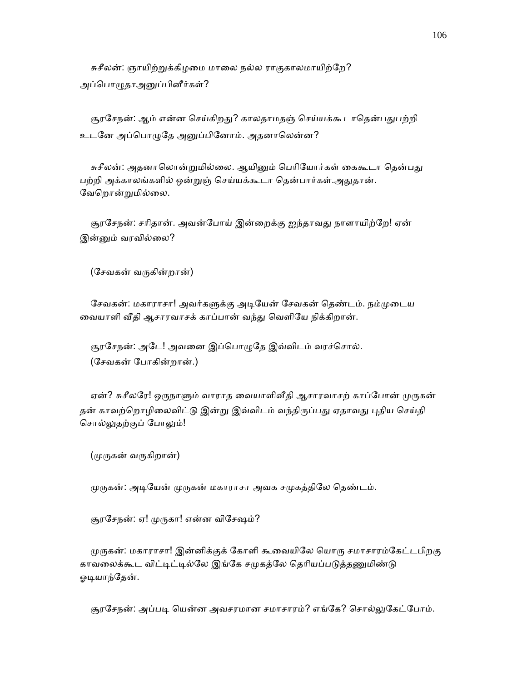சுசீலன்: ஞாயிற்றுக்கிழமை மாலை நல்ல ராகுகாலமாயிற்றே? அப்பொழுதாஅனுப்பினீர்கள்?

சூரசேநன்: ஆம் என்ன செய்கிறது? காலதாமதஞ் செய்யக்கூடாதென்பதுபற்றி உடனே அப்பொழுதே அனுப்பினோம். அதனாலென்ன?

சுசீலன்: அதனாலொன்றுமில்லை. ஆயினும் பெரியோர்கள் கைகூடா தென்பது பற்றி அக்காலங்களில் ஒன்றுஞ் செய்யக்கூடா தென்பார்கள்.அதுதான். ேவெறான்ᾠமில்ைல.

சூரசேநன்: சரிதான். அவன்போய் இன்றைக்கு ஐந்தாவது நாளாயிற்றே! ஏன் இன்னும் வரவில்லை?

(ேசவகன் வᾞகின்றான்)

சேவகன்: மகாராசா! அவர்களுக்கு அடியேன் சேவகன் தெண்டம். நம்முடைய வையாளி வீதி ஆசாரவாசக் காப்பான் வந்து வெளியே நிக்கிறான்.

சூரசேநன்: அடே! அவனை இப்பொழுதே இவ்விடம் வரச்சொல். (ேசவகன் ேபாகின்றான்.)

ஏன்? சுசீலரே! ஒருநாளும் வாராத வையாளிவீதி ஆசாரவாசற் காப்போன் முருகன் தன் காவற்றொழிலைவிட்டு இன்று இவ்விடம் வந்திருப்பது ஏதாவது புதிய செய்தி சொல்லுதற்குப் போலும்!

(ᾙᾞகன் வᾞகிறான்)

முருகன்: அடியேன் முருகன் மகாராசா அவக சமுகத்திலே தெண்டம்.

சூரசேநன்: ஏ! முருகா! என்ன விசேஷம்?

முருகன்: மகாராசா! இன்னிக்குக் கோளி கூவையிலே யொரு சமாசாரம்கேட்டபிறகு காவலைக்கூட விட்டிட்டில்லே இங்கே சமுகத்லே தெரியப்படுத்தணுமிண்டு ஓடியாந்தேன்.

சூரசேநன்: அப்படி யென்ன அவசரமான சமாசாரம்? எங்கே? சொல்லுகேட்போம்.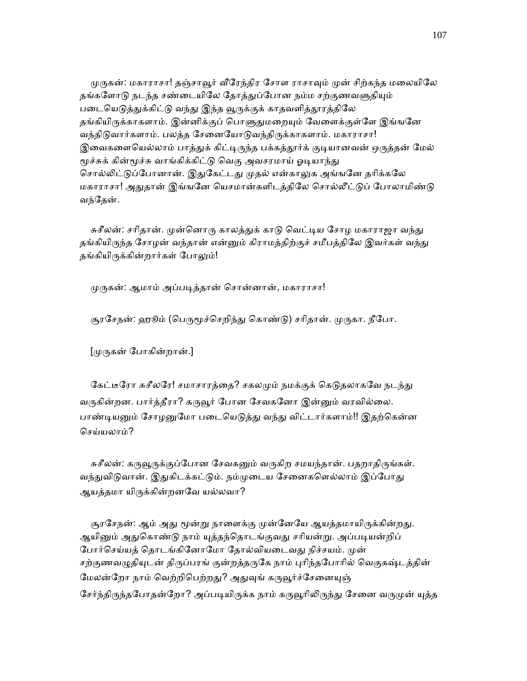முருகன்: மகாராசா! தஞ்சாவூர் வீரேந்திர சோள ராசாவும் முன் சிற்கந்த மலையிலே தங்களோடு நடந்த சண்டையிலே தோத்துப்போன நம்ம சற்குணவளுதியும் படையெடுத்துக்கிட்டு வந்து இந்த வூருக்குக் காதவளித்தூரத்திலே தங்கியிருக்காகளாம். இன்னிக்குப் பொளுதுமறையும் வேளைக்குள்ளே இங்ஙனே வந்திடுவார்களாம். பலத்த சேனையோடுவந்திருக்காகளாம். மகாராசா! இவைகளையெல்லாம் பாத்துக் கிட்டிருந்த பக்கத்தூர்க் குடியானவன் ஒருத்தன் மேல் மூச்சுக் கின்மூச்சு வாங்கிக்கிட்டு வெகு அவசரமாய் ஓடியாந்து சொல்லிட்டுப்போனான். இதுகேட்டது முதல் என்காலுக அங்ஙனே தரிக்கலே மகாராசா! அதுதான் இங்ஙனே யெசமான்களிடத்திலே சொல்லீட்டுப் போலாமிண்டு வந்தேன்.

சுசீலன்: சரிதான். முன்னொரு காலத்துக் காடு வெட்டிய சோழ மகாராஜா வந்து தங்கியிருந்த சோழன் வந்தான் என்னும் கிராமத்திற்குச் சமீபத்திலே இவர்கள் வந்து தங்கியிருக்கின்றார்கள் போலும்!

முருகன்: ஆமாம் அப்படித்தான் சொன்னான், மகாராசா!

சூரசேநன்: ஹூம் (பெருமூச்செறிந்து கொண்டு) சரிதான். முருகா. நீபோ.

[ᾙᾞகன் ேபாகின்றான்.]

கேட்டீரோ சுசீலரே! சமாசாரத்தை? சகலமும் நமக்குக் கெடுதலாகவே நடந்து வருகின்றன. பார்த்தீரா? கருவூர் போன சேவகனோ இன்னும் வரவில்லை. பாண்டியனும் சோழனுமோ படையெடுத்து வந்து விட்டார்களாம்!! இதற்கென்ன ெசய்யலாம்?

சுசீலன்: கருவூருக்குப்போன சேவகனும் வருகிற சமயந்தான். பதறாதிருங்கள். வந்துவிடுவான். இதுகிடக்கட்டும். நம்முடைய சேனைகளெல்லாம் இப்போது ஆயத்தமா யிருக்கின்றனவே யல்லவா?

சூரசேநன்: ஆம் அது மூன்று நாளைக்கு முன்னேயே ஆயத்தமாயிருக்கின்றது. ஆயினும் அதுகொண்டு நாம் யுத்தந்தொடங்குவது சரியன்று. அப்படியன்றிப் போர்செய்யத் தொடங்கினோமோ தோல்வியடைவது நிச்சயம். முன் சற்குணவழுதியுடன் திருப்பரங் குன்றத்தருகே நாம் புரிந்தபோரில் வெகுகஷ்டத்தின் மேலன்றோ நாம் வெற்றிபெற்றது? அதுவுங் கருவூர்ச்சேனையுஞ் சேர்ந்திருந்தபோதன்றோ? அப்படியிருக்க நாம் கருவூரிலிருந்து சேனை வருமுன் யுத்த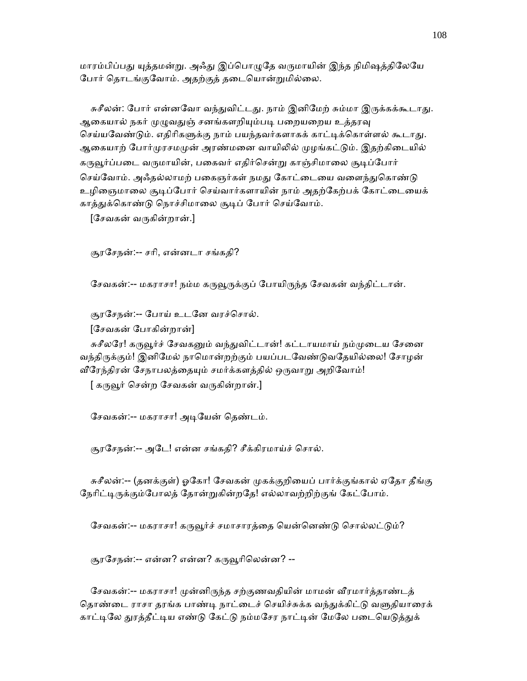மாரம்பிப்பது யுத்தமன்று. அஃது இப்பொழுதே வருமாயின் இந்த நிமிஷத்திலேயே போர் தொடங்குவோம். அதற்குத் தடையொன்றுமில்லை.

சுசீலன்: போர் என்னவோ வந்துவிட்டது. நாம் இனிமேற் சும்மா இருக்கக்கூடாது. ஆகையால் நகர் முழுவதுஞ் சனங்களறியும்படி பறையறைய உத்தரவு செய்யவேண்டும். எதிரிகளுக்கு நாம் பயந்தவர்களாகக் காட்டிக்கொள்ளல் கூடாது. ஆகையாற் போர்முரசமமுன் அரண்மனை வாயிலில் முழங்கட்டும். இதற்கிடையில் கருவூர்ப்படை வருமாயின், பகைவர் எதிர்சென்று காஞ்சிமாலை சூடிப்போர் செய்வோம். அஃதல்லாமற் பகைஞர்கள் நமது கோட்டையை வளைந்துகொண்டு உழிஞைமாலை சூடிப்போர் செய்வார்களாயின் நாம் அதற்கேற்பக் கோட்டையைக் காத்துக்கொண்டு நொச்சிமாலை சூடிப் போர் செய்வோம்.

[ேசவகன் வᾞகின்றான்.]

சூரேசநன்:-- சாி, என்னடா சங்கதி?

சேவகன்:-- மகராசா! நம்ம கருவூருக்குப் போயிருந்த சேவகன் வந்திட்டான்.

சூரேசநன்:-- ேபாய் உடேன வரச்ெசால்.

[ேசவகன் ேபாகின்றான்]

சுசீலரே! கருவூர்ச் சேவகனும் வந்துவிட்டான்! கட்டாயமாய் நம்முடைய சேனை வந்திருக்கும்! இனிமேல் நாமொன்றற்கும் பயப்படவேண்டுவதேயில்லை! சோழன் வீரேந்திரன் சேநாபலத்தையும் சமர்க்களத்தில் ஒருவாறு அறிவோம்!

[ கருவூர் சென்ற சேவகன் வருகின்றான்.]

சேவகன்:-- மகராசா! அடியேன் தெண்டம்.

சூரசேநன்:-- அடே! என்ன சங்கதி? சீக்கிரமாய்ச் சொல்.

சுசீலன்:-- (தனக்குள்) ஓகோ! சேவகன் முகக்குறியைப் பார்க்குங்கால் ஏதோ தீங்கு நேரிட்டிருக்கும்போலத் தோன்றுகின்றதே! எல்லாவற்றிற்குங் கேட்போம்.

சேவகன்:-- மகராசா! கருவூர்ச் சமாசாரத்தை யென்னெண்டு சொல்லட்டும்?

சூரசேநன்:-- என்ன? என்ன? கருவூரிலென்ன? --

சேவகன்:-- மகராசா! முன்னிருந்த சற்குணவதியின் மாமன் வீரமார்த்தாண்டத் தொண்டை ராசா தரங்க பாண்டி நாட்டைச் செயிச்சுக்க வந்துக்கிட்டு வளுதியாரைக் காட்டிலே துரத்தீட்டிய எண்டு கேட்டு நம்மசேர நாட்டின் மேலே படையெடுத்துக்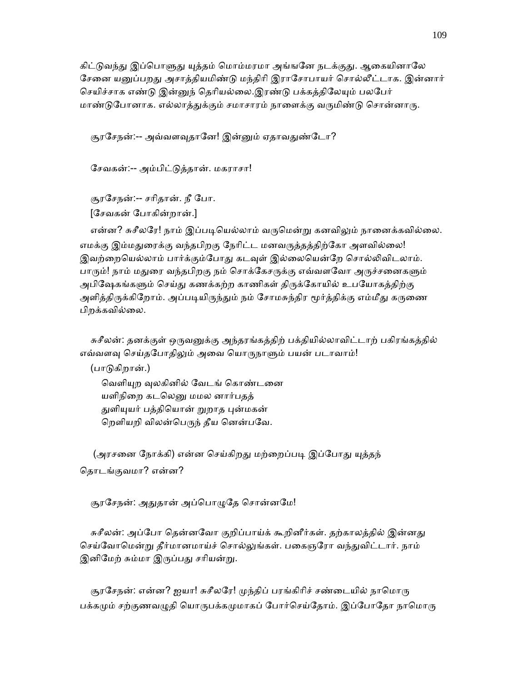கிட்டுவந்து இப்பொளுது யுத்தம் மொம்மரமா அங்ஙனே நடக்குது. ஆகையினாலே சேனை யனுப்பறது அசாத்தியமிண்டு மந்திரி இராசோபாயர் சொல்லீட்டாக. இன்னார் செயிச்சாக எண்டு இன்னுந் தெரியல்லை.இரண்டு பக்கத்திலேயும் பலபேர் மாண்டுபோனாக. எல்லாத்துக்கும் சமாசாரம் நாளைக்கு வருமிண்டு சொன்னாரு.

சூரசேநன்:-- அவ்வளவுதானே! இன்னும் ஏதாவதுண்டோ?

ேசவகன்:-- அம்பிட்ᾌத்தான். மகராசா!

 சூரேசநன்:-- சாிதான். நீ ேபா. [ேசவகன் ேபாகின்றான்.]

என்ன? சுசீலரே! நாம் இப்படியெல்லாம் வருமென்று கனவிலும் நானைக்கவில்லை. எமக்கு இம்மதுரைக்கு வந்தபிறகு நேரிட்ட மனவருத்தத்திற்கோ அளவில்லை! இவற்றையெல்லாம் பார்க்கும்போது கடவுள் இல்லையென்றே சொல்லிவிடலாம். பாரும்! நாம் மதுரை வந்தபிறகு நம் சொக்கேசருக்கு எவ்வளவோ அருச்சனைகளும் அபிஷேகங்களும் செய்து கணக்கற்ற காணிகள் திருக்கோயில் உபயோகத்திற்கு அளித்திருக்கிறோம். அப்படியிருந்தும் நம் சோமசுந்திர மூர்த்திக்கு எம்மீது கருணை பிறக்கவில்லை.

சுசீலன்: தனக்குள் ஒருவனுக்கு அந்தரங்கத்திற் பக்தியில்லாவிட்டாற் பகிரங்கத்தில் எவ்வளவு செய்தபோதிலும் அவை யொருநாளும் பயன் படாவாம்!

(பாடுகிறான்.)

வெளியுற வுலகினில் வேடங் கொண்டனை யளிநிறை கடலெனு மமல னார்பதத் துளியுயர் பத்தியொன் றுறாத புன்மகன் றெளியறி விலன்பெருந் தீய னென்பவே.

(அரசனை நோக்கி) என்ன செய்கிறது மற்றைப்படி இப்போது யுத்தந் ெதாடங்குவமா? என்ன?

சூரசேநன்: அதுதான் அப்பொழுதே சொன்னமே!

சுசீலன்: அப்போ தென்னவோ குறிப்பாய்க் கூறினீர்கள். தற்காலத்தில் இன்னது செய்வோமென்று தீர்மானமாய்ச் சொல்லுங்கள். பகைஞரோ வந்துவிட்டார். நாம் இனிமேற் சும்மா இருப்பது சரியன்று.

சூரசேநன்: என்ன? ஐயா! சுசீலரே! முந்திப் பரங்கிரிச் சண்டையில் நாமொரு பக்கமும் சற்குணவழுதி யொருபக்கமுமாகப் போர்செய்தோம். இப்போதோ நாமொரு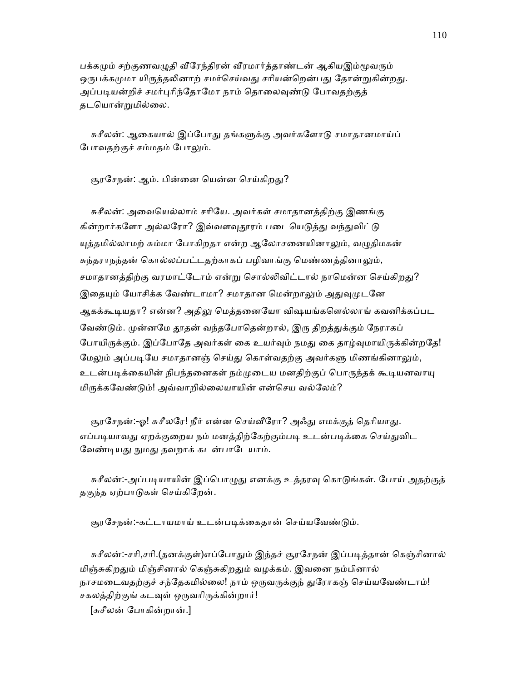பக்கமும் சற்குணவழுதி வீரேந்திரன் வீரமார்த்தாண்டன் ஆகியஇம்மூவரும் ஒருபக்கமுமா யிருத்தலினாற் சமர்செய்வது சரியன்றென்பது தோன்றுகின்றது. அப்படியன்றிச் சமர்புரிந்தோமோ நாம் தொலைவுண்டு போவதற்குத் தடெயான்ᾠமில்ைல.

சுசீலன்: ஆகையால் இப்போது தங்களுக்கு அவர்களோடு சமாதானமாய்ப் போவதற்குச் சம்மதம் போலும்.

சூரசேநன்: ஆம். பின்னை யென்ன செய்கிறது?

 சுசீலன்: அைவெயல்லாம் சாிேய. அவர்கள் சமாதானத்திற்கு இணங்கு கின்றார்களோ அல்லரோ? இவ்வளவுதூரம் படையெடுத்து வந்துவிட்டு யுத்தமில்லாமற் சும்மா போகிறதா என்ற ஆலோசனையினாலும், வழுதிமகன் சுந்தராநந்தன் கொல்லப்பட்டதற்காகப் பழிவாங்கு மெண்ணத்தினாலும், சமாதானத்திற்கு வரமாட்டோம் என்று சொல்லிவிட்டால் நாமென்ன செய்கிறது? இதையும் யோசிக்க வேண்டாமா? சமாதான மென்றாலும் அதுவுமுடனே ஆகக்கூடியதா? என்ன? அதிலு மெத்தனையோ விஷயங்களெல்லாங் கவனிக்கப்பட வேண்டும். முன்னமே தூதன் வந்தபோதென்றால், இரு திறத்துக்கும் நேராகப் போயிருக்கும். இப்போதே அவர்கள் கை உயர்வும் நமது கை தாழ்வுமாயிருக்கின்றதே! மேலும் அப்படியே சமாதானஞ் செய்து கொள்வதற்கு அவர்களு மிணங்கினாலும், உடன்படிக்கையின் நிபந்தனைகள் நம்முடைய மனதிற்குப் பொருந்தக் கூடியனவாயு மிருக்கவேண்டும்! அவ்வாறில்லையாயின் என்செய வல்லேம்?

சூரசேநன்:-ஓ! சுசீலரே! நீர் என்ன செய்வீரோ? அஃது எமக்குத் தெரியாது. எப்படியாவது ஏறக்குறைய நம் மனத்திற்கேற்கும்படி உடன்படிக்கை செய்துவிட வேண்டியது நுமது தவறாக் கடன்பாடேயாம்.

சுசீலன்:-அப்படியாயின் இப்பொழுது எனக்கு உத்தரவு கொடுங்கள். போய் அதற்குத் தகுந்த ஏற்பாᾌகள் ெசய்கிேறன்.

சூரசேநன்:-கட்டாயமாய் உடன்படிக்கைதான் செய்யவேண்டும்.

சுசீலன்:-சரி,சரி.(தனக்குள்)எப்போதும் இந்தச் சூரசேநன் இப்படித்தான் கெஞ்சினால் மிஞ்சுகிறதும் மிஞ்சினால் கெஞ்சுகிறதும் வழக்கம். இவனை நம்பினால் நாசமடைவதற்குச் சந்தேகமில்லை! நாம் ஒருவருக்குந் துரோகஞ் செய்யவேண்டாம்! சகலத்திற்குங் கடவுள் ஒருவரிருக்கின்றார்!

[சுசீலன் ேபாகின்றான்.]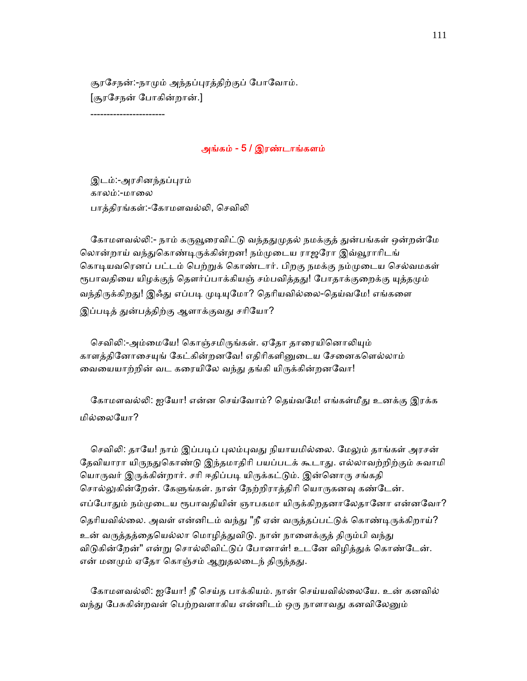சூரசேநன்:-நாமும் அந்தப்புரத்திற்குப் போவோம். [சூரேசநன் ேபாகின்றான்.]

-----------------------

## அங்கம் - 5 / இரண்டாங்களம்

இடம்:-அரசினந்தப்புரம் காலம்:-மாலை பாத்திரங்கள்:-கோமளவல்லி, செவிலி

கோமளவல்லி:- நாம் கருவூரைவிட்டு வந்ததுமுதல் நமக்குத் துன்பங்கள் ஒன்றன்மே லொன்றாய் வந்துகொண்டிருக்கின்றன! நம்முடைய ராஜரோ இவ்வூராரிடங் கொடியவரெனப் பட்டம் பெற்றுக் கொண்டார். பிறகு நமக்கு நம்முடைய செல்வமகள் ரூபாவதியை யிழக்குந் தௌர்ப்பாக்கியஞ் சம்பவித்தது! போதாக்குறைக்கு யுத்தமும் வந்திருக்கிறது! இஃது எப்படி முடியுமோ? தெரியவில்லை-தெய்வமே! எங்களை இப்படித் துன்பத்திற்கு ஆளாக்குவது சரியோ?

செவிலி:-அம்மையே! கொஞ்சமிருங்கள். ஏதோ தாரையினொலியும் காளக்கினோசையுங் கேட்கின்றனவே! எகிரிகளினுடைய சேனைகளெல்லாம் வையையாற்றின் வட கரையிலே வந்து தங்கி யிருக்கின்றனவோ!

கோமளவல்லி: ஐயோ! என்ன செய்வோம்? தெய்வமே! எங்கள்மீது உனக்கு இரக்க மில்ைலேயா?

செவிலி: தாயே! நாம் இப்படிப் புலம்புவது நியாயமில்லை. மேலும் தாங்கள் அரசன் தேவியாரா யிருநதுகொண்டு இந்தமாதிரி பயப்படக் கூடாது. எல்லாவற்றிற்கும் சுவாமி யொருவர் இருக்கின்றார். சரி ஈதிப்படி யிருக்கட்டும். இன்னொரு சங்கதி சொல்லுகின்றேன். கேளுங்கள். நான் நேற்றிராத்திரி யொருகனவு கண்டேன். எப்போதும் நம்முடைய ரூபாவதியின் ஞாபகமா யிருக்கிறதனாலேதானோ என்னவோ? தெரியவில்லை. அவள் என்னிடம் வந்து "நீ ஏன் வருத்தப்பட்டுக் கொண்டிருக்கிறாய்? உன் வருத்தத்தையெல்லா மொழித்துவிடு. நான் நாளைக்குத் திரும்பி வந்து விடுகின்றேன்" என்று சொல்லிவிட்டுப் போனாள்! உடனே விழித்துக் கொண்டேன். என் மனமும் ஏதோ கொஞ்சம் ஆறுதலடைந் திருந்தது.

கோமளவல்லி: ஐயோ! நீ செய்த பாக்கியம். நான் செய்யவில்லையே. உன் கனவில் வந்து பேசுகின்றவள் பெற்றவளாகிய என்னிடம் ஒரு நாளாவது கனவிலேனும்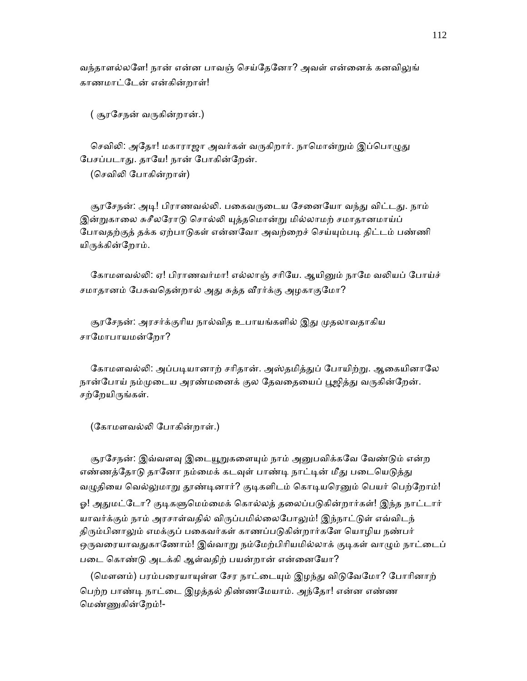வந்தாளல்லளே! நான் என்ன பாவஞ் செய்தேனோ? அவள் என்னைக் கனவிலுங் காணமாட்ேடன் என்கின்றாள்!

( சூரேசநன் வᾞகின்றான்.)

செவிலி: அதோ! மகாராஜா அவர்கள் வருகிறார். நாமொன்றும் இப்பொமுது பேசப்படாது. தாயே! நான் போகின்றேன்.

(ெசவிᾢ ேபாகின்றாள்)

சூரசேநன்: அடி! பிராணவல்லி. பகைவருடைய சேனையோ வந்து விட்டது. நாம் இன்றுகாலை சுசீலரோடு சொல்லி யுத்தமொன்று மில்லாமற் சமாதானமாய்ப் போவதற்குத் தக்க ஏற்பாடுகள் என்னவோ அவற்றைச் செய்யும்படி திட்டம் பண்ணி யிருக்கின்றோம்.

கோமளவல்லி: ஏ! பிராணவர்மா! எல்லாஞ் சரியே. ஆயினும் நாமே வலியப் போய்ச் சமாதானம் பேசுவதென்றால் அது சுத்த வீரர்க்கு அழகாகுமோ?

சூரசேநன்: அரசர்க்குரிய நால்வித உபாயங்களில் இது முதலாவதாகிய சாமோபாயமன்றோ?

கோமளவல்லி: அப்படியானாற் சரிதான். அஸ்தமித்துப் போயிற்று. ஆகையினாலே நான்போய் நம்முடைய அரண்மனைக் குல தேவதையைப் பூஜித்து வருகின்றேன். சற்றேயிருங்கள்.

(கோமளவல்லி போகின்றாள்.)

சூரசேநன்: இவ்வளவு இடையூறுகளையும் நாம் அனுபவிக்கவே வேண்டும் என்ற எண்ணத்தோடு தானோ நம்மைக் கடவுள் பாண்டி நாட்டின் மீது படையெடுத்து வழுதியை வெல்லுமாறு தூண்டினார்? குடிகளிடம் கொடியரெனும் பெயர் பெற்றோம்! ஓ! அதுமட்டோ? குடிகளுமெம்மைக் கொல்லத் தலைப்படுகின்றார்கள்! இந்த நாட்டார் யாவர்க்கும் நாம் அரசாள்வதில் விருப்பமில்லைபோலும்! இந்நாட்டுள் எவ்விடந் திரும்பினாலும் எமக்குப் பகைவர்கள் காணப்படுகின்றார்களே யொழிய நண்பர் ஒருவரையாவதுகாணோம்! இவ்வாறு நம்மேற்பிரியமில்லாக் குடிகள் வாழும் நாட்டைப் படை கொண்டு அடக்கி ஆள்வதிற் பயன்றான் என்னையோ?

(மௌனம்) பரம்பரையாயுள்ள சேர நாட்டையும் இழந்து விடுவேமோ? போரினாற் ெபற்ற பாண்ᾊ நாட்ைட இழத்தல் திண்ணேமயாம். அந்ேதா! என்ன எண்ண ெமண்ᾎகின்ேறம்!-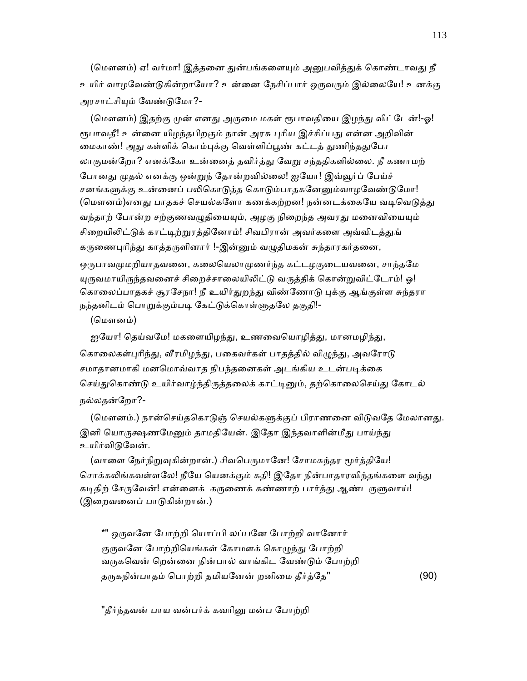(மௌனம்) ஏ! வர்மா! இத்தனை துன்பங்களையும் அனுபவித்துக் கொண்டாவது நீ உயிர் வாழவேண்டுகின்றாயோ? உன்னை நேசிப்பார் ஒருவரும் இல்லையே! உனக்கு அரசாட்சியும் வேண்டுமோ?-

(மௌனம்) இதற்கு முன் எனது அருமை மகள் ரூபாவதியை இழந்து விட்டேன்!-ஓ! ரூபாவதீ! உன்னை யிமந்தபிறகும் நான் அரசு பரிய இச்சிப்பது என்ன அறிவின் மைகாண்! அது கள்ளிக் கொம்புக்கு வெள்ளிப்பூண் கட்டத் துணிந்ததுபோ லாகுமன்றோ? எனக்கோ உன்னைத் தவிர்த்து வேறு சந்ததிகளில்லை. நீ கணாமற் போனது முதல் எனக்கு ஒன்றுந் தோன்றவில்லை! ஐயோ! இவ்வூர்ப் பேய்ச் சனங்களுக்கு உன்னைப் பலிகொடுத்த கொடும்பாதகனேனும்வாழவேண்டுமோ! (மௌனம்)எனது பாதகச் செயல்களோ கணக்கற்றன! நன்னடக்கையே வடிவெடுத்து வந்தாற் போன்ற சற்குணவழுதியையும், அழகு நிறைந்த அவரது மனைவியையும் சிறையிலிட்டுக் காட்டிற்றுரத்தினோம்! சிவபிரான் அவர்களை அவ்விடத்துங் கருணைபுரிந்து காத்தருளினார் !-இன்னும் வழுதிமகன் சுந்தாரகர்தனை, ஒருபாவமுமறியாதவனை, கலையெலாமுணர்ந்த கட்டழகுடையவனை, சாந்தமே யுருவமாயிருந்தவனைச் சிறைச்சாலையிலிட்டு வருத்திக் கொன்றுவிட்டோம்! ஓ! கொலைப்பாதகச் சூரசேநா! நீ உயிர்துறந்து விண்ணோடு புக்கு ஆங்குள்ள சுந்தரா நந்தனிடம் பொறுக்கும்படி கேட்டுக்கொள்ளுதலே தகுதி!-

(மௌனம்)

ஐயோ! தெய்வமே! மகளையிழந்து, உணவையொழித்து, மானமழிந்து, கொலைகள்புரிந்து, வீரமிழந்து, பகைவர்கள் பாதத்தில் விழுந்து, அவரோடு சமாதானமாகி மனமொவ்வாத நிபந்தனைகள் அடங்கிய உடன்படிக்கை செய்துகொண்டு உயிர்வாழ்ந்திருத்தலைக் காட்டினும், தற்கொலைசெய்து கோடல் நல்லதன்ேறா?-

(மௌனம்.) நான்செய்தகொடுஞ் செயல்களுக்குப் பிராணனை விடுவதே மேலானது. இனி யொருக்ஷணமேனும் தாமதியேன். இதோ இந்தவாளின்மீது பாய்ந்து உயிர்விடுவேன்.

(வாளை நேர்நிறுவுகின்றான்.) சிவபெருமானே! சோமசுந்தர மூர்த்தியே! சொக்கலிங்கவள்ளலே! நீயே யெனக்கும் கதி! இதோ நின்பாதாரவிந்தங்களை வந்து கடிதிற் சேருவேன்! என்னைக் கருணைக் கண்ணாற் பார்த்து ஆண்டருளுவாய்! (இறைவனைப் பாடுகின்றான்.)

\*" ஒருவனே போற்றி யொப்பி லப்பனே போற்றி வானோர் குருவனே போற்றியெங்கள் கோமளக் கொழுந்து போற்றி வருகவென் றென்னை நின்பால் வாங்கிட வேண்டும் போற்றி தருகநின்பாதம் பொற்றி தமியனேன் றனிமை தீர்த்தே" (90)

"தீர்ந்தவன் பாய வன்பர்க் கவரினு மன்ப போற்றி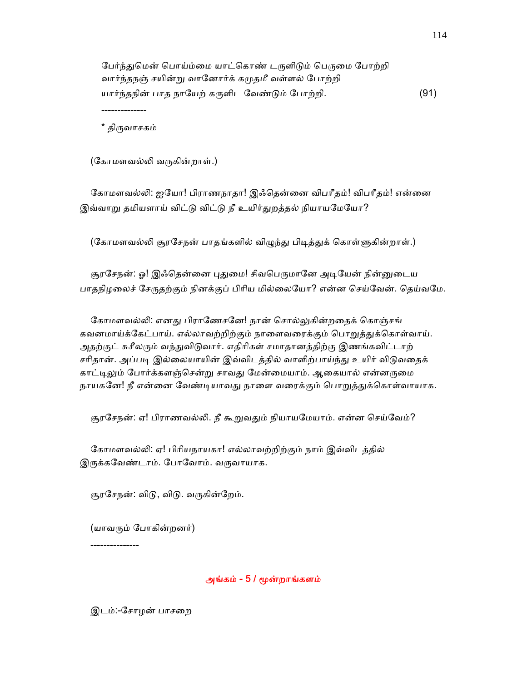பேர்ந்துமென் பொய்ம்மை யாட்கொண் டருளிடும் பெருமை போற்றி வார்ந்தநஞ் சயின்ᾠ வாேனார்க் கᾙதமீ வள்ளல் ேபாற்றி யார்ந்தநின் பாத நாயேற் கருளிட வேண்டும் போற்றி. (91)

திருவாசகம்

--------------

(கோமளவல்லி வருகின்றாள்.)

கோமளவல்லி: ஐயோ! பிராணநாதா! இஃதென்னை விபரீதம்! விபரீதம்! என்னை இவ்வாறு தமியளாய் விட்டு விட்டு நீ உயிர்துறத்தல் நியாயமேயோ?

(கோமளவல்லி சூரசேநன் பாதங்களில் விழுந்து பிடித்துக் கொள்ளுகின்றாள்.)

சூரசேநன்: ஓ! இஃதென்னை புதுமை! சிவபெருமானே அடியேன் நின்னுடைய பாதநிழலைச் சேருதற்கும் நினக்குப் பிரிய மில்லையோ? என்ன செய்வேன். கெய்வமே.

கோமளவல்லி: எனது பிராணேசனே! நான் சொல்லுகின்றதைக் கொஞ்சங் கவனமாய்க்கேட்பாய். எல்லாவற்றிற்கும் நாளைவரைக்கும் பொறுத்துக்கொள்வாய். அதற்குட் சுசீலரும் வந்துவிடுவார். எதிரிகள் சமாதானத்திற்கு இணங்கவிட்டாற் சரிதான். அப்படி இல்லையாயின் இவ்விடத்தில் வாளிற்பாய்ந்து உயிர் விடுவதைக் காட்டிலும் போர்க்களஞ்சென்று சாவது மேன்மையாம். ஆகையால் என்னருமை நாயகனே! நீ என்னை வேண்டியாவது நாளை வரைக்கும் பொறுத்துக்கொள்வாயாக.

சூரசேநன்: ஏ! பிராணவல்லி. நீ கூறுவதும் நியாயமேயாம். என்ன செய்வேம்?

 ேகாமளவல்ᾢ: ஏ! பிாியநாயகா! எல்லாவற்றிற்கும் நாம் இவ்விடத்தில் இருக்கவேண்டாம். போவோம். வருவாயாக.

சூரசேநன்: விடு, விடு. வருகின்றேம்.

(யாவᾞம் ேபாகின்றனர்)

---------------

# அங்கம் - 5 / ᾚன்றாங்களம்

இடம்:-ேசாழன் பாசைற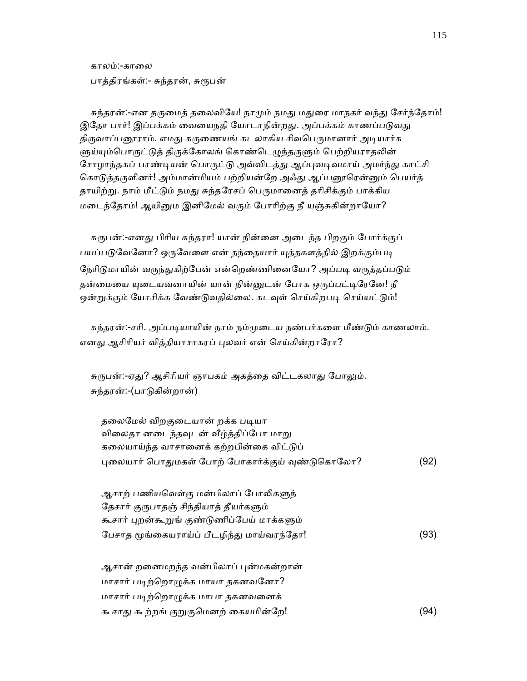காலம்:-காைல பாத்திரங்கள்:- சுந்தரன், சுரூபன்

சுந்தரன்:-என தருமைத் தலைவியே! நாமும் நமது மதுரை மாநகர் வந்து சேர்ந்தோம்! இதோ பார்! இப்பக்கம் வையைநதி யோடாநின்றது. அப்பக்கம் காணப்படுவது திருவாப்பனூராம். எமது கருணையங் கடலாகிய சிவபெருமானார் அடியார்க ளுய்யும்பொருட்டுத் திருக்கோலங் கொண்டெழுந்தருளும் பெற்றியராதலின் சோழாந்தகப் பாண்டியன் பொருட்டு அவ்விடத்து ஆப்புவடிவமாய் அமர்ந்து காட்சி கொடுத்தருளினர்! அம்மான்மியம் பற்றியன்றே அஃது ஆப்பனூரென்னும் பெயர்த் தாயிற்று. நாம் மீட்டும் நமது சுந்தரேசப் பெருமானைத் தரிசிக்கும் பாக்கிய மடைந்தோம்! ஆயினும இனிமேல் வரும் போரிற்கு நீ யஞ்சுகின்றாயோ?

சுருபன்:-எனது பிரிய சுந்தரா! யான் நின்னை அடைந்த பிறகும் போர்க்குப் பயப்படுவேனோ? ஒருவேளை என் தந்தையார் யுத்தகளத்தில் இறக்கும்படி நேரிடுமாயின் வருந்துகிற்பேன் என்றெண்ணினையோ? அப்படி வருத்தப்படும் தன்மையை யுடையவனாயின் யான் நின்னுடன் போக ஒருப்பட்டிரேனே! நீ ஒன்றுக்கும் யோசிக்க வேண்டுவதில்லை. கடவுள் செய்கிறபடி செய்யட்டும்!

சுந்தரன்:-சரி. அப்படியாயின் நாம் நம்முடைய நண்பர்களை மீண்டும் காணலாம். எனது ஆசிரியர் வித்தியாசாகரப் புலவர் என் செய்கின்றாரோ?

சுருபன்:-ஏது? ஆசிரியர் ஞாபகம் அகத்தை விட்டகலாது போலும். சுந்தரன்:-(பாᾌகின்றான்)

| தலைமேல் விறகுடையான் றக்க படியா                  |      |
|-------------------------------------------------|------|
| விலைதா னடைந்தவுடன் வீழ்த்திப்போ மாறு            |      |
| கலையாய்ந்த வாசானைக் கற்றபின்கை விட்டுப்         |      |
| புலையார் பொதுமகள் போற் போகார்க்குய் வுண்டுகொலோ? | (92) |

| ஆசாற் பணியவெள்கு மன்பிலாப் போலிகளுந்        |      |
|---------------------------------------------|------|
| தேசார் குருபாதஞ் சிந்தியாத் தீயர்களும்      |      |
| கூசார் புறன்கூறுங் குண்டுணிப்பேய் மாக்களும் |      |
| பேசாத மூங்கையராய்ப் பீடழிந்து மாய்வரந்தோ!   | (93) |

| ஆசான் றனைமறந்த வன்பிலாப் புன்மகன்றான் |      |
|---------------------------------------|------|
| மாசார் படிற்றொழுக்க மாயா தகனவனோ?      |      |
| மாசார் படிற்றொழுக்க மாபா தகனவனைக்     |      |
| கூசாது கூற்றங் குறுகுமெனற் கையமின்றே! | (94) |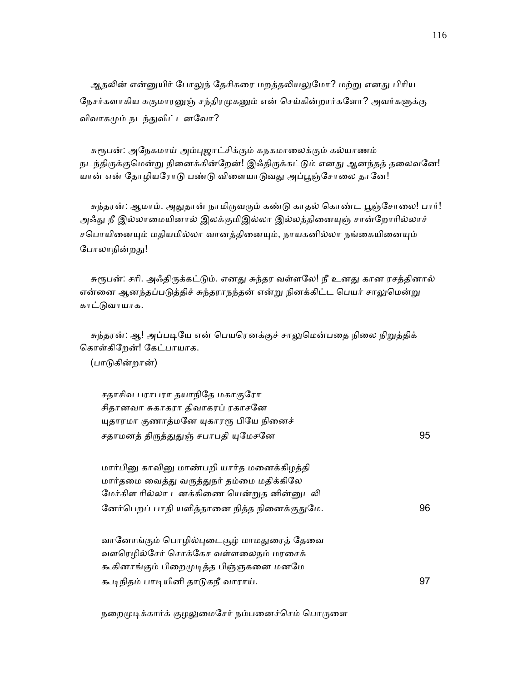ஆதலின் என்னுயிர் போலுந் தேசிகரை மறத்தலியலுமோ? மற்று எனது பிரிய நேசர்களாகிய சுகுமாரனுஞ் சந்திரமுகனும் என் செய்கின்றார்களோ? அவர்களுக்கு விவாகᾙம் நடந்ᾐவிட்டனேவா?

சுரூபன்: அநேகமாய் அம்புஜாட்சிக்கும் கநகமாலைக்கும் கல்யாணம் நடந்திருக்குமென்று நினைக்கின்றேன்! இஃதிருக்கட்டும் எனது ஆனந்தத் தலைவனே! யான் என் தோழியரோடு பண்டு விளையாடுவது அப்பூஞ்சோலை தானே!

சுந்தரன்: ஆமாம். அதுதான் நாமிருவரும் கண்டு காதல் கொண்ட பூஞ்சோலை! பார்! அஃது நீ இல்லாமையினால் இலக்குமிஇல்லா இல்லத்தினையுஞ் சான்றோரில்லாச் சபொயினையும் மதியமில்லா வானத்தினையும், நாயகனில்லா நங்கையினையும் போலாநின்றது!

சுரூபன்: சரி. அஃதிருக்கட்டும். எனது சுந்தர வள்ளலே! நீ உனது கான ரசத்தினால் என்னை ஆனந்தப்படுத்திச் சுந்தராநந்தன் என்று நினக்கிட்ட பெயர் சாலுமென்று காட்ᾌவாயாக.

சுந்தரன்: ஆ! அப்படியே என் பெயரெனக்குச் சாலுமென்பதை நிலை நிறுத்திக் ெகாள்கிேறன்! ேகட்பாயாக.

(பாᾌகின்றான்)

| சதாசிவ பராபரா தயாநிதே மகாகுரோ                |    |
|----------------------------------------------|----|
| சிதானவா சுகாகரா திவாகரப் ரகாசனே              |    |
| யுதாரமா குணாத்மனே யுகாரரூ பியே நினைச்        |    |
| சதாமனத் திருத்துதுஞ் சபாபதி யுமேசனே          | 95 |
|                                              |    |
| மார்பினு காவினு மாண்பறி யார்த மனைக்கிழத்தி   |    |
| மார்தமை வைத்து வருத்துநர் தம்மை மதிக்கிலே    |    |
| மேர்கிள ரில்லா டனக்கிணை யென்றுத னின்னுடலி    |    |
| னேர்பெறப் பாதி யளித்தானை நித்த நினைக்குதுமே. | 96 |
|                                              |    |
| வானோங்கும் பொழில்புடைசூழ் மாமதுரைத் தேவை     |    |
| வளரெழில்சேர் சொக்கேச வள்ளலைநம் மரசைக்        |    |
| கூகினாங்கும் பிறைமுடித்த பிஞ்ஞகனை மனமே       |    |
| கூடிநிதம் பாடியினி தாடுகநீ வாராய்.           | 97 |
|                                              |    |

நறைமுடிக்கார்க் குழலுமைசேர் நம்பனைச்செம் பொருளை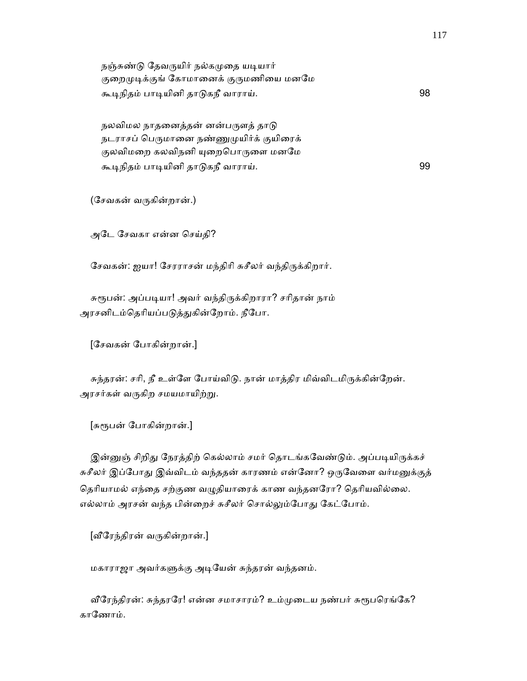| நஞ்சுண்டு தேவருயிர் நல்கமுதை யடியார்   |    |
|----------------------------------------|----|
| குறைமுடிக்குங் கோமானைக் குருமணியை மனமே |    |
| கூடிநிதம் பாடியினி தாடுகநீ வாராய்.     | 98 |

நலவிமல நாதனைத்தன் னன்பருளத் தாடு நடராசப் பெருமானை நண்ணுமுயிர்க் குயிரைக் குலவிமறை கலவிநனி யுறைபொருளை மனமே கூᾊநிதம் பாᾊயினி தாᾌகநீ வாராய். 99

(ேசவகன் வᾞகின்றான்.)

அேட ேசவகா என்ன ெசய்தி?

சேவகன்: ஐயா! சேரராசன் மந்திரி சுசீலர் வந்திருக்கிறார்.

சுரூபன்: அப்படியா! அவர் வந்திருக்கிறாரா? சரிதான் நாம் அரசனிடம்தெரியப்படுத்துகின்றோம். நீபோ.

[ேசவகன் ேபாகின்றான்.]

சுந்தரன்: சரி, நீ உள்ளே போய்விடு. நான் மாத்திர மிவ்விடமிருக்கின்றேன். அரசர்கள் வருகிற சமயமாயிற்று.

[சுᾟபன் ேபாகின்றான்.]

இன்னுஞ் சிறிது நேரத்திற் கெல்லாம் சமர் தொடங்கவேண்டும். அப்படியிருக்கச் சுசீலர் இப்போது இவ்விடம் வந்ததன் காரணம் என்னோ? ஒருவேளை வர்மனுக்குத் தெரியாமல் எந்தை சற்குண வழுதியாரைக் காண வந்தனரோ? தெரியவில்லை. எல்லாம் அரசன் வந்த பின்றைச் சுசீலர் சொல்லும்போது கேட்போம்.

 $[$ வீரேந்திரன் வருகின்றான்.]

மகாராஜா அவர்கᾦக்கு அᾊேயன் சுந்தரன் வந்தனம்.

வீரேந்திரன்: சுந்தரரே! என்ன சமாசாரம்? உம்முடைய நண்பர் சுரூபரெங்கே? காேணாம்.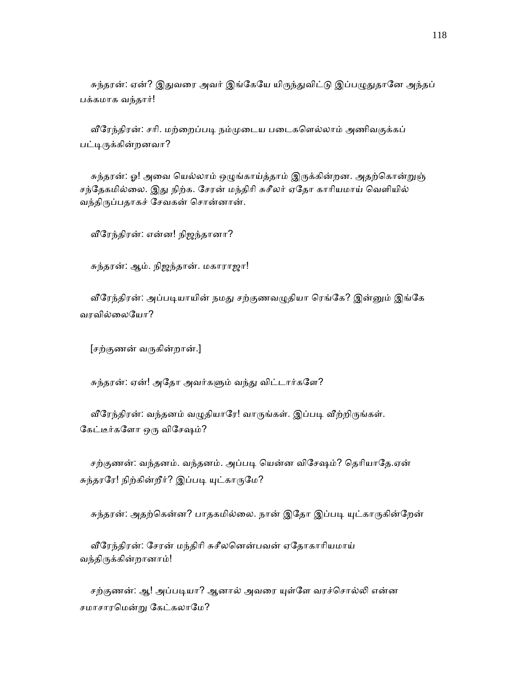சுந்தரன்: ஏன்? இதுவரை அவர் இங்கேயே யிருந்துவிட்டு இப்பழுதுதானே அந்தப் பக்கமாக வந்தார்!

வீரேந்திரன்: சரி. மற்றைப்படி நம்முடைய படைகளெல்லாம் அணிவகுக்கப் பட்டிருக்கின்றனவா?

சுந்தரன்: ஓ! அவை யெல்லாம் ஒழுங்காய்த்தாம் இருக்கின்றன. அதற்கொன்றுஞ் சந்தேகமில்லை. இது நிற்க. சேரன் மந்திரி சுசீலர் ஏதோ காரியமாய் வெளியில் வந்திᾞப்பதாகச் ேசவகன் ெசான்னான்.

ᾪேரந்திரன்: என்ன! நிஜந்தானா?

சுந்தரன்: ஆம். நிஜந்தான். மகாராஜா!

வீரேந்திரன்: அப்படியாயின் நமது சற்குணவழுதியா ரெங்கே? இன்னும் இங்கே வரவில்ைலேயா?

[சற்குணன் வᾞகின்றான்.]

சுந்தரன்: ஏன்! அதோ அவர்களும் வந்து விட்டார்களே?

வீரேந்திரன்: வந்தனம் வழுதியாரே! வாருங்கள். இப்படி வீற்றிருங்கள். கேட்டீர்களோ ஒரு விசேஷம்?

சற்குணன்: வந்தனம். வந்தனம். அப்படி யென்ன விசேஷம்? தெரியாதே.ஏன் சுந்தரரே! நிற்கின்றீர்? இப்படி யுட்காருமே?

சுந்தரன்: அதற்கென்ன? பாதகமில்லை. நான் இதோ இப்படி யுட்காருகின்றேன்

 ᾪேரந்திரன்: ேசரன் மந்திாி சுசீலெனன்பவன் ஏேதாகாாியமாய் வந்திᾞக்கின்றானாம்!

சற்குணன்: ஆ! அப்படியா? ஆனால் அவரை யுள்ளே வரச்சொல்லி என்ன சமாசாரமென்று கேட்கலாமே?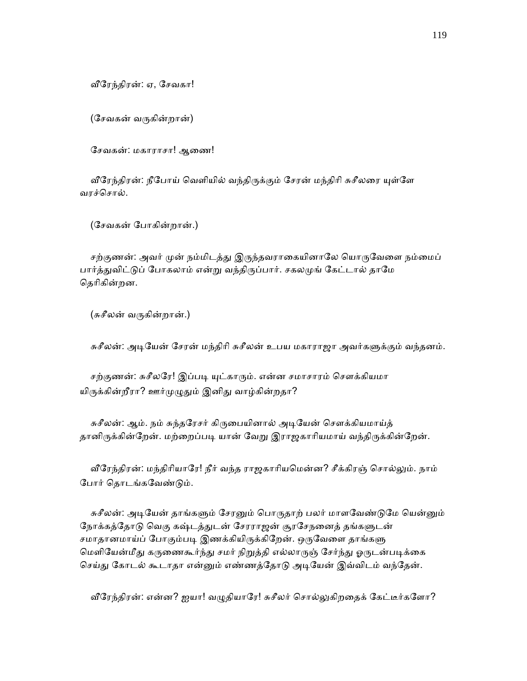ᾪேரந்திரன்: ஏ, ேசவகா!

(ேசவகன் வᾞகின்றான்)

சேவகன்: மகாராசா! ஆணை!

வீரேந்திரன்: நீபோய் வெளியில் வந்திருக்கும் சேரன் மந்திரி சுசீலரை யுள்ளே வரச்ெசால்.

(ேசவகன் ேபாகின்றான்.)

சற்குணன்: அவர் முன் நம்மிடத்து இருந்தவராகையினாலே யொருவேளை நம்மைப் பார்த்துவிட்டுப் போகலாம் என்று வந்திருப்பார். சகலமுங் கேட்டால் தாமே தெரிகின்றன.

(சுசீலன் வருகின்றான்.)

சுசீலன்: அடியேன் சேரன் மந்திரி சுசீலன் உபய மகாராஜா அவர்களுக்கும் வந்தனம்.

சற்குணன்: சுசீலரே! இப்படி யுட்காரும். என்ன சமாசாரம் சௌக்கியமா யிருக்கின்றீரா? ஊர்முழுதும் இனிது வாழ்கின்றதா?

சுசீலன்: ஆம். நம் சுந்தரேசர் கிருபையினால் அடியேன் சௌக்கியமாய்த் தானிருக்கின்றேன். மற்றைப்படி யான் வேறு இராஜகாரியமாய் வந்திருக்கின்றேன்.

வீரேந்திரன்: மந்திரியாரே! நீர் வந்த ராஜகாரியமென்ன? சீக்கிரஞ் சொல்லும். நாம் ேபார் ெதாடங்கேவண்ᾌம்.

சுசீலன்: அடியேன் தாங்களும் சேரனும் பொருதாற் பலர் மாளவேண்டுமே யென்னும் நோக்கத்தோடு வெகு கஷ்டத்துடன் சேரராஜன் சூரசேநனைத் தங்களுடன் சமாதானமாய்ப் போகும்படி இணக்கியிருக்கிறேன். ஒருவேளை தாங்களு மெளியேன்மீது கருணைகூர்ந்து சமர் நிறுத்தி எல்லாருஞ் சேர்ந்து ஓருடன்படிக்கை செய்து கோடல் கூடாதா என்னும் எண்ணத்தோடு அடியேன் இவ்விடம் வந்தேன்.

வீரேந்திரன்: என்ன? ஐயா! வழுதியாரே! சுசீலர் சொல்லுகிறதைக் கேட்டீர்களோ?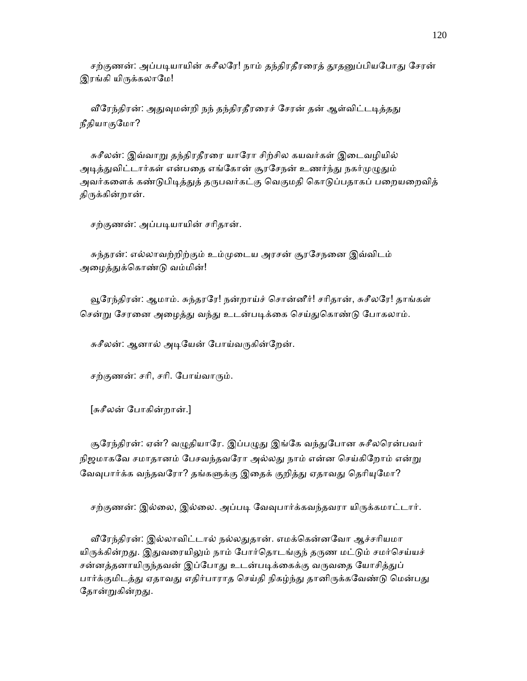சற்குணன்: அப்படியாயின் சுசீலரே! நாம் தந்திரதீரரைத் தூதனுப்பியபோது சேரன் இரங்கி யிருக்கலாமே!

வீரேந்திரன்: அதுவுமன்றி நந் தந்திரதீரரைச் சேரன் தன் ஆள்விட்டடித்தது நீதியாகுேமா?

சுசீலன்: இவ்வாறு தந்திரதீரரை யாரோ சிற்சில கயவர்கள் இடைவழியில் அடித்துவிட்டார்கள் என்பதை எங்கோன் சூரசேநன் உணர்ந்து நகர்முழுதும் அவர்களைக் கண்டுபிடித்துத் தருபவர்கட்கு வெகுமதி கொடுப்பதாகப் பறையறைவித் திருக்கின்றான்.

சற்குணன்: அப்படியாயின் சரிதான்.

 சுந்தரன்: எல்லாவற்றிற்கும் உம்ᾙைடய அரசன் சூரேசநைன இவ்விடம் அழைத்துக்கொண்டு வம்மின்!

 ᾬேரந்திரன்: ஆமாம். சுந்தரேர! நன்றாய்ச் ெசான்னீர்! சாிதான், சுசீலேர! தாங்கள் சென்று சேரனை அழைத்து வந்து உடன்படிக்கை செய்துகொண்டு போகலாம்.

சுசீலன்: ஆனால் அடியேன் போய்வருகின்றேன்.

சற்குணன்: சரி, சரி. போய்வாரும்.

[சுசீலன் ேபாகின்றான்.]

சூரேந்திரன்: ஏன்? வழுதியாரே. இப்பழுது இங்கே வந்துபோன சுசீலரென்பவர் நிஜமாகவே சமாதானம் பேசவந்தவரோ அல்லது நாம் என்ன செய்கிறோம் என்று வேவுபார்க்க வந்தவரோ? தங்களுக்கு இதைக் குறித்து ஏதாவது தெரியுமோ?

சற்குணன்: இல்லை, இல்லை. அப்படி வேவுபார்க்கவந்தவரா யிருக்கமாட்டார்.

வீரேந்திரன்: இல்லாவிட்டால் நல்லதுதான். எமக்கென்னவோ ஆச்சரியமா யிருக்கின்றது. இதுவரையிலும் நாம் போர்தொடங்குந் தருண மட்டும் சமர்செய்யச் சன்னத்தனாயிருந்தவன் இப்போது உடன்படிக்கைக்கு வருவதை யோசித்துப் பார்க்குமிடத்து ஏதாவது எதிர்பாராத செய்தி நிகழ்ந்து தானிருக்கவேண்டு மென்பது தோன்றுகின்றது.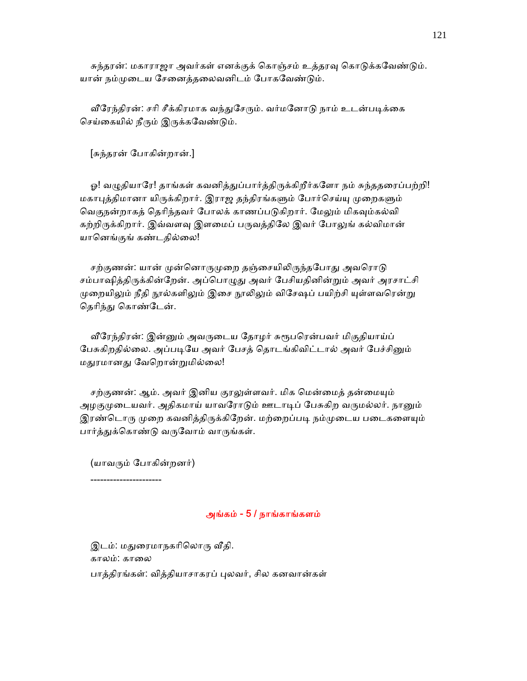சுந்தரன்: மகாராஜா அவர்கள் எனக்குக் கொஞ்சம் உத்தரவு கொடுக்கவேண்டும். யான் நம்முடைய சேனைத்தலைவனிடம் போகவேண்டும்.

வீரேந்திரன்: சரி சீக்கிரமாக வந்துசேரும். வர்மனோடு நாம் உடன்படிக்கை செய்கையில் நீரும் இருக்கவேண்டும்.

[சுந்தரன் ேபாகின்றான்.]

ஓ! வழுதியாரே! தாங்கள் கவனித்துப்பார்த்திருக்கிறீர்களோ நம் சுந்ததரைப்பற்றி! மகாபுத்திமானா யிருக்கிறார். இராஜ தந்திரங்களும் போர்செய்யு முறைகளும் வெகுநன்றாகத் தெரிந்தவர் போலக் காணப்படுகிறார். மேலும் மிகவும்கல்வி கற்றிருக்கிறார். இவ்வளவு இளமைப் பருவத்திலே இவர் போலுங் கல்விமான் யாெனங்குங் கண்டதில்ைல!

சற்குணன்: யான் முன்னொருமுறை தஞ்சையிலிருந்தபோது அவரொடு சம்பாஷித்திருக்கின்றேன். அப்பொழுது அவர் பேசியதினின்றும் அவர் அரசாட்சி முறையிலும் நீதி நூல்களிலும் இசை நூலிலும் விசேஷப் பயிற்சி யுள்ளவரென்று தெரிந்து கொண்டேன்.

வீரேந்திரன்: இன்னும் அவருடைய தோழர் சுரூபரென்பவர் மிகுதியாய்ப் பேசுகிறதில்லை. அப்படியே அவர் பேசத் தொடங்கிவிட்டால் அவர் பேச்சினும் மதுரமானது வேறொன்றுமில்லை!

சற்குணன்: ஆம். அவர் இனிய குரலுள்ளவர். மிக மென்மைத் தன்மையும் அழகுமுடையவர். அதிகமாய் யாவரோடும் ஊடாடிப் பேசுகிற வருமல்லர். நானும் இரண்டொரு முறை கவனித்திருக்கிறேன். மற்றைப்படி நம்முடைய படைகளையும் பார்த்துக்கொண்டு வருவோம் வாருங்கள்.

(யாவᾞம் ேபாகின்றனர்)

----------------------

# அங்கம் - 5 / நாங்காங்களம்

இடம்: மதுரைமாநகரிலொரு வீதி. காலம்: காலை பாத்திரங்கள்: வித்தியாசாகரப் புலவர், சில கனவான்கள்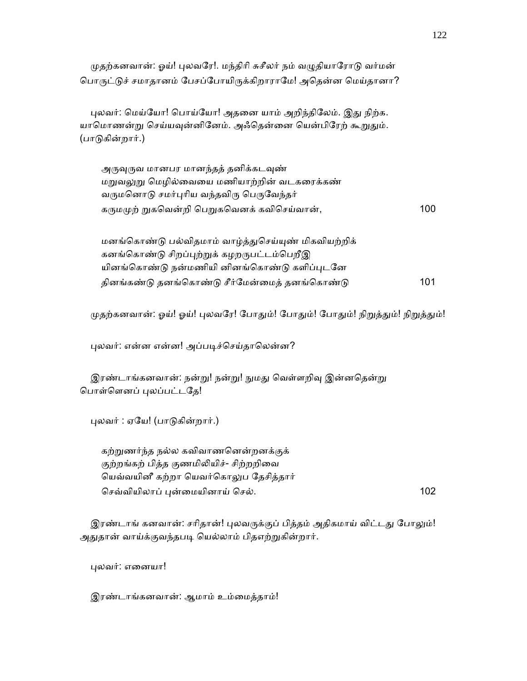முதற்கனவான்: ஓய்! புலவரே!. மந்திரி சுசீலர் நம் வழுதியாரோடு வர்மன் பொருட்டுச் சமாதானம் பேசப்போயிருக்கிறாராமே! அதென்ன மெய்தானா?

புலவர்: மெய்யோ! பொய்யோ! அதனை யாம் அறிந்திலேம். இது நிற்க. யாமொணன்று செய்யவுன்னினேம். அஃதென்னை யென்பிரேற் கூறுதும். (பாᾌகின்றார்.)

அருவுருவ மானபர மானந்தத் தனிக்கடவுண் மறுவலுறு மெழில்வையை மணியாற்றின் வடகரைக்கண் வருமனொடு சமர்புரிய வந்தவிரு பெருவேந்தர் கᾞமᾙற் ᾠகெவன்றி ெபᾠகெவனக் கவிெசய்வான், 100

மனங்கொண்டு பல்விதமாம் வாழ்த்துசெய்யுண் மிகவியற்றிக் கனங்கொண்டு சிறப்புற்றுக் கழறருபட்டம்பெறீஇ யினங்கொண்டு நன்மணியி னினங்கொண்டு களிப்புடனே தினங்கண்ᾌ தனங்ெகாண்ᾌ சீர்ேமன்ைமத் தனங்ெகாண்ᾌ 101

முதற்கனவான்: ஓய்! ஓய்! புலவரே! போதும்! போதும்! போதும்! நிறுத்தும்! நிறுத்தும்!

புலவர்: என்ன என்ன! அப்படிச்செய்தாலென்ன?

இரண்டாங்கனவான்: நன்று! நன்று! நுமது வெள்ளறிவு இன்னதென்று ெபாள்ெளனப் ᾗலப்பட்டேத!

ᾗலவர் : ஏேய! (பாᾌகின்றார்.)

 கற்ᾠணர்ந்த நல்ல கவிவாணெனன்றனக்குக் குற்றங்கற் பித்த குணமிலியிச்- சிற்றறிவை ெயவ்வயினீ கற்றா ெயவர்ெகாᾤப ேதசித்தார் செவ்வியிலாப் புன்மையினாய் செல். 102

இரண்டாங் கனவான்: சரிதான்! புலவருக்குப் பித்தம் அதிகமாய் விட்டது போலும்! அதுதான் வாய்க்குவந்தபடி யெல்லாம் பிதஎற்றுகின்றார்.

ᾗலவர்: எைனயா!

இரண்டாங்கனவான்: ஆமாம் உம்ைமத்தாம்!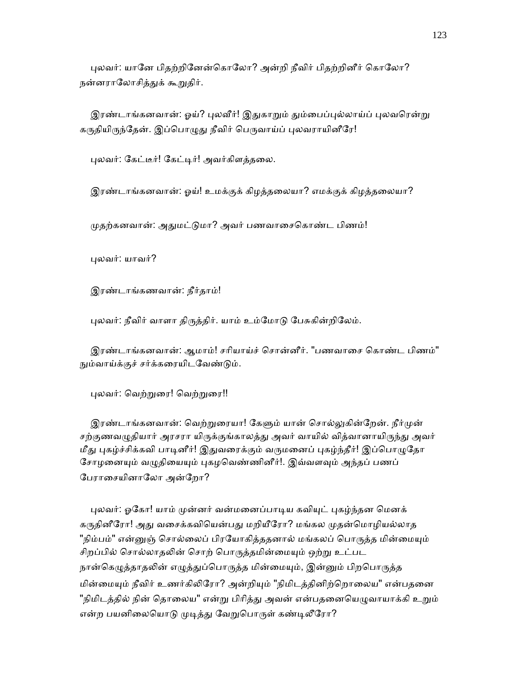புலவர்: யானே பிதற்றினேன்கொலோ? அன்றி நீவிர் பிதற்றினீர் கொலோ? நன்னராலோசித்துக் கூறுதிர்.

இரண்டாங்கனவான்: ஓய்? புலவீர்! இதுகாறும் தும்பைப்புல்லாய்ப் புலவரென்று கருதியிருந்தேன். இப்பொழுது நீவிர் பெருவாய்ப் புலவராயினீரே!

புலவர்: கேட்டீர்! கேட்டிர்! அவர்கிளத்தலை.

இரண்டாங்கனவான்: ஓய்! உமக்குக் கிழத்தைலயா? எமக்குக் கிழத்தைலயா?

முதற்கனவான்: அதுமட்டுமா? அவர் பணவாசைகொண்ட பிணம்!

ᾗலவர்: யாவர்?

இரண்டாங்கணவான்: நீர்தாம்!

புலவர்: நீவிர் வாளா திருத்திர். யாம் உம்மோடு பேசுகின்றிலேம்.

 இரண்டாங்கனவான்: ஆமாம்! சாியாய்ச் ெசான்னீர். "பணவாைச ெகாண்ட பிணம்" நும்வாய்க்குச் சர்க்கரையிடவேண்டும்.

புலவர்: வெற்றுரை! வெற்றுரை!!

இரண்டாங்கனவான்: வெற்றுரையா! கேளும் யான் சொல்லுகின்றேன். நீர்முன் சற்குணவழுதியார் அரசரா யிருக்குங்காலத்து அவர் வாயில் வித்வானாயிருந்து அவர் மீது புகழ்ச்சிக்கவி பாடினீர்! இதுவரைக்கும் வருமனைப் புகழ்ந்தீர்! இப்பொழுதோ சோழனையும் வழுதியையும் புகழவெண்ணினீர்!. இவ்வளவும் அந்தப் பணப் ேபராைசயினாேலா அன்ேறா?

புலவர்: ஓகோ! யாம் முன்னர் வன்மனைப்பாடிய கவியுட் புகழ்ந்தன மெனக் கருதினீரோ! அது வசைக்கவியென்பது மறியீரோ? மங்கல முதன்மொழியல்லாத "நிம்பம்" என்னுஞ் சொல்லைப் பிரயோகித்ததனால் மங்கலப் பொருத்த மின்மையும் சிறப்பில் சொல்லாதலின் சொற் பொருத்தமின்மையும் ஒற்று உட்பட நான்கெழுத்தாதலின் எழுத்துப்பொருத்த மின்மையும், இன்னும் பிறபொருத்த மின்மையும் நீவிர் உணர்கிலிரோ? அன்றியும் "நிமிடத்தினிற்றொலைய" என்பதனை "நிமிடத்தில் நின் தொலைய" என்று பிரித்து அவன் என்பதனையெழுவாயாக்கி உறும் என்ற பயனிலையொடு முடித்து வேறுபொருள் கண்டிலீரோ?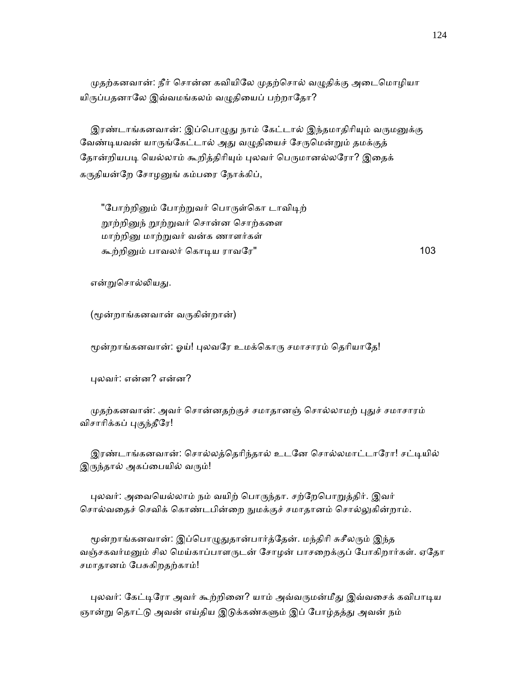முதற்கனவான்: நீர் சொன்ன கவியிலே முதற்சொல் வழுதிக்கு அடைமொழியா யிருப்பதனாலே இவ்வமங்கலம் வழுதியைப் பற்றாதோ?

இரண்டாங்கனவான்: இப்பொழுது நாம் கேட்டால் இந்தமாதிரியும் வருமனுக்கு வேண்டியவன் யாருங்கேட்டால் அது வழுதியைச் சேருமென்றும் தமக்குத் தோன்றியபடி யெல்லாம் கூறித்திரியும் புலவர் பெருமானல்லரோ? இதைக் கருதியன்றே சோழனுங் கம்பரை நோக்கிப்,

"போற்றினும் போற்றுவர் பொருள்கொ டாவிடிற் றூற்றினுந் றூற்றுவர் சொன்ன சொற்களை மாற்றிᾔ மாற்ᾠவர் வன்க ணாளர்கள் கூற்றிᾔம் பாவலர் ெகாᾊய ராவேர" 103

என்றுசொல்லியது.

(ᾚன்றாங்கனவான் வᾞகின்றான்)

மூன்றாங்கனவான்: ஓய்! புலவரே உமக்கொரு சமாசாரம் தெரியாதே!

ᾗலவர்: என்ன? என்ன?

முதற்கனவான்: அவர் சொன்னதற்குச் சமாதானஞ் சொல்லாமற் புதுச் சமாசாரம் விசாரிக்கப் புகுந்தீரே!

இரண்டாங்கனவான்: சொல்லத்தெரிந்தால் உடனே சொல்லமாட்டாரோ! சட்டியில் இருந்தால் அகப்பையில் வரும்!

புலவர்: அவையெல்லாம் நம் வயிற் பொருந்தா. சற்றேபொறுத்திர். இவர் சொல்வதைச் செவிக் கொண்டபின்றை நுமக்குச் சமாதானம் சொல்லுகின்றாம்.

மூன்றாங்கனவான்: இப்பொழுதுதான்பார்த்தேன். மந்திரி சுசீலரும் இந்த வஞ்சகவர்மனும் சில மெய்காப்பாளருடன் சோழன் பாசறைக்குப் போகிறார்கள். ஏதோ சமாதானம் ேபசுகிறதற்காம்!

புலவர்: கேட்டிரோ அவர் கூற்றினை? யாம் அவ்வருமன்மீது இவ்வசைக் கவிபாடிய ஞான்று தொட்டு அவன் எய்திய இடுக்கண்களும் இப் போழ்தத்து அவன் நம்

124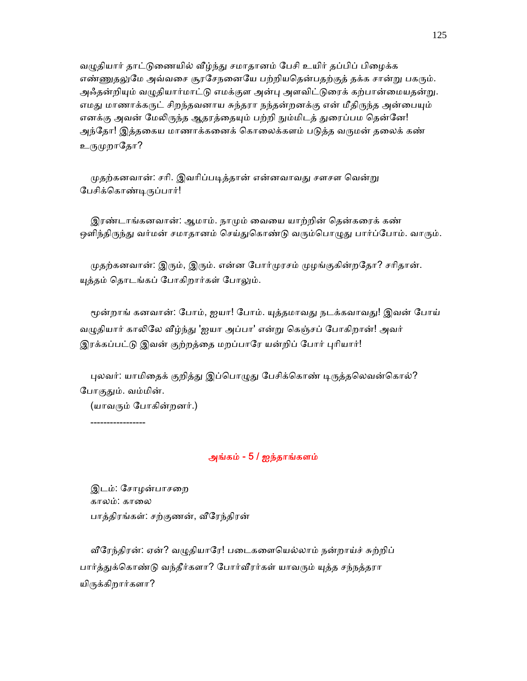வழுதியார் தாட்டுணையில் வீழ்ந்து சமாதானம் பேசி உயிர் தப்பிப் பிமைக்க எண்ணுதலுமே அவ்வசை சூரசேநனையே பற்றியதென்பதற்குத் தக்க சான்று பகரும். அஃதன்றியும் வழுதியார்மாட்டு எமக்குள அன்பு அளவிட்டுரைக் கற்பான்மையதன்று. எமது மாணாக்கருட் சிறந்தவனாய சுந்தரா நந்தன்றனக்கு என் மீதிருந்த அன்பையும் எனக்கு அவன் மேலிருந்த ஆதரத்தையும் பற்றி நும்மிடத் துரைப்பம தென்னே! அந்தோ! இத்தகைய மாணாக்கனைக் கொலைக்களம் படுத்த வருமன் தலைக் கண் உருமுறாதோ?

முதற்கனவான்: சரி. இவரிப்படித்தான் என்னவாவது சளசள வென்று ேபசிக்ெகாண்ᾊᾞப்பார்!

இரண்டாங்கனவான்: ஆமாம். நாமும் வையை யாற்றின் தென்கரைக் கண் ஒளிந்திருந்து வர்மன் சமாதானம் செய்துகொண்டு வரும்பொழுது பார்ப்போம். வாரும்.

முதற்கனவான்: இரும், இரும். என்ன போர்முரசம் முழங்குகின்றதோ? சரிதான். யுத்தம் தொடங்கப் போகிறார்கள் போலும்.

மூன்றாங் கனவான்: போம், ஐயா! போம். யுத்தமாவது நடக்கவாவது! இவன் போய் வழுதியார் காலிலே வீழ்ந்து 'ஐயா அப்பா' என்று கெஞ்சப் போகிறான்! அவர் இரக்கப்பட்டு இவன் குற்றத்தை மறப்பாரே யன்றிப் போர் புரியார்!

புலவர்: யாமிதைக் குறித்து இப்பொழுது பேசிக்கொண் டிருத்தலெவன்கொல்? போகுதும். வம்மின்.

(யாவᾞம் ேபாகின்றனர்.)

-----------------

# அங்கம் - 5 / ஐந்தாங்களம்

 இடம்: ேசாழன்பாசைற காலம்: காலை பாத்திரங்கள்: சற்குணன், ᾪேரந்திரன்

வீரேந்திரன்: ஏன்? வழுதியாரே! படைகளையெல்லாம் நன்றாய்ச் சுற்றிப் பார்த்துக்கொண்டு வந்தீர்களா? போர்வீரர்கள் யாவரும் யுத்த சந்நத்தரா யிᾞக்கிறார்களா?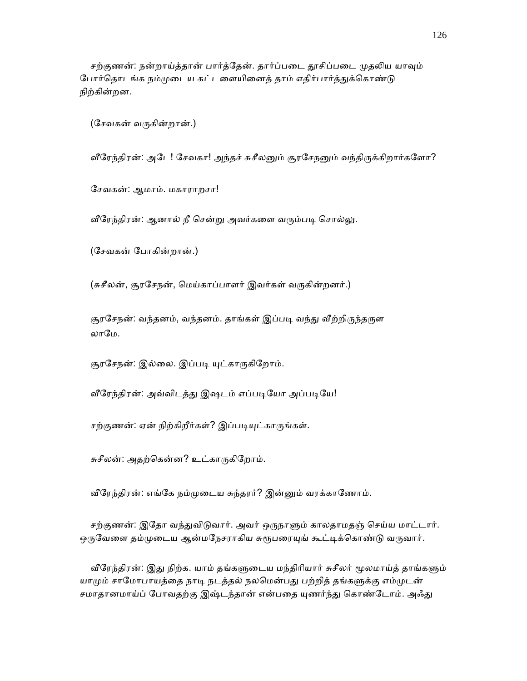சற்குணன்: நன்றாய்த்தான் பார்த்தேன். தார்ப்படை தூசிப்படை முதலிய யாவும் போர்தொடங்க நம்முடைய கட்டளையினைத் தாம் எதிர்பார்த்துக்கொண்டு நிற்கின்றன.

(ேசவகன் வᾞகின்றான்.)

வீரேந்திரன்: அடே! சேவகா! அந்தச் சுசீலனும் சூரசேநனும் வந்திருக்கிறார்களோ?

ேசவகன்: ஆமாம். மகாராறசா!

வீரேந்திரன்: ஆனால் நீ சென்று அவர்களை வரும்படி சொல்லு.

(ேசவகன் ேபாகின்றான்.)

(சுசீலன், சூரசேநன், மெய்காப்பாளர் இவர்கள் வருகின்றனர்.)

சூரசேநன்: வந்தனம், வந்தனம். தாங்கள் இப்படி வந்து வீற்றிருந்தருள லாமே.

சூரசேநன்: இல்லை. இப்படி யுட்காருகிறோம்.

வீரேந்திரன்: அவ்விடத்து இஷடம் எப்படியோ அப்படியே!

சற்குணன்: ஏன் நிற்கிறீர்கள்? இப்படியுட்காருங்கள்.

சுசீலன்: அதற்ெகன்ன? உட்காᾞகிேறாம்.

வீரேந்திரன்: எங்கே நம்முடைய சுந்தரர்? இன்னும் வரக்காணோம்.

சற்குணன்: இதோ வந்துவிடுவார். அவர் ஒருநாளும் காலதாமதஞ் செய்ய மாட்டார். ஒருவேளை தம்முடைய ஆன்மநேசராகிய சுரூபரையுங் கூட்டிக்கொண்டு வருவார்.

வீரேந்திரன்: இது நிற்க. யாம் தங்களுடைய மந்திரியார் சுசீலர் மூலமாய்த் தாங்களும் யாமும் சாமோபாயத்தை நாடி நடத்தல் நலமென்பது பற்றித் தங்களுக்கு எம்முடன் சமாதானமாய்ப் போவதற்கு இஷ்டந்தான் என்பதை யுணர்ந்து கொண்டோம். அஃது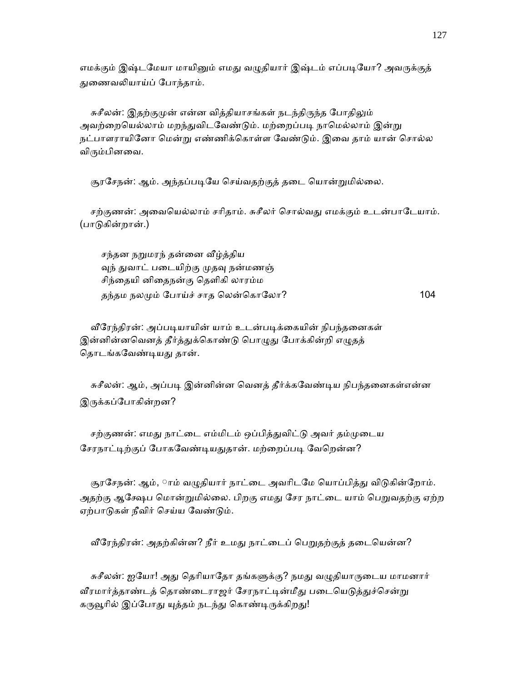எமக்கும் இஷ்டமேயா மாயினும் எமது வழுதியார் இஷ்டம் எப்படியோ? அவருக்குத் ᾐைணவᾢயாய்ப் ேபாந்தாம்.

சுசீலன்: இதற்குமுன் என்ன வித்தியாசங்கள் நடந்திருந்த போதிலும் அவற்றையெல்லாம் மறந்துவிடவேண்டும். மற்றைப்படி நாமெல்லாம் இன்று நட்பாளராயினோ மென்று எண்ணிக்கொள்ள வேண்டும். இவை தாம் யான் சொல்ல விரும்பினவை.

சூரசேநன்: ஆம். அந்தப்படியே செய்வதற்குத் தடை யொன்றுமில்லை.

சற்குணன்: அவையெல்லாம் சரிதாம். சுசீலர் சொல்வது எமக்கும் உடன்பாடேயாம். (பாᾌகின்றான்.)

சந்தன நறுமரந் தன்னை வீழ்த்திய வுந் துவாட் படையிற்கு முதவு நன்மணஞ் சிந்ைதயி னிைதநன்கு ெதளிகி லாரம்ம தந்தம நலமும் போய்ச் சாத லென்கொலோ? 104

வீரேந்திரன்: அப்படியாயின் யாம் உடன்படிக்கையின் நிபந்தனைகள் இன்னின்னவெனத் தீர்த்துக்கொண்டு பொழுது போக்கின்றி எழுதத் தொடங்கவேண்டியது தான்.

சுசீலன்: ஆம், அப்படி இன்னின்ன வெனத் தீர்க்கவேண்டிய நிபந்தனைகள்என்ன இருக்கப்போகின்றன?

சற்குணன்: எமது நாட்டை எம்மிடம் ஒப்பித்துவிட்டு அவர் தம்முடைய சேரநாட்டிற்குப் போகவேண்டியதுதான். மற்றைப்படி வேறென்ன?

சூரசேநன்: ஆம், ாம் வழுதியார் நாட்டை அவரிடமே யொப்பித்து விடுகின்றோம். அதற்கு ஆக்ஷேப மொன்றுமில்லை. பிறகு எமது சேர நாட்டை யாம் பெறுவதற்கு ஏற்ற ஏற்பாடுகள் நீவிர் செய்ய வேண்டும்.

வீரேந்திரன்: அதற்கின்ன? நீர் உமது நாட்டைப் பெறுதற்குத் தடையென்ன?

சுசீலன்: ஐயோ! அது தெரியாதோ தங்களுக்கு? நமது வழுதியாருடைய மாமனார் வீரமார்த்தாண்டத் தொண்டைராஜர் சேரநாட்டின்மீது படையெடுத்துச்சென்று கருவூரில் இப்போது யுத்தம் நடந்து கொண்டிருக்கிறது!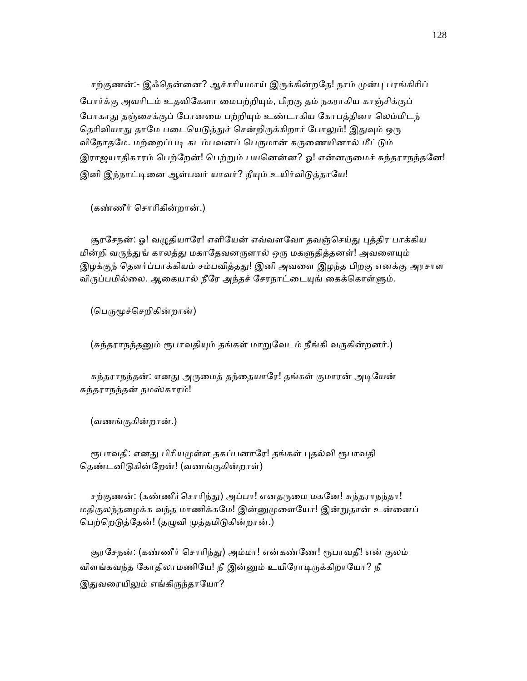சற்குணன்:- இஃதென்னை? ஆச்சரியமாய் இருக்கின்றதே! நாம் முன்பு பரங்கிரிப் ேபார்க்கு அவாிடம் உதவிேகளா ைமபற்றிᾜம், பிறகு தம் நகராகிய காஞ்சிக்குப் போகாது தஞ்சைக்குப் போனமை பற்றியும் உண்டாகிய கோபத்தினா லெம்மிடந் தெரிவியாது தாமே படையெடுத்துச் சென்றிருக்கிறார் போலும்! இதுவும் ஒரு விநோதமே. மற்றைப்படி கடம்பவனப் பெருமான் கருணையினால் மீட்டும் இராஜயாதிகாரம் பெற்றேன்! பெற்றும் பயனென்ன? ஓ! என்னருமைச் சுந்தராநந்தனே! இனி இந்நாட்டினை ஆள்பவர் யாவர்? நீயும் உயிர்விடுத்தாயே!

(கண்ணீர் ெசாாிகின்றான்.)

சூரசேநன்: ஓ! வழுதியாரே! எளியேன் எவ்வளவோ தவஞ்செய்து புத்திர பாக்கிய மின்றி வருந்துங் காலத்து மகாதேவனருளால் ஒரு மகளுதித்தனள்! அவளையும் இழக்குந் தௌர்ப்பாக்கியம் சம்பவித்தது! இனி அவளை இழந்த பிறகு எனக்கு அரசாள விருப்பமில்லை. ஆகையால் நீரே அந்தச் சேரநாட்டையுங் கைக்கொள்ளும்.

(பெருமூச்செறிகின்றான்)

(சுந்தராநந்தனும் ரூபாவதியும் தங்கள் மாறுவேடம் நீங்கி வருகின்றனர்.)

சுந்தராநந்தன்: எனது அருமைத் தந்தையாரே! தங்கள் குமாரன் அடியேன் சுந்தராநந்தன் நமஸ்காரம்!

(வணங்குகின்றான்.)

ரூபாவதி: எனது பிரியமுள்ள தகப்பனாரே! தங்கள் புதல்வி ரூபாவதி தெண்டனிடுகின்றேன்! (வணங்குகின்றாள்)

சற்குணன்: (கண்ணீர்சொரிந்து) அப்பா! எனதருமை மகனே! சுந்தராநந்தா! மதிகுலந்தழைக்க வந்த மாணிக்கமே! இன்னுமுளையோ! இன்றுதான் உன்னைப் பெற்றெடுத்தேன்! (தழுவி முத்தமிடுகின்றான்.)

சூரசேநன்: (கண்ணீர் சொரிந்து) அம்மா! என்கண்ணே! ரூபாவதீ! என் குலம் விளங்கவந்த கோதிலாமணியே! நீ இன்னும் உயிரோடிருக்கிறாயோ? நீ இதுவரையிலும் எங்கிருந்தாயோ?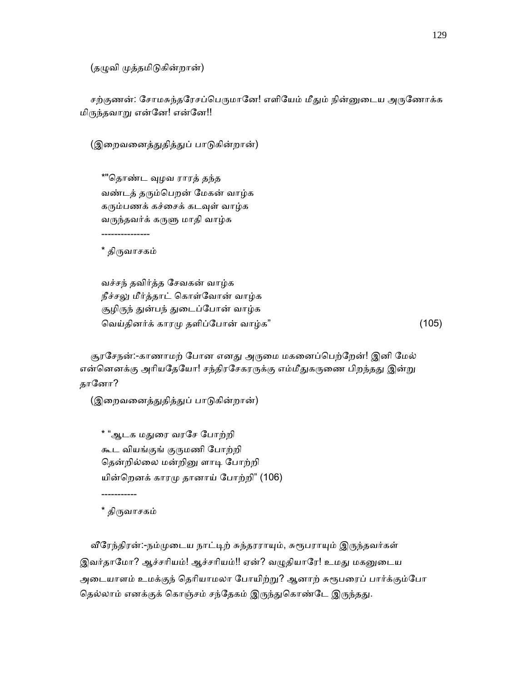(தழுவி முத்தமிடுகின்றான்)

சற்குணன்: சோமசுந்தரேசப்பெருமானே! எளியேம் மீதும் நின்னுடைய அருணோக்க மிᾞந்தவாᾠ என்ேன! என்ேன!!

(இறைவனைத்துதித்துப் பாடுகின்றான்)

 \*"ெதாண்ட ᾫழவ ராரத் தந்த வண்டத் தᾞம்ெபறன் ேமகன் வாழ்க கரும்பணக் கச்சைக் கடவுள் வாழ்க வᾞந்தவர்க் கᾞᾦ மாதி வாழ்க

\* திருவாசகம்

---------------

 வச்சந் தவிர்த்த ேசவகன் வாழ்க நீச்சᾤ மீர்த்தாட் ெகாள்ேவான் வாழ்க சூழிருந் துன்பந் துடைப்போன் வாழ்க ெவய்தினர்க் காரᾙ தளிப்ேபான் வாழ்க" (105)

சூரசேநன்:-காணாமற் போன எனது அருமை மகனைப்பெற்றேன்! இனி மேல் என்னெனக்கு அரியதேயோ! சந்திரசேகரருக்கு எம்மீதுகருணை பிறந்தது இன்று தானோ?

(இறைவனைத்துதித்துப் பாடுகின்றான்)

\* "ஆடக மதுரை வரசே போற்றி கூட வியங்குங் குருமணி போற்றி தென்றில்லை மன்றினு ளாடி போற்றி யின்ெறனக் காரᾙ தானாய் ேபாற்றி" (106)

\* திருவாசகம்

-----------

வீரேந்திரன்:-நம்முடைய நாட்டிற் சுந்தரராயும், சுரூபராயும் இருந்தவர்கள் இவர்தாமோ? ஆச்சரியம்! ஆச்சரியம்!! ஏன்? வழுதியாரே! உமது மகனுடைய அடையாளம் உமக்குந் தெரியாமலா போயிற்று? ஆனாற் சுரூபரைப் பார்க்கும்போ தெல்லாம் எனக்குக் கொஞ்சம் சந்தேகம் இருந்துகொண்டே இருந்தது.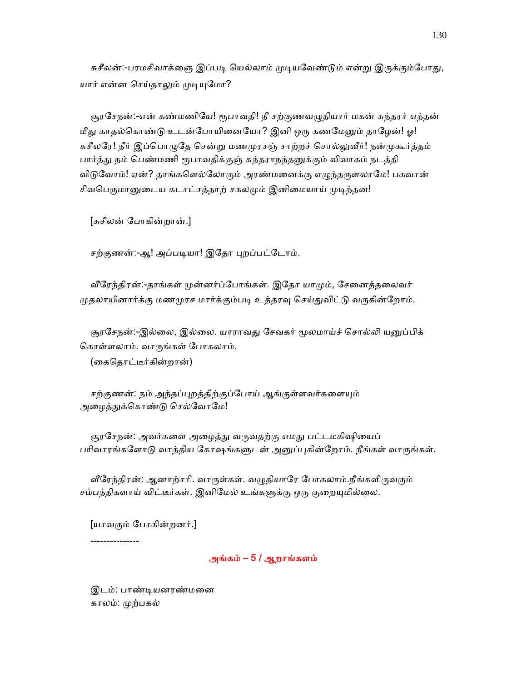சுசீலன்:-பரமசிவாக்ஞை இப்படி யெல்லாம் முடியவேண்டும் என்று இருக்கும்போது, யார் என்ன செய்தாலும் முடியுமோ?

சூரசேநன்:-என் கண்மணியே! ரூபாவதி! நீ சற்குணவழுதியார் மகன் சுந்தரர் எந்தன் மீது காதல்கொண்டு உடன்போயினையோ? இனி ஒரு கணமேனும் தாழேன்! ஓ! சுசீலரே! நீர் இப்பொழுதே சென்று மணமுரசஞ் சாற்றச் சொல்லுவீர்! நன்முகூர்த்தம் பார்த்து நம் பெண்மணி ரூபாவதிக்குஞ் சுந்தராநந்தனுக்கும் விவாகம் நடத்தி விடுவோம்! ஏன்? தாங்களெல்லோரும் அரண்மனைக்கு எழுந்தருளலாமே! பகவான் சிவபெருமானுடைய கடாட்சத்தாற் சகலமும் இனிமையாய் முடிந்தன!

[சுசீலன் ேபாகின்றான்.]

சற்குணன்:-ஆ! அப்படியா! இதோ புறப்பட்டோம்.

வீரேந்திரன்:-தாங்கள் முன்னர்ப்போங்கள். இதோ யாமும், சேனைத்தலைவர் முதலாயினார்க்கு மணமுரச மார்க்கும்படி உத்தரவு செய்துவிட்டு வருகின்றோம்.

சூரசேநன்:-இல்லை, இல்லை. யாராவது சேவகர் மூலமாய்ச் சொல்லி யனுப்பிக் ெகாள்ளலாம். வாᾞங்கள் ேபாகலாம்.

(ைகெதாட்டீர்கின்றான்)

சற்குணன்: நம் அந்தப்புறத்திற்குப்போய் ஆங்குள்ளவர்களையும் அழைத்துக்கொண்டு செல்வோமே!

சூரசேநன்: அவர்களை அழைத்து வருவதற்கு எமது பட்டமகிஷியைப் பரிவாரங்களோடு வாத்திய கோஷங்களுடன் அனுப்புகின்றோம். நீங்கள் வாருங்கள்.

வீரேந்திரன்: ஆனாற்சரி. வாருள்கள். வழுதியாரே போகலாம்.நீங்களிருவரும் சம்பந்திகளாய் விட்டீர்கள். இனிமேல் உங்களுக்கு ஒரு குறையுமில்லை.

[யாவᾞம் ேபாகின்றனர்.]

---------------

# அங்கம் – 5 / ஆறாங்களம்

 இடம்: பாண்ᾊயனரண்மைன காலம்: ᾙற்பகல்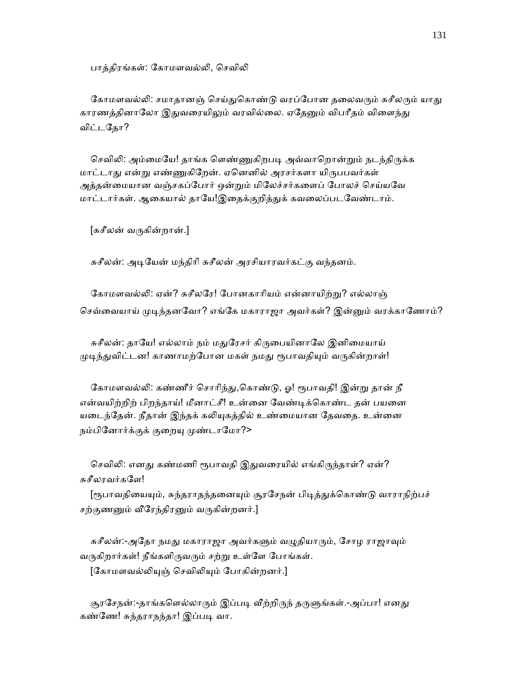பாக்கிரங்கள்: கோமளவல்லி, செவிலி

கோமளவல்லி: சமாதானஞ் செய்துகொண்டு வரப்போன தலைவரும் சுசீலரும் யாது காரணத்தினாலோ இதுவரையிலும் வரவில்லை. ஏதேனும் விபரீதம் விளைந்து விட்டேதா?

செவிலி: அம்மையே! தாங்க ளெண்ணுகிறபடி அவ்வாறொன்றும் நடந்திருக்க மாட்டாது என்று எண்ணுகிறேன். ஏனெனில் அரசர்களா யிருபபவர்கள் அத்தன்மையான வஞ்சகப்போர் ஒன்றும் மிலேச்சர்களைப் போலச் செய்யவே மாட்டார்கள். ஆகையால் தாயே!இதைக்குறித்துக் கவலைப்படவேண்டாம்.

[சுசீலன் வᾞகின்றான்.]

சுசீலன்: அடியேன் மந்திரி சுசீலன் அரசியாரவர்கட்கு வந்தனம்.

கோமளவல்லி: ஏன்? சுசீலரே! போனகாரியம் என்னாயிற்று? எல்லாஞ் செவ்வையாய் முடிந்தனவோ? எங்கே மகாராஜா அவர்கள்? இன்னும் வரக்காணோம்?

சுசீலன்: தாயே! எல்லாம் நம் மதுரேசர் கிருபையினாலே இனிமையாய் முடிந்துவிட்டன! காணாமற்போன மகள் நமது ரூபாவதியும் வருகின்றாள்!

கோமளவல்லி: கண்ணீர் சொரிந்து,கொண்டு, ஓ! ரூபாவதி! இன்று தான் நீ என்வயிற்றிற் பிறந்தாய்! மீனாட்சீ! உன்னை வேண்டிக்கொண்ட தன் பயனை யடைந்தேன். நீதான் இந்தக் கலியுகத்தில் உண்மையான தேவதை. உன்னை நம்பினோர்க்குக் குறையு முண்டாமோ?>

செவிலி: எனது கண்மணி ரூபாவதி இதுவரையில் எங்கிருந்தாள்? ஏன்? சுசீலரவர்களே!

[ரூபாவதியையும், சுந்தராதந்தனையும் சூரசேநன் பிடித்துக்கொண்டு வாராநிற்பச் சற்குணனும் வீரேந்திரனும் வருகின்றனர்.]

சுசீலன்:-அதோ நமது மகாராஜா அவர்களும் வழுதியாரும், சோழ ராஜாவும் வருகிறார்கள்! நீங்களிருவரும் சற்று உள்ளே போங்கள். [கோமளவல்லியுஞ் செவிலியும் போகின்றனர்.]

சூரசேநன்:-தாங்களெல்லாரும் இப்படி வீற்றிருந் தருளுங்கள்.-அப்பா! எனது கண்ணே! சுந்தராநந்தா! இப்படி வா.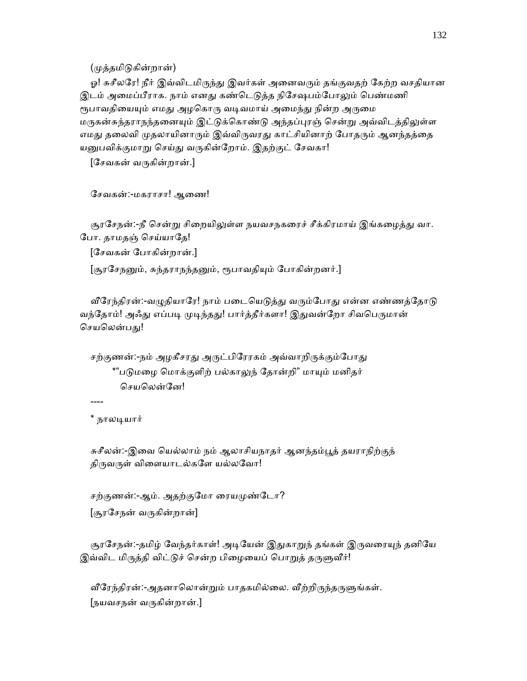(ᾙத்தமிᾌகின்றான்)

ஓ! சுசீலரே! நீர் இவ்விடமிருந்து இவர்கள் அனைவரும் தங்குவதற் கேற்ற வசதியான இடம் அமைப்பீராக. நாம் எனது கண்டெடுத்த நிசேஷபம்போலும் பெண்மணி ரூபாவதியையும் எமது அழகொரு வடிவமாய் அமைந்து நின்ற அருமை மருகன்சுந்தராநந்தனையும் இட்டுக்கொண்டு அந்தப்புரஞ் சென்று அவ்விடத்திலுள்ள எமது தலைவி முதலாயினாரும் இவ்விருவரது காட்சியினாற் போதரும் ஆனந்தத்தை யனுபவிக்குமாறு செய்து வருகின்றோம். இதற்குட் சேவகா!

[ேசவகன் வᾞகின்றான்.]

சேவகன்:-மகராசா! ஆணை!

சூரசேநன்:-நீ சென்று சிறையிலுள்ள நயவசநகரைச் சீக்கிரமாய் இங்கழைத்து வா. போ. தாமதஞ் செய்யாதே!

[ேசவகன் ேபாகின்றான்.]

[சூரசேநனும், சுந்தராநந்தனும், ரூபாவதியும் போகின்றனர்.]

வீரேந்திரன்:-வழுதியாரே! நாம் படையெடுத்து வரும்போது என்ன எண்ணத்தோடு வந்தோம்! அஃது எப்படி முடிந்தது! பார்த்தீர்களா! இதுவன்றோ சிவபெருமான் செயலென்பது!

சற்குணன்:-நம் அழகீசரது அருட்பிரேரகம் அவ்வாறிருக்கும்போது \*"படுமழை மொக்குளிற் பல்காலுந் தோன்றி" மாயும் மனிதர் ெசயெலன்ேன!

----

\* நாலᾊயார்

சுசீலன்:-இவை யெல்லாம் நம் ஆலாசியநாதர் ஆனந்தம்பூத் தயராநிற்குந் திருவருள் விளையாடல்களே யல்லவோ!

சற்குணன்:-ஆம். அதற்குமோ ரையமுண்டோ? [சூரேசநன் வᾞகின்றான்]

சூரசேநன்:-தமிழ் வேந்தர்காள்! அடியேன் இதுகாறுந் தங்கள் இருவரையுந் தனியே இவ்விட மிருத்தி விட்டுச் சென்ற பிழையைப் பொறுத் தருளுவீர்!

வீரேந்திரன்:-அதனாலொன்றும் பாதகமில்லை. வீற்றிருந்தருளுங்கள். [நயவசநன் வᾞகின்றான்.]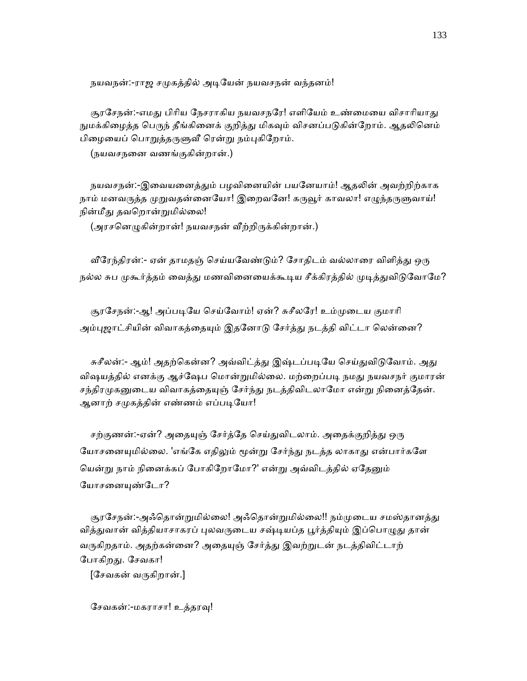நயவநன்:-ராஜ சமுகத்தில் அடியேன் நயவசநன் வந்தனம்!

சூரசேநன்:-எமது பிரிய நேசராகிய நயவசநரே! எளியேம் உண்மையை விசாரியாது நுமக்கிழைத்த பெருந் தீங்கினைக் குறித்து மிகவும் விசனப்படுகின்றோம். ஆதலினெம் பிழையைப் பொறுத்தருளுவீ ரென்று நம்புகிறோம்.

(நயவசநைன வணங்குகின்றான்.)

நயவசநன்:-இவையனைத்தும் பழவினையின் பயனேயாம்! ஆதலின் அவற்றிற்காக நாம் மனவருத்த முறுவதன்னையோ! இறைவனே! கருவூர் காவலா! எழுந்தருளுவாய்! நின்மீது தவறொன்றுமில்லை!

(அரசனெழுகின்றான்! நயவசநன் வீற்றிருக்கின்றான்.)

வீரேந்திரன்:- ஏன் தாமதஞ் செய்யவேண்டும்? சோதிடம் வல்லாரை விளித்து ஒரு நல்ல சுப முகூர்த்தம் வைத்து மணவினையைக்கூடிய சீக்கிரத்தில் முடித்துவிடுவோமே?

சூரசேநன்:-ஆ! அப்படியே செய்வோம்! ஏன்? சுசீலரே! உம்முடைய குமாரி அம்புஜாட்சியின் விவாகத்தையும் இதனோடு சேர்த்து நடத்தி விட்டா லென்னை?

சுசீலன்:- ஆம்! அதற்கென்ன? அவ்விட்த்து இஷ்டப்படியே செய்துவிடுவோம். அது விஷயத்தில் எனக்கு ஆச்ஷேப மொன்றுமில்லை. மற்றைப்படி நமது நயவசநர் குமாரன் சந்திரமுகனுடைய விவாகத்தையுஞ் சேர்ந்து நடத்திவிடலாமோ என்று நினைத்தேன். ஆனாற் சமுகத்தின் எண்ணம் எப்படியோ!

சற்குணன்:-ஏன்? அதையுஞ் சேர்த்தே செய்துவிடலாம். அதைக்குறித்து ஒரு யோசனையுமில்லை. 'எங்கே எதிலும் மூன்று சேர்ந்து நடத்த லாகாது என்பார்களே யென்று நாம் நினைக்கப் போகிறோமோ?' என்று அவ்விடத்தில் ஏதேனும் யோசனையுண்டோ?

சூரசேநன்:-அஃதொன்றுமில்லை! அஃதொன்றுமில்லை!! நம்முடைய சமஸ்தானத்து வித்துவான் வித்தியாசாகரப் புலவருடைய சஷ்டியப்த பூர்த்தியும் இப்பொழுது தான் வருகிறதாம். அதற்கன்னை? அதையுஞ் சேர்த்து இவற்றுடன் நடத்திவிட்டாற் போகிறது. சேவகா!

 $[$ சேவகன் வருகிறான்.]

சேவகன்:-மகராசா! உத்தரவு!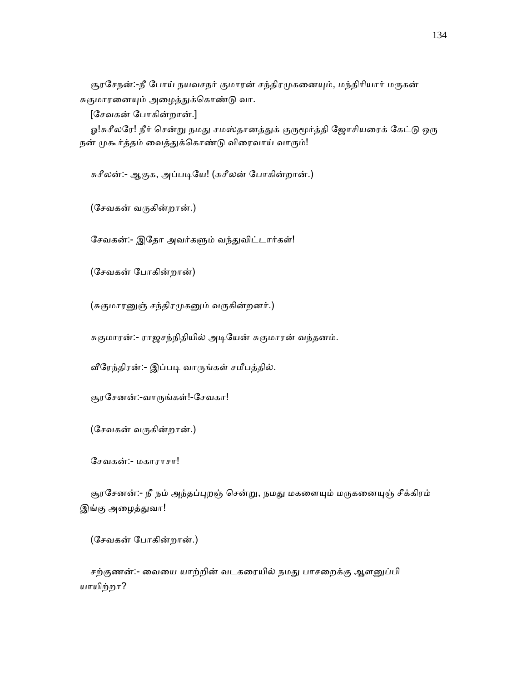சூரசேநன்:-நீ போய் நயவசநர் குமாரன் சந்திரமுகனையும், மந்திரியார் மருகன் சுகுமாரனையும் அழைத்துக்கொண்டு வா.

[ேசவகன் ேபாகின்றான்.]

ஓ!சுசீலரே! நீர் சென்று நமது சமஸ்தானத்துக் குருமூர்த்தி ஜோசியரைக் கேட்டு ஒரு நன் முகூர்த்தம் வைத்துக்கொண்டு விரைவாய் வாரும்!

சுசீலன்:- ஆகுக, அப்படியே! (சுசீலன் போகின்றான்.)

(ேசவகன் வᾞகின்றான்.)

சேவகன்:- இதோ அவர்களும் வந்துவிட்டார்கள்!

(ேசவகன் ேபாகின்றான்)

(சுகுமாரனுஞ் சந்திரமுகனும் வருகின்றனர்.)

சுகுமாரன்:- ராஜசந்நிதியில் அடியேன் சுகுமாரன் வந்தனம்.

வீரேந்திரன்:- இப்படி வாருங்கள் சமீபத்தில்.

சூரேசனன்:-வாᾞங்கள்!-ேசவகா!

(ேசவகன் வᾞகின்றான்.)

ேசவகன்:- மகாராசா!

சூரசேனன்:- நீ நம் அந்தப்புறஞ் சென்று, நமது மகளையும் மருகனையுஞ் சீக்கிரம் <u>இங்கு அழைத்துவா!</u>

(ேசவகன் ேபாகின்றான்.)

சற்குணன்:- வையை யாற்றின் வடகரையில் நமது பாசறைக்கு ஆளனுப்பி யாயிற்றா?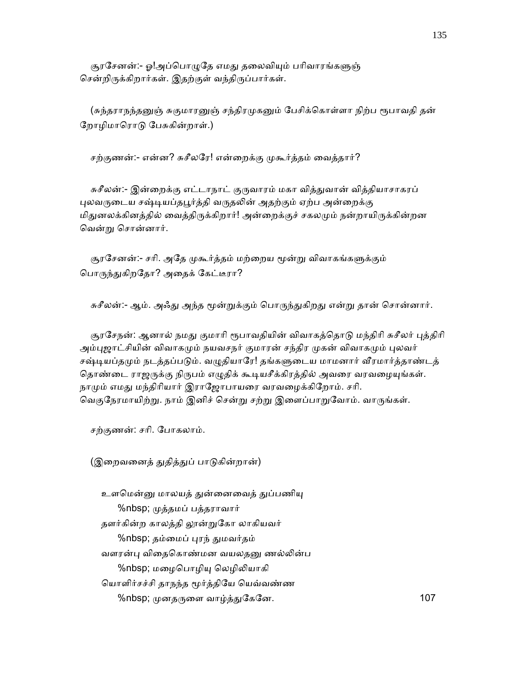சூரசேனன்:- ஓ!அப்பொழுதே எமது தலைவியும் பரிவாரங்களுஞ் சென்றிருக்கிறார்கள். இதற்குள் வந்திருப்பார்கள்.

(சுந்தராநந்தனுஞ் சுகுமாரனுஞ் சந்திரமுகனும் பேசிக்கொள்ளா நிற்ப ரூபாவதி தன் ேறாழிமாெராᾌ ேபசுகின்றாள்.)

சற்குணன்:- என்ன? சுசீலரே! என்றைக்கு முகூர்த்தம் வைத்தார்?

சுசீலன்:- இன்றைக்கு எட்டாநாட் குருவாரம் மகா வித்துவான் வித்தியாசாகரப் புலவருடைய சஷ்டியப்தபூர்த்தி வருதலின் அதற்கும் ஏற்ப அன்றைக்கு மிதுனலக்கினத்தில் வைத்திருக்கிறார்! அன்றைக்குச் சகலமும் நன்றாயிருக்கின்றன ெவன்ᾠ ெசான்னார்.

சூரசேனன்:- சரி. அதே முகூர்த்தம் மற்றைய மூன்று விவாகங்களுக்கும் பொருந்துகிறதோ? அதைக் கேட்டீரா?

சுசீலன்:- ஆம். அஃது அந்த மூன்றுக்கும் பொருந்துகிறது என்று தான் சொன்னார்.

சூரசேநன்: ஆனால் நமது குமாரி ரூபாவதியின் விவாகத்தொடு மந்திரி சுசீலர் புத்திரி அம்புஜாட்சியின் விவாகமும் நயவசநர் குமாரன் சந்திர முகன் விவாகமும் புலவர் சஷ்டியப்தமும் நடத்தப்படும். வழுதியாரே! தங்களுடைய மாமனார் வீரமார்த்தாண்டத் தொண்டை ராஜருக்கு நிருபம் எழுதிக் கூடியசீக்கிரத்தில் அவரை வரவழையுங்கள். நாமும் எமது மந்திரியார் இராஜோபாயரை வரவழைக்கிறோம். சரி. வெகுநேரமாயிற்று. நாம் இனிச் சென்று சற்று இளைப்பாறுவோம். வாருங்கள்.

சற்குணன்: சாி. ேபாகலாம்.

(இறைவனைத் துதித்துப் பாடுகின்றான்)

உளமென்னு மாலயத் துன்னைவைத் துப்பணியு %nbsp; ᾙத்தமப் பத்தராவார் தளர்கின்ற காலத்தி லூன்றுகோ லாகியவர் %nbsp; தம்மைப் புரந் துமவர்தம் வளரன்பு விதைகொண்மன வயலதனு ணல்லின்ப %nbsp; மழைபொழியு லெழிலியாகி யொளிர்சச்சி தாநந்த மூர்த்தியே யெவ்வண்ண %nbsp; முனதருளை வாழ்த்துகேனே. 107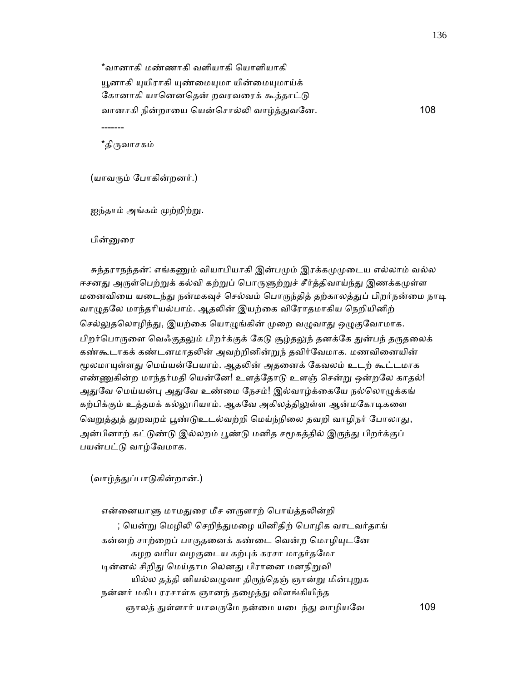\*வானாகி மண்ணாகி வளியாகி ெயாளியாகி யூனாகி யுயிராகி யுண்மையுமா யின்மையுமாய்க் கோனாகி யானெனதென் றவரவரைக் கூத்தாட்டு வானாகி நின்றாைய ெயன்ெசால்ᾢ வாழ்த்ᾐவேன. 108 -------

\*திருவாசகம்

(யாவᾞம் ேபாகின்றனர்.)

ஐந்தாம் அங்கம் முற்றிற்று.

பின்னுரை

சுந்தராநந்தன்: எங்கணும் வியாபியாகி இன்பமும் இரக்கமுமுடைய எல்லாம் வல்ல ஈசனது அருள்பெற்றுக் கல்வி கற்றுப் பொருளுற்றுச் சீர்த்திவாய்ந்து இணக்கமுள்ள மனைவியை யடைந்து நன்மகவுச் செல்வம் பொருந்தித் தற்காலத்துப் பிறர்நன்மை நாடி வாழுதலே மாந்தரியல்பாம். ஆதலின் இயற்கை விரோதமாகிய நெறியினிற் செல்லுதலொழிந்து, இயற்கை யொழுங்கின் முறை வழுவாது ஒழுகுவோமாக. பிறர்பொருளை வெஃகுதலும் பிறர்க்குக் கேடு சூழ்தலுந் தனக்கே துன்பந் தருதலைக் கண்கூடாகக் கண்டனமாதலின் அவற்றினின்றுந் தவிர்வேமாக. மணவினையின் மூலமாயுள்ளது மெய்யன்பேயாம். ஆதலின் அதனைக் கேவலம் உடற் கூட்டமாக எண்ணுகின்ற மாந்தர்மதி யென்னே! உளத்தோடு உளஞ் சென்று ஒன்றலே காதல்! அதுவே மெய்யன்பு அதுவே உண்மை நேசம்! இல்வாழ்க்கையே நல்லொழுக்கங் கற்பிக்கும் உத்தமக் கல்லூரியாம். ஆகவே அகிலத்திலுள்ள ஆன்மகோடிகளை வெறுத்துத் துறவறம் பூண்டுஉடல்வற்றி மெய்ந்நிலை தவறி வாழிநர் போலாது, அன்பினாற் கட்டுண்டு இல்லறம் பூண்டு மனித சமூகத்தில் இருந்து பிறர்க்குப் பயன்பட்டு வாழ்வேமாக.

(வாழ்த்துப்பாடுகின்றான்.)

என்னையாளு மாமதுரை மீச னருளாற் பொய்த்தலின்றி ; யென்று மெழிலி செறிந்துமழை யினிதிற் பொழிக வாடவர்தாங் கன்னற் சாற்றைப் பாகுதனைக் கண்டை வென்ற மொழியுடனே கழற வரிய வழகுடைய கற்புக் கரசா மாதர்தமோ டின்னல் சிறிது மெய்தாம லெனது பிரானை மனநிறுவி யில்ல தத்தி னியல்வழுவா திருந்தெஞ் ஞான்று மின்புறுக நன்னர் மகிப ரரசாள்க ஞானந் தழைத்து விளங்கியிந்த ஞாலத் ᾐள்ளார் யாவᾞேம நன்ைம யைடந்ᾐ வாழியேவ 109